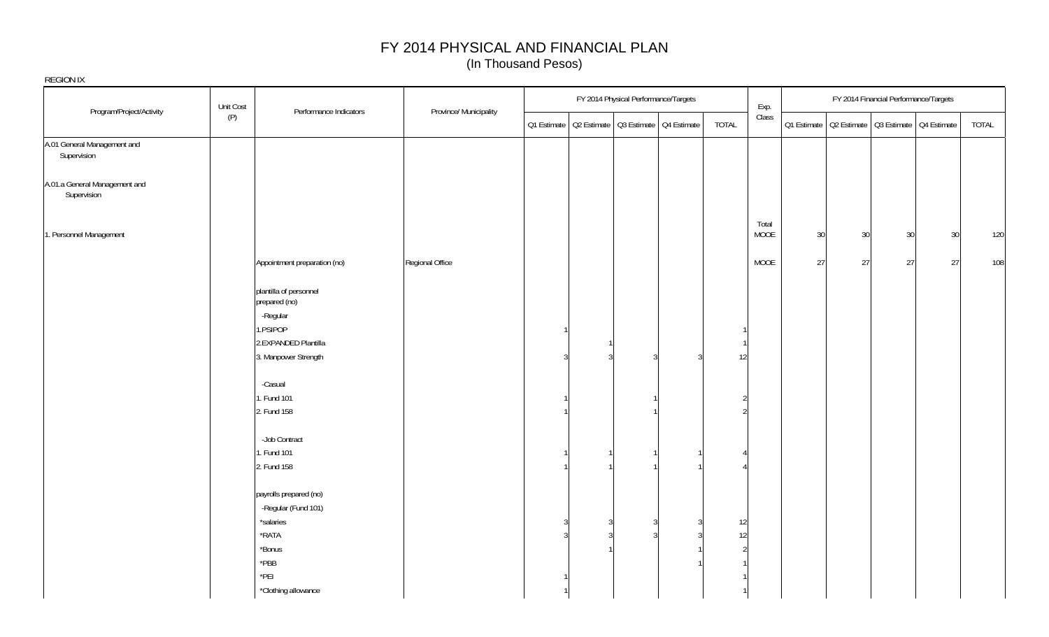| REGION IX                                    | Unit Cost |                                               |                        |         |   | FY 2014 Physical Performance/Targets |                                                       |          | Exp.          |        |        | FY 2014 Financial Performance/Targets                 |    |       |
|----------------------------------------------|-----------|-----------------------------------------------|------------------------|---------|---|--------------------------------------|-------------------------------------------------------|----------|---------------|--------|--------|-------------------------------------------------------|----|-------|
| Program/Project/Activity                     | (P)       | Performance Indicators                        | Province/ Municipality |         |   |                                      | Q1 Estimate   Q2 Estimate   Q3 Estimate   Q4 Estimate | TOTAL    | Class         |        |        | Q1 Estimate   Q2 Estimate   Q3 Estimate   Q4 Estimate |    | TOTAL |
| A.01 General Management and<br>Supervision   |           |                                               |                        |         |   |                                      |                                                       |          |               |        |        |                                                       |    |       |
| A.01.a General Management and<br>Supervision |           |                                               |                        |         |   |                                      |                                                       |          |               |        |        |                                                       |    |       |
| 1. Personnel Management                      |           |                                               |                        |         |   |                                      |                                                       |          | Total<br>MOOE | $30\,$ | $30\,$ | 30                                                    | 30 | 120   |
|                                              |           | Appointment preparation (no)                  | Regional Office        |         |   |                                      |                                                       |          | MOOE          | $27\,$ | 27     | 27                                                    | 27 | 108   |
|                                              |           | plantilla of personnel<br>prepared (no)       |                        |         |   |                                      |                                                       |          |               |        |        |                                                       |    |       |
|                                              |           | -Regular<br>1.PSIPOP                          |                        |         |   |                                      |                                                       |          |               |        |        |                                                       |    |       |
|                                              |           | 2.EXPANDED Plantilla<br>3. Manpower Strength  |                        |         |   |                                      |                                                       | 12       |               |        |        |                                                       |    |       |
|                                              |           | -Casual<br>. Fund 101                         |                        |         |   |                                      |                                                       |          |               |        |        |                                                       |    |       |
|                                              |           | 2. Fund 158                                   |                        |         |   |                                      |                                                       |          |               |        |        |                                                       |    |       |
|                                              |           | -Job Contract<br>. Fund 101                   |                        |         |   |                                      |                                                       |          |               |        |        |                                                       |    |       |
|                                              |           | 2. Fund 158                                   |                        |         |   |                                      |                                                       |          |               |        |        |                                                       |    |       |
|                                              |           | payrolls prepared (no)<br>-Regular (Fund 101) |                        |         |   |                                      |                                                       |          |               |        |        |                                                       |    |       |
|                                              |           | *salaries<br>$*$ RATA<br>*Bonus               |                        | 3<br>-3 | 3 |                                      | 3                                                     | 12<br>12 |               |        |        |                                                       |    |       |
|                                              |           | $*PBB$<br>PEL                                 |                        |         |   |                                      |                                                       |          |               |        |        |                                                       |    |       |
|                                              |           | *Clothing allowance                           |                        |         |   |                                      |                                                       |          |               |        |        |                                                       |    |       |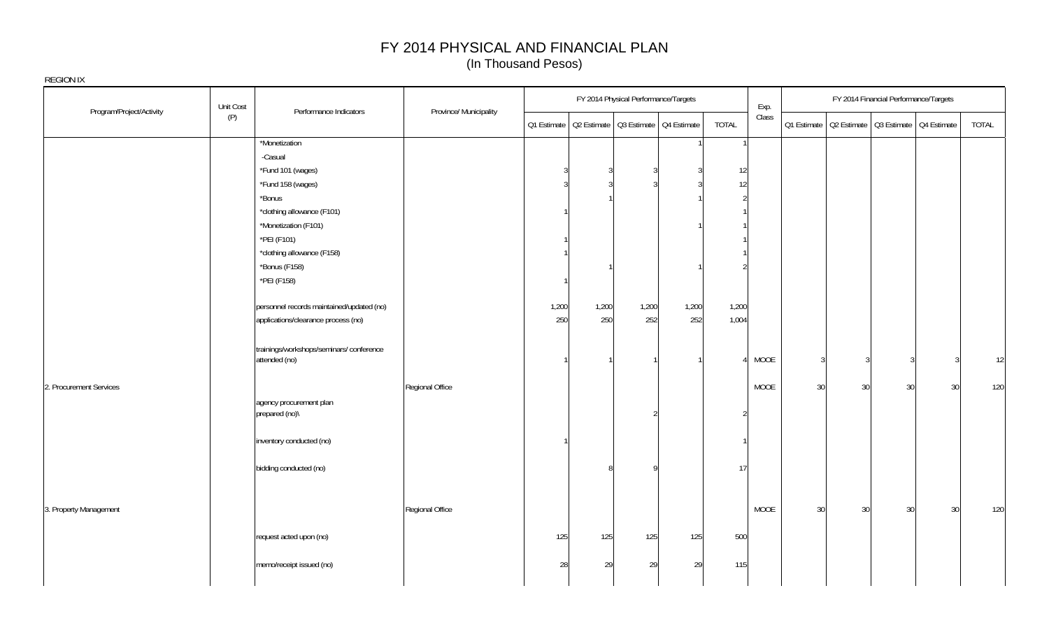| Unit Cost<br>Program/Project/Activity |                                                          |       |       | FY 2014 Physical Performance/Targets                  |       |              | Exp.  |    |               | FY 2014 Financial Performance/Targets |                                                       |       |
|---------------------------------------|----------------------------------------------------------|-------|-------|-------------------------------------------------------|-------|--------------|-------|----|---------------|---------------------------------------|-------------------------------------------------------|-------|
| (P)                                   | Performance Indicators<br>Province/ Municipality         |       |       | 01 Estimate   02 Estimate   03 Estimate   04 Estimate |       | <b>TOTAL</b> | Class |    |               |                                       | 01 Estimate   02 Estimate   03 Estimate   04 Estimate | TOTAL |
|                                       | *Monetization                                            |       |       |                                                       |       |              |       |    |               |                                       |                                                       |       |
|                                       | -Casual                                                  |       |       |                                                       |       |              |       |    |               |                                       |                                                       |       |
|                                       | *Fund 101 (wages)                                        |       |       |                                                       | ર     | 12           |       |    |               |                                       |                                                       |       |
|                                       | *Fund 158 (wages)                                        |       |       |                                                       |       | 12           |       |    |               |                                       |                                                       |       |
|                                       | *Bonus                                                   |       |       |                                                       |       |              |       |    |               |                                       |                                                       |       |
|                                       | *clothing allowance (F101)                               |       |       |                                                       |       |              |       |    |               |                                       |                                                       |       |
|                                       | *Monetization (F101)                                     |       |       |                                                       |       |              |       |    |               |                                       |                                                       |       |
|                                       | *PEI (F101)                                              |       |       |                                                       |       |              |       |    |               |                                       |                                                       |       |
|                                       | *clothing allowance (F158)                               |       |       |                                                       |       |              |       |    |               |                                       |                                                       |       |
|                                       | *Bonus (F158)                                            |       |       |                                                       |       |              |       |    |               |                                       |                                                       |       |
|                                       | *PEI (F158)                                              |       |       |                                                       |       |              |       |    |               |                                       |                                                       |       |
|                                       | personnel records maintained/updated (no)                | 1,200 | 1,200 | 1,200                                                 | 1,200 | 1,200        |       |    |               |                                       |                                                       |       |
|                                       | applications/clearance process (no)                      | 250   | 250   | 252                                                   | 252   | 1,004        |       |    |               |                                       |                                                       |       |
|                                       | trainings/workshops/seminars/conference<br>attended (no) |       |       |                                                       |       |              | MOOE  |    | $\mathcal{R}$ |                                       |                                                       | 12    |
| 2. Procurement Services               | Regional Office                                          |       |       |                                                       |       |              | MOOE  | 30 | 30            | 30                                    | 30                                                    | 120   |
|                                       | agency procurement plan<br>prepared (no)\                |       |       |                                                       |       |              |       |    |               |                                       |                                                       |       |
|                                       | inventory conducted (no)                                 |       |       |                                                       |       |              |       |    |               |                                       |                                                       |       |
|                                       | bidding conducted (no)                                   |       |       | O                                                     |       | 17           |       |    |               |                                       |                                                       |       |
| 3. Property Management                | Regional Office                                          |       |       |                                                       |       |              | MOOE  | 30 | 30            | 30                                    | 30                                                    | 120   |
|                                       | request acted upon (no)                                  | 125   | 125   | 125                                                   | 125   | 500          |       |    |               |                                       |                                                       |       |
|                                       | memo/receipt issued (no)                                 | 28    | 29    | 29                                                    | 29    | 115          |       |    |               |                                       |                                                       |       |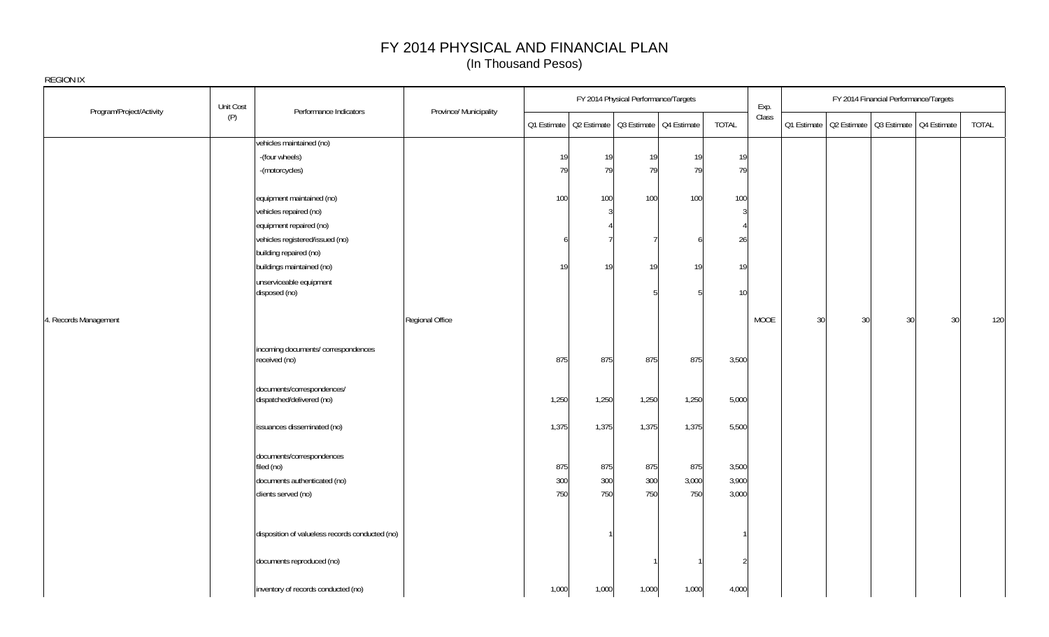| Program/Project/Activity | Unit Cost | Performance Indicators                                  | Province/ Municipality |       |                                                       | FY 2014 Physical Performance/Targets |       |              | Exp.        |    |    | FY 2014 Financial Performance/Targets |                                                       |       |
|--------------------------|-----------|---------------------------------------------------------|------------------------|-------|-------------------------------------------------------|--------------------------------------|-------|--------------|-------------|----|----|---------------------------------------|-------------------------------------------------------|-------|
|                          | (P)       |                                                         |                        |       | Q1 Estimate   Q2 Estimate   Q3 Estimate   Q4 Estimate |                                      |       | <b>TOTAL</b> | Class       |    |    |                                       | Q1 Estimate   Q2 Estimate   Q3 Estimate   Q4 Estimate | TOTAL |
|                          |           | vehicles maintained (no)                                |                        |       |                                                       |                                      |       |              |             |    |    |                                       |                                                       |       |
|                          |           | -(four wheels)                                          |                        | 19    | 19                                                    | 19                                   | 19    | 19           |             |    |    |                                       |                                                       |       |
|                          |           | -(motorcycles)                                          |                        | 79    | 79                                                    | 79                                   | 79    | 79           |             |    |    |                                       |                                                       |       |
|                          |           | equipment maintained (no)                               |                        | 100   | 100                                                   | 100                                  | 100   | 100          |             |    |    |                                       |                                                       |       |
|                          |           | vehicles repaired (no)                                  |                        |       | 3                                                     |                                      |       | 3            |             |    |    |                                       |                                                       |       |
|                          |           | equipment repaired (no)                                 |                        |       |                                                       |                                      |       |              |             |    |    |                                       |                                                       |       |
|                          |           | vehicles registered/issued (no)                         |                        | 6     |                                                       |                                      | h     | 26           |             |    |    |                                       |                                                       |       |
|                          |           | building repaired (no)                                  |                        |       |                                                       |                                      |       |              |             |    |    |                                       |                                                       |       |
|                          |           | buildings maintained (no)                               |                        | 19    | 19                                                    | 19                                   | 19    | 19           |             |    |    |                                       |                                                       |       |
|                          |           | unserviceable equipment<br>disposed (no)                |                        |       |                                                       |                                      | 5     | 10           |             |    |    |                                       |                                                       |       |
|                          |           |                                                         |                        |       |                                                       |                                      |       |              |             |    |    |                                       |                                                       |       |
| 4. Records Management    |           |                                                         | Regional Office        |       |                                                       |                                      |       |              | <b>MOOE</b> | 30 | 30 | 30                                    | 30                                                    | 120   |
|                          |           | incoming documents/correspondences<br>received (no)     |                        | 875   | 875                                                   | 875                                  | 875   | 3,500        |             |    |    |                                       |                                                       |       |
|                          |           | documents/correspondences/<br>dispatched/delivered (no) |                        | 1,250 | 1,250                                                 | 1,250                                | 1,250 | 5,000        |             |    |    |                                       |                                                       |       |
|                          |           | issuances disseminated (no)                             |                        | 1,375 | 1,375                                                 | 1,375                                | 1,375 | 5,500        |             |    |    |                                       |                                                       |       |
|                          |           | documents/correspondences<br>filed (no)                 |                        | 875   | 875                                                   | 875                                  | 875   | 3,500        |             |    |    |                                       |                                                       |       |
|                          |           | documents authenticated (no)                            |                        | 300   | 300                                                   | 300                                  | 3,000 | 3,900        |             |    |    |                                       |                                                       |       |
|                          |           | clients served (no)                                     |                        | 750   | 750                                                   | 750                                  | 750   | 3,000        |             |    |    |                                       |                                                       |       |
|                          |           | disposition of valueless records conducted (no)         |                        |       |                                                       |                                      |       |              |             |    |    |                                       |                                                       |       |
|                          |           | documents reproduced (no)                               |                        |       |                                                       |                                      |       | 2            |             |    |    |                                       |                                                       |       |
|                          |           | inventory of records conducted (no)                     |                        | 1,000 | 1,000                                                 | 1,000                                | 1,000 | 4,000        |             |    |    |                                       |                                                       |       |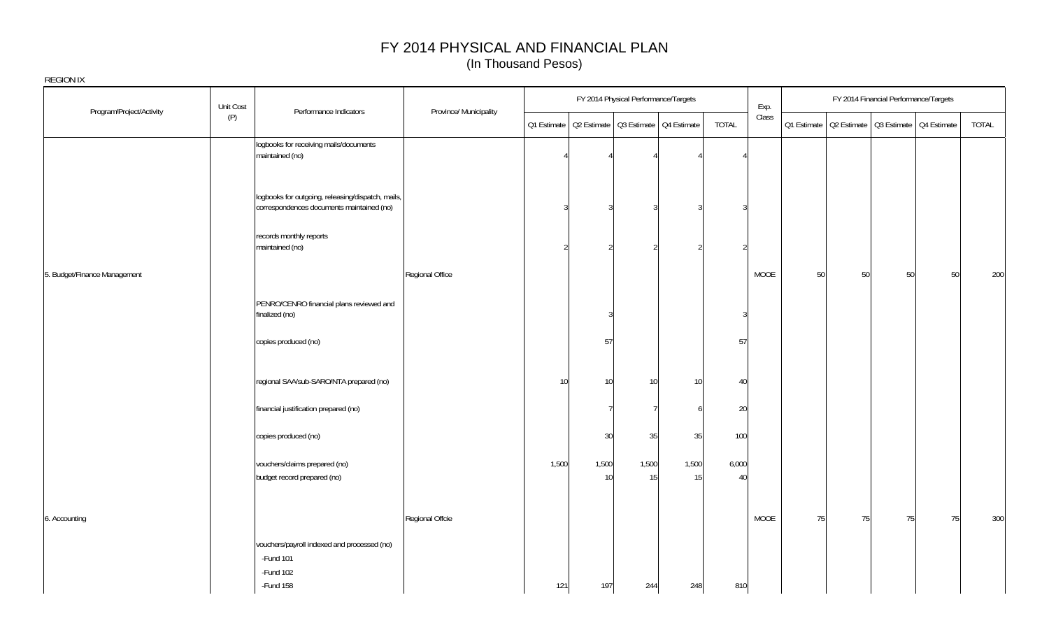|                              | Unit Cost                                                                                      |                        |                |             | FY 2014 Physical Performance/Targets |                                                       |             | Exp.  |    |    |    | FY 2014 Financial Performance/Targets                 |       |
|------------------------------|------------------------------------------------------------------------------------------------|------------------------|----------------|-------------|--------------------------------------|-------------------------------------------------------|-------------|-------|----|----|----|-------------------------------------------------------|-------|
| Program/Project/Activity     | Performance Indicators<br>(P)                                                                  | Province/ Municipality |                |             |                                      | 01 Estimate   02 Estimate   03 Estimate   04 Estimate | TOTAL       | Class |    |    |    | 01 Estimate   02 Estimate   03 Estimate   04 Estimate | TOTAL |
|                              | logbooks for receiving mails/documents<br>maintained (no)                                      |                        |                |             |                                      |                                                       |             |       |    |    |    |                                                       |       |
|                              | logbooks for outgoing, releasing/dispatch, mails,<br>correspondences documents maintained (no) |                        | 3              | 3           | $\mathcal{R}$                        |                                                       |             |       |    |    |    |                                                       |       |
|                              | records monthly reports<br>maintained (no)                                                     |                        | $\mathfrak{D}$ |             | $\mathcal{P}$                        |                                                       |             |       |    |    |    |                                                       |       |
| 5. Budget/Finance Management |                                                                                                | Regional Office        |                |             |                                      |                                                       |             | MOOE  | 50 | 50 | 50 | 50                                                    | 200   |
|                              | PENRO/CENRO financial plans reviewed and<br>finalized (no)                                     |                        |                |             |                                      |                                                       | 3           |       |    |    |    |                                                       |       |
|                              | copies produced (no)                                                                           |                        |                | 57          |                                      |                                                       | 57          |       |    |    |    |                                                       |       |
|                              | regional SAA/sub-SARO/NTA prepared (no)                                                        |                        | 10             | 10          | 10 <sup>1</sup>                      | 10 <sup>1</sup>                                       | 40          |       |    |    |    |                                                       |       |
|                              | financial justification prepared (no)                                                          |                        |                |             |                                      |                                                       | 20          |       |    |    |    |                                                       |       |
|                              | copies produced (no)                                                                           |                        |                | 30          | 35                                   | 35                                                    | 100         |       |    |    |    |                                                       |       |
|                              | vouchers/claims prepared (no)<br>budget record prepared (no)                                   |                        | 1,500          | 1,500<br>10 | 1,500<br>15                          | 1,500<br>15                                           | 6,000<br>40 |       |    |    |    |                                                       |       |
| 6. Accounting                |                                                                                                | Regional Offcie        |                |             |                                      |                                                       |             | MOOE  | 75 | 75 | 75 | 75                                                    | 300   |
|                              | vouchers/payroll indexed and processed (no)<br>-Fund 101<br>$-Fund 102$                        |                        |                |             |                                      |                                                       |             |       |    |    |    |                                                       |       |
|                              | -Fund 158                                                                                      |                        | 121            | 197         | 244                                  | 248                                                   | 810         |       |    |    |    |                                                       |       |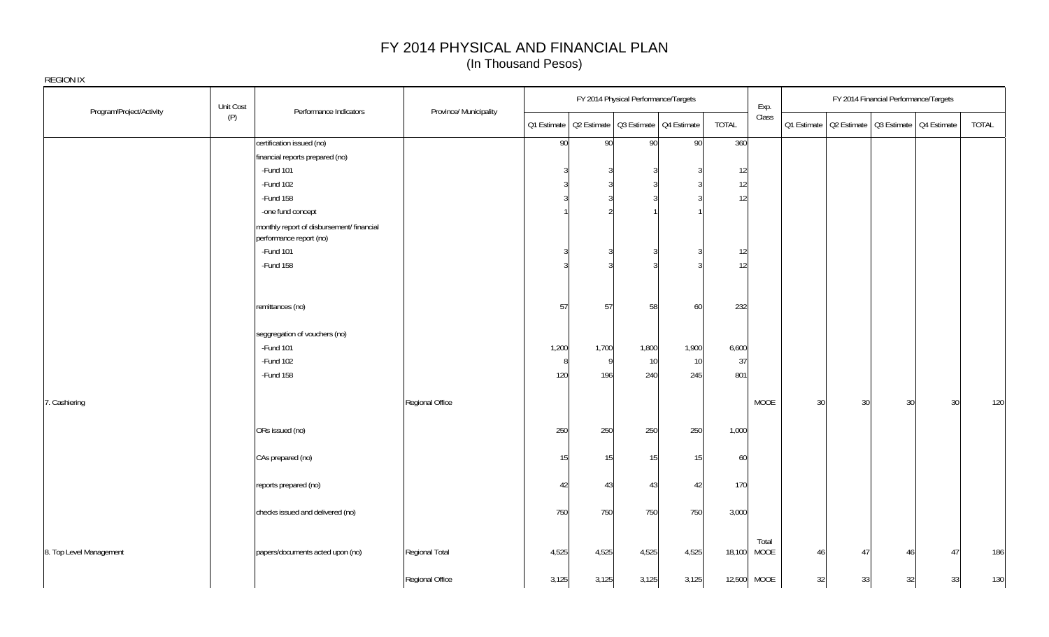|                          | Unit Cost                                                            |                        |                 |              | FY 2014 Physical Performance/Targets                  |       |        | Exp.                 |    | FY 2014 Financial Performance/Targets                 |    |       |
|--------------------------|----------------------------------------------------------------------|------------------------|-----------------|--------------|-------------------------------------------------------|-------|--------|----------------------|----|-------------------------------------------------------|----|-------|
| Program/Project/Activity | Performance Indicators<br>(P)                                        | Province/ Municipality |                 |              | Q1 Estimate   Q2 Estimate   Q3 Estimate   Q4 Estimate |       | TOTAL  | Class                |    | 01 Estimate   02 Estimate   03 Estimate   04 Estimate |    | TOTAL |
|                          | certification issued (no)                                            |                        | 90 <sup>°</sup> | 90           | 90                                                    | 90    | 360    |                      |    |                                                       |    |       |
|                          | financial reports prepared (no)                                      |                        |                 |              |                                                       |       |        |                      |    |                                                       |    |       |
|                          | -Fund 101                                                            |                        | ্ব              |              |                                                       |       | 12     |                      |    |                                                       |    |       |
|                          | -Fund 102                                                            |                        |                 |              |                                                       |       | 12     |                      |    |                                                       |    |       |
|                          | -Fund 158                                                            |                        |                 |              |                                                       |       | 12     |                      |    |                                                       |    |       |
|                          | -one fund concept                                                    |                        |                 |              |                                                       |       |        |                      |    |                                                       |    |       |
|                          | monthly report of disbursement/ financial<br>performance report (no) |                        |                 |              |                                                       |       |        |                      |    |                                                       |    |       |
|                          | -Fund 101                                                            |                        | ্ব              |              |                                                       |       | 12     |                      |    |                                                       |    |       |
|                          | -Fund 158                                                            |                        | ্               |              |                                                       |       | 12     |                      |    |                                                       |    |       |
|                          | remittances (no)                                                     |                        | 57              | 57           | 58                                                    | 60    | 232    |                      |    |                                                       |    |       |
|                          | seggregation of vouchers (no)                                        |                        |                 |              |                                                       |       |        |                      |    |                                                       |    |       |
|                          | -Fund 101                                                            |                        | 1,200           | 1,700        | 1,800                                                 | 1,900 | 6,600  |                      |    |                                                       |    |       |
|                          | -Fund 102                                                            |                        | 8               | $\mathbf{Q}$ | 10                                                    | 10    | 37     |                      |    |                                                       |    |       |
|                          | -Fund 158                                                            |                        | 120             | 196          | 240                                                   | 245   | 801    |                      |    |                                                       |    |       |
| 7. Cashiering            |                                                                      | Regional Office        |                 |              |                                                       |       |        | MOOE                 | 30 | 30<br>30 <sup>1</sup>                                 | 30 | 120   |
|                          | ORs issued (no)                                                      |                        | 250             | 250          | 250                                                   | 250   | 1,000  |                      |    |                                                       |    |       |
|                          | CAs prepared (no)                                                    |                        | 15              | 15           | 15                                                    | 15    | 60     |                      |    |                                                       |    |       |
|                          | reports prepared (no)                                                |                        | 42              | 43           | 43                                                    | 42    | 170    |                      |    |                                                       |    |       |
|                          | checks issued and delivered (no)                                     |                        | 750             | 750          | 750                                                   | 750   | 3,000  |                      |    |                                                       |    |       |
| 8. Top Level Management  | papers/documents acted upon (no)                                     | Regional Total         | 4,525           | 4,525        | 4,525                                                 | 4,525 | 18,100 | Total<br><b>MOOE</b> | 46 | 47<br>46                                              | 47 | 186   |
|                          |                                                                      | Regional Office        | 3,125           | 3,125        | 3,125                                                 | 3,125 | 12,500 | MOOE                 | 32 | 33<br>32                                              | 33 | 130   |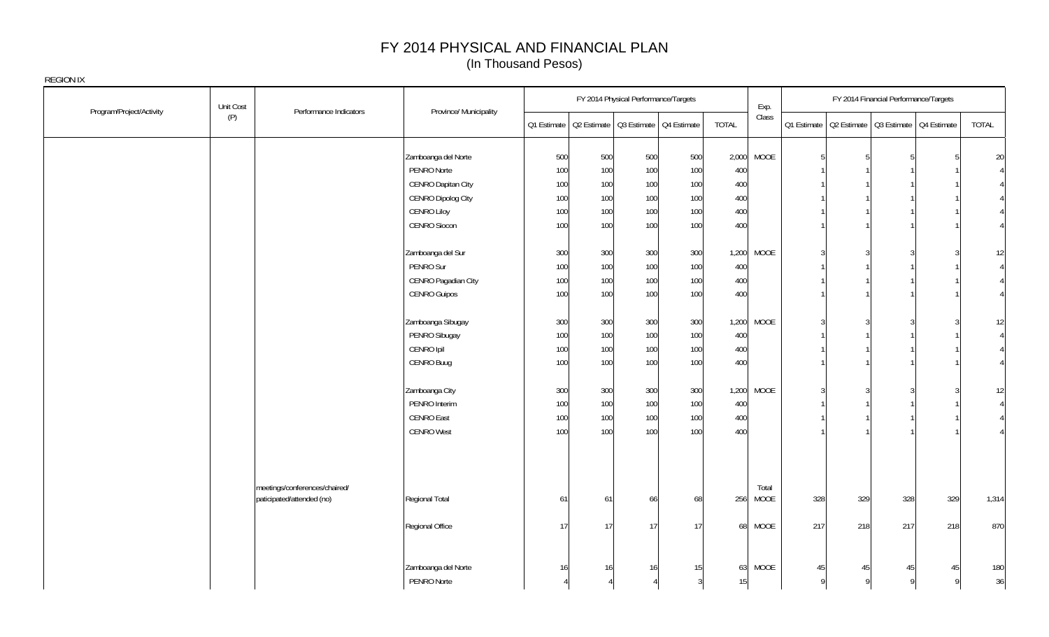|                          | Unit Cost |                                                            |                        |                                                       |     | FY 2014 Physical Performance/Targets |     |              | Exp.          |     |          | FY 2014 Financial Performance/Targets                 |              |                 |
|--------------------------|-----------|------------------------------------------------------------|------------------------|-------------------------------------------------------|-----|--------------------------------------|-----|--------------|---------------|-----|----------|-------------------------------------------------------|--------------|-----------------|
| Program/Project/Activity | (P)       | Performance Indicators                                     | Province/ Municipality | Q1 Estimate   Q2 Estimate   Q3 Estimate   Q4 Estimate |     |                                      |     | <b>TOTAL</b> | Class         |     |          | Q1 Estimate   Q2 Estimate   Q3 Estimate   Q4 Estimate |              | TOTAL           |
|                          |           |                                                            | Zamboanga del Norte    | 500                                                   | 500 | 500                                  | 500 | 2,000        | MOOE          | 5   |          |                                                       |              | $20\,$          |
|                          |           |                                                            | PENRO Norte            | 100                                                   | 100 | 100                                  | 100 | 400          |               |     |          |                                                       |              | $\vert 4 \vert$ |
|                          |           |                                                            | CENRO Dapitan City     | 100                                                   | 100 | 100                                  | 100 | 400          |               |     |          |                                                       |              | 4               |
|                          |           |                                                            | CENRO Dipolog City     | 100                                                   | 100 | 100                                  | 100 | 400          |               |     |          |                                                       |              | 4               |
|                          |           |                                                            | CENRO Liloy            | 100                                                   | 100 | 100                                  | 100 | 400          |               |     |          |                                                       |              |                 |
|                          |           |                                                            | CENRO Siocon           | 100                                                   | 100 | 100                                  | 100 | 400          |               |     |          |                                                       |              | 4 <sup>1</sup>  |
|                          |           |                                                            | Zamboanga del Sur      | 300                                                   | 300 | 300                                  | 300 | 1,200        | <b>MOOE</b>   |     |          |                                                       |              | 12              |
|                          |           |                                                            | PENRO Sur              | 100                                                   | 100 | 100                                  | 100 | 400          |               |     |          |                                                       |              | $\overline{4}$  |
|                          |           |                                                            | CENRO Pagadian City    | 100                                                   | 100 | 100                                  | 100 | 400          |               |     |          |                                                       |              | 4 <sup>1</sup>  |
|                          |           |                                                            | <b>CENRO Guipos</b>    | 100                                                   | 100 | 100                                  | 100 | 400          |               |     |          |                                                       |              | $\vert$         |
|                          |           |                                                            | Zamboanga Sibugay      | 300                                                   | 300 | 300                                  | 300 | 1,200        | <b>MOOE</b>   |     |          |                                                       |              | 12              |
|                          |           |                                                            | PENRO Sibugay          | 100                                                   | 100 | 100                                  | 100 | 400          |               |     |          |                                                       |              | $\vert 4 \vert$ |
|                          |           |                                                            | CENRO Ipil             | 100                                                   | 100 | 100                                  | 100 | 400          |               |     |          |                                                       |              | 4               |
|                          |           |                                                            | CENRO Buug             | 100                                                   | 100 | 100                                  | 100 | 400          |               |     |          |                                                       |              | 4               |
|                          |           |                                                            | Zamboanga City         | 300                                                   | 300 | 300                                  | 300 | 1,200        | MOOE          |     |          |                                                       |              | 12              |
|                          |           |                                                            | PENRO Interim          | 100                                                   | 100 | 100                                  | 100 | 400          |               |     |          |                                                       |              | $\vert 4 \vert$ |
|                          |           |                                                            | <b>CENRO East</b>      | 100                                                   | 100 | 100                                  | 100 | 400          |               |     |          |                                                       |              | 4 <sup>1</sup>  |
|                          |           |                                                            | <b>CENRO West</b>      | 100                                                   | 100 | 100                                  | 100 | 400          |               |     |          |                                                       |              |                 |
|                          |           | meetings/conferences/chaired/<br>paticipated/attended (no) | Regional Total         | 61                                                    | 61  | 66                                   | 68  | 256          | Total<br>MOOE | 328 | 329      | 328                                                   | 329          | 1,314           |
|                          |           |                                                            | Regional Office        | 17                                                    | 17  | 17                                   | 17  | 68           | MOOE          | 217 | 218      | 217                                                   | 218          | 870             |
|                          |           |                                                            | Zamboanga del Norte    | 16                                                    | 16  | 16                                   | 15  | 63           | MOOE          | 45  | 45       | 45                                                    | 45           | 180             |
|                          |           |                                                            | PENRO Norte            |                                                       |     |                                      |     | 15           |               | Q   | $\Omega$ | o                                                     | $\mathsf{Q}$ | 36              |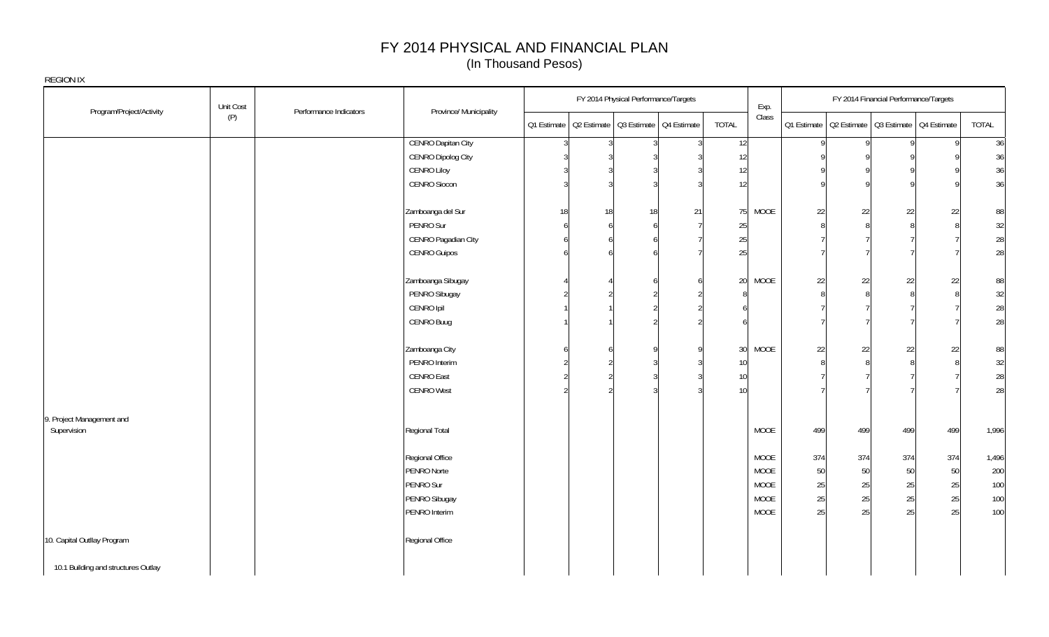|                                     | Unit Cost |                        |                           |          | FY 2014 Physical Performance/Targets                  |    |                 | Exp.        |         |              | FY 2014 Financial Performance/Targets                 |     |       |
|-------------------------------------|-----------|------------------------|---------------------------|----------|-------------------------------------------------------|----|-----------------|-------------|---------|--------------|-------------------------------------------------------|-----|-------|
| Program/Project/Activity            | (P)       | Performance Indicators | Province/ Municipality    |          | 01 Estimate   02 Estimate   03 Estimate   04 Estimate |    | TOTAL           | Class       |         |              | Q1 Estimate   Q2 Estimate   Q3 Estimate   Q4 Estimate |     | TOTAL |
|                                     |           |                        | <b>CENRO Dapitan City</b> | 3        | $\overline{3}$<br>्र                                  | २  | 12              |             | $\vert$ | $\mathsf{Q}$ | o                                                     | Q   | 36    |
|                                     |           |                        | CENRO Dipolog City        |          |                                                       |    | 12              |             |         |              |                                                       |     | 36    |
|                                     |           |                        | CENRO Liloy               |          |                                                       |    | 12              |             |         |              |                                                       |     | 36    |
|                                     |           |                        | CENRO Siocon              |          |                                                       |    | 12              |             |         |              |                                                       |     | 36    |
|                                     |           |                        | Zamboanga del Sur         | 18       | 18<br>18                                              | 21 |                 | 75 MOOE     | 22      | 22           | 22                                                    | 22  | 88    |
|                                     |           |                        | PENRO Sur                 | 6        |                                                       |    | 25              |             |         | 8            |                                                       |     | 32    |
|                                     |           |                        | CENRO Pagadian City       | 6        |                                                       |    | 25              |             |         |              |                                                       |     | 28    |
|                                     |           |                        | CENRO Guipos              | 6        |                                                       |    | 25              |             |         |              |                                                       |     | 28    |
|                                     |           |                        | Zamboanga Sibugay         |          |                                                       |    | 20 <sup>1</sup> | <b>MOOE</b> | 22      | 22           | 22                                                    | 22  | 88    |
|                                     |           |                        | PENRO Sibugay             |          |                                                       |    |                 |             |         | 8            |                                                       |     | 32    |
|                                     |           |                        | CENRO Ipil                |          |                                                       |    |                 |             |         |              |                                                       |     | 28    |
|                                     |           |                        | CENRO Buug                |          |                                                       |    |                 |             |         |              |                                                       |     | 28    |
|                                     |           |                        | Zamboanga City            | <b>6</b> |                                                       |    | 30 <sup>1</sup> | <b>MOOE</b> | 22      | 22           | 22                                                    | 22  | 88    |
|                                     |           |                        | PENRO Interim             |          |                                                       |    | 10 <sup>°</sup> |             |         | 8            |                                                       |     | 32    |
|                                     |           |                        | <b>CENRO East</b>         |          |                                                       |    | 10 <sup>°</sup> |             |         |              |                                                       |     | 28    |
|                                     |           |                        | <b>CENRO West</b>         |          |                                                       |    | 10 <sup>1</sup> |             |         |              |                                                       |     | 28    |
| 9. Project Management and           |           |                        |                           |          |                                                       |    |                 |             |         |              |                                                       |     |       |
| Supervision                         |           |                        | Regional Total            |          |                                                       |    |                 | <b>MOOE</b> | 499     | 499          | 499                                                   | 499 | 1,996 |
|                                     |           |                        | Regional Office           |          |                                                       |    |                 | <b>MOOE</b> | 374     | 374          | 374                                                   | 374 | 1,496 |
|                                     |           |                        | PENRO Norte               |          |                                                       |    |                 | <b>MOOE</b> | 50      | 50           | 50                                                    | 50  | 200   |
|                                     |           |                        | PENRO Sur                 |          |                                                       |    |                 | MOOE        | 25      | 25           | 25                                                    | 25  | 100   |
|                                     |           |                        | PENRO Sibugay             |          |                                                       |    |                 | <b>MOOE</b> | 25      | 25           | 25                                                    | 25  | 100   |
|                                     |           |                        | PENRO Interim             |          |                                                       |    |                 | MOOE        | 25      | 25           | 25                                                    | 25  | 100   |
| 10. Capital Outllay Program         |           |                        | Regional Office           |          |                                                       |    |                 |             |         |              |                                                       |     |       |
| 10.1 Building and structures Outlay |           |                        |                           |          |                                                       |    |                 |             |         |              |                                                       |     |       |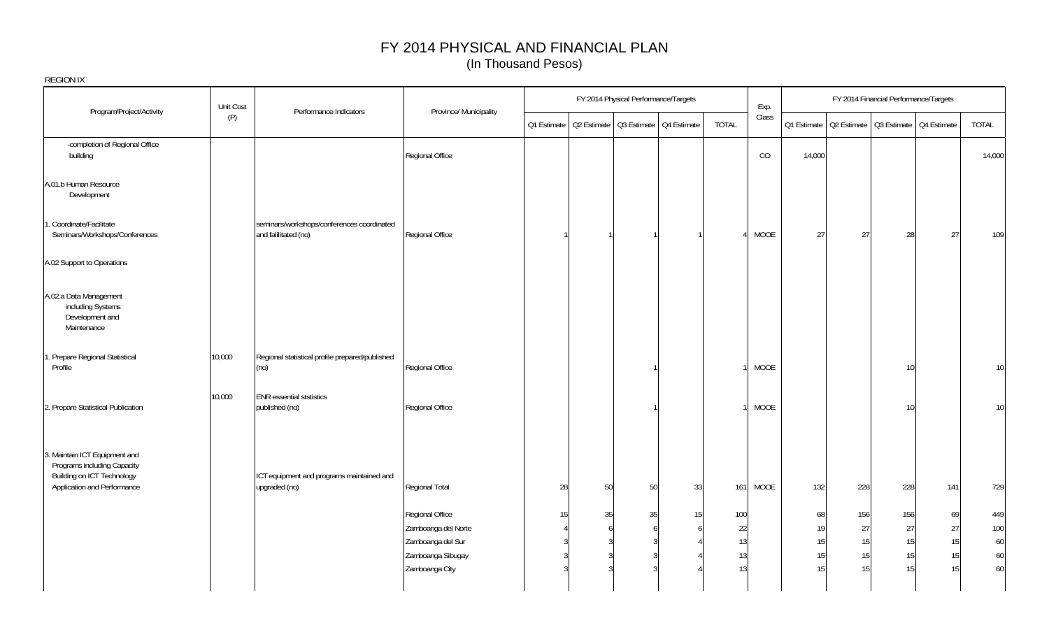| <b>REGION IX</b>                                                                                                          |           |                                                                    |                                        |             |         |                                      |                                         |           |             |          |                                                       |           |                                       |            |
|---------------------------------------------------------------------------------------------------------------------------|-----------|--------------------------------------------------------------------|----------------------------------------|-------------|---------|--------------------------------------|-----------------------------------------|-----------|-------------|----------|-------------------------------------------------------|-----------|---------------------------------------|------------|
|                                                                                                                           | Unit Cost |                                                                    |                                        |             |         | FY 2014 Physical Performance/Targets |                                         |           | Exp.        |          |                                                       |           | FY 2014 Financial Performance/Targets |            |
| Program/Project/Activity                                                                                                  | (P)       | Performance Indicators                                             | Province/ Municipality                 | Q1 Estimate |         |                                      | Q2 Estimate   Q3 Estimate   Q4 Estimate | TOTAL     | Class       |          | Q1 Estimate   Q2 Estimate   Q3 Estimate   Q4 Estimate |           |                                       | TOTAL      |
| -completion of Regional Office<br>building                                                                                |           |                                                                    | Regional Office                        |             |         |                                      |                                         |           | CO          | 14,000   |                                                       |           |                                       | 14,000     |
| A.01.b Human Resource<br>Development                                                                                      |           |                                                                    |                                        |             |         |                                      |                                         |           |             |          |                                                       |           |                                       |            |
| 1. Coordinate/Facilitate<br>Seminars/Workshops/Conferences                                                                |           | seminars/workshops/conferences coordinated<br>and falilitated (no) | Regional Office                        |             |         |                                      |                                         |           | MOOE        | 27       | 27                                                    | 28        | 27                                    | 109        |
| A.02 Support to Operations                                                                                                |           |                                                                    |                                        |             |         |                                      |                                         |           |             |          |                                                       |           |                                       |            |
| A.02.a Data Management<br>including Systems<br>Development and<br>Maintenance                                             |           |                                                                    |                                        |             |         |                                      |                                         |           |             |          |                                                       |           |                                       |            |
| 1. Prepare Regional Statistical<br>Profile                                                                                | 10,000    | Regional statistical profile prepared/published<br>(no)            | Regional Office                        |             |         |                                      |                                         |           | <b>MOOE</b> |          |                                                       | 10        |                                       | 10         |
| 2. Prepare Statistical Publication                                                                                        | 10,000    | <b>ENR</b> essential ststistics<br>published (no)                  | Regional Office                        |             |         |                                      |                                         |           | <b>MOOE</b> |          |                                                       | 10        |                                       | 10         |
| 3. Maintain ICT Equipment and<br>Programs including Capacity<br>Building on ICT Technology<br>Application and Performance |           | ICT equipment and programs maintained and<br>upgraded (no)         | Regional Total                         | 28          | 50      | 50                                   | 33                                      | 161       | <b>MOOE</b> | 132      | 228                                                   | 228       | 141                                   | 729        |
|                                                                                                                           |           |                                                                    | Regional Office<br>Zamboanga del Norte | 15          | 35<br>6 | 35                                   | 15                                      | 100<br>22 |             | 68<br>19 | 156<br>27                                             | 156<br>27 | 69<br>27                              | 449<br>100 |
|                                                                                                                           |           |                                                                    | Zamboanga del Sur                      |             |         |                                      |                                         | 13        |             | 15       | 15                                                    | 15        | 15                                    | 60         |
|                                                                                                                           |           |                                                                    | Zamboanga Sibugay<br>Zamboanga City    |             |         |                                      |                                         | 13<br>13  |             | 15<br>15 | 15<br>15                                              | 15<br>15  | 15<br>15                              | 60<br>60   |
|                                                                                                                           |           |                                                                    |                                        |             |         |                                      |                                         |           |             |          |                                                       |           |                                       |            |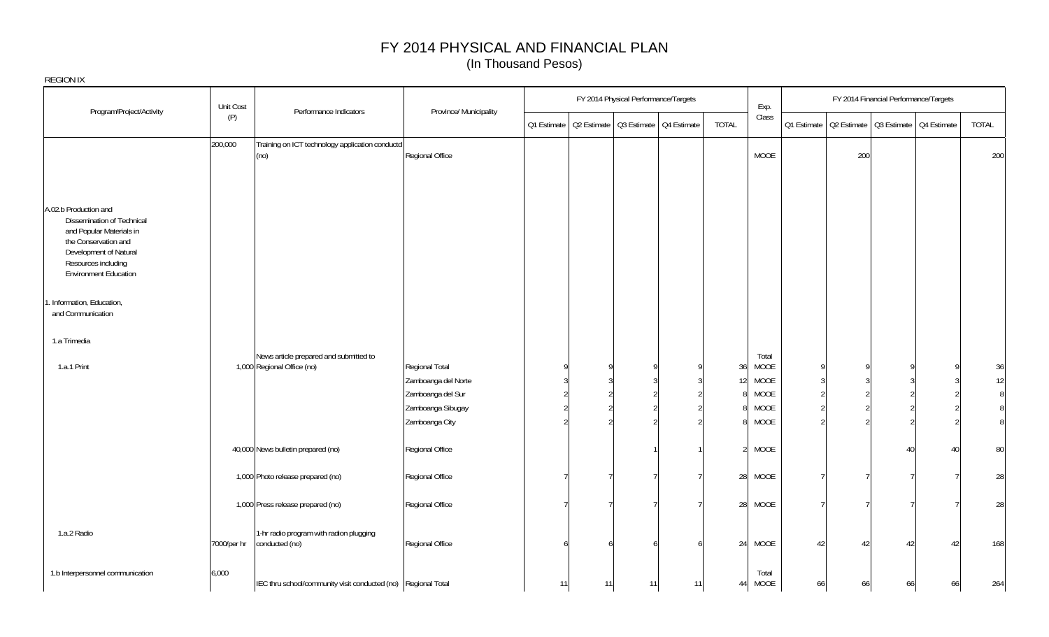|                                                                                                                                                                 | Unit Cost   |                                                                      |                                          |             |    | FY 2014 Physical Performance/Targets    |    |                      | Exp.          |                                 |     | FY 2014 Financial Performance/Targets                 |    |                |
|-----------------------------------------------------------------------------------------------------------------------------------------------------------------|-------------|----------------------------------------------------------------------|------------------------------------------|-------------|----|-----------------------------------------|----|----------------------|---------------|---------------------------------|-----|-------------------------------------------------------|----|----------------|
| Program/Project/Activity                                                                                                                                        | (P)         | Performance Indicators                                               | Province/ Municipality                   | Q1 Estimate |    | Q2 Estimate   Q3 Estimate   Q4 Estimate |    | TOTAL                | Class         |                                 |     | Q1 Estimate   Q2 Estimate   Q3 Estimate   Q4 Estimate |    | TOTAL          |
|                                                                                                                                                                 | 200,000     | Training on ICT technology application conductd<br>(no)              | Regional Office                          |             |    |                                         |    |                      | <b>MOOE</b>   |                                 | 200 |                                                       |    | 200            |
| A.02.b Production and                                                                                                                                           |             |                                                                      |                                          |             |    |                                         |    |                      |               |                                 |     |                                                       |    |                |
| Dissemination of Technical<br>and Popular Materials in<br>the Conservation and<br>Development of Natural<br>Resources including<br><b>Environment Education</b> |             |                                                                      |                                          |             |    |                                         |    |                      |               |                                 |     |                                                       |    |                |
| 1. Information, Education,<br>and Communication                                                                                                                 |             |                                                                      |                                          |             |    |                                         |    |                      |               |                                 |     |                                                       |    |                |
| 1.a Trimedia                                                                                                                                                    |             |                                                                      |                                          |             |    |                                         |    |                      |               |                                 |     |                                                       |    |                |
| 1.a.1 Print                                                                                                                                                     |             | News article prepared and submitted to<br>1,000 Regional Office (no) | Regional Total                           |             |    |                                         |    | 36                   | Total<br>MOOE | $\Omega$                        |     |                                                       |    | 36             |
|                                                                                                                                                                 |             |                                                                      | Zamboanga del Norte<br>Zamboanga del Sur |             |    |                                         |    | 12 <sup>1</sup><br>8 | MOOE<br>MOOE  | $\overline{3}$<br>$\mathcal{D}$ |     |                                                       |    | 12<br>8        |
|                                                                                                                                                                 |             |                                                                      | Zamboanga Sibugay                        |             |    |                                         |    | 8                    | <b>MOOE</b>   | $\mathfrak{D}$                  |     |                                                       |    | 8              |
|                                                                                                                                                                 |             |                                                                      | Zamboanga City                           |             |    |                                         |    | 8                    | MOOE          | $\mathcal{P}$                   |     |                                                       |    | 8 <sup>1</sup> |
|                                                                                                                                                                 |             | 40,000 News bulletin prepared (no)                                   | Regional Office                          |             |    |                                         |    | $\mathcal{D}$        | MOOE          |                                 |     | Δſ                                                    | 40 | 80             |
|                                                                                                                                                                 |             | 1,000 Photo release prepared (no)                                    | Regional Office                          |             |    |                                         |    | 28                   | MOOE          |                                 |     |                                                       |    | 28             |
|                                                                                                                                                                 |             | 1,000 Press release prepared (no)                                    | Regional Office                          |             |    |                                         |    | 28                   | MOOE          |                                 |     |                                                       |    | 28             |
| 1.a.2 Radio                                                                                                                                                     | 7000/per hr | 1-hr radio program with radion plugging<br>conducted (no)            | Regional Office                          |             |    | f                                       |    | 24                   | MOOE          | 42                              | 42  | 42                                                    | 42 | 168            |
| 1.b Interpersonnel communication                                                                                                                                | 6,000       | IEC thru school/community visit conducted (no) Regional Total        |                                          | 11          | 11 | 11                                      | 11 | 44                   | Total<br>MOOE | 66                              | 66  | 66                                                    | 66 | 264            |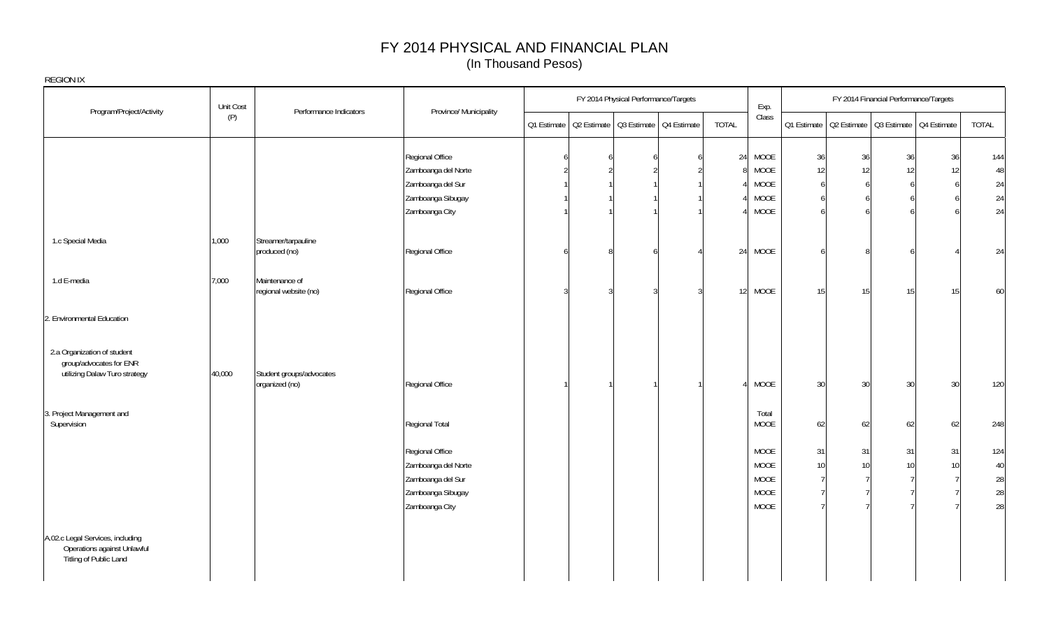| REGION IX                                                                                 |           |                                            |                                        |             |                                         |                |              |               |          |                         |                                       |    |          |
|-------------------------------------------------------------------------------------------|-----------|--------------------------------------------|----------------------------------------|-------------|-----------------------------------------|----------------|--------------|---------------|----------|-------------------------|---------------------------------------|----|----------|
|                                                                                           | Unit Cost | Performance Indicators                     | Province/ Municipality                 |             | FY 2014 Physical Performance/Targets    |                |              | Exp.          |          |                         | FY 2014 Financial Performance/Targets |    |          |
| Program/Project/Activity                                                                  | (P)       |                                            |                                        | Q1 Estimate | Q2 Estimate   Q3 Estimate   Q4 Estimate |                | <b>TOTAL</b> | Class         |          | Q1 Estimate Q2 Estimate | Q3 Estimate Q4 Estimate               |    | TOTAL    |
|                                                                                           |           |                                            | Regional Office                        |             |                                         | <b>6</b>       | 24           | MOOE          | 36       | 36                      | 36                                    | 36 | 144      |
|                                                                                           |           |                                            | Zamboanga del Norte                    |             |                                         | $\overline{2}$ | 8            | MOOE          | 12       | 12                      | 12                                    | 12 | 48       |
|                                                                                           |           |                                            | Zamboanga del Sur                      |             |                                         |                |              | MOOE          | <b>6</b> | 6                       |                                       | h  | 24       |
|                                                                                           |           |                                            | Zamboanga Sibugay                      |             |                                         |                |              | MOOE          |          | 6                       |                                       |    | 24       |
|                                                                                           |           |                                            | Zamboanga City                         |             |                                         |                |              | MOOE          |          | 6                       |                                       |    | 24       |
| 1.c Special Media                                                                         | 1,000     | Streamer/tarpauline<br>produced (no)       | Regional Office                        |             |                                         |                | 24           | MOOE          |          | 8                       |                                       |    | 24       |
| 1.d E-media                                                                               | 7,000     | Maintenance of<br>regional website (no)    | Regional Office                        |             |                                         | $\mathcal{S}$  | 12           | MOOE          | 15       | 15                      | 15                                    | 15 | 60       |
| 2. Environmental Education                                                                |           |                                            |                                        |             |                                         |                |              |               |          |                         |                                       |    |          |
| 2.a Organization of student<br>group/advocates for ENR<br>utilizing Dalaw Turo strategy   | 40,000    | Student groups/advocates<br>organized (no) | Regional Office                        |             |                                         |                |              | MOOE          | 30       | 30                      | 30                                    | 30 | 120      |
| 3. Project Management and<br>Supervision                                                  |           |                                            | Regional Total                         |             |                                         |                |              | Total<br>MOOE | 62       | 62                      | 62                                    | 62 | 248      |
|                                                                                           |           |                                            | Regional Office                        |             |                                         |                |              | MOOE          | 31       | 31                      | 31                                    | 31 | 124      |
|                                                                                           |           |                                            | Zamboanga del Norte                    |             |                                         |                |              | MOOE          | 10       | 10 <sup>1</sup>         | 10                                    | 10 | 40       |
|                                                                                           |           |                                            | Zamboanga del Sur<br>Zamboanga Sibugay |             |                                         |                |              | MOOE<br>MOOE  |          |                         |                                       |    | 28<br>28 |
|                                                                                           |           |                                            | Zamboanga City                         |             |                                         |                |              | MOOE          |          |                         |                                       |    | 28       |
| A.02.c Legal Services, including<br>Operations against Unlawful<br>Titling of Public Land |           |                                            |                                        |             |                                         |                |              |               |          |                         |                                       |    |          |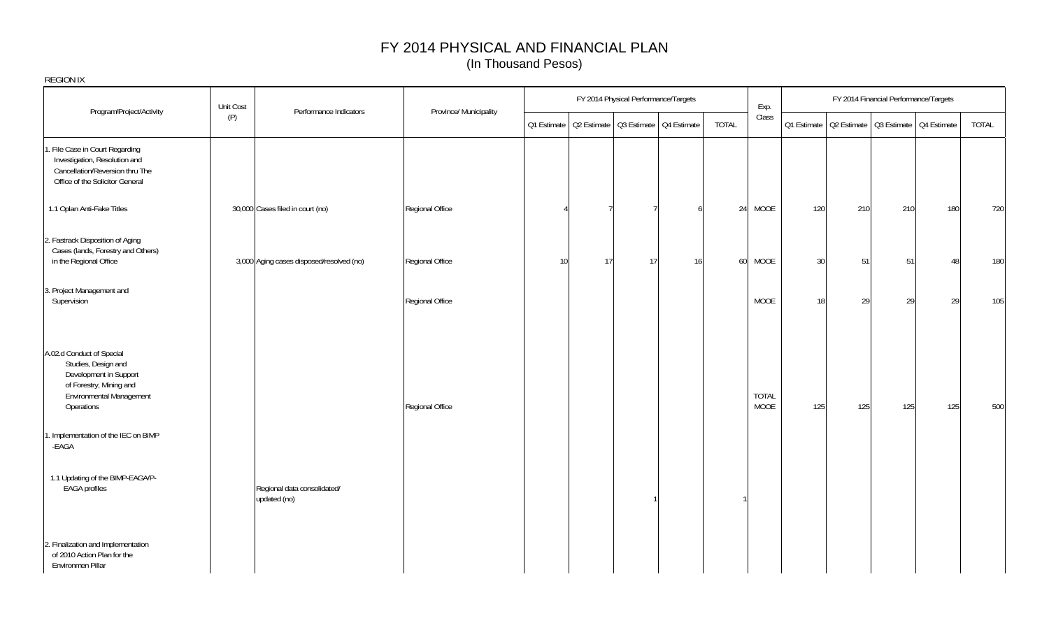| <b>REGION IX</b>                                                                                                                                       |           |                                             |                        |    |    |                                      |                                                       |       |                      |     |                                                       |     |                                       |       |
|--------------------------------------------------------------------------------------------------------------------------------------------------------|-----------|---------------------------------------------|------------------------|----|----|--------------------------------------|-------------------------------------------------------|-------|----------------------|-----|-------------------------------------------------------|-----|---------------------------------------|-------|
| Program/Project/Activity                                                                                                                               | Unit Cost | Performance Indicators                      | Province/ Municipality |    |    | FY 2014 Physical Performance/Targets |                                                       |       | Exp.                 |     |                                                       |     | FY 2014 Financial Performance/Targets |       |
|                                                                                                                                                        | (P)       |                                             |                        |    |    |                                      | Q1 Estimate   Q2 Estimate   Q3 Estimate   Q4 Estimate | TOTAL | Class                |     | 01 Estimate   02 Estimate   03 Estimate   04 Estimate |     |                                       | TOTAL |
| File Case in Court Regarding<br>Investigation, Resolution and<br>Cancellation/Reversion thru The<br>Office of the Solicitor General                    |           |                                             |                        |    |    |                                      |                                                       |       |                      |     |                                                       |     |                                       |       |
| 1.1 Oplan Anti-Fake Titles                                                                                                                             |           | 30,000 Cases filed in court (no)            | Regional Office        |    |    |                                      |                                                       | 24    | MOOE                 | 120 | 210                                                   | 210 | 180                                   | 720   |
| 2. Fastrack Disposition of Aging<br>Cases (lands, Forestry and Others)<br>in the Regional Office                                                       |           | 3,000 Aging cases disposed/resolved (no)    | Regional Office        | 10 | 17 | 17                                   | 16                                                    | 60    | MOOE                 | 30  | 51                                                    | 51  | 48                                    | 180   |
| 3. Project Management and<br>Supervision                                                                                                               |           |                                             | Regional Office        |    |    |                                      |                                                       |       | <b>MOOE</b>          | 18  | 29                                                    | 29  | 29                                    | 105   |
| A.02.d Conduct of Special<br>Studies, Design and<br>Development in Support<br>of Forestry, Mining and<br><b>Environmental Management</b><br>Operations |           |                                             | Regional Office        |    |    |                                      |                                                       |       | <b>TOTAL</b><br>MOOE | 125 | 125                                                   | 125 | 125                                   | 500   |
| . Implementation of the IEC on BIMP<br>-EAGA                                                                                                           |           |                                             |                        |    |    |                                      |                                                       |       |                      |     |                                                       |     |                                       |       |
| 1.1 Updating of the BIMP-EAGA/P-<br><b>EAGA</b> profiles                                                                                               |           | Regional data consolidated/<br>updated (no) |                        |    |    |                                      |                                                       |       |                      |     |                                                       |     |                                       |       |
| 2. Finalization and Implementation<br>of 2010 Action Plan for the<br>Environmen Pillar                                                                 |           |                                             |                        |    |    |                                      |                                                       |       |                      |     |                                                       |     |                                       |       |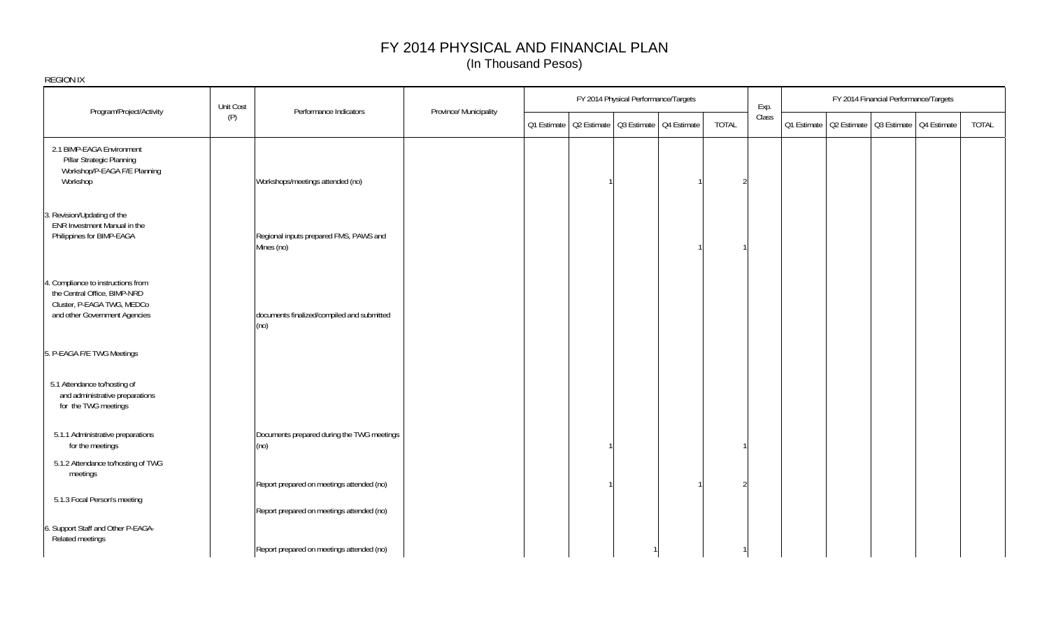|                                                                                                                                   | Unit Cost                                            |                                            |                        |                                                       | FY 2014 Physical Performance/Targets |                | Exp.  |                                                       | FY 2014 Financial Performance/Targets |       |
|-----------------------------------------------------------------------------------------------------------------------------------|------------------------------------------------------|--------------------------------------------|------------------------|-------------------------------------------------------|--------------------------------------|----------------|-------|-------------------------------------------------------|---------------------------------------|-------|
| Program/Project/Activity                                                                                                          | (P)                                                  | Performance Indicators                     | Province/ Municipality | Q1 Estimate   Q2 Estimate   Q3 Estimate   Q4 Estimate |                                      | <b>TOTAL</b>   | Class | Q1 Estimate   Q2 Estimate   Q3 Estimate   Q4 Estimate |                                       | TOTAL |
| 2.1 BIMP-EAGA Environment<br>Pillar Strategic Planning<br>Workshop/P-EAGA F/E Planning<br>Workshop                                | Workshops/meetings attended (no)                     |                                            |                        |                                                       |                                      | $\mathfrak{D}$ |       |                                                       |                                       |       |
| 3. Revision/Updating of the<br>ENR Investment Manual in the<br>Philippines for BIMP-EAGA                                          | Regional inputs prepared FMS, PAWS and<br>Mines (no) |                                            |                        |                                                       |                                      |                |       |                                                       |                                       |       |
| 4. Compliance to instructions from<br>the Central Office, BIMP-NRD<br>Cluster, P-EAGA TWG, MEDCo<br>and other Government Agencies | documents finalized/compiled and submitted<br>(no)   |                                            |                        |                                                       |                                      |                |       |                                                       |                                       |       |
| 5. P-EAGA F/E TWG Meetings                                                                                                        |                                                      |                                            |                        |                                                       |                                      |                |       |                                                       |                                       |       |
| 5.1 Attendance to/hosting of<br>and administrative preparations<br>for the TWG meetings                                           |                                                      |                                            |                        |                                                       |                                      |                |       |                                                       |                                       |       |
| 5.1.1 Administrative preparations<br>for the meetings                                                                             | (no)                                                 | Documents prepared during the TWG meetings |                        |                                                       |                                      |                |       |                                                       |                                       |       |
| 5.1.2 Attendance to/hosting of TWG<br>meetings                                                                                    | Report prepared on meetings attended (no)            |                                            |                        |                                                       |                                      | 2              |       |                                                       |                                       |       |
| 5.1.3 Focal Person's meeting                                                                                                      | Report prepared on meetings attended (no)            |                                            |                        |                                                       |                                      |                |       |                                                       |                                       |       |
| 6. Support Staff and Other P-EAGA-<br>Related meetings                                                                            | Report prepared on meetings attended (no)            |                                            |                        |                                                       |                                      |                |       |                                                       |                                       |       |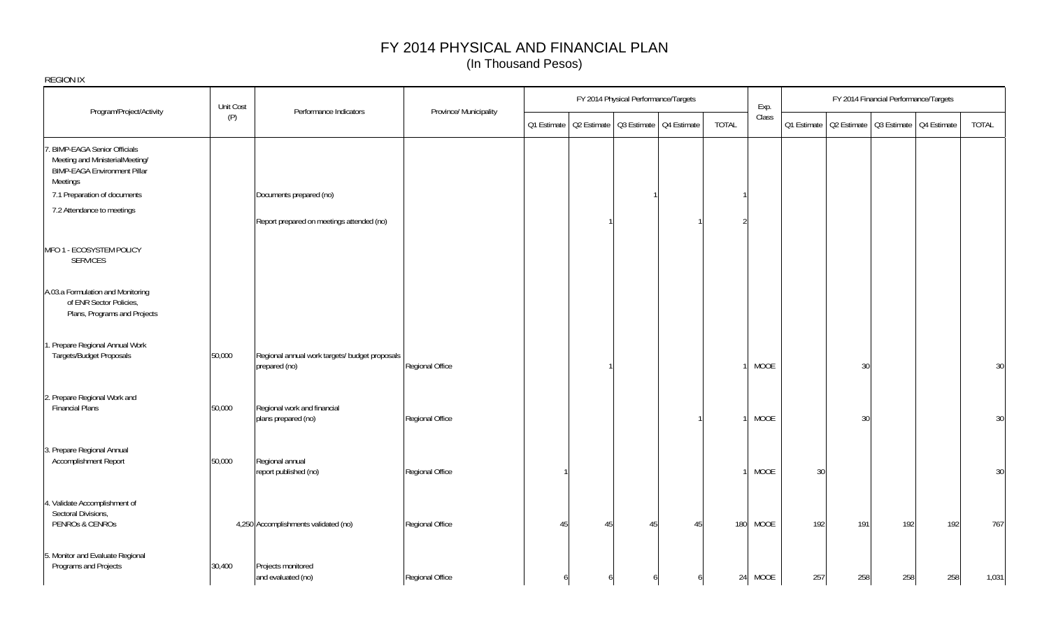|                                                                                                                           | Unit Cost |                                                                 |                        |             |                                         | FY 2014 Physical Performance/Targets |    |       | Exp.        |     | FY 2014 Financial Performance/Targets                 |     |     |       |
|---------------------------------------------------------------------------------------------------------------------------|-----------|-----------------------------------------------------------------|------------------------|-------------|-----------------------------------------|--------------------------------------|----|-------|-------------|-----|-------------------------------------------------------|-----|-----|-------|
| Program/Project/Activity                                                                                                  | (P)       | Performance Indicators                                          | Province/ Municipality | Q1 Estimate | Q2 Estimate   Q3 Estimate   Q4 Estimate |                                      |    | TOTAL | Class       |     | Q1 Estimate   Q2 Estimate   Q3 Estimate   Q4 Estimate |     |     | TOTAL |
| . BIMP-EAGA Senior Officials<br>Meeting and MinisterialMeeting/<br><b>BIMP-EAGA Environment Pillar</b><br><b>Meetings</b> |           |                                                                 |                        |             |                                         |                                      |    |       |             |     |                                                       |     |     |       |
| 7.1 Preparation of documents                                                                                              |           | Documents prepared (no)                                         |                        |             |                                         |                                      |    |       |             |     |                                                       |     |     |       |
| 7.2 Attendance to meetings                                                                                                |           | Report prepared on meetings attended (no)                       |                        |             |                                         |                                      |    |       |             |     |                                                       |     |     |       |
| MFO 1 - ECOSYSTEM POLICY<br><b>SERVICES</b>                                                                               |           |                                                                 |                        |             |                                         |                                      |    |       |             |     |                                                       |     |     |       |
| A.03.a Formulation and Monitoring<br>of ENR Sector Policies,<br>Plans, Programs and Projects                              |           |                                                                 |                        |             |                                         |                                      |    |       |             |     |                                                       |     |     |       |
| 1. Prepare Regional Annual Work<br>Targets/Budget Proposals                                                               | 50,000    | Regional annual work targets/ budget proposals<br>prepared (no) | Regional Office        |             |                                         |                                      |    |       | MOOE        |     | 30                                                    |     |     | 30    |
| 2. Prepare Regional Work and<br><b>Financial Plans</b>                                                                    | 50,000    | Regional work and financial<br>plans prepared (no)              | Regional Office        |             |                                         |                                      |    |       | <b>MOOE</b> |     | 30                                                    |     |     | 30    |
| 3. Prepare Regional Annual<br>Accomplishment Report                                                                       | 50,000    | Regional annual<br>report published (no)                        | Regional Office        |             |                                         |                                      |    |       | <b>MOOE</b> | 30  |                                                       |     |     | 30    |
| 4. Validate Accomplishment of<br>Sectoral Divisions,<br>PENROs & CENROs                                                   |           | 4,250 Accomplishments validated (no)                            | Regional Office        | 45          | 45                                      | 45                                   | 45 | 180   | <b>MOOE</b> | 192 | 191                                                   | 192 | 192 | 767   |
| 5. Monitor and Evaluate Regional<br>Programs and Projects                                                                 | 30,400    | Projects monitored<br>and evaluated (no)                        | Regional Office        |             |                                         |                                      |    |       | 24 MOOE     | 257 | 258                                                   | 258 | 258 | 1,031 |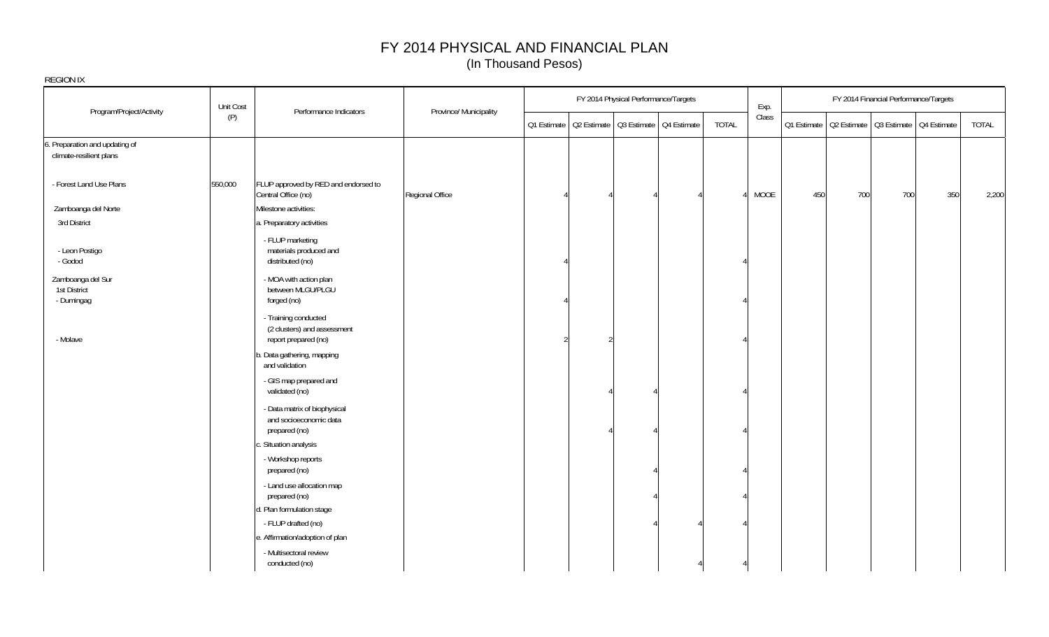| REGION IX                                                 |           |                                                                             |                        |  |                                                       |       |       |     |                                                       |                                       |     |       |
|-----------------------------------------------------------|-----------|-----------------------------------------------------------------------------|------------------------|--|-------------------------------------------------------|-------|-------|-----|-------------------------------------------------------|---------------------------------------|-----|-------|
| Program/Project/Activity                                  | Unit Cost | Performance Indicators                                                      | Province/ Municipality |  | FY 2014 Physical Performance/Targets                  |       | Exp.  |     |                                                       | FY 2014 Financial Performance/Targets |     |       |
|                                                           | (P)       |                                                                             |                        |  | Q1 Estimate   Q2 Estimate   Q3 Estimate   Q4 Estimate | TOTAL | Class |     | Q1 Estimate   Q2 Estimate   Q3 Estimate   Q4 Estimate |                                       |     | TOTAL |
| 6. Preparation and updating of<br>climate-resilient plans |           |                                                                             |                        |  |                                                       |       |       |     |                                                       |                                       |     |       |
| - Forest Land Use Plans                                   | 550,000   | FLUP approved by RED and endorsed to<br>Central Office (no)                 | Regional Office        |  |                                                       |       | MOOE  | 450 | 700                                                   | 700                                   | 350 | 2,200 |
| Zamboanga del Norte                                       |           | Milestone activities:                                                       |                        |  |                                                       |       |       |     |                                                       |                                       |     |       |
| 3rd District                                              |           | a. Preparatory activities                                                   |                        |  |                                                       |       |       |     |                                                       |                                       |     |       |
| - Leon Postigo<br>- Godod                                 |           | - FLUP marketing<br>materials produced and<br>distributed (no)              |                        |  |                                                       |       |       |     |                                                       |                                       |     |       |
| Zamboanga del Sur<br>1st District<br>- Dumingag           |           | - MOA with action plan<br>between MLGU/PLGU<br>forged (no)                  |                        |  |                                                       |       |       |     |                                                       |                                       |     |       |
| - Molave                                                  |           | - Training conducted<br>(2 clusters) and assessment<br>report prepared (no) |                        |  |                                                       |       |       |     |                                                       |                                       |     |       |
|                                                           |           | b. Data gathering, mapping<br>and validation                                |                        |  |                                                       |       |       |     |                                                       |                                       |     |       |
|                                                           |           | - GIS map prepared and<br>validated (no)                                    |                        |  |                                                       |       |       |     |                                                       |                                       |     |       |
|                                                           |           | - Data matrix of biophysical<br>and socioeconomic data<br>prepared (no)     |                        |  |                                                       |       |       |     |                                                       |                                       |     |       |
|                                                           |           | . Situation analysis                                                        |                        |  |                                                       |       |       |     |                                                       |                                       |     |       |
|                                                           |           | - Workshop reports<br>prepared (no)                                         |                        |  |                                                       |       |       |     |                                                       |                                       |     |       |
|                                                           |           | - Land use allocation map<br>prepared (no)                                  |                        |  |                                                       |       |       |     |                                                       |                                       |     |       |
|                                                           |           | d. Plan formulation stage                                                   |                        |  |                                                       |       |       |     |                                                       |                                       |     |       |
|                                                           |           | - FLUP drafted (no)                                                         |                        |  |                                                       |       |       |     |                                                       |                                       |     |       |
|                                                           |           | e. Affirmation/adoption of plan                                             |                        |  |                                                       |       |       |     |                                                       |                                       |     |       |
|                                                           |           | - Multisectoral review<br>conducted (no)                                    |                        |  |                                                       |       |       |     |                                                       |                                       |     |       |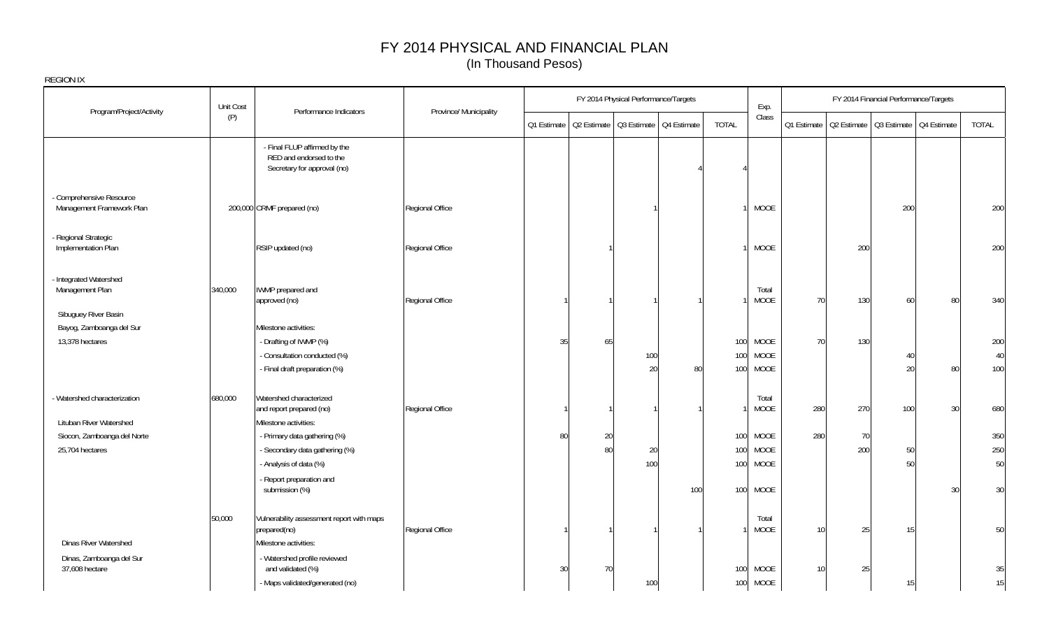|                                                       | Unit Cost |                                                                                        |                        |    |    | FY 2014 Physical Performance/Targets |                                                       |              | Exp.                 |     |     | FY 2014 Financial Performance/Targets                 |    |              |
|-------------------------------------------------------|-----------|----------------------------------------------------------------------------------------|------------------------|----|----|--------------------------------------|-------------------------------------------------------|--------------|----------------------|-----|-----|-------------------------------------------------------|----|--------------|
| Program/Project/Activity                              | (P)       | Performance Indicators                                                                 | Province/ Municipality |    |    |                                      | Q1 Estimate   Q2 Estimate   Q3 Estimate   Q4 Estimate | <b>TOTAL</b> | Class                |     |     | Q1 Estimate   Q2 Estimate   Q3 Estimate   Q4 Estimate |    | <b>TOTAL</b> |
|                                                       |           | - Final FLUP affirmed by the<br>RED and endorsed to the<br>Secretary for approval (no) |                        |    |    |                                      |                                                       |              |                      |     |     |                                                       |    |              |
| - Comprehensive Resource<br>Management Framework Plan |           | 200,000 CRMF prepared (no)                                                             | Regional Office        |    |    |                                      |                                                       |              | <b>MOOE</b>          |     |     | 200                                                   |    | 200          |
| Regional Strategic<br>Implementation Plan             |           | RSIP updated (no)                                                                      | Regional Office        |    |    |                                      |                                                       |              | <b>MOOE</b>          |     | 200 |                                                       |    | 200          |
| - Integrated Watershed<br>Management Plan             | 340,000   | IWMP prepared and<br>approved (no)                                                     | Regional Office        |    |    |                                      |                                                       |              | Total<br><b>MOOE</b> | 70  | 130 | 60                                                    | 80 | 340          |
| Sibuguey River Basin<br>Bayog, Zamboanga del Sur      |           | Milestone activities:                                                                  |                        |    |    |                                      |                                                       |              |                      |     |     |                                                       |    |              |
| 13,378 hectares                                       |           | - Drafting of IWMP (%)                                                                 |                        | 35 | 65 |                                      |                                                       | 100          | <b>MOOE</b>          | 70  | 130 |                                                       |    | 200          |
|                                                       |           | - Consultation conducted (%)                                                           |                        |    |    | 100                                  |                                                       | 100          | <b>MOOE</b>          |     |     | 40                                                    |    | 40           |
|                                                       |           | - Final draft preparation (%)                                                          |                        |    |    | 20                                   | 80                                                    | 100          | <b>MOOE</b>          |     |     | 20                                                    | 80 | 100          |
| - Watershed characterization                          | 680,000   | Watershed characterized<br>and report prepared (no)                                    | Regional Office        |    |    |                                      |                                                       |              | Total<br><b>MOOE</b> | 280 | 270 | 100                                                   | 30 | 680          |
| Lituban River Watershed                               |           | Milestone activities:                                                                  |                        |    |    |                                      |                                                       |              |                      |     |     |                                                       |    |              |
| Siocon, Zamboanga del Norte                           |           | - Primary data gathering (%)                                                           |                        | 80 | 20 |                                      |                                                       | 100          | <b>MOOE</b>          | 280 | 70  |                                                       |    | 350          |
| 25,704 hectares                                       |           | - Secondary data gathering (%)                                                         |                        |    | 80 | 20                                   |                                                       | 100          | <b>MOOE</b>          |     | 200 | 50                                                    |    | 250          |
|                                                       |           | - Analysis of data (%)                                                                 |                        |    |    | 100                                  |                                                       | 100          | <b>MOOE</b>          |     |     | 50                                                    |    | 50           |
|                                                       |           | - Report preparation and<br>submission (%)                                             |                        |    |    |                                      | 100                                                   | 100          | <b>MOOE</b>          |     |     |                                                       | 30 | 30           |
| <b>Dinas River Watershed</b>                          | 50,000    | Vulnerability assessment report with maps<br>prepared(no)<br>Milestone activities:     | Regional Office        |    |    |                                      |                                                       |              | Total<br><b>MOOE</b> | 10  | 25  | 15                                                    |    | 50           |
| Dinas, Zamboanga del Sur<br>37,608 hectare            |           | - Watershed profile reviewed<br>and validated (%)                                      |                        | 30 | 70 |                                      |                                                       | 100          | <b>MOOE</b>          | 10  | 25  |                                                       |    | 35           |
|                                                       |           | - Maps validated/generated (no)                                                        |                        |    |    | 100                                  |                                                       | 100          | MOOE                 |     |     | 15                                                    |    | 15           |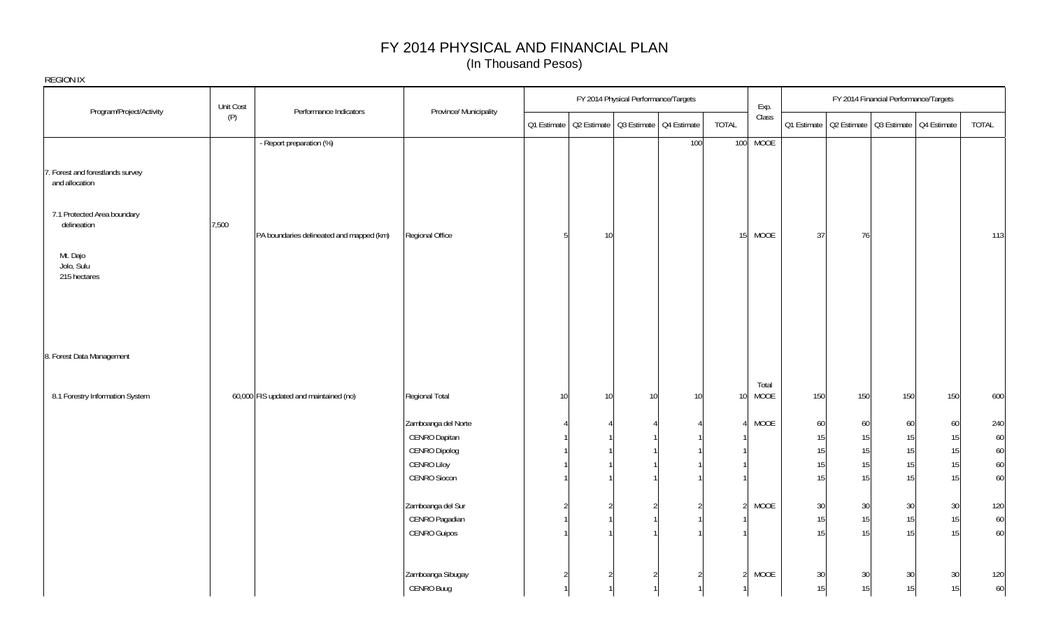|                                                    | Unit Cost |                                          |                        |    |    | FY 2014 Physical Performance/Targets                  |                 | Exp.          |                 |                                                       | FY 2014 Financial Performance/Targets |     |       |
|----------------------------------------------------|-----------|------------------------------------------|------------------------|----|----|-------------------------------------------------------|-----------------|---------------|-----------------|-------------------------------------------------------|---------------------------------------|-----|-------|
| Program/Project/Activity                           | (P)       | Performance Indicators                   | Province/ Municipality |    |    | Q1 Estimate   Q2 Estimate   Q3 Estimate   Q4 Estimate | TOTAL           | Class         |                 | 01 Estimate   02 Estimate   03 Estimate   04 Estimate |                                       |     | TOTAL |
|                                                    |           | - Report preparation (%)                 |                        |    |    | 100                                                   |                 | 100 MOOE      |                 |                                                       |                                       |     |       |
| 7. Forest and forestlands survey<br>and allocation |           |                                          |                        |    |    |                                                       |                 |               |                 |                                                       |                                       |     |       |
| 7.1 Protected Area boundary<br>delineation         | 7,500     | PA boundaries delineated and mapped (km) | Regional Office        | 5  | 10 |                                                       | 15 <sup>1</sup> | MOOE          | 37              | 76                                                    |                                       |     | 113   |
| Mt. Dajo<br>Jolo, Sulu<br>215 hectares             |           |                                          |                        |    |    |                                                       |                 |               |                 |                                                       |                                       |     |       |
|                                                    |           |                                          |                        |    |    |                                                       |                 |               |                 |                                                       |                                       |     |       |
| 8. Forest Data Management                          |           |                                          |                        |    |    |                                                       |                 |               |                 |                                                       |                                       |     |       |
| 8.1 Forestry Information System                    |           | 60,000 FIS updated and maintained (no)   | Regional Total         | 10 | 10 | 10<br>10 <sup>°</sup>                                 | 10 <sup>1</sup> | Total<br>MOOE | 150             | 150                                                   | 150                                   | 150 | 600   |
|                                                    |           |                                          | Zamboanga del Norte    |    |    |                                                       |                 | MOOE          | 60              | 60                                                    | 60                                    | 60  | 240   |
|                                                    |           |                                          | CENRO Dapitan          |    |    |                                                       |                 |               | 15              | 15                                                    | 15                                    | 15  | 60    |
|                                                    |           |                                          | CENRO Dipolog          |    |    |                                                       |                 |               | 15              | 15                                                    | 15                                    | 15  | 60    |
|                                                    |           |                                          | <b>CENRO Liloy</b>     |    |    |                                                       |                 |               | 15              | 15                                                    | 15                                    | 15  | 60    |
|                                                    |           |                                          | CENRO Siocon           |    |    |                                                       |                 |               | 15              | 15                                                    | 15                                    | 15  | 60    |
|                                                    |           |                                          | Zamboanga del Sur      |    |    |                                                       |                 | <b>MOOE</b>   | 30 <sup>°</sup> | 30                                                    | 30 <sup>°</sup>                       | 30  | 120   |
|                                                    |           |                                          | CENRO Pagadian         |    |    |                                                       |                 |               | 15              | 15                                                    | 15                                    | 15  | 60    |
|                                                    |           |                                          | <b>CENRO Guipos</b>    |    |    |                                                       |                 |               | 15              | 15                                                    | 15                                    | 15  | 60    |
|                                                    |           |                                          |                        |    |    |                                                       |                 |               |                 |                                                       |                                       |     |       |
|                                                    |           |                                          | Zamboanga Sibugay      |    |    |                                                       |                 | MOOE          | 30              | 30                                                    | 30 <sup>°</sup>                       | 30  | 120   |
|                                                    |           |                                          | CENRO Buug             |    |    |                                                       |                 |               | 15              | 15 <sub>1</sub>                                       | 15                                    | 15  | 60    |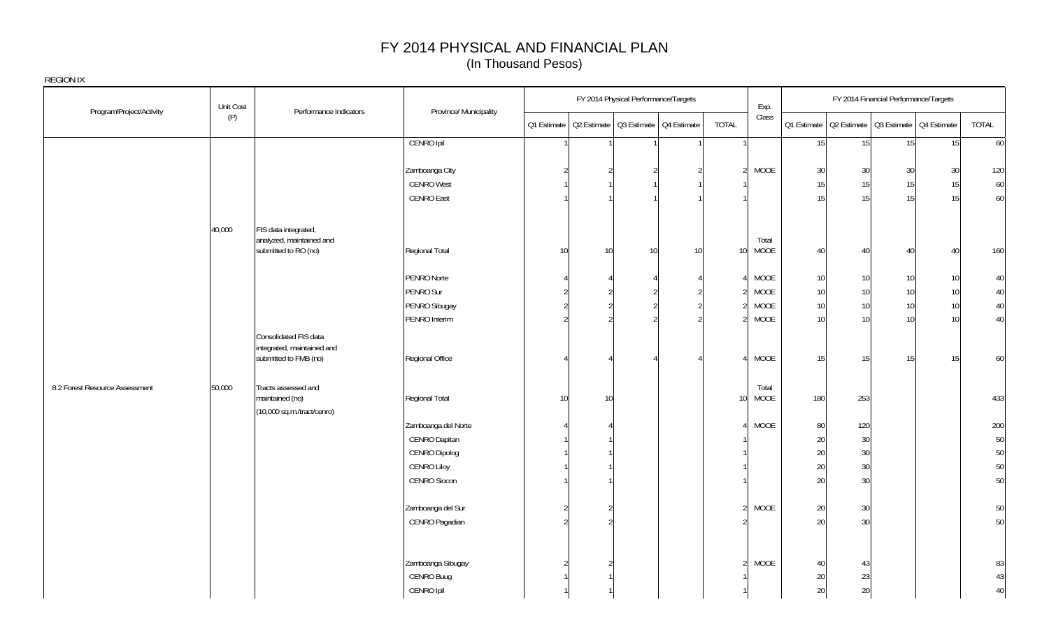| Program/Project/Activity       | Unit Cost | Performance Indicators                              | Province/ Municipality       |                 |                                                       | FY 2014 Physical Performance/Targets |                 |                 | Exp.        |                 |                                                       | FY 2014 Financial Performance/Targets |    |          |
|--------------------------------|-----------|-----------------------------------------------------|------------------------------|-----------------|-------------------------------------------------------|--------------------------------------|-----------------|-----------------|-------------|-----------------|-------------------------------------------------------|---------------------------------------|----|----------|
|                                | (P)       |                                                     |                              |                 | Q1 Estimate   Q2 Estimate   Q3 Estimate   Q4 Estimate |                                      |                 | TOTAL           | Class       |                 | Q1 Estimate   Q2 Estimate   Q3 Estimate   Q4 Estimate |                                       |    | TOTAL    |
|                                |           |                                                     | CENRO Ipil                   |                 |                                                       |                                      |                 | 1               |             | 15              | 15                                                    | 15                                    | 15 | 60       |
|                                |           |                                                     | Zamboanga City               |                 |                                                       |                                      |                 | $\overline{2}$  | <b>MOOE</b> | 30              | 30                                                    | 30                                    | 30 | 120      |
|                                |           |                                                     | <b>CENRO West</b>            |                 |                                                       |                                      |                 |                 |             | 15              | 15                                                    | 15                                    | 15 | 60       |
|                                |           |                                                     | <b>CENRO East</b>            |                 |                                                       |                                      |                 |                 |             | 15              | 15                                                    | 15                                    | 15 | 60       |
|                                |           |                                                     |                              |                 |                                                       |                                      |                 |                 |             |                 |                                                       |                                       |    |          |
|                                | 40,000    | FIS data integrated,                                |                              |                 |                                                       |                                      |                 |                 |             |                 |                                                       |                                       |    |          |
|                                |           | analyzed, maintained and                            |                              |                 |                                                       |                                      |                 |                 | Total       |                 |                                                       |                                       |    |          |
|                                |           | submitted to RO (no)                                | Regional Total               | 10              | 10                                                    | 10                                   | 10 <sup>1</sup> | 10 <sup>1</sup> | <b>MOOE</b> | 40              | 40                                                    | 40                                    | 40 | 160      |
|                                |           |                                                     | PENRO Norte                  |                 |                                                       |                                      |                 |                 | MOOE        | 10              | 10                                                    | 10 <sup>1</sup>                       | 10 | 40       |
|                                |           |                                                     | PENRO Sur                    |                 |                                                       |                                      |                 |                 | <b>MOOE</b> | 10              | 10                                                    | 10                                    | 10 | 40       |
|                                |           |                                                     | PENRO Sibugay                |                 |                                                       |                                      |                 |                 | <b>MOOE</b> | 10              | 10                                                    | 10                                    | 10 | 40       |
|                                |           |                                                     | PENRO Interim                | $\mathfrak{D}$  |                                                       |                                      |                 |                 | <b>MOOE</b> | 10              | 10                                                    | 10                                    | 10 | 40       |
|                                |           | Consolidated FIS data                               |                              |                 |                                                       |                                      |                 |                 |             |                 |                                                       |                                       |    |          |
|                                |           | integrated, maintained and<br>submitted to FMB (no) | Regional Office              |                 |                                                       |                                      |                 |                 | <b>MOOE</b> | 15              | 15                                                    | 15                                    | 15 | 60       |
|                                |           |                                                     |                              |                 |                                                       |                                      |                 |                 |             |                 |                                                       |                                       |    |          |
| 8.2 Forest Resource Assessment | 50,000    | Tracts assessed and                                 |                              |                 |                                                       |                                      |                 |                 | Total       |                 |                                                       |                                       |    |          |
|                                |           | maintained (no)                                     | Regional Total               | 10 <sup>1</sup> | 10                                                    |                                      |                 | 10 <sup>1</sup> | <b>MOOE</b> | 180             | 253                                                   |                                       |    | 433      |
|                                |           | (10,000 sq.m./tract/cenro)                          |                              |                 |                                                       |                                      |                 |                 |             |                 |                                                       |                                       |    |          |
|                                |           |                                                     | Zamboanga del Norte          |                 |                                                       |                                      |                 |                 | <b>MOOE</b> | 80 <sub>0</sub> | 120                                                   |                                       |    | 200      |
|                                |           |                                                     | CENRO Dapitan                |                 |                                                       |                                      |                 |                 |             | 20              | 30                                                    |                                       |    | 50       |
|                                |           |                                                     | CENRO Dipolog<br>CENRO Liloy |                 |                                                       |                                      |                 |                 |             | 20              | 30                                                    |                                       |    | 50       |
|                                |           |                                                     | CENRO Siocon                 |                 |                                                       |                                      |                 |                 |             | 20<br>20        | 30<br>30                                              |                                       |    | 50<br>50 |
|                                |           |                                                     |                              |                 |                                                       |                                      |                 |                 |             |                 |                                                       |                                       |    |          |
|                                |           |                                                     | Zamboanga del Sur            |                 |                                                       |                                      |                 |                 | <b>MOOE</b> | 20              | 30                                                    |                                       |    | 50       |
|                                |           |                                                     | CENRO Pagadian               |                 |                                                       |                                      |                 |                 |             | 20              | 30                                                    |                                       |    | 50       |
|                                |           |                                                     |                              |                 |                                                       |                                      |                 |                 |             |                 |                                                       |                                       |    |          |
|                                |           |                                                     | Zamboanga Sibugay            |                 |                                                       |                                      |                 | $\mathcal{D}$   | <b>MOOE</b> |                 |                                                       |                                       |    | 83       |
|                                |           |                                                     | CENRO Buug                   |                 |                                                       |                                      |                 |                 |             | 40<br>20        | 43<br>23                                              |                                       |    | 43       |
|                                |           |                                                     | CENRO Ipil                   |                 |                                                       |                                      |                 |                 |             | 20              | 20                                                    |                                       |    | 40       |
|                                |           |                                                     |                              |                 |                                                       |                                      |                 |                 |             |                 |                                                       |                                       |    |          |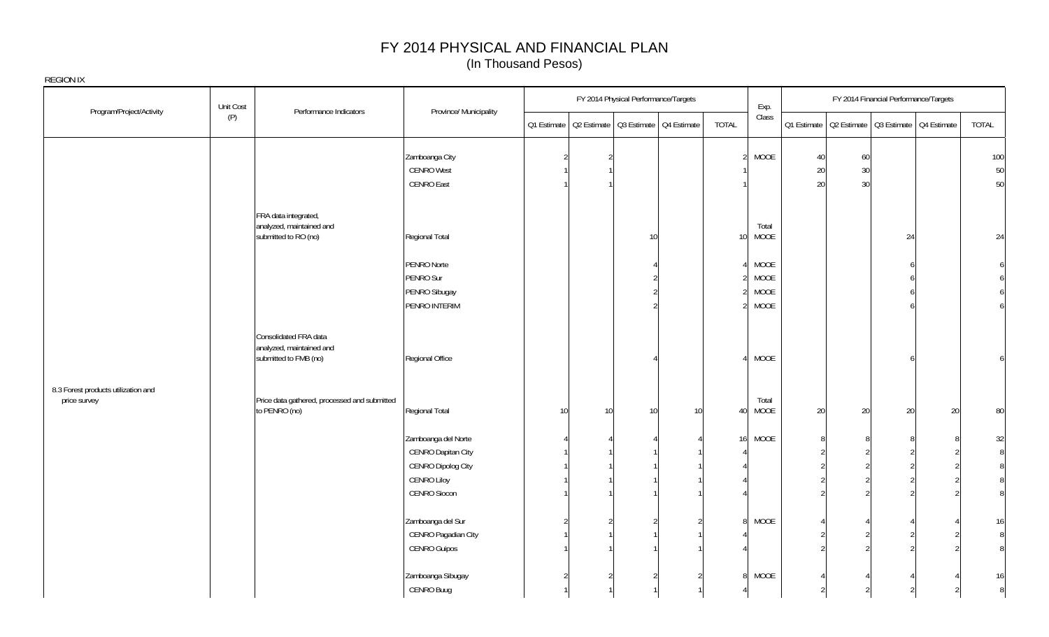|                                                     | Unit Cost |                                                                            |                        |    |    | FY 2014 Physical Performance/Targets |                                                       |                 | Exp.          |    |                                                       | FY 2014 Financial Performance/Targets |    |                |
|-----------------------------------------------------|-----------|----------------------------------------------------------------------------|------------------------|----|----|--------------------------------------|-------------------------------------------------------|-----------------|---------------|----|-------------------------------------------------------|---------------------------------------|----|----------------|
| Program/Project/Activity                            | (P)       | Performance Indicators                                                     | Province/ Municipality |    |    |                                      | Q1 Estimate   Q2 Estimate   Q3 Estimate   Q4 Estimate | TOTAL           | Class         |    | Q1 Estimate   Q2 Estimate   Q3 Estimate   Q4 Estimate |                                       |    | TOTAL          |
|                                                     |           |                                                                            | Zamboanga City         |    |    |                                      |                                                       |                 | MOOE          | 40 | 60                                                    |                                       |    | 100            |
|                                                     |           |                                                                            | <b>CENRO West</b>      |    |    |                                      |                                                       |                 |               | 20 | 30                                                    |                                       |    | 50             |
|                                                     |           |                                                                            | <b>CENRO East</b>      |    |    |                                      |                                                       |                 |               | 20 | 30                                                    |                                       |    | 50             |
|                                                     |           | FRA data integrated,                                                       |                        |    |    |                                      |                                                       |                 |               |    |                                                       |                                       |    |                |
|                                                     |           | analyzed, maintained and<br>submitted to RO (no)                           | Regional Total         |    |    | 10                                   |                                                       | 10 <sup>1</sup> | Total<br>MOOE |    |                                                       | 24                                    |    | 24             |
|                                                     |           |                                                                            | PENRO Norte            |    |    |                                      |                                                       |                 | MOOE          |    |                                                       |                                       |    |                |
|                                                     |           |                                                                            | PENRO Sur              |    |    |                                      |                                                       |                 | MOOE          |    |                                                       |                                       |    |                |
|                                                     |           |                                                                            | PENRO Sibugay          |    |    |                                      |                                                       |                 | MOOE          |    |                                                       |                                       |    |                |
|                                                     |           |                                                                            | PENRO INTERIM          |    |    |                                      |                                                       |                 | MOOE          |    |                                                       |                                       |    |                |
|                                                     |           | Consolidated FRA data<br>analyzed, maintained and<br>submitted to FMB (no) | Regional Office        |    |    |                                      |                                                       |                 | MOOE          |    |                                                       |                                       |    |                |
| 8.3 Forest products utilization and<br>price survey |           | Price data gathered, processed and submitted<br>to PENRO (no)              | Regional Total         | 10 | 10 | 10                                   | 10                                                    | 40              | Total<br>MOOE | 20 | 20                                                    | 20                                    | 20 | 80             |
|                                                     |           |                                                                            | Zamboanga del Norte    |    |    |                                      |                                                       | 16              | MOOE          |    |                                                       |                                       |    | 32             |
|                                                     |           |                                                                            | CENRO Dapitan City     |    |    |                                      |                                                       |                 |               |    |                                                       |                                       |    | 8              |
|                                                     |           |                                                                            | CENRO Dipolog City     |    |    |                                      |                                                       |                 |               |    |                                                       |                                       |    | 8              |
|                                                     |           |                                                                            | CENRO Liloy            |    |    |                                      |                                                       |                 |               |    |                                                       |                                       |    |                |
|                                                     |           |                                                                            | CENRO Siocon           |    |    |                                      |                                                       |                 |               |    |                                                       |                                       |    | 8 <sup>1</sup> |
|                                                     |           |                                                                            | Zamboanga del Sur      |    |    |                                      |                                                       |                 | MOOE          |    |                                                       |                                       |    | 16             |
|                                                     |           |                                                                            | CENRO Pagadian City    |    |    |                                      |                                                       |                 |               |    |                                                       |                                       |    | 8              |
|                                                     |           |                                                                            | CENRO Guipos           |    |    |                                      |                                                       |                 |               |    |                                                       |                                       |    | 8              |
|                                                     |           |                                                                            | Zamboanga Sibugay      |    |    |                                      |                                                       | 8 <sup>1</sup>  | MOOE          |    |                                                       |                                       |    | 16             |
|                                                     |           |                                                                            | CENRO Buug             |    |    |                                      |                                                       |                 |               |    |                                                       |                                       |    | $\, 8$         |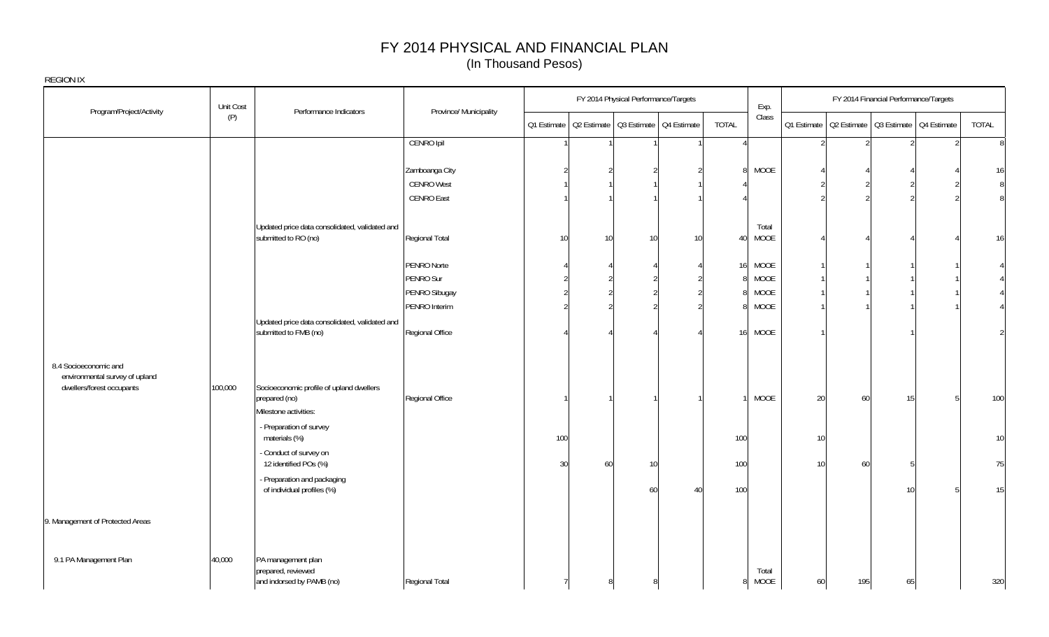| REGION IX                                                                            |                  |                                                                         |                                                   |     |    | FY 2014 Physical Performance/Targets                  |    |              |                            |    |     | FY 2014 Financial Performance/Targets |                                                       |       |
|--------------------------------------------------------------------------------------|------------------|-------------------------------------------------------------------------|---------------------------------------------------|-----|----|-------------------------------------------------------|----|--------------|----------------------------|----|-----|---------------------------------------|-------------------------------------------------------|-------|
| Program/Project/Activity                                                             | Unit Cost<br>(P) | Performance Indicators                                                  | Province/ Municipality                            |     |    | 01 Estimate   02 Estimate   03 Estimate   04 Estimate |    | TOTAL        | Exp.<br>Class              |    |     |                                       | 01 Estimate   02 Estimate   03 Estimate   04 Estimate | TOTAL |
|                                                                                      |                  |                                                                         | CENRO Ipil                                        |     |    |                                                       |    | $\Delta$     |                            |    |     |                                       |                                                       | 8     |
|                                                                                      |                  |                                                                         | Zamboanga City<br><b>CENRO West</b><br>CENRO East |     |    |                                                       |    | $\mathsf{R}$ | MOOE                       |    |     |                                       |                                                       | 16    |
|                                                                                      |                  | Updated price data consolidated, validated and<br>submitted to RO (no)  | Regional Total                                    | 10  | 10 | 10                                                    | 10 | 40           | Total<br>MOOE              |    |     |                                       |                                                       | 16    |
|                                                                                      |                  |                                                                         | PENRO Norte<br>PENRO Sur                          |     |    |                                                       |    | 161          | <b>MOOE</b><br><b>MOOE</b> |    |     |                                       |                                                       |       |
|                                                                                      |                  |                                                                         | PENRO Sibugay<br>PENRO Interim                    |     |    |                                                       |    |              | <b>MOOE</b><br><b>MOOE</b> |    |     |                                       |                                                       |       |
|                                                                                      |                  | Updated price data consolidated, validated and<br>submitted to FMB (no) | Regional Office                                   |     |    |                                                       |    | 16           | MOOE                       |    |     |                                       |                                                       |       |
| 8.4 Socioeconomic and<br>environmental survey of upland<br>dwellers/forest occupants | 100,000          | Socioeconomic profile of upland dwellers<br>prepared (no)               | Regional Office                                   |     |    |                                                       |    |              | MOOE                       | 20 | 60  | 15 <sup>1</sup>                       |                                                       | 100   |
|                                                                                      |                  | Milestone activities:                                                   |                                                   |     |    |                                                       |    |              |                            |    |     |                                       |                                                       |       |
|                                                                                      |                  | - Preparation of survey<br>materials (%)                                |                                                   | 100 |    |                                                       |    | 100          |                            | 10 |     |                                       |                                                       | 10    |
|                                                                                      |                  | - Conduct of survey on<br>12 identified POs (%)                         |                                                   | 30  | 60 | 10                                                    |    | 100          |                            | 10 | 60  |                                       |                                                       | 75    |
|                                                                                      |                  | - Preparation and packaging<br>of individual profiles (%)               |                                                   |     |    | 60                                                    | 40 | 100          |                            |    |     | 10                                    |                                                       | 15    |
| 9. Management of Protected Areas                                                     |                  |                                                                         |                                                   |     |    |                                                       |    |              |                            |    |     |                                       |                                                       |       |
| 9.1 PA Management Plan                                                               | 40,000           | PA management plan<br>prepared, reviewed<br>and indorsed by PAMB (no)   | Regional Total                                    |     |    |                                                       |    | 8            | Total<br><b>MOOE</b>       | 60 | 195 | 65                                    |                                                       | 320   |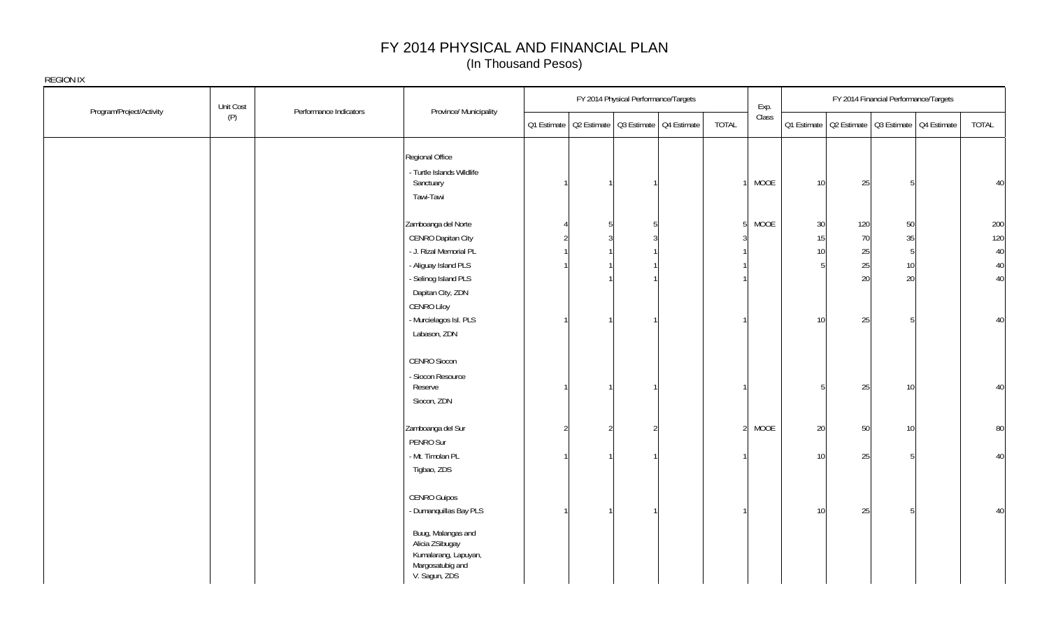| Program/Project/Activity | Unit Cost | Performance Indicators | Province/ Municipality                                                                             | FY 2014 Physical Performance/Targets                  |                | Exp.                   |                 |     | FY 2014 Financial Performance/Targets |                                                       |       |
|--------------------------|-----------|------------------------|----------------------------------------------------------------------------------------------------|-------------------------------------------------------|----------------|------------------------|-----------------|-----|---------------------------------------|-------------------------------------------------------|-------|
|                          | (P)       |                        |                                                                                                    | 01 Estimate   02 Estimate   03 Estimate   04 Estimate | <b>TOTAL</b>   | Class                  |                 |     |                                       | Q1 Estimate   Q2 Estimate   Q3 Estimate   Q4 Estimate | TOTAL |
|                          |           |                        | Regional Office                                                                                    |                                                       |                |                        |                 |     |                                       |                                                       |       |
|                          |           |                        | - Turtle Islands Wildlife<br>Sanctuary                                                             |                                                       |                | MOOE                   |                 |     |                                       |                                                       | 40    |
|                          |           |                        | Tawi-Tawi                                                                                          |                                                       |                |                        | 10 <sup>1</sup> | 25  |                                       |                                                       |       |
|                          |           |                        | Zamboanga del Norte                                                                                |                                                       |                | MOOE<br>5 <sup>1</sup> | $30\,$          | 120 | 50                                    |                                                       | 200   |
|                          |           |                        | CENRO Dapitan City                                                                                 |                                                       |                |                        | 15              | 70  | 35                                    |                                                       | 120   |
|                          |           |                        | - J. Rizal Memorial PL                                                                             |                                                       |                |                        | 10              | 25  | $\overline{5}$                        |                                                       | 40    |
|                          |           |                        | - Aliguay Island PLS                                                                               |                                                       |                |                        |                 | 25  | 10                                    |                                                       | 40    |
|                          |           |                        | - Selinog Island PLS                                                                               |                                                       |                |                        |                 | 20  | 20                                    |                                                       | 40    |
|                          |           |                        | Dapitan City, ZDN                                                                                  |                                                       |                |                        |                 |     |                                       |                                                       |       |
|                          |           |                        | CENRO Liloy                                                                                        |                                                       |                |                        |                 |     |                                       |                                                       |       |
|                          |           |                        | - Murcielagos Isl. PLS                                                                             |                                                       |                |                        | 10 <sup>1</sup> | 25  |                                       |                                                       | 40    |
|                          |           |                        | Labason, ZDN                                                                                       |                                                       |                |                        |                 |     |                                       |                                                       |       |
|                          |           |                        | CENRO Siocon                                                                                       |                                                       |                |                        |                 |     |                                       |                                                       |       |
|                          |           |                        | - Siocon Resource<br>Reserve                                                                       |                                                       |                |                        | .5              | 25  | 10                                    |                                                       | 40    |
|                          |           |                        | Siocon, ZDN                                                                                        |                                                       |                |                        |                 |     |                                       |                                                       |       |
|                          |           |                        | Zamboanga del Sur                                                                                  |                                                       | $\overline{2}$ | MOOE                   | 20              | 50  | 10                                    |                                                       | 80    |
|                          |           |                        | PENRO Sur                                                                                          |                                                       |                |                        |                 |     |                                       |                                                       |       |
|                          |           |                        | - Mt. Timolan PL                                                                                   |                                                       |                |                        | 10              | 25  |                                       |                                                       | 40    |
|                          |           |                        | Tigbao, ZDS                                                                                        |                                                       |                |                        |                 |     |                                       |                                                       |       |
|                          |           |                        | CENRO Guipos                                                                                       |                                                       |                |                        |                 |     |                                       |                                                       |       |
|                          |           |                        | - Dumanquillas Bay PLS                                                                             |                                                       |                |                        | 10              | 25  |                                       |                                                       | 40    |
|                          |           |                        | Buug, Malangas and<br>Alicia ZSibugay<br>Kumalarang, Lapuyan,<br>Margosatubig and<br>V. Sagun, ZDS |                                                       |                |                        |                 |     |                                       |                                                       |       |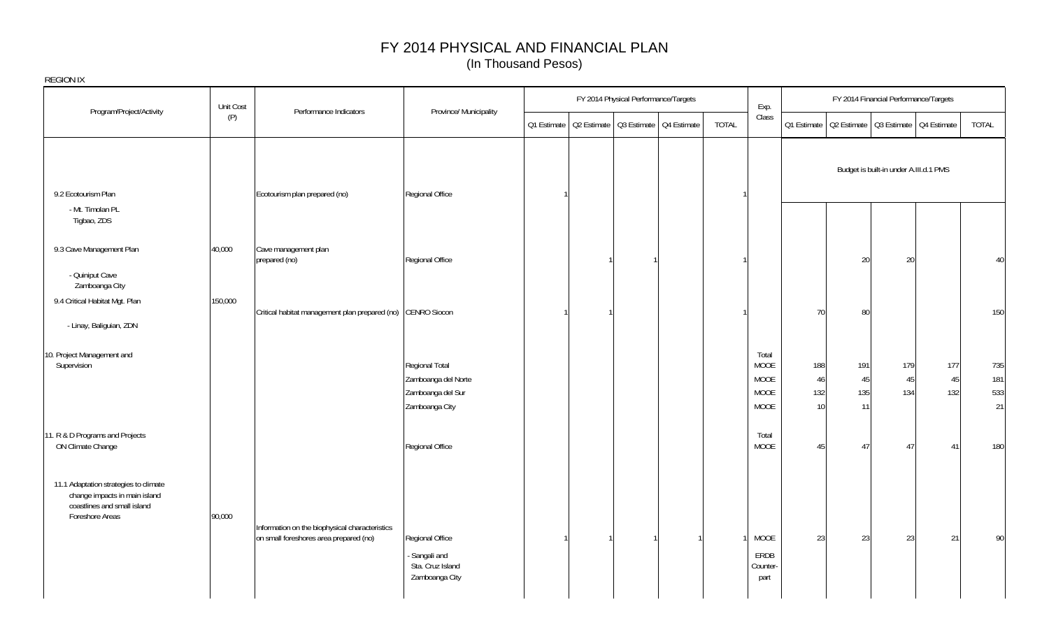| <b>REGION IX</b>                                                                                                         |           |                                                                                          |                                                                              |             |  |                                         |       |                                              |                        |                                                       |                                        |                  |                         |
|--------------------------------------------------------------------------------------------------------------------------|-----------|------------------------------------------------------------------------------------------|------------------------------------------------------------------------------|-------------|--|-----------------------------------------|-------|----------------------------------------------|------------------------|-------------------------------------------------------|----------------------------------------|------------------|-------------------------|
| Program/Project/Activity                                                                                                 | Unit Cost | Performance Indicators                                                                   | Province/ Municipality                                                       |             |  | FY 2014 Physical Performance/Targets    |       | Exp.                                         |                        |                                                       | FY 2014 Financial Performance/Targets  |                  |                         |
|                                                                                                                          | (P)       |                                                                                          |                                                                              | Q1 Estimate |  | Q2 Estimate   Q3 Estimate   Q4 Estimate | TOTAL | Class                                        |                        | Q1 Estimate   Q2 Estimate   Q3 Estimate   Q4 Estimate |                                        |                  | TOTAL                   |
| 9.2 Ecotourism Plan                                                                                                      |           | Ecotourism plan prepared (no)                                                            | Regional Office                                                              |             |  |                                         |       |                                              |                        |                                                       | Budget is built-in under A.III.d.1 PMS |                  |                         |
| - Mt. Timolan PL<br>Tigbao, ZDS                                                                                          |           |                                                                                          |                                                                              |             |  |                                         |       |                                              |                        |                                                       |                                        |                  |                         |
| 9.3 Cave Management Plan                                                                                                 | 40,000    | Cave management plan<br>prepared (no)                                                    | Regional Office                                                              |             |  |                                         |       |                                              |                        | 20                                                    | 20                                     |                  | 40                      |
| - Quiniput Cave<br>Zamboanga City                                                                                        |           |                                                                                          |                                                                              |             |  |                                         |       |                                              |                        |                                                       |                                        |                  |                         |
| 9.4 Critical Habitat Mgt. Plan<br>- Linay, Baliguian, ZDN                                                                | 150,000   | Critical habitat management plan prepared (no) CENRO Siocon                              |                                                                              |             |  |                                         |       |                                              | 70                     | 80                                                    |                                        |                  | 150                     |
| 10. Project Management and<br>Supervision                                                                                |           |                                                                                          | Regional Total<br>Zamboanga del Norte<br>Zamboanga del Sur<br>Zamboanga City |             |  |                                         |       | Total<br>MOOE<br><b>MOOE</b><br>MOOE<br>MOOE | 188<br>46<br>132<br>10 | 191<br>45<br>135<br>11                                | 179<br>45<br>134                       | 177<br>45<br>132 | 735<br>181<br>533<br>21 |
| 11. R & D Programs and Projects<br>ON Climate Change                                                                     |           |                                                                                          | Regional Office                                                              |             |  |                                         |       | Total<br><b>MOOE</b>                         | 45                     | 47                                                    | 47                                     | 41               | 180                     |
| 11.1 Adaptation strategies to climate<br>change impacts in main island<br>coastlines and small island<br>Foreshore Areas | 90,000    | Information on the biophysical characteristics<br>on small foreshores area prepared (no) | Regional Office<br>Sangali and<br>Sta. Cruz Island<br>Zamboanga City         |             |  |                                         |       | <b>MOOE</b><br>ERDB<br>Counter-<br>part      | 23                     | 23                                                    | 23                                     | 21               | 90                      |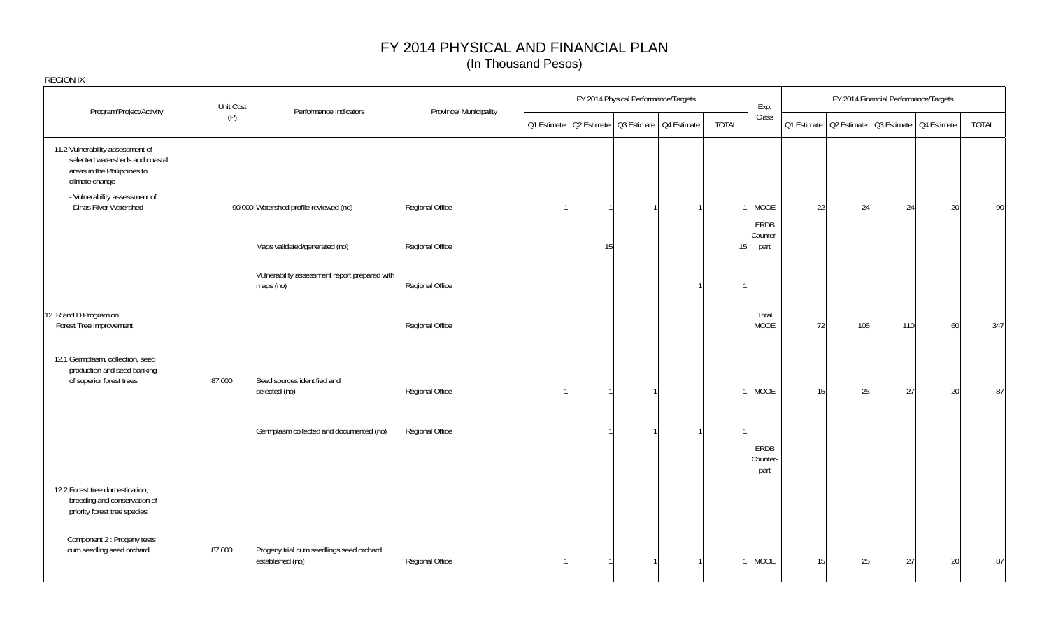|                                                                                                                      | Unit Cost | Performance Indicators                                       | Province/ Municipality |             |    | FY 2014 Physical Performance/Targets    |                 | Exp.                     |             |             | FY 2014 Financial Performance/Targets |        |       |
|----------------------------------------------------------------------------------------------------------------------|-----------|--------------------------------------------------------------|------------------------|-------------|----|-----------------------------------------|-----------------|--------------------------|-------------|-------------|---------------------------------------|--------|-------|
| Program/Project/Activity                                                                                             | (P)       |                                                              |                        | Q1 Estimate |    | Q2 Estimate   Q3 Estimate   Q4 Estimate | TOTAL           | Class                    | Q1 Estimate | Q2 Estimate | Q3 Estimate   Q4 Estimate             |        | TOTAL |
| 11.2 Vulnerability assessment of<br>selected watersheds and coastal<br>areas in the Philippines to<br>climate change |           |                                                              |                        |             |    |                                         |                 |                          |             |             |                                       |        |       |
| - Vulnerability assessment of<br>Dinas River Watershed                                                               |           | 90,000 Watershed profile reviewed (no)                       | Regional Office        |             |    |                                         |                 | MOOE                     | 22          | 24          | 24                                    | 20     | 90    |
|                                                                                                                      |           | Maps validated/generated (no)                                | Regional Office        |             | 15 |                                         | 15 <sup>1</sup> | ERDB<br>Counter-<br>part |             |             |                                       |        |       |
|                                                                                                                      |           | Vulnerability assessment report prepared with<br>maps (no)   | Regional Office        |             |    |                                         |                 |                          |             |             |                                       |        |       |
| 12. R and D Program on<br>Forest Tree Improvement                                                                    |           |                                                              | Regional Office        |             |    |                                         |                 | Total<br>MOOE            | 72          | 105         | 110                                   | 60     | 347   |
| 12.1 Germplasm, collection, seed<br>production and seed banking<br>of superior forest trees                          | 87,000    | Seed sources identified and                                  |                        |             |    |                                         |                 |                          |             |             |                                       |        |       |
|                                                                                                                      |           | selected (no)                                                | Regional Office        |             |    |                                         |                 | MOOE                     | 15          | 25          | 27                                    | 20     | 87    |
|                                                                                                                      |           | Germplasm collected and documented (no)                      | Regional Office        |             |    |                                         |                 | ERDB                     |             |             |                                       |        |       |
|                                                                                                                      |           |                                                              |                        |             |    |                                         |                 | Counter-<br>part         |             |             |                                       |        |       |
| 12.2 Forest tree domestication,<br>breeding and conservation of<br>priority forest tree species                      |           |                                                              |                        |             |    |                                         |                 |                          |             |             |                                       |        |       |
| Component 2 : Progeny tests<br>cum seedling seed orchard                                                             | 87,000    | Progeny trial cum seedlings seed orchard<br>established (no) | Regional Office        |             |    |                                         |                 | MOOE                     | 15          | 25          | 27                                    | $20\,$ | 87    |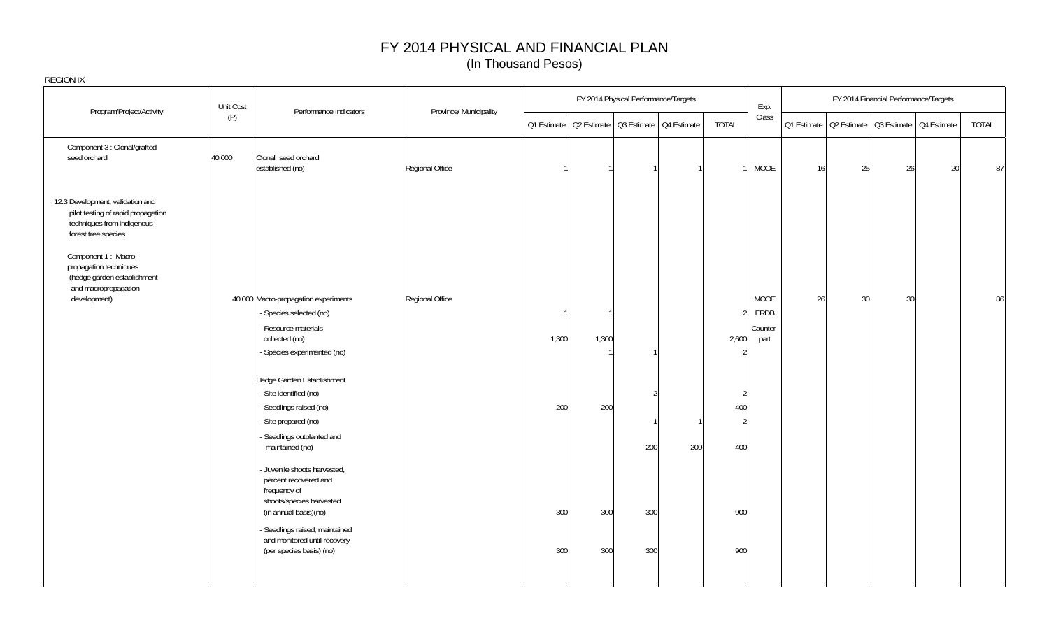| REGION IX                                                                                                                   |           |                                                                                                   |                        |       |       |                                      |                                                       |       |                  |    |    |                                                       |    |              |
|-----------------------------------------------------------------------------------------------------------------------------|-----------|---------------------------------------------------------------------------------------------------|------------------------|-------|-------|--------------------------------------|-------------------------------------------------------|-------|------------------|----|----|-------------------------------------------------------|----|--------------|
| Program/Project/Activity                                                                                                    | Unit Cost | Performance Indicators                                                                            | Province/ Municipality |       |       | FY 2014 Physical Performance/Targets |                                                       |       | Exp.             |    |    | FY 2014 Financial Performance/Targets                 |    |              |
|                                                                                                                             | (P)       |                                                                                                   |                        |       |       |                                      | Q1 Estimate   Q2 Estimate   Q3 Estimate   Q4 Estimate | TOTAL | Class            |    |    | Q1 Estimate   Q2 Estimate   Q3 Estimate   Q4 Estimate |    | <b>TOTAL</b> |
| Component 3 : Clonal/grafted<br>seed orchard                                                                                | 40,000    | Clonal seed orchard<br>established (no)                                                           | Regional Office        |       |       |                                      |                                                       |       | MOOE             | 16 | 25 | 26                                                    | 20 | 87           |
| 12.3 Development, validation and<br>pilot testing of rapid propagation<br>techniques from indigenous<br>forest tree species |           |                                                                                                   |                        |       |       |                                      |                                                       |       |                  |    |    |                                                       |    |              |
| Component 1 : Macro-<br>propagation techniques<br>(hedge garden establishment<br>and macropropagation                       |           |                                                                                                   |                        |       |       |                                      |                                                       |       |                  |    |    |                                                       |    |              |
| development)                                                                                                                |           | 40,000 Macro-propagation experiments<br>- Species selected (no)                                   | Regional Office        |       |       |                                      |                                                       |       | MOOE<br>ERDB     | 26 | 30 | 30                                                    |    | 86           |
|                                                                                                                             |           | - Resource materials<br>collected (no)                                                            |                        | 1,300 | 1,300 |                                      |                                                       | 2,600 | Counter-<br>part |    |    |                                                       |    |              |
|                                                                                                                             |           | - Species experimented (no)                                                                       |                        |       |       |                                      |                                                       |       |                  |    |    |                                                       |    |              |
|                                                                                                                             |           | Hedge Garden Establishment                                                                        |                        |       |       |                                      |                                                       |       |                  |    |    |                                                       |    |              |
|                                                                                                                             |           | - Site identified (no)                                                                            |                        |       |       |                                      |                                                       | 2     |                  |    |    |                                                       |    |              |
|                                                                                                                             |           | - Seedlings raised (no)                                                                           |                        | 200   | 200   |                                      |                                                       | 400   |                  |    |    |                                                       |    |              |
|                                                                                                                             |           | - Site prepared (no)<br>- Seedlings outplanted and                                                |                        |       |       |                                      |                                                       | 2     |                  |    |    |                                                       |    |              |
|                                                                                                                             |           | maintained (no)                                                                                   |                        |       |       | 200                                  | 200                                                   | 400   |                  |    |    |                                                       |    |              |
|                                                                                                                             |           | - Juvenile shoots harvested,<br>percent recovered and<br>frequency of<br>shoots/species harvested |                        |       |       |                                      |                                                       |       |                  |    |    |                                                       |    |              |
|                                                                                                                             |           | (in annual basis)(no)<br>- Seedlings raised, maintained                                           |                        | 300   | 300   | 300                                  |                                                       | 900   |                  |    |    |                                                       |    |              |
|                                                                                                                             |           | and monitored until recovery<br>(per species basis) (no)                                          |                        | 300   | 300   | 300                                  |                                                       | 900   |                  |    |    |                                                       |    |              |
|                                                                                                                             |           |                                                                                                   |                        |       |       |                                      |                                                       |       |                  |    |    |                                                       |    |              |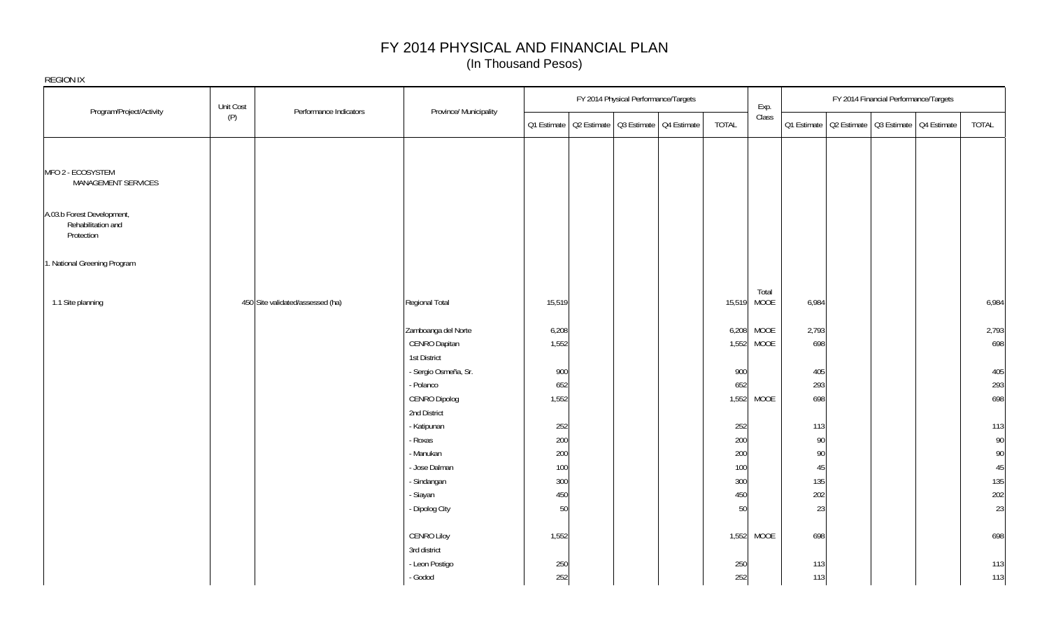|                                                                | Unit Cost                        |                               |              | FY 2014 Physical Performance/Targets                  |       | Exp.                 |            | FY 2014 Financial Performance/Targets |                                                       |            |
|----------------------------------------------------------------|----------------------------------|-------------------------------|--------------|-------------------------------------------------------|-------|----------------------|------------|---------------------------------------|-------------------------------------------------------|------------|
| Program/Project/Activity                                       | Performance Indicators<br>(P)    | Province/ Municipality        |              | Q1 Estimate   Q2 Estimate   Q3 Estimate   Q4 Estimate | TOTAL | Class                |            |                                       | 01 Estimate   02 Estimate   03 Estimate   04 Estimate | TOTAL      |
|                                                                |                                  |                               |              |                                                       |       |                      |            |                                       |                                                       |            |
| MFO 2 - ECOSYSTEM<br>MANAGEMENT SERVICES                       |                                  |                               |              |                                                       |       |                      |            |                                       |                                                       |            |
| A.03.b Forest Development,<br>Rehabilitation and<br>Protection |                                  |                               |              |                                                       |       |                      |            |                                       |                                                       |            |
| 1. National Greening Program                                   |                                  |                               |              |                                                       |       |                      |            |                                       |                                                       |            |
| 1.1 Site planning                                              | 450 Site validated/assessed (ha) | Regional Total                | 15,519       |                                                       |       | Total<br>15,519 MOOE | 6,984      |                                       |                                                       | 6,984      |
|                                                                |                                  | Zamboanga del Norte           | 6,208        |                                                       |       | 6,208 MOOE           | 2,793      |                                       |                                                       | 2,793      |
|                                                                |                                  | CENRO Dapitan                 | 1,552        |                                                       |       | 1,552 MOOE           | 698        |                                       |                                                       | 698        |
|                                                                |                                  | 1st District                  |              |                                                       |       |                      |            |                                       |                                                       |            |
|                                                                |                                  | - Sergio Osmeña, Sr.          | 900          |                                                       |       | 900                  | 405        |                                       |                                                       | 405        |
|                                                                |                                  | - Polanco                     | 652<br>1,552 |                                                       |       | 652                  | 293<br>698 |                                       |                                                       | 293<br>698 |
|                                                                |                                  | CENRO Dipolog<br>2nd District |              |                                                       |       | 1,552 MOOE           |            |                                       |                                                       |            |
|                                                                |                                  | - Katipunan                   | 252          |                                                       |       | 252                  | 113        |                                       |                                                       | 113        |
|                                                                |                                  | - Roxas                       | 200          |                                                       |       | 200                  | $90\,$     |                                       |                                                       | 90         |
|                                                                |                                  | - Manukan                     | 200          |                                                       |       | 200                  | 90         |                                       |                                                       | 90         |
|                                                                |                                  | - Jose Dalman                 | 100          |                                                       |       | 100                  | 45         |                                       |                                                       | 45         |
|                                                                |                                  | - Sindangan                   | 300          |                                                       |       | 300                  | 135        |                                       |                                                       | 135        |
|                                                                |                                  | - Siayan                      | 450          |                                                       |       | 450                  | 202        |                                       |                                                       | 202        |
|                                                                |                                  | - Dipolog City                | 50           |                                                       |       | 50                   | 23         |                                       |                                                       | 23         |
|                                                                |                                  | <b>CENRO Liloy</b>            | 1,552        |                                                       |       | 1,552 MOOE           | 698        |                                       |                                                       | 698        |
|                                                                |                                  | 3rd district                  |              |                                                       |       |                      |            |                                       |                                                       |            |
|                                                                |                                  | - Leon Postigo                | 250          |                                                       |       | 250                  | 113        |                                       |                                                       | 113        |
|                                                                |                                  | - Godod                       | 252          |                                                       |       | 252                  | 113        |                                       |                                                       | 113        |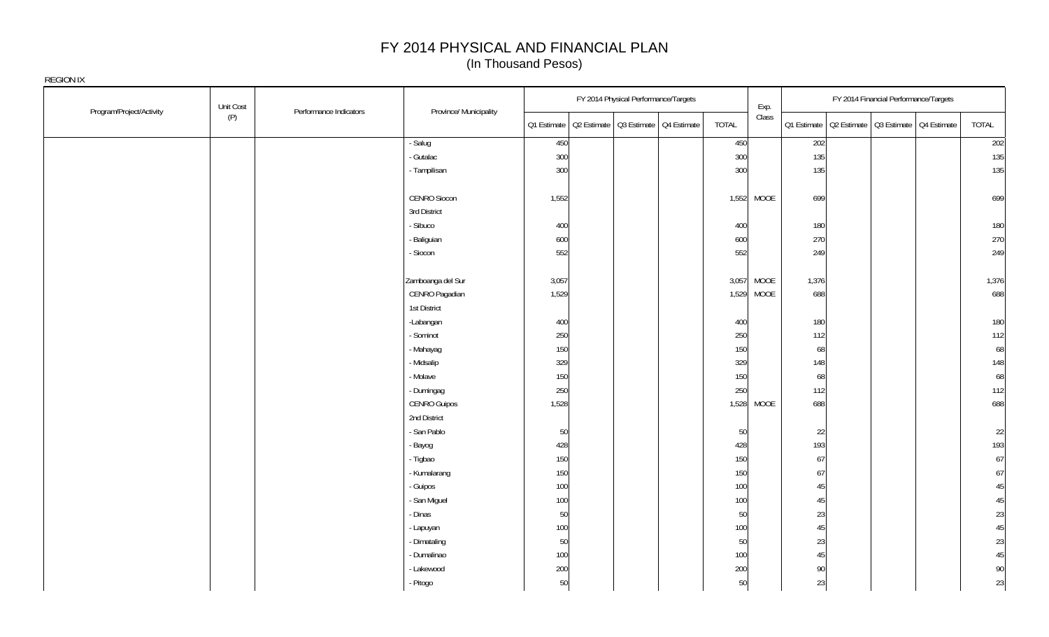| Program/Project/Activity | Unit Cost<br>Performance Indicators | Province/ Municipality |             | FY 2014 Physical Performance/Targets    |       | Exp.       |        |                                                       | FY 2014 Financial Performance/Targets |       |
|--------------------------|-------------------------------------|------------------------|-------------|-----------------------------------------|-------|------------|--------|-------------------------------------------------------|---------------------------------------|-------|
|                          | (P)                                 |                        | O1 Estimate | Q2 Estimate   Q3 Estimate   Q4 Estimate | TOTAL | Class      |        | Q1 Estimate   Q2 Estimate   Q3 Estimate   Q4 Estimate |                                       | TOTAL |
|                          |                                     | - Salug                | 450         |                                         | 450   |            | 202    |                                                       |                                       | 202   |
|                          |                                     | - Gutalac              | 300         |                                         | 300   |            | 135    |                                                       |                                       | 135   |
|                          |                                     | - Tampilisan           | 300         |                                         | 300   |            | 135    |                                                       |                                       | 135   |
|                          |                                     | <b>CENRO Siocon</b>    | 1,552       |                                         |       | 1,552 MOOE | 699    |                                                       |                                       | 699   |
|                          |                                     | 3rd District           |             |                                         |       |            |        |                                                       |                                       |       |
|                          |                                     | - Sibuco               | 400         |                                         | 400   |            | 180    |                                                       |                                       | 180   |
|                          |                                     | - Baliguian            | 600         |                                         | 600   |            | 270    |                                                       |                                       | 270   |
|                          |                                     | - Siocon               | 552         |                                         | 552   |            | 249    |                                                       |                                       | 249   |
|                          |                                     | Zamboanga del Sur      | 3,057       |                                         | 3,057 | MOOE       | 1,376  |                                                       |                                       | 1,376 |
|                          |                                     | CENRO Pagadian         | 1,529       |                                         |       | 1,529 MOOE | 688    |                                                       |                                       | 688   |
|                          |                                     | 1st District           |             |                                         |       |            |        |                                                       |                                       |       |
|                          |                                     | -Labangan              | 400         |                                         | 400   |            | 180    |                                                       |                                       | 180   |
|                          |                                     | - Sominot              | 250         |                                         | 250   |            | 112    |                                                       |                                       | 112   |
|                          |                                     | - Mahayag              | 150         |                                         | 150   |            | 68     |                                                       |                                       | 68    |
|                          |                                     | - Midsalip             | 329         |                                         | 329   |            | 148    |                                                       |                                       | 148   |
|                          |                                     | - Molave               | 150         |                                         | 150   |            | 68     |                                                       |                                       | 68    |
|                          |                                     | - Dumingag             | 250         |                                         | 250   |            | 112    |                                                       |                                       | 112   |
|                          |                                     | CENRO Guipos           | 1,528       |                                         |       | 1,528 MOOE | 688    |                                                       |                                       | 688   |
|                          |                                     | 2nd District           |             |                                         |       |            |        |                                                       |                                       |       |
|                          |                                     | - San Pablo            | 50          |                                         | 50    |            | 22     |                                                       |                                       | 22    |
|                          |                                     | Bayog                  | 428         |                                         | 428   |            | 193    |                                                       |                                       | 193   |
|                          |                                     | - Tigbao               | 150         |                                         | 150   |            | 67     |                                                       |                                       | 67    |
|                          |                                     | - Kumalarang           | 150         |                                         | 150   |            | 67     |                                                       |                                       | 67    |
|                          |                                     | - Guipos               | 100         |                                         | 100   |            | 45     |                                                       |                                       | 45    |
|                          |                                     | - San Miguel           | 100         |                                         | 100   |            | 45     |                                                       |                                       | 45    |
|                          |                                     | - Dinas                | 50          |                                         | 50    |            | 23     |                                                       |                                       | 23    |
|                          |                                     | - Lapuyan              | 100         |                                         | 100   |            | 45     |                                                       |                                       | 45    |
|                          |                                     | - Dimataling           | 50          |                                         | 50    |            | 23     |                                                       |                                       | 23    |
|                          |                                     | - Dumalinao            | 100         |                                         | 100   |            | 45     |                                                       |                                       | 45    |
|                          |                                     | - Lakewood             | 200         |                                         | 200   |            | $90\,$ |                                                       |                                       | 90    |
|                          |                                     | - Pitogo               | 50          |                                         | 50    |            | 23     |                                                       |                                       | 23    |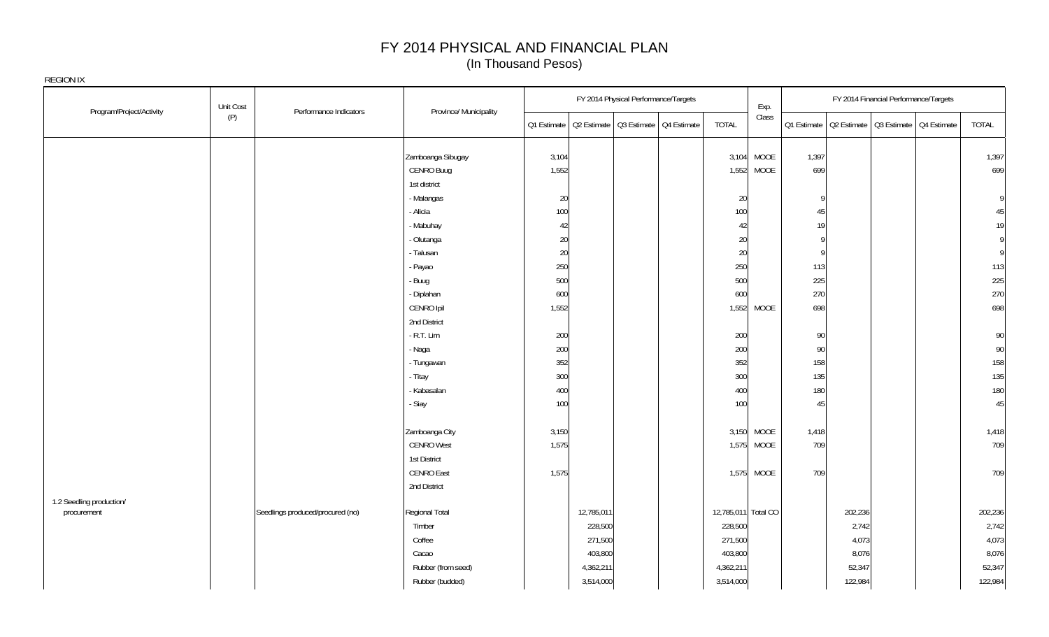|                                         | Unit Cost<br>Performance Indicators | Province/ Municipality |       | FY 2014 Physical Performance/Targets                  |                     | Exp.       |        |         | FY 2014 Financial Performance/Targets |                                                       |         |
|-----------------------------------------|-------------------------------------|------------------------|-------|-------------------------------------------------------|---------------------|------------|--------|---------|---------------------------------------|-------------------------------------------------------|---------|
| Program/Project/Activity                | (P)                                 |                        |       | Q1 Estimate   Q2 Estimate   Q3 Estimate   Q4 Estimate | <b>TOTAL</b>        | Class      |        |         |                                       | Q1 Estimate   Q2 Estimate   Q3 Estimate   Q4 Estimate | TOTAL   |
|                                         |                                     | Zamboanga Sibugay      | 3,104 |                                                       |                     | 3,104 MOOE | 1,397  |         |                                       |                                                       | 1,397   |
|                                         |                                     | CENRO Buug             | 1,552 |                                                       |                     | 1,552 MOOE | 699    |         |                                       |                                                       | 699     |
|                                         |                                     | 1st district           |       |                                                       |                     |            |        |         |                                       |                                                       |         |
|                                         |                                     | - Malangas             | 20    |                                                       | 20                  |            | Ç      |         |                                       |                                                       | 9       |
|                                         |                                     | - Alicia               | 100   |                                                       | 100                 |            | 45     |         |                                       |                                                       | 45      |
|                                         |                                     | - Mabuhay              | 42    |                                                       | 42                  |            | 19     |         |                                       |                                                       | 19      |
|                                         |                                     | - Olutanga             | 20    |                                                       | 20                  |            | Ç      |         |                                       |                                                       | 9       |
|                                         |                                     | - Talusan              | 20    |                                                       | 20                  |            | C      |         |                                       |                                                       | 9       |
|                                         |                                     | - Payao                | 250   |                                                       | 250                 |            | 113    |         |                                       |                                                       | 113     |
|                                         |                                     | - Buug                 | 500   |                                                       | 500                 |            | 225    |         |                                       |                                                       | 225     |
|                                         |                                     | - Diplahan             | 600   |                                                       | 600                 |            | 270    |         |                                       |                                                       | 270     |
|                                         |                                     | CENRO Ipil             | 1,552 |                                                       |                     | 1,552 MOOE | 698    |         |                                       |                                                       | 698     |
|                                         |                                     | 2nd District           |       |                                                       |                     |            |        |         |                                       |                                                       |         |
|                                         |                                     | $-R.T.$ Lim            | 200   |                                                       | 200                 |            | 90     |         |                                       |                                                       | 90      |
|                                         |                                     | - Naga                 | 200   |                                                       | 200                 |            | $90\,$ |         |                                       |                                                       | 90      |
|                                         |                                     | - Tungawan             | 352   |                                                       | 352                 |            | 158    |         |                                       |                                                       | 158     |
|                                         |                                     | - Titay                | 300   |                                                       | 300                 |            | 135    |         |                                       |                                                       | 135     |
|                                         |                                     | - Kabasalan            | 400   |                                                       | 400                 |            | 180    |         |                                       |                                                       | 180     |
|                                         |                                     | - Siay                 | 100   |                                                       | 100                 |            | 45     |         |                                       |                                                       | 45      |
|                                         |                                     | Zamboanga City         | 3,150 |                                                       |                     | 3,150 MOOE | 1,418  |         |                                       |                                                       | 1,418   |
|                                         |                                     | <b>CENRO West</b>      | 1,575 |                                                       |                     | 1,575 MOOE | 709    |         |                                       |                                                       | 709     |
|                                         |                                     | 1st District           |       |                                                       |                     |            |        |         |                                       |                                                       |         |
|                                         |                                     | <b>CENRO East</b>      | 1,575 |                                                       |                     | 1,575 MOOE | 709    |         |                                       |                                                       | 709     |
|                                         |                                     | 2nd District           |       |                                                       |                     |            |        |         |                                       |                                                       |         |
| 1.2 Seedling production/<br>procurement | Seedlings produced/procured (no)    | Regional Total         |       | 12,785,011                                            | 12,785,011 Total CO |            |        | 202,236 |                                       |                                                       | 202,236 |
|                                         |                                     | Timber                 |       | 228,500                                               | 228,500             |            |        | 2,742   |                                       |                                                       | 2,742   |
|                                         |                                     | Coffee                 |       | 271,500                                               | 271,500             |            |        | 4,073   |                                       |                                                       | 4,073   |
|                                         |                                     | Cacao                  |       | 403,800                                               | 403,800             |            |        | 8,076   |                                       |                                                       | 8,076   |
|                                         |                                     | Rubber (from seed)     |       | 4,362,211                                             | 4,362,211           |            |        | 52,347  |                                       |                                                       | 52,347  |
|                                         |                                     | Rubber (budded)        |       | 3,514,000                                             | 3,514,000           |            |        | 122,984 |                                       |                                                       | 122,984 |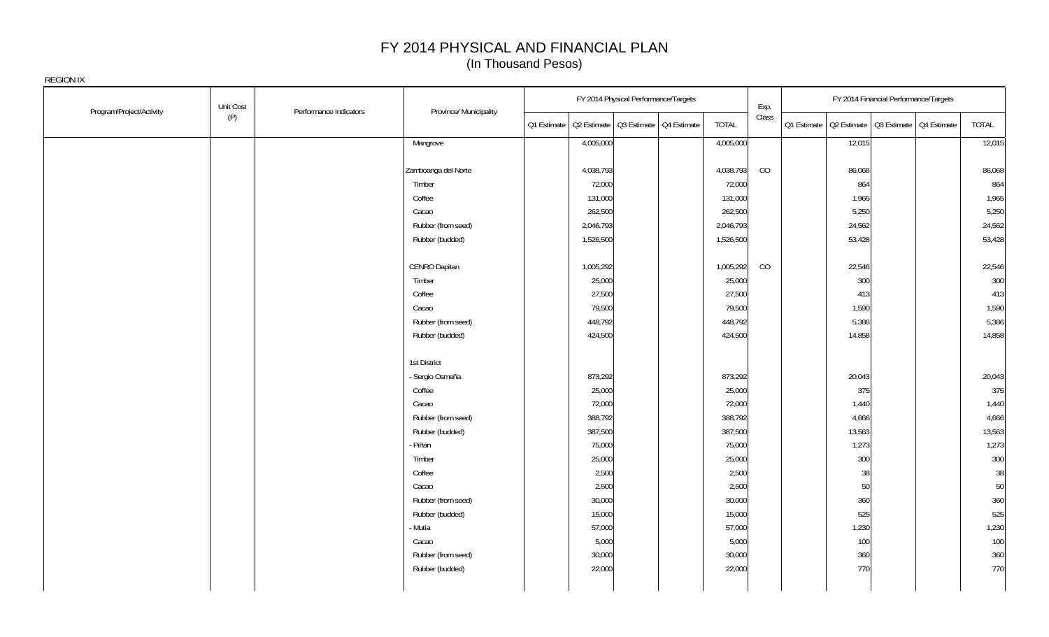|                          | Unit Cost |                        |                        |                                                       | FY 2014 Physical Performance/Targets |              | Exp.  |                                                       | FY 2014 Financial Performance/Targets |        |
|--------------------------|-----------|------------------------|------------------------|-------------------------------------------------------|--------------------------------------|--------------|-------|-------------------------------------------------------|---------------------------------------|--------|
| Program/Project/Activity | (P)       | Performance Indicators | Province/ Municipality | Q1 Estimate   Q2 Estimate   Q3 Estimate   Q4 Estimate |                                      | <b>TOTAL</b> | Class | Q1 Estimate   Q2 Estimate   Q3 Estimate   Q4 Estimate |                                       | TOTAL  |
|                          |           |                        | Mangrove               | 4,005,000                                             |                                      | 4,005,000    |       | 12,015                                                |                                       | 12,015 |
|                          |           |                        |                        |                                                       |                                      |              |       |                                                       |                                       |        |
|                          |           |                        | Zamboanga del Norte    | 4,038,793                                             |                                      | 4,038,793    | CO    | 86,068                                                |                                       | 86,068 |
|                          |           |                        | Timber                 | 72,000                                                |                                      | 72,000       |       | 864                                                   |                                       | 864    |
|                          |           |                        | Coffee                 | 131,000                                               |                                      | 131,000      |       | 1,965                                                 |                                       | 1,965  |
|                          |           |                        | Cacao                  | 262,500                                               |                                      | 262,500      |       | 5,250                                                 |                                       | 5,250  |
|                          |           |                        | Rubber (from seed)     | 2,046,793                                             |                                      | 2,046,793    |       | 24,562                                                |                                       | 24,562 |
|                          |           |                        | Rubber (budded)        | 1,526,500                                             |                                      | 1,526,500    |       | 53,428                                                |                                       | 53,428 |
|                          |           |                        | CENRO Dapitan          | 1,005,292                                             |                                      | 1,005,292    | CO    | 22,546                                                |                                       | 22,546 |
|                          |           |                        | Timber                 | 25,000                                                |                                      | 25,000       |       | 300                                                   |                                       | 300    |
|                          |           |                        | Coffee                 | 27,500                                                |                                      | 27,500       |       | 413                                                   |                                       | 413    |
|                          |           |                        | Cacao                  | 79,500                                                |                                      | 79,500       |       | 1,590                                                 |                                       | 1,590  |
|                          |           |                        | Rubber (from seed)     | 448,792                                               |                                      | 448,792      |       | 5,386                                                 |                                       | 5,386  |
|                          |           |                        | Rubber (budded)        | 424,500                                               |                                      | 424,500      |       | 14,858                                                |                                       | 14,858 |
|                          |           |                        | 1st District           |                                                       |                                      |              |       |                                                       |                                       |        |
|                          |           |                        | - Sergio Osmeña        | 873,292                                               |                                      | 873,292      |       | 20,043                                                |                                       | 20,043 |
|                          |           |                        | Coffee                 | 25,000                                                |                                      | 25,000       |       | 375                                                   |                                       | 375    |
|                          |           |                        | Cacao                  | 72,000                                                |                                      | 72,000       |       | 1,440                                                 |                                       | 1,440  |
|                          |           |                        | Rubber (from seed)     | 388,792                                               |                                      | 388,792      |       | 4,666                                                 |                                       | 4,666  |
|                          |           |                        | Rubber (budded)        | 387,500                                               |                                      | 387,500      |       | 13,563                                                |                                       | 13,563 |
|                          |           |                        | - Piñan                | 75,000                                                |                                      | 75,000       |       | 1,273                                                 |                                       | 1,273  |
|                          |           |                        | Timber                 | 25,000                                                |                                      | 25,000       |       | 300                                                   |                                       | 300    |
|                          |           |                        | Coffee                 | 2,500                                                 |                                      | 2,500        |       | 38                                                    |                                       | 38     |
|                          |           |                        | Cacao                  | 2,500                                                 |                                      | 2,500        |       | 50                                                    |                                       | 50     |
|                          |           |                        | Rubber (from seed)     | 30,000                                                |                                      | 30,000       |       | 360                                                   |                                       | 360    |
|                          |           |                        | Rubber (budded)        | 15,000                                                |                                      | 15,000       |       | 525                                                   |                                       | 525    |
|                          |           |                        | Mutia                  | 57,000                                                |                                      | 57,000       |       | 1,230                                                 |                                       | 1,230  |
|                          |           |                        | Cacao                  | 5,000                                                 |                                      | 5,000        |       | 100                                                   |                                       | 100    |
|                          |           |                        | Rubber (from seed)     | 30,000                                                |                                      | 30,000       |       | 360                                                   |                                       | 360    |
|                          |           |                        | Rubber (budded)        | 22,000                                                |                                      | 22,000       |       | 770                                                   |                                       | 770    |
|                          |           |                        |                        |                                                       |                                      |              |       |                                                       |                                       |        |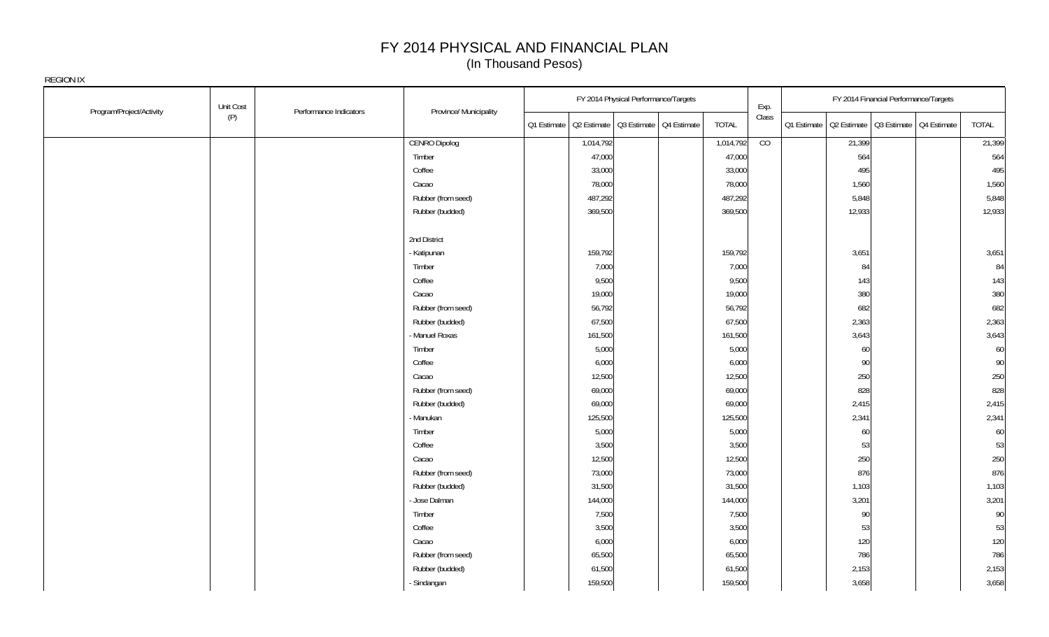| Program/Project/Activity | Unit Cost | Performance Indicators | Province/ Municipality |             | FY 2014 Physical Performance/Targets    |              | Exp.           |                                                       | FY 2014 Financial Performance/Targets |        |
|--------------------------|-----------|------------------------|------------------------|-------------|-----------------------------------------|--------------|----------------|-------------------------------------------------------|---------------------------------------|--------|
|                          | (P)       |                        |                        | Q1 Estimate | Q2 Estimate   Q3 Estimate   Q4 Estimate | <b>TOTAL</b> | Class          | Q1 Estimate   Q2 Estimate   Q3 Estimate   Q4 Estimate |                                       | TOTAL  |
|                          |           |                        | <b>CENRO Dipolog</b>   | 1,014,792   |                                         | 1,014,792    | $\overline{C}$ | 21,399                                                |                                       | 21,399 |
|                          |           |                        | Timber                 | 47,000      |                                         | 47,000       |                | 564                                                   |                                       | 564    |
|                          |           |                        | Coffee                 | 33,000      |                                         | 33,000       |                | 495                                                   |                                       | 495    |
|                          |           |                        | Cacao                  | 78,000      |                                         | 78,000       |                | 1,560                                                 |                                       | 1,560  |
|                          |           |                        | Rubber (from seed)     | 487,292     |                                         | 487,292      |                | 5,848                                                 |                                       | 5,848  |
|                          |           |                        | Rubber (budded)        | 369,500     |                                         | 369,500      |                | 12,933                                                |                                       | 12,933 |
|                          |           |                        | 2nd District           |             |                                         |              |                |                                                       |                                       |        |
|                          |           |                        | - Katipunan            | 159,792     |                                         | 159,792      |                | 3,651                                                 |                                       | 3,651  |
|                          |           |                        | Timber                 | 7,000       |                                         | 7,000        |                | 84                                                    |                                       | 84     |
|                          |           |                        | Coffee                 | 9,500       |                                         | 9,500        |                | 143                                                   |                                       | 143    |
|                          |           |                        | Cacao                  | 19,000      |                                         | 19,000       |                | 380                                                   |                                       | 380    |
|                          |           |                        | Rubber (from seed)     | 56,792      |                                         | 56,792       |                | 682                                                   |                                       | 682    |
|                          |           |                        | Rubber (budded)        | 67,500      |                                         | 67,500       |                | 2,363                                                 |                                       | 2,363  |
|                          |           |                        | - Manuel Roxas         | 161,500     |                                         | 161,500      |                | 3,643                                                 |                                       | 3,643  |
|                          |           |                        | Timber                 | 5,000       |                                         | 5,000        |                | 60                                                    |                                       | 60     |
|                          |           |                        | Coffee                 | 6,000       |                                         | 6,000        |                | 90                                                    |                                       | 90     |
|                          |           |                        | Cacao                  | 12,500      |                                         | 12,500       |                | 250                                                   |                                       | 250    |
|                          |           |                        | Rubber (from seed)     | 69,000      |                                         | 69,000       |                | 828                                                   |                                       | 828    |
|                          |           |                        | Rubber (budded)        | 69,000      |                                         | 69,000       |                | 2,415                                                 |                                       | 2,415  |
|                          |           |                        | - Manukan              | 125,500     |                                         | 125,500      |                | 2,341                                                 |                                       | 2,341  |
|                          |           |                        | Timber                 | 5,000       |                                         | 5,000        |                | 60                                                    |                                       | 60     |
|                          |           |                        | Coffee                 | 3,500       |                                         | 3,500        |                | 53                                                    |                                       | 53     |
|                          |           |                        | Cacao                  | 12,500      |                                         | 12,500       |                | 250                                                   |                                       | 250    |
|                          |           |                        | Rubber (from seed)     | 73,000      |                                         | 73,000       |                | 876                                                   |                                       | 876    |
|                          |           |                        | Rubber (budded)        | 31,500      |                                         | 31,500       |                | 1,103                                                 |                                       | 1,103  |
|                          |           |                        | - Jose Dalman          | 144,000     |                                         | 144,000      |                | 3,201                                                 |                                       | 3,201  |
|                          |           |                        | Timber                 | 7,500       |                                         | 7,500        |                | 90                                                    |                                       | 90     |
|                          |           |                        | Coffee                 | 3,500       |                                         | 3,500        |                | 53                                                    |                                       | 53     |
|                          |           |                        | Cacao                  | 6,000       |                                         | 6,000        |                | 120                                                   |                                       | 120    |
|                          |           |                        | Rubber (from seed)     | 65,500      |                                         | 65,500       |                | 786                                                   |                                       | 786    |
|                          |           |                        | Rubber (budded)        | 61,500      |                                         | 61,500       |                | 2,153                                                 |                                       | 2,153  |
|                          |           |                        | - Sindangan            | 159,500     |                                         | 159,500      |                | 3,658                                                 |                                       | 3,658  |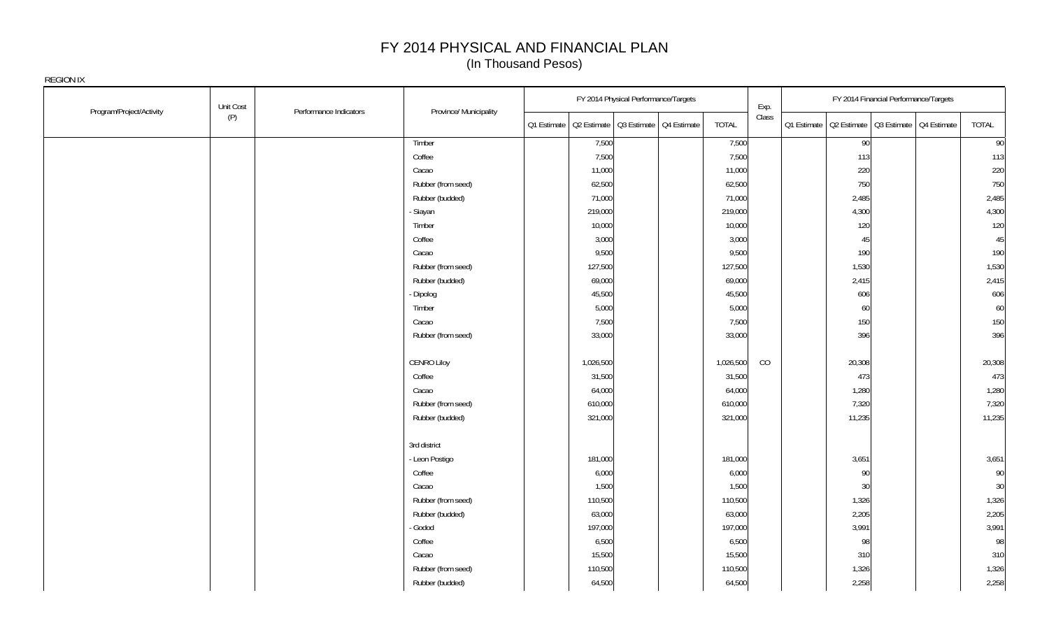| Program/Project/Activity | Unit Cost<br>Performance Indicators | Province/ Municipality |             | FY 2014 Physical Performance/Targets    |              | Exp.  | FY 2014 Financial Performance/Targets                 |  |        |
|--------------------------|-------------------------------------|------------------------|-------------|-----------------------------------------|--------------|-------|-------------------------------------------------------|--|--------|
|                          | (P)                                 |                        | Q1 Estimate | Q2 Estimate   Q3 Estimate   Q4 Estimate | <b>TOTAL</b> | Class | Q1 Estimate   Q2 Estimate   Q3 Estimate   Q4 Estimate |  | TOTAL  |
|                          |                                     | Timber                 |             | 7,500                                   | 7,500        |       | 90                                                    |  | 90     |
|                          |                                     | Coffee                 |             | 7,500                                   | 7,500        |       | 113                                                   |  | 113    |
|                          |                                     | Cacao                  |             | 11,000                                  | 11,000       |       | 220                                                   |  | 220    |
|                          |                                     | Rubber (from seed)     |             | 62,500                                  | 62,500       |       | 750                                                   |  | 750    |
|                          |                                     | Rubber (budded)        |             | 71,000                                  | 71,000       |       | 2,485                                                 |  | 2,485  |
|                          |                                     | - Siayan               |             | 219,000                                 | 219,000      |       | 4,300                                                 |  | 4,300  |
|                          |                                     | Timber                 |             | 10,000                                  | 10,000       |       | 120                                                   |  | 120    |
|                          |                                     | Coffee                 |             | 3,000                                   | 3,000        |       | 45                                                    |  | 45     |
|                          |                                     | Cacao                  |             | 9,500                                   | 9,500        |       | 190                                                   |  | 190    |
|                          |                                     | Rubber (from seed)     |             | 127,500                                 | 127,500      |       | 1,530                                                 |  | 1,530  |
|                          |                                     | Rubber (budded)        |             | 69,000                                  | 69,000       |       | 2,415                                                 |  | 2,415  |
|                          |                                     | - Dipolog              |             | 45,500                                  | 45,500       |       | 606                                                   |  | 606    |
|                          |                                     | Timber                 |             | 5,000                                   | 5,000        |       | 60                                                    |  | 60     |
|                          |                                     | Cacao                  |             | 7,500                                   | 7,500        |       | 150                                                   |  | 150    |
|                          |                                     | Rubber (from seed)     |             | 33,000                                  | 33,000       |       | 396                                                   |  | 396    |
|                          |                                     | <b>CENRO Liloy</b>     |             | 1,026,500                               | 1,026,500    | CO    | 20,308                                                |  | 20,308 |
|                          |                                     | Coffee                 |             | 31,500                                  | 31,500       |       | 473                                                   |  | 473    |
|                          |                                     | Cacao                  |             | 64,000                                  | 64,000       |       | 1,280                                                 |  | 1,280  |
|                          |                                     | Rubber (from seed)     |             | 610,000                                 | 610,000      |       | 7,320                                                 |  | 7,320  |
|                          |                                     | Rubber (budded)        |             | 321,000                                 | 321,000      |       | 11,235                                                |  | 11,235 |
|                          |                                     | 3rd district           |             |                                         |              |       |                                                       |  |        |
|                          |                                     | - Leon Postigo         |             | 181,000                                 | 181,000      |       | 3,651                                                 |  | 3,651  |
|                          |                                     | Coffee                 |             | 6,000                                   | 6,000        |       | 90                                                    |  | 90     |
|                          |                                     | Cacao                  |             | 1,500                                   | 1,500        |       | 30                                                    |  | 30     |
|                          |                                     | Rubber (from seed)     |             | 110,500                                 | 110,500      |       | 1,326                                                 |  | 1,326  |
|                          |                                     | Rubber (budded)        |             | 63,000                                  | 63,000       |       | 2,205                                                 |  | 2,205  |
|                          |                                     | - Godod                |             | 197,000                                 | 197,000      |       | 3,991                                                 |  | 3,991  |
|                          |                                     | Coffee                 |             | 6,500                                   | 6,500        |       | 98                                                    |  | 98     |
|                          |                                     | Cacao                  |             | 15,500                                  | 15,500       |       | 310                                                   |  | 310    |
|                          |                                     | Rubber (from seed)     |             | 110,500                                 | 110,500      |       | 1,326                                                 |  | 1,326  |
|                          |                                     | Rubber (budded)        |             | 64,500                                  | 64,500       |       | 2,258                                                 |  | 2,258  |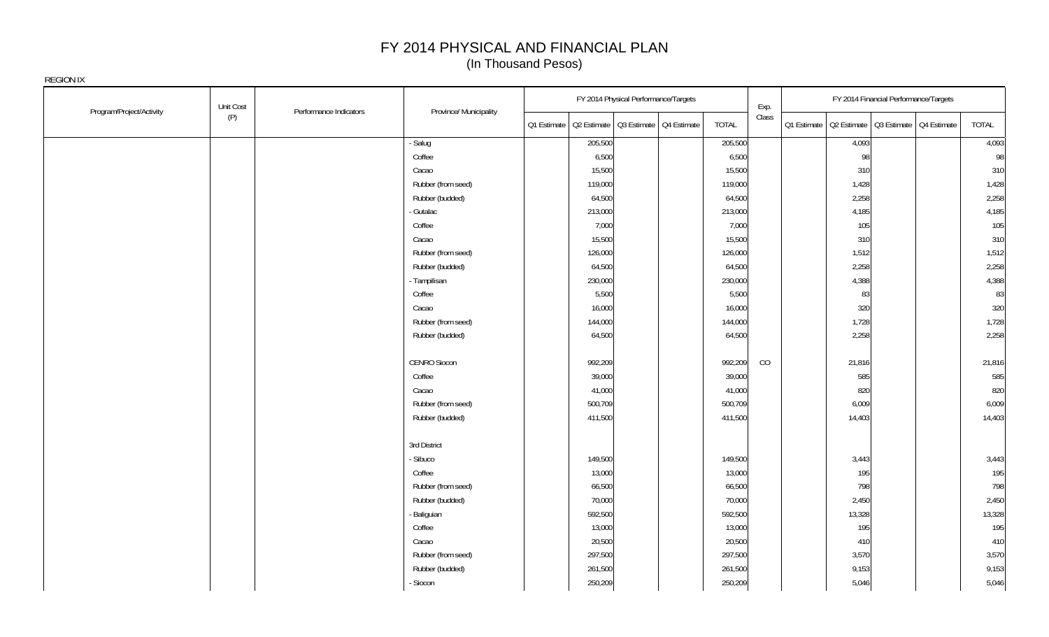|                          | Unit Cost | Performance Indicators | Province/ Municipality | FY 2014 Physical Performance/Targets                  |              | Exp.  | FY 2014 Financial Performance/Targets                 |        |
|--------------------------|-----------|------------------------|------------------------|-------------------------------------------------------|--------------|-------|-------------------------------------------------------|--------|
| Program/Project/Activity | (P)       |                        |                        | Q1 Estimate   Q2 Estimate   Q3 Estimate   Q4 Estimate | <b>TOTAL</b> | Class | Q1 Estimate   Q2 Estimate   Q3 Estimate   Q4 Estimate | TOTAL  |
|                          |           |                        | - Salug                | 205,500                                               | 205,500      |       | 4,093                                                 | 4,093  |
|                          |           |                        | Coffee                 | 6,500                                                 | 6,500        |       | 98                                                    | 98     |
|                          |           |                        | Cacao                  | 15,500                                                | 15,500       |       | 310                                                   | 310    |
|                          |           |                        | Rubber (from seed)     | 119,000                                               | 119,000      |       | 1,428                                                 | 1,428  |
|                          |           |                        | Rubber (budded)        | 64,500                                                | 64,500       |       | 2,258                                                 | 2,258  |
|                          |           |                        | - Gutalac              | 213,000                                               | 213,000      |       | 4,185                                                 | 4,185  |
|                          |           |                        | Coffee                 | 7,000                                                 | 7,000        |       | 105                                                   | 105    |
|                          |           |                        | Cacao                  | 15,500                                                | 15,500       |       | 310                                                   | 310    |
|                          |           |                        | Rubber (from seed)     | 126,000                                               | 126,000      |       | 1,512                                                 | 1,512  |
|                          |           |                        | Rubber (budded)        | 64,500                                                | 64,500       |       | 2,258                                                 | 2,258  |
|                          |           |                        | - Tampilisan           | 230,000                                               | 230,000      |       | 4,388                                                 | 4,388  |
|                          |           |                        | Coffee                 | 5,500                                                 | 5,500        |       | 83                                                    | 83     |
|                          |           |                        | Cacao                  | 16,000                                                | 16,000       |       | 320                                                   | 320    |
|                          |           |                        | Rubber (from seed)     | 144,000                                               | 144,000      |       | 1,728                                                 | 1,728  |
|                          |           |                        | Rubber (budded)        | 64,500                                                | 64,500       |       | 2,258                                                 | 2,258  |
|                          |           |                        | CENRO Siocon           | 992,209                                               | 992,209      | CO    | 21,816                                                | 21,816 |
|                          |           |                        | Coffee                 | 39,000                                                | 39,000       |       | 585                                                   | 585    |
|                          |           |                        | Cacao                  | 41,000                                                | 41,000       |       | 820                                                   | 820    |
|                          |           |                        | Rubber (from seed)     | 500,709                                               | 500,709      |       | 6,009                                                 | 6,009  |
|                          |           |                        | Rubber (budded)        | 411,500                                               | 411,500      |       | 14,403                                                | 14,403 |
|                          |           |                        | 3rd District           |                                                       |              |       |                                                       |        |
|                          |           |                        | - Sibuco               | 149,500                                               | 149,500      |       | 3,443                                                 | 3,443  |
|                          |           |                        | Coffee                 | 13,000                                                | 13,000       |       | 195                                                   | 195    |
|                          |           |                        | Rubber (from seed)     | 66,500                                                | 66,500       |       | 798                                                   | 798    |
|                          |           |                        | Rubber (budded)        | 70,000                                                | 70,000       |       | 2,450                                                 | 2,450  |
|                          |           |                        | - Baliguian            | 592,500                                               | 592,500      |       | 13,328                                                | 13,328 |
|                          |           |                        | Coffee                 | 13,000                                                | 13,000       |       | 195                                                   | 195    |
|                          |           |                        | Cacao                  | 20,500                                                | 20,500       |       | 410                                                   | 410    |
|                          |           |                        | Rubber (from seed)     | 297,500                                               | 297,500      |       | 3,570                                                 | 3,570  |
|                          |           |                        | Rubber (budded)        | 261,500                                               | 261,500      |       | 9,153                                                 | 9,153  |
|                          |           |                        | - Siocon               | 250,209                                               | 250,209      |       | 5,046                                                 | 5,046  |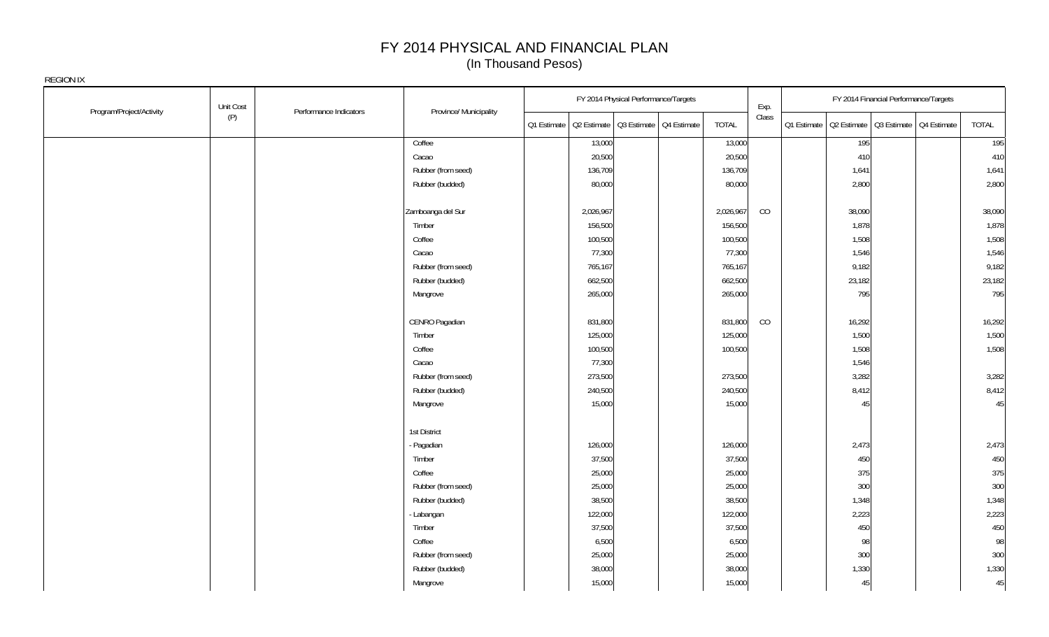| Program/Project/Activity | Unit Cost                     |                        |             | FY 2014 Physical Performance/Targets    |              | Exp.  |                                                       |        | FY 2014 Financial Performance/Targets |        |
|--------------------------|-------------------------------|------------------------|-------------|-----------------------------------------|--------------|-------|-------------------------------------------------------|--------|---------------------------------------|--------|
|                          | Performance Indicators<br>(P) | Province/ Municipality | Q1 Estimate | Q2 Estimate   Q3 Estimate   Q4 Estimate | <b>TOTAL</b> | Class | Q1 Estimate   Q2 Estimate   Q3 Estimate   Q4 Estimate |        |                                       | TOTAL  |
|                          |                               | Coffee                 |             | 13,000                                  | 13,000       |       |                                                       | 195    |                                       | 195    |
|                          |                               | Cacao                  |             | 20,500                                  | 20,500       |       |                                                       | 410    |                                       | 410    |
|                          |                               | Rubber (from seed)     |             | 136,709                                 | 136,709      |       |                                                       | 1,641  |                                       | 1,641  |
|                          |                               | Rubber (budded)        |             | 80,000                                  | 80,000       |       |                                                       | 2,800  |                                       | 2,800  |
|                          |                               | Zamboanga del Sur      |             | 2,026,967                               | 2,026,967    | CO    |                                                       | 38,090 |                                       | 38,090 |
|                          |                               | Timber                 |             | 156,500                                 | 156,500      |       |                                                       | 1,878  |                                       | 1,878  |
|                          |                               | Coffee                 |             | 100,500                                 | 100,500      |       |                                                       | 1,508  |                                       | 1,508  |
|                          |                               | Cacao                  |             | 77,300                                  | 77,300       |       |                                                       | 1,546  |                                       | 1,546  |
|                          |                               | Rubber (from seed)     |             | 765,167                                 | 765,167      |       |                                                       | 9,182  |                                       | 9,182  |
|                          |                               | Rubber (budded)        |             | 662,500                                 | 662,500      |       |                                                       | 23,182 |                                       | 23,182 |
|                          |                               | Mangrove               |             | 265,000                                 | 265,000      |       |                                                       | 795    |                                       | 795    |
|                          |                               | CENRO Pagadian         |             | 831,800                                 | 831,800      | CO    |                                                       | 16,292 |                                       | 16,292 |
|                          |                               | Timber                 |             | 125,000                                 | 125,000      |       |                                                       | 1,500  |                                       | 1,500  |
|                          |                               | Coffee                 |             | 100,500                                 | 100,500      |       |                                                       | 1,508  |                                       | 1,508  |
|                          |                               | Cacao                  |             | 77,300                                  |              |       |                                                       | 1,546  |                                       |        |
|                          |                               | Rubber (from seed)     |             | 273,500                                 | 273,500      |       |                                                       | 3,282  |                                       | 3,282  |
|                          |                               | Rubber (budded)        |             | 240,500                                 | 240,500      |       |                                                       | 8,412  |                                       | 8,412  |
|                          |                               | Mangrove               |             | 15,000                                  | 15,000       |       |                                                       | 45     |                                       | 45     |
|                          |                               | 1st District           |             |                                         |              |       |                                                       |        |                                       |        |
|                          |                               | - Pagadian             |             | 126,000                                 | 126,000      |       |                                                       | 2,473  |                                       | 2,473  |
|                          |                               | Timber                 |             | 37,500                                  | 37,500       |       |                                                       | 450    |                                       | 450    |
|                          |                               | Coffee                 |             | 25,000                                  | 25,000       |       |                                                       | 375    |                                       | 375    |
|                          |                               | Rubber (from seed)     |             | 25,000                                  | 25,000       |       |                                                       | 300    |                                       | 300    |
|                          |                               | Rubber (budded)        |             | 38,500                                  | 38,500       |       |                                                       | 1,348  |                                       | 1,348  |
|                          |                               | - Labangan             |             | 122,000                                 | 122,000      |       |                                                       | 2,223  |                                       | 2,223  |
|                          |                               | Timber                 |             | 37,500                                  | 37,500       |       |                                                       | 450    |                                       | 450    |
|                          |                               | Coffee                 |             | 6,500                                   | 6,500        |       |                                                       | 98     |                                       | 98     |
|                          |                               | Rubber (from seed)     |             | 25,000                                  | 25,000       |       |                                                       | 300    |                                       | 300    |
|                          |                               | Rubber (budded)        |             | 38,000                                  | 38,000       |       |                                                       | 1,330  |                                       | 1,330  |
|                          |                               | Mangrove               |             | 15,000                                  | 15,000       |       |                                                       | 45     |                                       | 45     |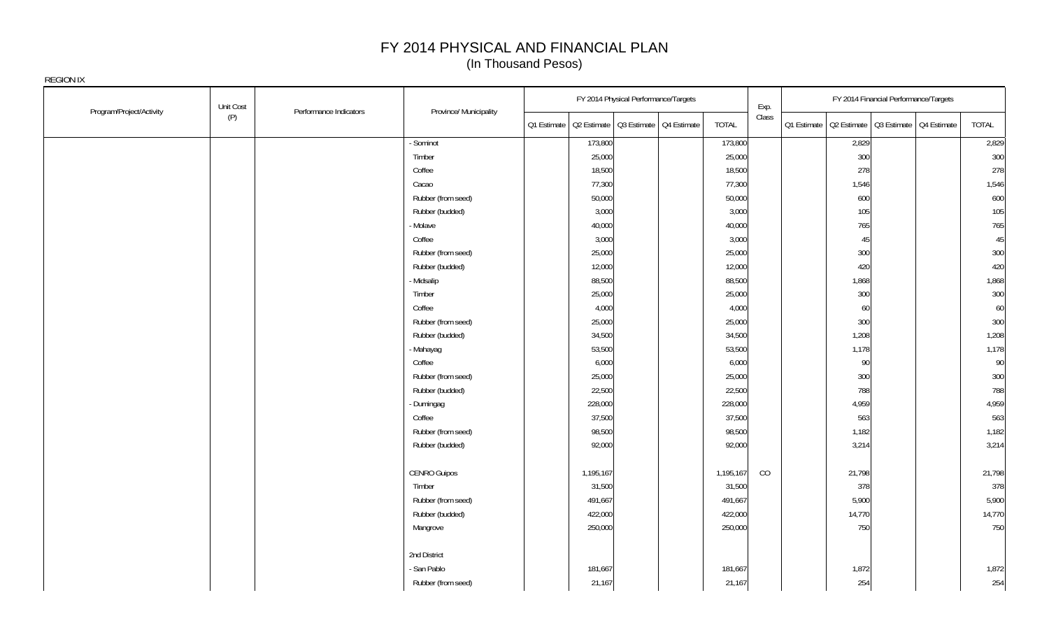|                          | Unit Cost |                        |                        |             | FY 2014 Physical Performance/Targets    |              | Exp.  |                                                       | FY 2014 Financial Performance/Targets |        |
|--------------------------|-----------|------------------------|------------------------|-------------|-----------------------------------------|--------------|-------|-------------------------------------------------------|---------------------------------------|--------|
| Program/Project/Activity | (P)       | Performance Indicators | Province/ Municipality | Q1 Estimate | Q2 Estimate   Q3 Estimate   Q4 Estimate | <b>TOTAL</b> | Class | Q1 Estimate   Q2 Estimate   Q3 Estimate   Q4 Estimate |                                       | TOTAL  |
|                          |           |                        | Sominot                | 173,800     |                                         | 173,800      |       | 2,829                                                 |                                       | 2,829  |
|                          |           |                        | Timber                 | 25,000      |                                         | 25,000       |       | 300                                                   |                                       | 300    |
|                          |           |                        | Coffee                 | 18,500      |                                         | 18,500       |       | 278                                                   |                                       | 278    |
|                          |           |                        | Cacao                  | 77,300      |                                         | 77,300       |       | 1,546                                                 |                                       | 1,546  |
|                          |           |                        | Rubber (from seed)     | 50,000      |                                         | 50,000       |       | 600                                                   |                                       | 600    |
|                          |           |                        | Rubber (budded)        | 3,000       |                                         | 3,000        |       | 105                                                   |                                       | 105    |
|                          |           |                        | - Molave               | 40,000      |                                         | 40,000       |       | 765                                                   |                                       | 765    |
|                          |           |                        | Coffee                 | 3,000       |                                         | 3,000        |       | 45                                                    |                                       | 45     |
|                          |           |                        | Rubber (from seed)     | 25,000      |                                         | 25,000       |       | 300                                                   |                                       | 300    |
|                          |           |                        | Rubber (budded)        | 12,000      |                                         | 12,000       |       | 420                                                   |                                       | 420    |
|                          |           |                        | - Midsalip             | 88,500      |                                         | 88,500       |       | 1,868                                                 |                                       | 1,868  |
|                          |           |                        | Timber                 | 25,000      |                                         | 25,000       |       | 300                                                   |                                       | 300    |
|                          |           |                        | Coffee                 | 4,000       |                                         | 4,000        |       | 60                                                    |                                       | 60     |
|                          |           |                        | Rubber (from seed)     | 25,000      |                                         | 25,000       |       | 300                                                   |                                       | 300    |
|                          |           |                        | Rubber (budded)        | 34,500      |                                         | 34,500       |       | 1,208                                                 |                                       | 1,208  |
|                          |           |                        | - Mahayag              | 53,500      |                                         | 53,500       |       | 1,178                                                 |                                       | 1,178  |
|                          |           |                        | Coffee                 | 6,000       |                                         | 6,000        |       | 90                                                    |                                       | 90     |
|                          |           |                        | Rubber (from seed)     | 25,000      |                                         | 25,000       |       | 300                                                   |                                       | 300    |
|                          |           |                        | Rubber (budded)        | 22,500      |                                         | 22,500       |       | 788                                                   |                                       | 788    |
|                          |           |                        | - Dumingag             | 228,000     |                                         | 228,000      |       | 4,959                                                 |                                       | 4,959  |
|                          |           |                        | Coffee                 | 37,500      |                                         | 37,500       |       | 563                                                   |                                       | 563    |
|                          |           |                        | Rubber (from seed)     | 98,500      |                                         | 98,500       |       | 1,182                                                 |                                       | 1,182  |
|                          |           |                        | Rubber (budded)        | 92,000      |                                         | 92,000       |       | 3,214                                                 |                                       | 3,214  |
|                          |           |                        | <b>CENRO Guipos</b>    | 1,195,167   |                                         | 1,195,167    | CO    | 21,798                                                |                                       | 21,798 |
|                          |           |                        | Timber                 | 31,500      |                                         | 31,500       |       | 378                                                   |                                       | 378    |
|                          |           |                        | Rubber (from seed)     | 491,667     |                                         | 491,667      |       | 5,900                                                 |                                       | 5,900  |
|                          |           |                        | Rubber (budded)        | 422,000     |                                         | 422,000      |       | 14,770                                                |                                       | 14,770 |
|                          |           |                        | Mangrove               | 250,000     |                                         | 250,000      |       | 750                                                   |                                       | 750    |
|                          |           |                        | 2nd District           |             |                                         |              |       |                                                       |                                       |        |
|                          |           |                        | - San Pablo            | 181,667     |                                         | 181,667      |       | 1,872                                                 |                                       | 1,872  |
|                          |           |                        | Rubber (from seed)     | 21,167      |                                         | 21,167       |       | 254                                                   |                                       | 254    |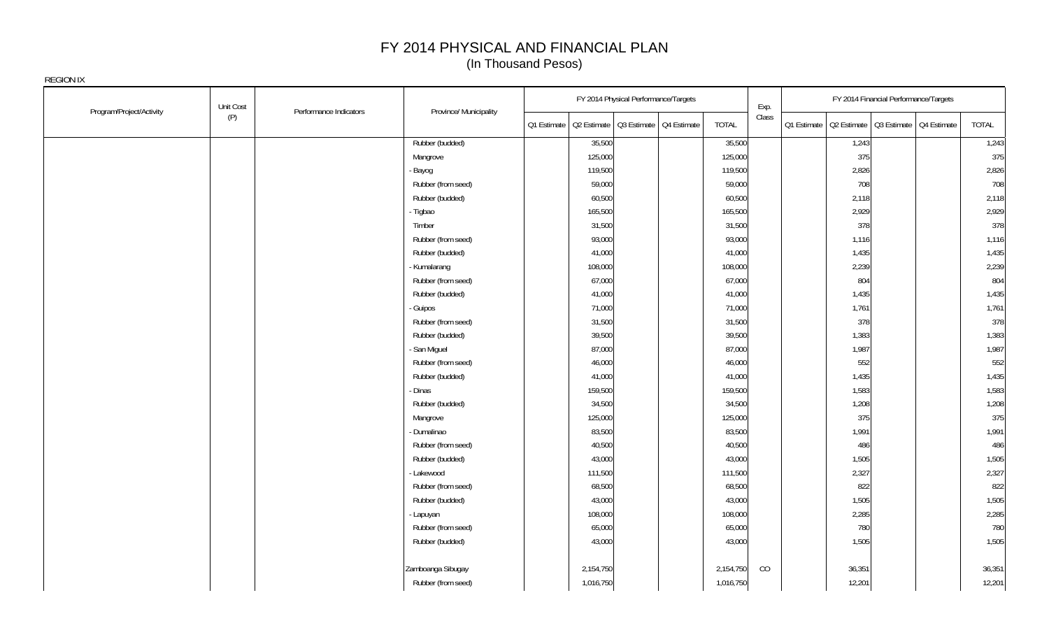| Program/Project/Activity | Unit Cost                     |                        |             | FY 2014 Physical Performance/Targets    |              | Exp.  |                                                       | FY 2014 Financial Performance/Targets |        |
|--------------------------|-------------------------------|------------------------|-------------|-----------------------------------------|--------------|-------|-------------------------------------------------------|---------------------------------------|--------|
|                          | Performance Indicators<br>(P) | Province/ Municipality | Q1 Estimate | Q2 Estimate   Q3 Estimate   Q4 Estimate | <b>TOTAL</b> | Class | Q1 Estimate   Q2 Estimate   Q3 Estimate   Q4 Estimate |                                       | TOTAL  |
|                          |                               | Rubber (budded)        |             | 35,500                                  | 35,500       |       | 1,243                                                 |                                       | 1,243  |
|                          |                               | Mangrove               |             | 125,000                                 | 125,000      |       | 375                                                   |                                       | 375    |
|                          |                               | Bayog                  |             | 119,500                                 | 119,500      |       | 2,826                                                 |                                       | 2,826  |
|                          |                               | Rubber (from seed)     |             | 59,000                                  | 59,000       |       | 708                                                   |                                       | 708    |
|                          |                               | Rubber (budded)        |             | 60,500                                  | 60,500       |       | 2,118                                                 |                                       | 2,118  |
|                          |                               | - Tigbao               |             | 165,500                                 | 165,500      |       | 2,929                                                 |                                       | 2,929  |
|                          |                               | Timber                 |             | 31,500                                  | 31,500       |       | 378                                                   |                                       | 378    |
|                          |                               | Rubber (from seed)     |             | 93,000                                  | 93,000       |       | 1,116                                                 |                                       | 1,116  |
|                          |                               | Rubber (budded)        |             | 41,000                                  | 41,000       |       | 1,435                                                 |                                       | 1,435  |
|                          |                               | - Kumalarang           |             | 108,000                                 | 108,000      |       | 2,239                                                 |                                       | 2,239  |
|                          |                               | Rubber (from seed)     |             | 67,000                                  | 67,000       |       | 804                                                   |                                       | 804    |
|                          |                               | Rubber (budded)        |             | 41,000                                  | 41,000       |       | 1,435                                                 |                                       | 1,435  |
|                          |                               | - Guipos               |             | 71,000                                  | 71,000       |       | 1,761                                                 |                                       | 1,761  |
|                          |                               | Rubber (from seed)     |             | 31,500                                  | 31,500       |       | 378                                                   |                                       | 378    |
|                          |                               | Rubber (budded)        |             | 39,500                                  | 39,500       |       | 1,383                                                 |                                       | 1,383  |
|                          |                               | San Miguel             |             | 87,000                                  | 87,000       |       | 1,987                                                 |                                       | 1,987  |
|                          |                               | Rubber (from seed)     |             | 46,000                                  | 46,000       |       | 552                                                   |                                       | 552    |
|                          |                               | Rubber (budded)        |             | 41,000                                  | 41,000       |       | 1,435                                                 |                                       | 1,435  |
|                          |                               | - Dinas                |             | 159,500                                 | 159,500      |       | 1,583                                                 |                                       | 1,583  |
|                          |                               | Rubber (budded)        |             | 34,500                                  | 34,500       |       | 1,208                                                 |                                       | 1,208  |
|                          |                               | Mangrove               |             | 125,000                                 | 125,000      |       | 375                                                   |                                       | 375    |
|                          |                               | Dumalinao              |             | 83,500                                  | 83,500       |       | 1,991                                                 |                                       | 1,991  |
|                          |                               | Rubber (from seed)     |             | 40,500                                  | 40,500       |       | 486                                                   |                                       | 486    |
|                          |                               | Rubber (budded)        |             | 43,000                                  | 43,000       |       | 1,505                                                 |                                       | 1,505  |
|                          |                               | - Lakewood             |             | 111,500                                 | 111,500      |       | 2,327                                                 |                                       | 2,327  |
|                          |                               | Rubber (from seed)     |             | 68,500                                  | 68,500       |       | 822                                                   |                                       | 822    |
|                          |                               | Rubber (budded)        |             | 43,000                                  | 43,000       |       | 1,505                                                 |                                       | 1,505  |
|                          |                               | - Lapuyan              |             | 108,000                                 | 108,000      |       | 2,285                                                 |                                       | 2,285  |
|                          |                               | Rubber (from seed)     |             | 65,000                                  | 65,000       |       | 780                                                   |                                       | 780    |
|                          |                               | Rubber (budded)        |             | 43,000                                  | 43,000       |       | 1,505                                                 |                                       | 1,505  |
|                          |                               | Zamboanga Sibugay      |             | 2,154,750                               | 2,154,750    | CO    | 36,351                                                |                                       | 36,351 |
|                          |                               | Rubber (from seed)     |             | 1,016,750                               | 1,016,750    |       | 12,201                                                |                                       | 12,201 |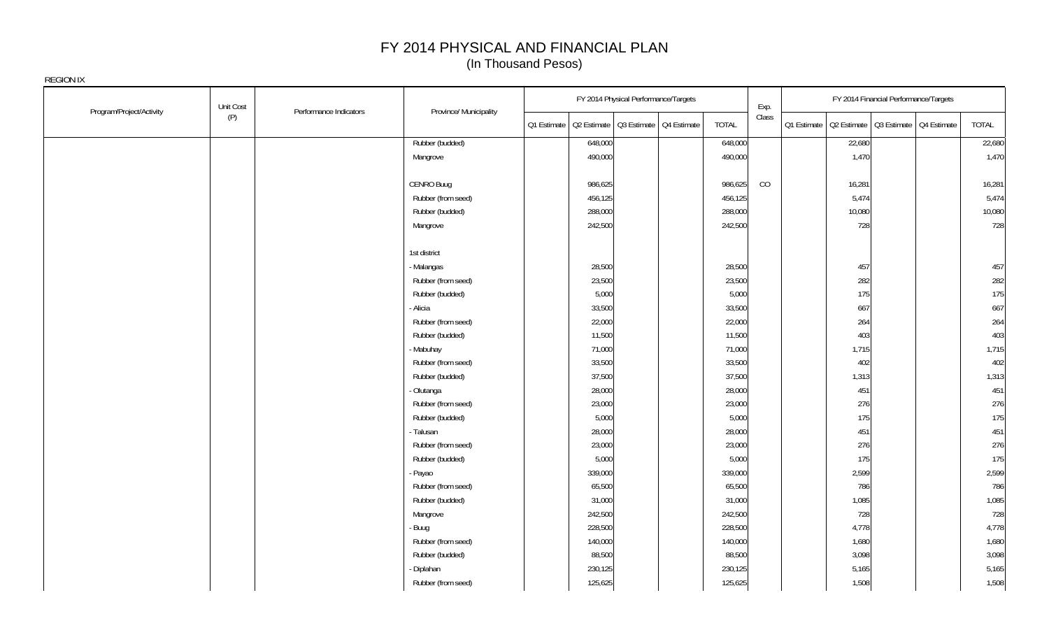| Program/Project/Activity | Unit Cost | Performance Indicators | Province/ Municipality |             | FY 2014 Physical Performance/Targets    |              | Exp.  |                                                       | FY 2014 Financial Performance/Targets |        |
|--------------------------|-----------|------------------------|------------------------|-------------|-----------------------------------------|--------------|-------|-------------------------------------------------------|---------------------------------------|--------|
|                          | (P)       |                        |                        | Q1 Estimate | Q2 Estimate   Q3 Estimate   Q4 Estimate | <b>TOTAL</b> | Class | Q1 Estimate   Q2 Estimate   Q3 Estimate   Q4 Estimate |                                       | TOTAL  |
|                          |           |                        | Rubber (budded)        |             | 648,000                                 | 648,000      |       | 22,680                                                |                                       | 22,680 |
|                          |           |                        | Mangrove               |             | 490,000                                 | 490,000      |       | 1,470                                                 |                                       | 1,470  |
|                          |           |                        |                        |             |                                         |              |       |                                                       |                                       |        |
|                          |           |                        | CENRO Buug             |             | 986,625                                 | 986,625      | CO    | 16,281                                                |                                       | 16,281 |
|                          |           |                        | Rubber (from seed)     |             | 456,125                                 | 456,125      |       | 5,474                                                 |                                       | 5,474  |
|                          |           |                        | Rubber (budded)        |             | 288,000                                 | 288,000      |       | 10,080                                                |                                       | 10,080 |
|                          |           |                        | Mangrove               |             | 242,500                                 | 242,500      |       | 728                                                   |                                       | 728    |
|                          |           |                        |                        |             |                                         |              |       |                                                       |                                       |        |
|                          |           |                        | 1st district           |             |                                         |              |       |                                                       |                                       |        |
|                          |           |                        | - Malangas             |             | 28,500                                  | 28,500       |       | 457                                                   |                                       | 457    |
|                          |           |                        | Rubber (from seed)     |             | 23,500                                  | 23,500       |       | 282                                                   |                                       | 282    |
|                          |           |                        | Rubber (budded)        |             | 5,000                                   | 5,000        |       | 175                                                   |                                       | 175    |
|                          |           |                        | Alicia                 |             | 33,500                                  | 33,500       |       | 667                                                   |                                       | 667    |
|                          |           |                        | Rubber (from seed)     |             | 22,000                                  | 22,000       |       | 264                                                   |                                       | 264    |
|                          |           |                        | Rubber (budded)        |             | 11,500                                  | 11,500       |       | 403                                                   |                                       | 403    |
|                          |           |                        | - Mabuhay              |             | 71,000                                  | 71,000       |       | 1,715                                                 |                                       | 1,715  |
|                          |           |                        | Rubber (from seed)     |             | 33,500                                  | 33,500       |       | 402                                                   |                                       | 402    |
|                          |           |                        | Rubber (budded)        |             | 37,500                                  | 37,500       |       | 1,313                                                 |                                       | 1,313  |
|                          |           |                        | Olutanga               |             | 28,000                                  | 28,000       |       | 451                                                   |                                       | 451    |
|                          |           |                        | Rubber (from seed)     |             | 23,000                                  | 23,000       |       | 276                                                   |                                       | 276    |
|                          |           |                        | Rubber (budded)        |             | 5,000                                   | 5,000        |       | 175                                                   |                                       | 175    |
|                          |           |                        | - Talusan              |             | 28,000                                  | 28,000       |       | 451                                                   |                                       | 451    |
|                          |           |                        | Rubber (from seed)     |             | 23,000                                  | 23,000       |       | 276                                                   |                                       | 276    |
|                          |           |                        | Rubber (budded)        |             | 5,000                                   | 5,000        |       | 175                                                   |                                       | 175    |
|                          |           |                        | Payao                  |             | 339,000                                 | 339,000      |       | 2,599                                                 |                                       | 2,599  |
|                          |           |                        | Rubber (from seed)     |             | 65,500                                  | 65,500       |       | 786                                                   |                                       | 786    |
|                          |           |                        | Rubber (budded)        |             | 31,000                                  | 31,000       |       | 1,085                                                 |                                       | 1,085  |
|                          |           |                        | Mangrove               |             | 242,500                                 | 242,500      |       | 728                                                   |                                       | 728    |
|                          |           |                        | Buug                   |             | 228,500                                 | 228,500      |       | 4,778                                                 |                                       | 4,778  |
|                          |           |                        | Rubber (from seed)     |             | 140,000                                 | 140,000      |       | 1,680                                                 |                                       | 1,680  |
|                          |           |                        | Rubber (budded)        |             | 88,500                                  | 88,500       |       | 3,098                                                 |                                       | 3,098  |
|                          |           |                        | Diplahan               |             | 230,125                                 | 230,125      |       | 5,165                                                 |                                       | 5,165  |
|                          |           |                        | Rubber (from seed)     |             | 125,625                                 | 125,625      |       | 1,508                                                 |                                       | 1,508  |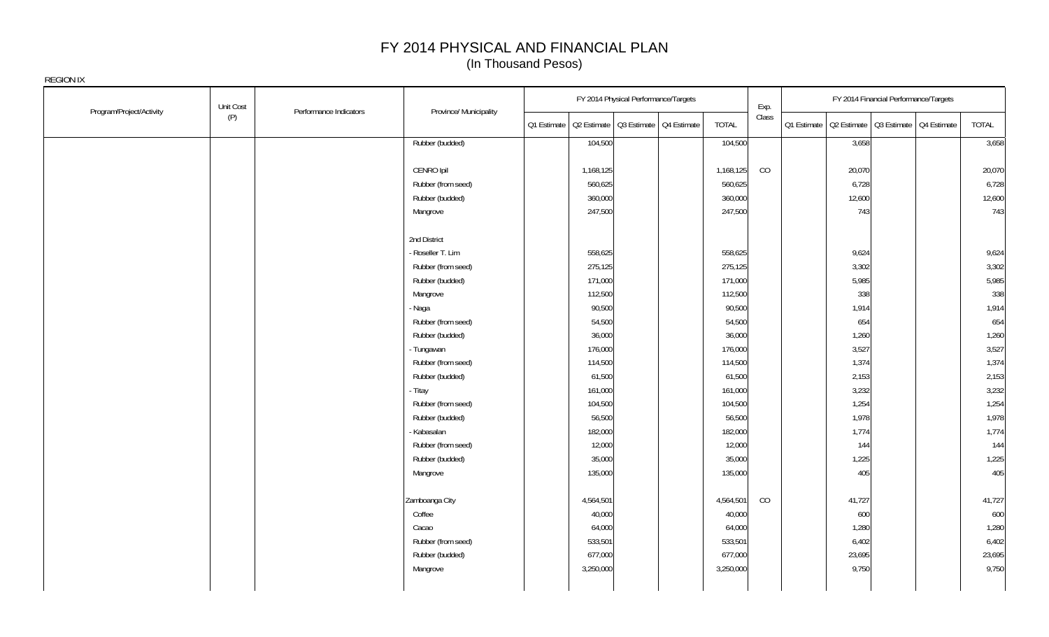| Program/Project/Activity | Unit Cost                     | Province/ Municipality |             | FY 2014 Physical Performance/Targets    |              | Exp.  |                                                       | FY 2014 Financial Performance/Targets |        |
|--------------------------|-------------------------------|------------------------|-------------|-----------------------------------------|--------------|-------|-------------------------------------------------------|---------------------------------------|--------|
|                          | Performance Indicators<br>(P) |                        | Q1 Estimate | Q2 Estimate   Q3 Estimate   Q4 Estimate | <b>TOTAL</b> | Class | 01 Estimate   02 Estimate   03 Estimate   04 Estimate |                                       | TOTAL  |
|                          |                               | Rubber (budded)        |             | 104,500                                 | 104,500      |       | 3,658                                                 |                                       | 3,658  |
|                          |                               |                        |             |                                         |              |       |                                                       |                                       |        |
|                          |                               | CENRO Ipil             |             | 1,168,125                               | 1,168,125    | CO    | 20,070                                                |                                       | 20,070 |
|                          |                               | Rubber (from seed)     |             | 560,625                                 | 560,625      |       | 6,728                                                 |                                       | 6,728  |
|                          |                               | Rubber (budded)        |             | 360,000                                 | 360,000      |       | 12,600                                                |                                       | 12,600 |
|                          |                               | Mangrove               |             | 247,500                                 | 247,500      |       | 743                                                   |                                       | 743    |
|                          |                               | 2nd District           |             |                                         |              |       |                                                       |                                       |        |
|                          |                               | - Roseller T. Lim      |             | 558,625                                 | 558,625      |       | 9,624                                                 |                                       | 9,624  |
|                          |                               | Rubber (from seed)     |             | 275,125                                 | 275,125      |       | 3,302                                                 |                                       | 3,302  |
|                          |                               | Rubber (budded)        |             | 171,000                                 | 171,000      |       | 5,985                                                 |                                       | 5,985  |
|                          |                               | Mangrove               |             | 112,500                                 | 112,500      |       | 338                                                   |                                       | 338    |
|                          |                               | - Naga                 |             | 90,500                                  | 90,500       |       | 1,914                                                 |                                       | 1,914  |
|                          |                               | Rubber (from seed)     |             | 54,500                                  | 54,500       |       | 654                                                   |                                       | 654    |
|                          |                               | Rubber (budded)        |             | 36,000                                  | 36,000       |       | 1,260                                                 |                                       | 1,260  |
|                          |                               | - Tungawan             |             | 176,000                                 | 176,000      |       | 3,527                                                 |                                       | 3,527  |
|                          |                               | Rubber (from seed)     |             | 114,500                                 | 114,500      |       | 1,374                                                 |                                       | 1,374  |
|                          |                               | Rubber (budded)        |             | 61,500                                  | 61,500       |       | 2,153                                                 |                                       | 2,153  |
|                          |                               | - Titay                |             | 161,000                                 | 161,000      |       | 3,232                                                 |                                       | 3,232  |
|                          |                               | Rubber (from seed)     |             | 104,500                                 | 104,500      |       | 1,254                                                 |                                       | 1,254  |
|                          |                               | Rubber (budded)        |             | 56,500                                  | 56,500       |       | 1,978                                                 |                                       | 1,978  |
|                          |                               | Kabasalan              |             | 182,000                                 | 182,000      |       | 1,774                                                 |                                       | 1,774  |
|                          |                               | Rubber (from seed)     |             | 12,000                                  | 12,000       |       | 144                                                   |                                       | 144    |
|                          |                               | Rubber (budded)        |             | 35,000                                  | 35,000       |       | 1,225                                                 |                                       | 1,225  |
|                          |                               | Mangrove               |             | 135,000                                 | 135,000      |       | 405                                                   |                                       | 405    |
|                          |                               | Zamboanga City         |             | 4,564,501                               | 4,564,501    | CO    | 41,727                                                |                                       | 41,727 |
|                          |                               | Coffee                 |             | 40,000                                  | 40,000       |       | 600                                                   |                                       | 600    |
|                          |                               | Cacao                  |             | 64,000                                  | 64,000       |       | 1,280                                                 |                                       | 1,280  |
|                          |                               | Rubber (from seed)     |             | 533,501                                 | 533,501      |       | 6,402                                                 |                                       | 6,402  |
|                          |                               | Rubber (budded)        |             | 677,000                                 | 677,000      |       | 23,695                                                |                                       | 23,695 |
|                          |                               | Mangrove               |             | 3,250,000                               | 3,250,000    |       | 9,750                                                 |                                       | 9,750  |
|                          |                               |                        |             |                                         |              |       |                                                       |                                       |        |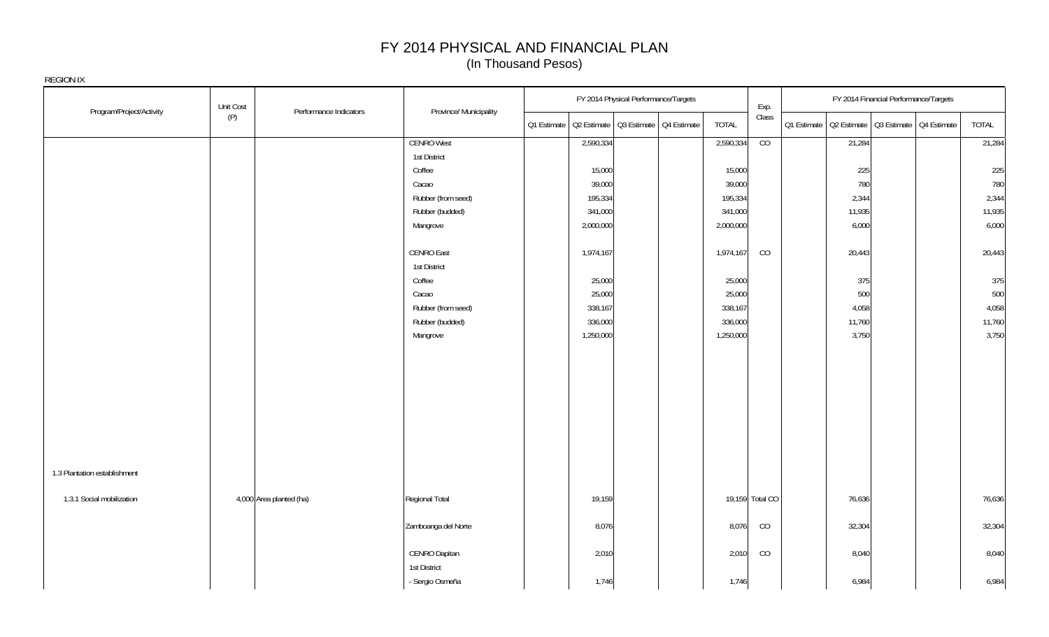|                                                           | Unit Cost                     |                               | FY 2014 Physical Performance/Targets                  |              | Exp.            |        | FY 2014 Financial Performance/Targets |                                                       |        |
|-----------------------------------------------------------|-------------------------------|-------------------------------|-------------------------------------------------------|--------------|-----------------|--------|---------------------------------------|-------------------------------------------------------|--------|
| Program/Project/Activity                                  | Performance Indicators<br>(P) | Province/ Municipality        | Q1 Estimate   Q2 Estimate   Q3 Estimate   Q4 Estimate | <b>TOTAL</b> | Class           |        |                                       | 01 Estimate   02 Estimate   03 Estimate   04 Estimate | TOTAL  |
|                                                           |                               | <b>CENRO West</b>             | 2,590,334                                             | 2,590,334    | CO              | 21,284 |                                       |                                                       | 21,284 |
|                                                           |                               | 1st District                  |                                                       |              |                 |        |                                       |                                                       |        |
|                                                           |                               | Coffee                        | 15,000                                                | 15,000       |                 | 225    |                                       |                                                       | 225    |
|                                                           |                               | Cacao                         | 39,000                                                | 39,000       |                 | 780    |                                       |                                                       | 780    |
|                                                           |                               | Rubber (from seed)            | 195,334                                               | 195,334      |                 | 2,344  |                                       |                                                       | 2,344  |
|                                                           |                               | Rubber (budded)               | 341,000                                               | 341,000      |                 | 11,935 |                                       |                                                       | 11,935 |
|                                                           |                               | Mangrove                      | 2,000,000                                             | 2,000,000    |                 | 6,000  |                                       |                                                       | 6,000  |
|                                                           |                               | <b>CENRO East</b>             | 1,974,167                                             | 1,974,167    | CO              | 20,443 |                                       |                                                       | 20,443 |
|                                                           |                               | 1st District                  |                                                       |              |                 |        |                                       |                                                       |        |
|                                                           |                               | Coffee                        | 25,000                                                | 25,000       |                 | 375    |                                       |                                                       | 375    |
|                                                           |                               | Cacao                         | 25,000                                                | 25,000       |                 | 500    |                                       |                                                       | 500    |
|                                                           |                               | Rubber (from seed)            | 338,167                                               | 338,167      |                 | 4,058  |                                       |                                                       | 4,058  |
|                                                           |                               | Rubber (budded)               | 336,000                                               | 336,000      |                 | 11,760 |                                       |                                                       | 11,760 |
|                                                           |                               | Mangrove                      | 1,250,000                                             | 1,250,000    |                 | 3,750  |                                       |                                                       | 3,750  |
| 1.3 Plantation establishment<br>1.3.1 Social mobilization | 4,000 Area planted (ha)       | Regional Total                | 19,159                                                |              | 19,159 Total CO | 76,636 |                                       |                                                       | 76,636 |
|                                                           |                               |                               |                                                       |              |                 |        |                                       |                                                       |        |
|                                                           |                               | Zamboanga del Norte           | 8,076                                                 | 8,076        | CO              | 32,304 |                                       |                                                       | 32,304 |
|                                                           |                               | CENRO Dapitan<br>1st District | 2,010                                                 | 2,010        | CO              | 8,040  |                                       |                                                       | 8,040  |
|                                                           |                               | - Sergio Osmeña               | 1,746                                                 | 1,746        |                 | 6,984  |                                       |                                                       | 6,984  |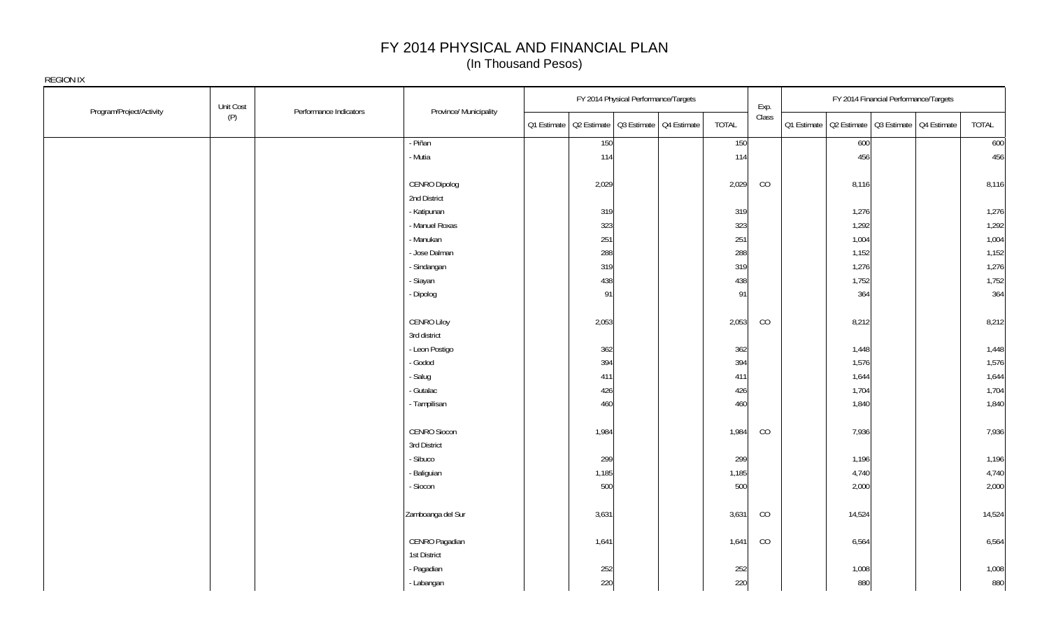| Program/Project/Activity | Unit Cost | Performance Indicators | Province/ Municipality |       | FY 2014 Physical Performance/Targets                  |       | Exp.  |        | FY 2014 Financial Performance/Targets                 |        |
|--------------------------|-----------|------------------------|------------------------|-------|-------------------------------------------------------|-------|-------|--------|-------------------------------------------------------|--------|
|                          | (P)       |                        |                        |       | 01 Estimate   02 Estimate   03 Estimate   04 Estimate | TOTAL | Class |        | 01 Estimate   02 Estimate   03 Estimate   04 Estimate | TOTAL  |
|                          |           |                        | - Piñan                | 150   |                                                       | 150   |       | 600    |                                                       | 600    |
|                          |           |                        | - Mutia                | 114   |                                                       | 114   |       | 456    |                                                       | 456    |
|                          |           |                        |                        |       |                                                       |       |       |        |                                                       |        |
|                          |           |                        | CENRO Dipolog          | 2,029 |                                                       | 2,029 | CO    | 8,116  |                                                       | 8,116  |
|                          |           |                        | 2nd District           |       |                                                       |       |       |        |                                                       |        |
|                          |           |                        | - Katipunan            | 319   |                                                       | 319   |       | 1,276  |                                                       | 1,276  |
|                          |           |                        | - Manuel Roxas         | 323   |                                                       | 323   |       | 1,292  |                                                       | 1,292  |
|                          |           |                        | - Manukan              | 251   |                                                       | 251   |       | 1,004  |                                                       | 1,004  |
|                          |           |                        | - Jose Dalman          | 288   |                                                       | 288   |       | 1,152  |                                                       | 1,152  |
|                          |           |                        | - Sindangan            | 319   |                                                       | 319   |       | 1,276  |                                                       | 1,276  |
|                          |           |                        | - Siayan               | 438   |                                                       | 438   |       | 1,752  |                                                       | 1,752  |
|                          |           |                        | - Dipolog              | 91    |                                                       | 91    |       | 364    |                                                       | 364    |
|                          |           |                        |                        |       |                                                       |       |       |        |                                                       |        |
|                          |           |                        | CENRO Liloy            | 2,053 |                                                       | 2,053 | CO    | 8,212  |                                                       | 8,212  |
|                          |           |                        | 3rd district           |       |                                                       |       |       |        |                                                       |        |
|                          |           |                        | - Leon Postigo         | 362   |                                                       | 362   |       | 1,448  |                                                       | 1,448  |
|                          |           |                        | - Godod                | 394   |                                                       | 394   |       | 1,576  |                                                       | 1,576  |
|                          |           |                        | - Salug                | 411   |                                                       | 411   |       | 1,644  |                                                       | 1,644  |
|                          |           |                        | - Gutalac              | 426   |                                                       | 426   |       | 1,704  |                                                       | 1,704  |
|                          |           |                        | - Tampilisan           | 460   |                                                       | 460   |       | 1,840  |                                                       | 1,840  |
|                          |           |                        |                        |       |                                                       |       |       |        |                                                       |        |
|                          |           |                        | CENRO Siocon           | 1,984 |                                                       | 1,984 | CO    | 7,936  |                                                       | 7,936  |
|                          |           |                        | 3rd District           |       |                                                       |       |       |        |                                                       |        |
|                          |           |                        | - Sibuco               | 299   |                                                       | 299   |       | 1,196  |                                                       | 1,196  |
|                          |           |                        | - Baliguian            | 1,185 |                                                       | 1,185 |       | 4,740  |                                                       | 4,740  |
|                          |           |                        | - Siocon               | 500   |                                                       | 500   |       | 2,000  |                                                       | 2,000  |
|                          |           |                        |                        |       |                                                       |       |       |        |                                                       |        |
|                          |           |                        | Zamboanga del Sur      | 3,631 |                                                       | 3,631 | CO    | 14,524 |                                                       | 14,524 |
|                          |           |                        |                        |       |                                                       |       |       |        |                                                       |        |
|                          |           |                        | CENRO Pagadian         | 1,641 |                                                       | 1,641 | CO    | 6,564  |                                                       | 6,564  |
|                          |           |                        | 1st District           |       |                                                       |       |       |        |                                                       |        |
|                          |           |                        | - Pagadian             | 252   |                                                       | 252   |       | 1,008  |                                                       | 1,008  |
|                          |           |                        | - Labangan             | 220   |                                                       | 220   |       | 880    |                                                       | 880    |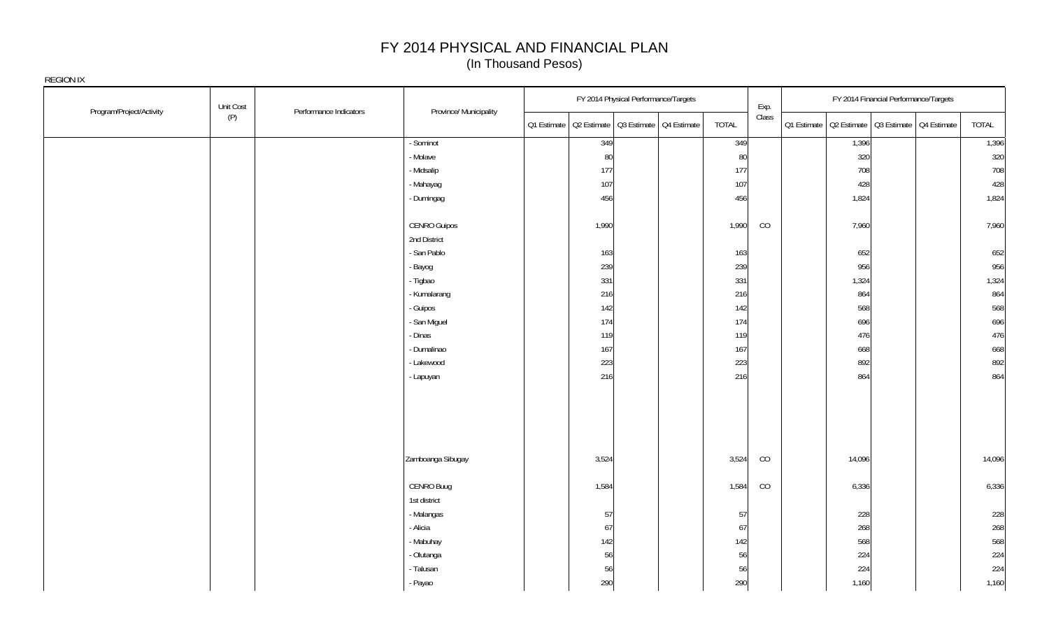|                          | Unit Cost |                        |                        |                                                       | FY 2014 Physical Performance/Targets |       | Exp.  | FY 2014 Financial Performance/Targets                 |        |
|--------------------------|-----------|------------------------|------------------------|-------------------------------------------------------|--------------------------------------|-------|-------|-------------------------------------------------------|--------|
| Program/Project/Activity | (P)       | Performance Indicators | Province/ Municipality | 01 Estimate   02 Estimate   03 Estimate   04 Estimate |                                      | TOTAL | Class | 01 Estimate   02 Estimate   03 Estimate   04 Estimate | TOTAL  |
|                          |           |                        | - Sominot              | 349                                                   |                                      | 349   |       | 1,396                                                 | 1,396  |
|                          |           |                        | - Molave               | 80                                                    |                                      | 80    |       | 320                                                   | 320    |
|                          |           |                        | - Midsalip             | 177                                                   |                                      | 177   |       | 708                                                   | 708    |
|                          |           |                        | - Mahayag              | 107                                                   |                                      | 107   |       | 428                                                   | 428    |
|                          |           |                        | - Dumingag             | 456                                                   |                                      | 456   |       | 1,824                                                 | 1,824  |
|                          |           |                        | <b>CENRO Guipos</b>    | 1,990                                                 |                                      | 1,990 | CO    | 7,960                                                 | 7,960  |
|                          |           |                        | 2nd District           |                                                       |                                      |       |       |                                                       |        |
|                          |           |                        | - San Pablo            | 163                                                   |                                      | 163   |       | 652                                                   | 652    |
|                          |           |                        | - Bayog                | 239                                                   |                                      | 239   |       | 956                                                   | 956    |
|                          |           |                        | - Tigbao               | 331                                                   |                                      | 331   |       | 1,324                                                 | 1,324  |
|                          |           |                        | - Kumalarang           | 216                                                   |                                      | 216   |       | 864                                                   | 864    |
|                          |           |                        | - Guipos               | 142                                                   |                                      | 142   |       | 568                                                   | 568    |
|                          |           |                        | - San Miguel           | 174                                                   |                                      | 174   |       | 696                                                   | 696    |
|                          |           |                        | - Dinas                | 119                                                   |                                      | 119   |       | 476                                                   | 476    |
|                          |           |                        | - Dumalinao            | 167                                                   |                                      | 167   |       | 668                                                   | 668    |
|                          |           |                        | - Lakewood             | 223                                                   |                                      | 223   |       | 892                                                   | 892    |
|                          |           |                        | - Lapuyan              | 216                                                   |                                      | 216   |       | 864                                                   | 864    |
|                          |           |                        |                        |                                                       |                                      |       |       |                                                       |        |
|                          |           |                        |                        |                                                       |                                      |       |       |                                                       |        |
|                          |           |                        | Zamboanga Sibugay      | 3,524                                                 |                                      | 3,524 | CO    | 14,096                                                | 14,096 |
|                          |           |                        | CENRO Buug             | 1,584                                                 |                                      | 1,584 | CO    | 6,336                                                 | 6,336  |
|                          |           |                        | 1st district           |                                                       |                                      |       |       |                                                       |        |
|                          |           |                        | - Malangas             | 57                                                    |                                      | 57    |       | 228                                                   | 228    |
|                          |           |                        | - Alicia               | 67                                                    |                                      | 67    |       | 268                                                   | 268    |
|                          |           |                        | - Mabuhay              | 142                                                   |                                      | 142   |       | 568                                                   | 568    |
|                          |           |                        | - Olutanga             | 56                                                    |                                      | 56    |       | 224                                                   | 224    |
|                          |           |                        | - Talusan              | 56                                                    |                                      | 56    |       | 224                                                   | 224    |
|                          |           |                        | - Payao                | 290                                                   |                                      | 290   |       | 1,160                                                 | 1,160  |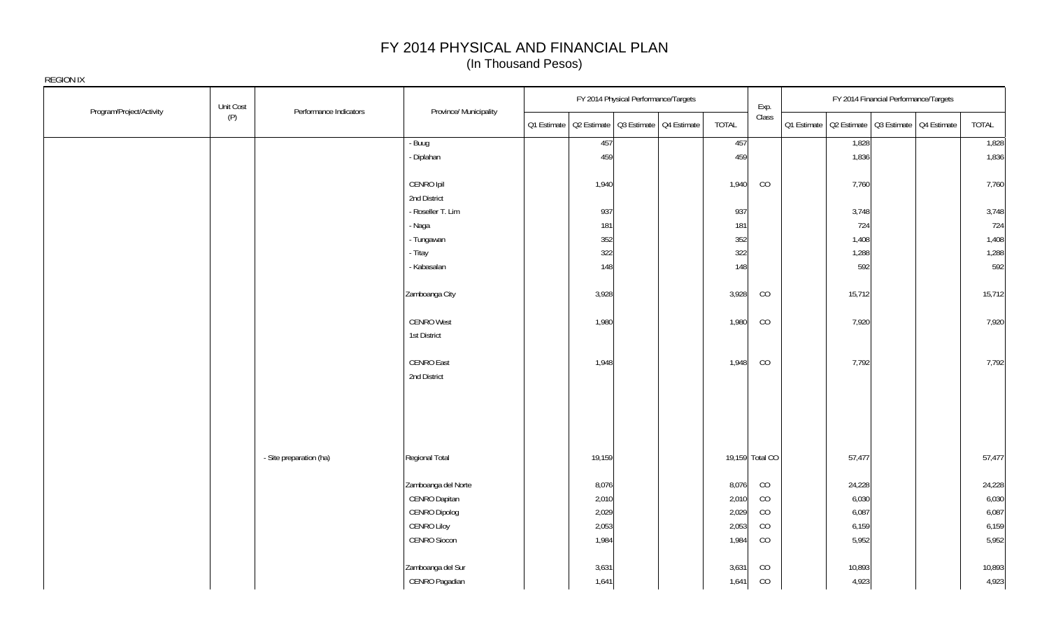| Program/Project/Activity | Unit Cost | Performance Indicators  | Province/ Municipality | FY 2014 Physical Performance/Targets                  |                 | Exp.        | FY 2014 Financial Performance/Targets                 |        |
|--------------------------|-----------|-------------------------|------------------------|-------------------------------------------------------|-----------------|-------------|-------------------------------------------------------|--------|
|                          | (P)       |                         |                        | Q1 Estimate   Q2 Estimate   Q3 Estimate   Q4 Estimate | <b>TOTAL</b>    | Class       | Q1 Estimate   Q2 Estimate   Q3 Estimate   Q4 Estimate | TOTAL  |
|                          |           |                         | - Buug                 | 457                                                   | 457             |             | 1,828                                                 | 1,828  |
|                          |           |                         | - Diplahan             | 459                                                   | 459             |             | 1,836                                                 | 1,836  |
|                          |           |                         | CENRO Ipil             | 1,940                                                 | 1,940           | CO          | 7,760                                                 | 7,760  |
|                          |           |                         | 2nd District           |                                                       |                 |             |                                                       |        |
|                          |           |                         | - Roseller T. Lim      | 937                                                   | 937             |             | 3,748                                                 | 3,748  |
|                          |           |                         | - Naga                 | 181                                                   | 181             |             | 724                                                   | 724    |
|                          |           |                         | - Tungawan             | 352                                                   | 352             |             | 1,408                                                 | 1,408  |
|                          |           |                         | - Titay                | 322                                                   | 322             |             | 1,288                                                 | 1,288  |
|                          |           |                         | - Kabasalan            | 148                                                   | 148             |             | 592                                                   | 592    |
|                          |           |                         | Zamboanga City         | 3,928                                                 | 3,928           | CO          | 15,712                                                | 15,712 |
|                          |           |                         | <b>CENRO West</b>      | 1,980                                                 | 1,980           | CO          | 7,920                                                 | 7,920  |
|                          |           |                         | 1st District           |                                                       |                 |             |                                                       |        |
|                          |           |                         | CENRO East             | 1,948                                                 | 1,948           | CO          | 7,792                                                 | 7,792  |
|                          |           |                         | 2nd District           |                                                       |                 |             |                                                       |        |
|                          |           | - Site preparation (ha) | Regional Total         | 19,159                                                | 19,159 Total CO |             | 57,477                                                | 57,477 |
|                          |           |                         | Zamboanga del Norte    | 8,076                                                 | 8,076           | CO          | 24,228                                                | 24,228 |
|                          |           |                         | CENRO Dapitan          | 2,010                                                 | 2,010           | CO          | 6,030                                                 | 6,030  |
|                          |           |                         | CENRO Dipolog          | 2,029                                                 | 2,029           | CO          | 6,087                                                 | 6,087  |
|                          |           |                         | <b>CENRO Liloy</b>     | 2,053                                                 | 2,053           | CO          | 6,159                                                 | 6,159  |
|                          |           |                         | CENRO Siocon           | 1,984                                                 | 1,984           | CO          | 5,952                                                 | 5,952  |
|                          |           |                         | Zamboanga del Sur      | 3,631                                                 | 3,631           | CO          | 10,893                                                | 10,893 |
|                          |           |                         | CENRO Pagadian         | 1,641                                                 | 1,641           | $_{\rm CO}$ | 4,923                                                 | 4,923  |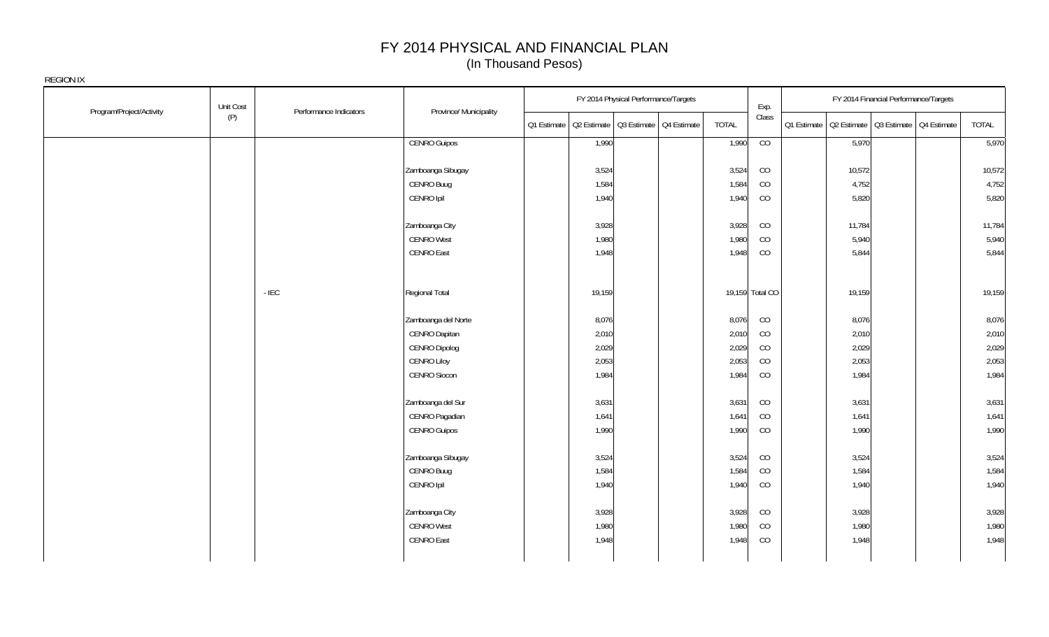| Program/Project/Activity | Unit Cost | Performance Indicators | Province/ Municipality | FY 2014 Physical Performance/Targets                  |       | Exp.            |        | FY 2014 Financial Performance/Targets                 |        |
|--------------------------|-----------|------------------------|------------------------|-------------------------------------------------------|-------|-----------------|--------|-------------------------------------------------------|--------|
|                          | (P)       |                        |                        | Q1 Estimate   Q2 Estimate   Q3 Estimate   Q4 Estimate | TOTAL | Class           |        | Q1 Estimate   Q2 Estimate   Q3 Estimate   Q4 Estimate | TOTAL  |
|                          |           |                        | <b>CENRO Guipos</b>    | 1,990                                                 | 1,990 | CO              | 5,970  |                                                       | 5,970  |
|                          |           |                        |                        |                                                       |       |                 |        |                                                       |        |
|                          |           |                        | Zamboanga Sibugay      | 3,524                                                 | 3,524 | CO              | 10,572 |                                                       | 10,572 |
|                          |           |                        | CENRO Buug             | 1,584                                                 | 1,584 | CO              | 4,752  |                                                       | 4,752  |
|                          |           |                        | CENRO Ipil             | 1,940                                                 | 1,940 | CO              | 5,820  |                                                       | 5,820  |
|                          |           |                        | Zamboanga City         | 3,928                                                 | 3,928 | CO              | 11,784 |                                                       | 11,784 |
|                          |           |                        | <b>CENRO West</b>      | 1,980                                                 | 1,980 | CO              | 5,940  |                                                       | 5,940  |
|                          |           |                        | <b>CENRO East</b>      | 1,948                                                 | 1,948 | CO              | 5,844  |                                                       | 5,844  |
|                          | $-$ IEC   |                        | Regional Total         | 19,159                                                |       | 19,159 Total CO | 19,159 |                                                       | 19,159 |
|                          |           |                        |                        |                                                       |       |                 |        |                                                       |        |
|                          |           |                        | Zamboanga del Norte    | 8,076                                                 | 8,076 | CO              | 8,076  |                                                       | 8,076  |
|                          |           |                        | CENRO Dapitan          | 2,010                                                 | 2,010 | CO              | 2,010  |                                                       | 2,010  |
|                          |           |                        | <b>CENRO Dipolog</b>   | 2,029                                                 | 2,029 | CO              | 2,029  |                                                       | 2,029  |
|                          |           |                        | <b>CENRO Liloy</b>     | 2,053                                                 | 2,053 | CO              | 2,053  |                                                       | 2,053  |
|                          |           |                        | CENRO Siocon           | 1,984                                                 | 1,984 | CO              | 1,984  |                                                       | 1,984  |
|                          |           |                        | Zamboanga del Sur      | 3,631                                                 | 3,631 | CO              | 3,631  |                                                       | 3,631  |
|                          |           |                        | CENRO Pagadian         | 1,641                                                 | 1,641 | CO              | 1,641  |                                                       | 1,641  |
|                          |           |                        | <b>CENRO Guipos</b>    | 1,990                                                 | 1,990 | CO              | 1,990  |                                                       | 1,990  |
|                          |           |                        | Zamboanga Sibugay      | 3,524                                                 | 3,524 | CO              | 3,524  |                                                       | 3,524  |
|                          |           |                        | CENRO Buug             | 1,584                                                 | 1,584 | CO              | 1,584  |                                                       | 1,584  |
|                          |           |                        | CENRO Ipil             | 1,940                                                 | 1,940 | CO              | 1,940  |                                                       | 1,940  |
|                          |           |                        | Zamboanga City         | 3,928                                                 | 3,928 | CO              | 3,928  |                                                       | 3,928  |
|                          |           |                        | <b>CENRO West</b>      | 1,980                                                 | 1,980 | CO              | 1,980  |                                                       | 1,980  |
|                          |           |                        | <b>CENRO East</b>      | 1,948                                                 | 1,948 | CO              | 1,948  |                                                       | 1,948  |
|                          |           |                        |                        |                                                       |       |                 |        |                                                       |        |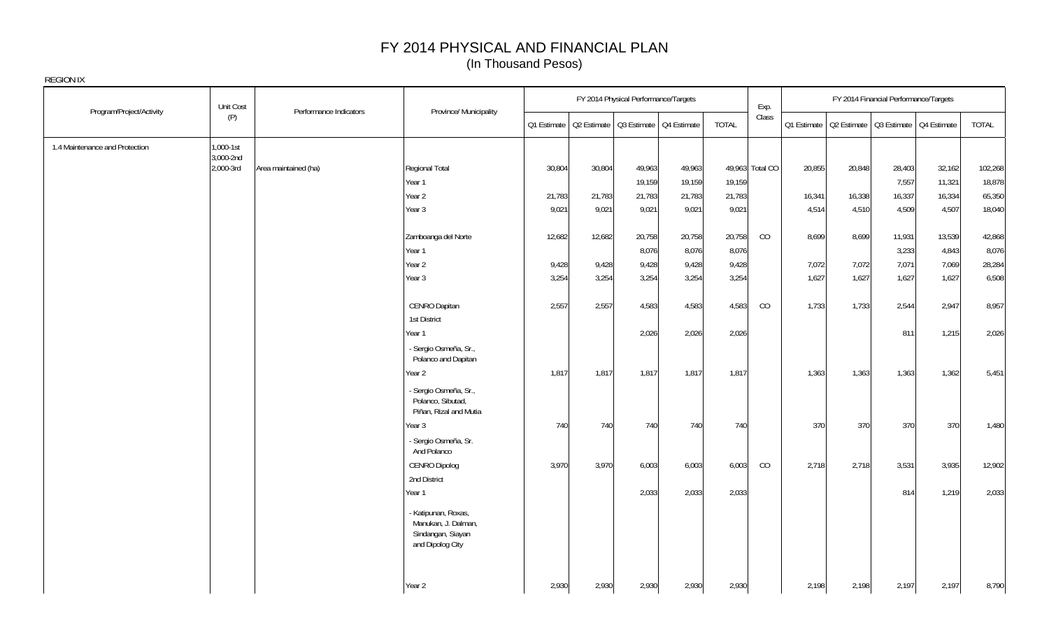| Program/Project/Activity       | Unit Cost              | Performance Indicators | Province/ Municipality                                                              |        |        | FY 2014 Physical Performance/Targets                  |        |              | Exp.            |        |        | FY 2014 Financial Performance/Targets                 |        |         |
|--------------------------------|------------------------|------------------------|-------------------------------------------------------------------------------------|--------|--------|-------------------------------------------------------|--------|--------------|-----------------|--------|--------|-------------------------------------------------------|--------|---------|
|                                | (P)                    |                        |                                                                                     |        |        | Q1 Estimate   Q2 Estimate   Q3 Estimate   Q4 Estimate |        | <b>TOTAL</b> | Class           |        |        | Q1 Estimate   Q2 Estimate   Q3 Estimate   Q4 Estimate |        | TOTAL   |
| 1.4 Maintenance and Protection | 1,000-1st              |                        |                                                                                     |        |        |                                                       |        |              |                 |        |        |                                                       |        |         |
|                                | 3,000-2nd<br>2,000-3rd | Area maintained (ha)   | Regional Total                                                                      | 30,804 | 30,804 | 49,963                                                | 49,963 |              | 49,963 Total CO | 20,855 | 20,848 | 28,403                                                | 32,162 | 102,268 |
|                                |                        |                        | Year 1                                                                              |        |        | 19,159                                                | 19,159 | 19,159       |                 |        |        | 7,557                                                 | 11,321 | 18,878  |
|                                |                        |                        | Year 2                                                                              | 21,783 | 21,783 | 21,783                                                | 21,783 | 21,783       |                 | 16,341 | 16,338 | 16,337                                                | 16,334 | 65,350  |
|                                |                        |                        | Year 3                                                                              | 9,021  | 9,021  | 9,021                                                 | 9,021  | 9,021        |                 | 4,514  | 4,510  | 4,509                                                 | 4,507  | 18,040  |
|                                |                        |                        |                                                                                     |        |        |                                                       |        |              |                 |        |        |                                                       |        |         |
|                                |                        |                        | Zamboanga del Norte                                                                 | 12,682 | 12,682 | 20,758                                                | 20,758 | 20,758       | CO              | 8,699  | 8,699  | 11,931                                                | 13,539 | 42,868  |
|                                |                        |                        | Year 1                                                                              |        |        | 8,076                                                 | 8,076  | 8,076        |                 |        |        | 3,233                                                 | 4,843  | 8,076   |
|                                |                        |                        | Year <sub>2</sub>                                                                   | 9,428  | 9,428  | 9,428                                                 | 9,428  | 9,428        |                 | 7,072  | 7,072  | 7,071                                                 | 7,069  | 28,284  |
|                                |                        |                        | Year 3                                                                              | 3,254  | 3,254  | 3,254                                                 | 3,254  | 3,254        |                 | 1,627  | 1,627  | 1,627                                                 | 1,627  | 6,508   |
|                                |                        |                        |                                                                                     |        |        |                                                       |        |              |                 |        |        |                                                       |        |         |
|                                |                        |                        | CENRO Dapitan                                                                       | 2,557  | 2,557  | 4,583                                                 | 4,583  | 4,583        | CO              | 1,733  | 1,733  | 2,544                                                 | 2,947  | 8,957   |
|                                |                        |                        | 1st District                                                                        |        |        |                                                       |        |              |                 |        |        |                                                       |        |         |
|                                |                        |                        | Year 1                                                                              |        |        | 2,026                                                 | 2,026  | 2,026        |                 |        |        | 811                                                   | 1,215  | 2,026   |
|                                |                        |                        | - Sergio Osmeña, Sr.,<br>Polanco and Dapitan                                        |        |        |                                                       |        |              |                 |        |        |                                                       |        |         |
|                                |                        |                        | Year 2                                                                              | 1,817  | 1,817  | 1,817                                                 | 1,817  | 1,817        |                 | 1,363  | 1,363  | 1,363                                                 | 1,362  | 5,451   |
|                                |                        |                        | - Sergio Osmeña, Sr.,<br>Polanco, Sibutad,<br>Piñan, Rizal and Mutia                |        |        |                                                       |        |              |                 |        |        |                                                       |        |         |
|                                |                        |                        | Year 3                                                                              | 740    | 740    | 740                                                   | 740    | 740          |                 | 370    | 370    | 370                                                   | 370    | 1,480   |
|                                |                        |                        | - Sergio Osmeña, Sr.<br>And Polanco                                                 |        |        |                                                       |        |              |                 |        |        |                                                       |        |         |
|                                |                        |                        | CENRO Dipolog                                                                       | 3,970  | 3,970  | 6,003                                                 | 6,003  | 6,003        | CO              | 2,718  | 2,718  | 3,531                                                 | 3,935  | 12,902  |
|                                |                        |                        | 2nd District                                                                        |        |        |                                                       |        |              |                 |        |        |                                                       |        |         |
|                                |                        |                        | Year 1                                                                              |        |        | 2,033                                                 | 2,033  | 2,033        |                 |        |        | 814                                                   | 1,219  | 2,033   |
|                                |                        |                        | - Katipunan, Roxas,<br>Manukan, J. Dalman,<br>Sindangan, Siayan<br>and Dipolog City |        |        |                                                       |        |              |                 |        |        |                                                       |        |         |
|                                |                        |                        | Year 2                                                                              | 2,930  | 2,930  | 2,930                                                 | 2,930  | 2,930        |                 | 2,198  | 2,198  | 2,197                                                 | 2,197  | 8,790   |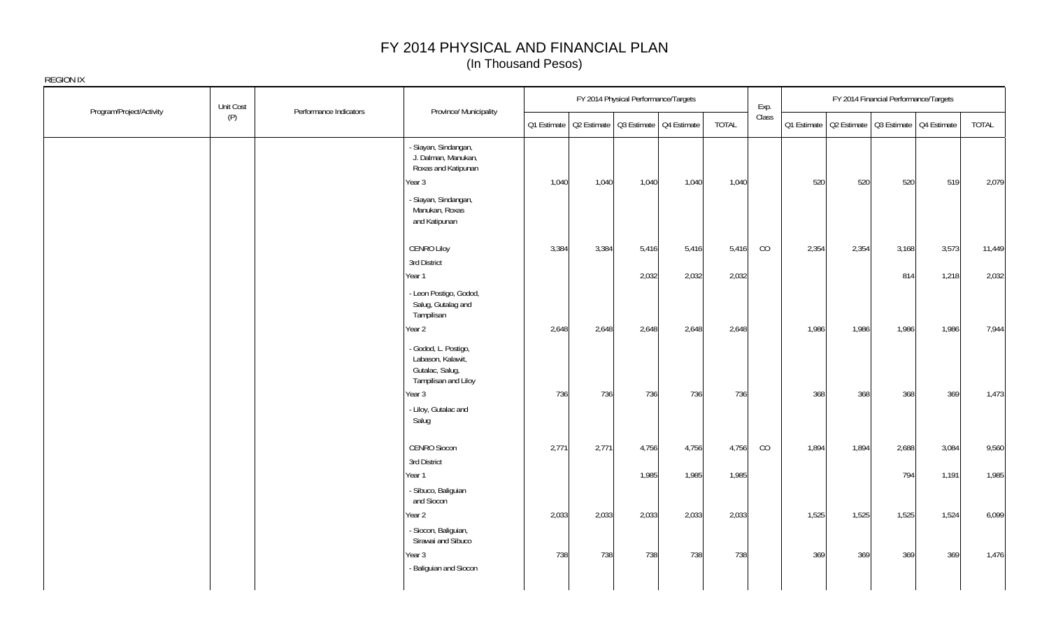| Program/Project/Activity | Unit Cost | Performance Indicators | Province/ Municipality                                                               |       |       | FY 2014 Physical Performance/Targets |                                                       |              | Exp.  |       |                                                       | FY 2014 Financial Performance/Targets |       |        |
|--------------------------|-----------|------------------------|--------------------------------------------------------------------------------------|-------|-------|--------------------------------------|-------------------------------------------------------|--------------|-------|-------|-------------------------------------------------------|---------------------------------------|-------|--------|
|                          | (P)       |                        |                                                                                      |       |       |                                      | Q1 Estimate   Q2 Estimate   Q3 Estimate   Q4 Estimate | <b>TOTAL</b> | Class |       | Q1 Estimate   Q2 Estimate   Q3 Estimate   Q4 Estimate |                                       |       | TOTAL  |
|                          |           |                        | - Siayan, Sindangan,<br>J. Dalman, Manukan,<br>Roxas and Katipunan<br>Year 3         | 1,040 | 1,040 | 1,040                                | 1,040                                                 | 1,040        |       | 520   | 520                                                   | 520                                   | 519   | 2,079  |
|                          |           |                        | - Siayan, Sindangan,<br>Manukan, Roxas<br>and Katipunan                              |       |       |                                      |                                                       |              |       |       |                                                       |                                       |       |        |
|                          |           |                        | <b>CENRO Liloy</b>                                                                   | 3,384 | 3,384 | 5,416                                | 5,416                                                 | 5,416        | CO    | 2,354 | 2,354                                                 | 3,168                                 | 3,573 | 11,449 |
|                          |           |                        | 3rd District<br>Year 1                                                               |       |       | 2,032                                | 2,032                                                 | 2,032        |       |       |                                                       | 814                                   | 1,218 | 2,032  |
|                          |           |                        | - Leon Postigo, Godod,<br>Salug, Gutalag and<br>Tampilisan                           |       |       |                                      |                                                       |              |       |       |                                                       |                                       |       |        |
|                          |           |                        | Year 2                                                                               | 2,648 | 2,648 | 2,648                                | 2,648                                                 | 2,648        |       | 1,986 | 1,986                                                 | 1,986                                 | 1,986 | 7,944  |
|                          |           |                        | - Godod, L. Postigo,<br>Labason, Kalawit,<br>Gutalac, Salug,<br>Tampilisan and Liloy |       |       |                                      |                                                       |              |       |       |                                                       |                                       |       |        |
|                          |           |                        | Year 3                                                                               | 736   | 736   | 736                                  | 736                                                   | 736          |       | 368   | 368                                                   | 368                                   | 369   | 1,473  |
|                          |           |                        | - Liloy, Gutalac and<br>Salug                                                        |       |       |                                      |                                                       |              |       |       |                                                       |                                       |       |        |
|                          |           |                        | CENRO Siocon                                                                         | 2,771 | 2,771 | 4,756                                | 4,756                                                 | 4,756        | CO    | 1,894 | 1,894                                                 | 2,688                                 | 3,084 | 9,560  |
|                          |           |                        | 3rd District<br>Year 1                                                               |       |       | 1,985                                | 1,985                                                 | 1,985        |       |       |                                                       | 794                                   | 1,191 | 1,985  |
|                          |           |                        | - Sibuco, Baliguian<br>and Siocon                                                    |       |       |                                      |                                                       |              |       |       |                                                       |                                       |       |        |
|                          |           |                        | Year 2                                                                               | 2,033 | 2,033 | 2,033                                | 2,033                                                 | 2,033        |       | 1,525 | 1,525                                                 | 1,525                                 | 1,524 | 6,099  |
|                          |           |                        | - Siocon, Baliguian,<br>Sirawai and Sibuco                                           |       |       |                                      |                                                       |              |       |       |                                                       |                                       |       |        |
|                          |           |                        | Year 3<br>- Baliguian and Siocon                                                     | 738   | 738   | 738                                  | 738                                                   | 738          |       | 369   | 369                                                   | 369                                   | 369   | 1,476  |
|                          |           |                        |                                                                                      |       |       |                                      |                                                       |              |       |       |                                                       |                                       |       |        |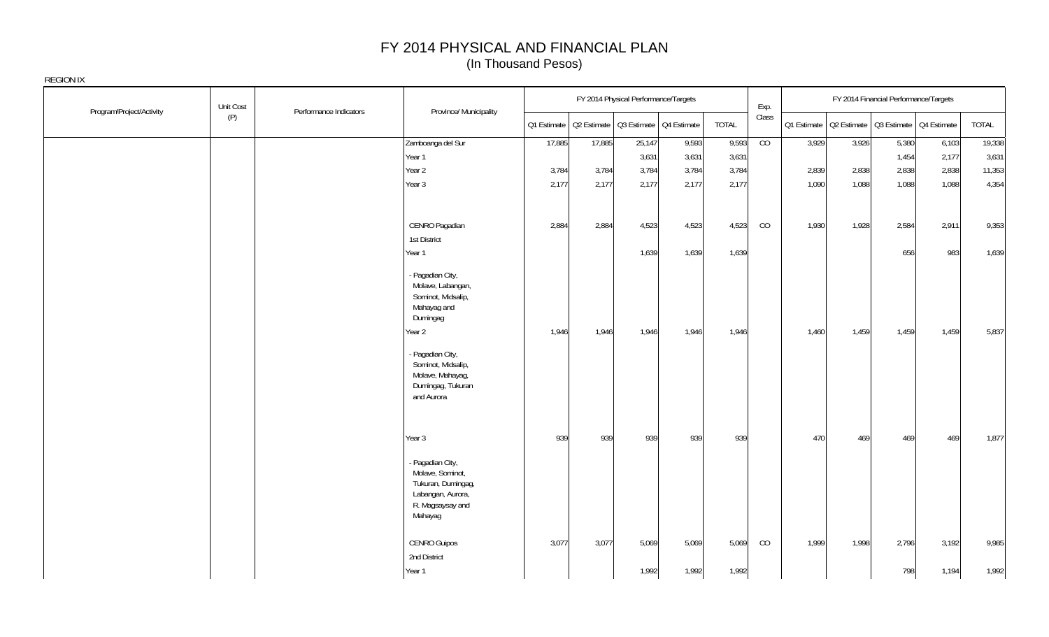|                          | Unit Cost | Performance Indicators |                                                                                                                                                                                                   |        |                                                       | FY 2014 Physical Performance/Targets |       |              | Exp.  |       |       | FY 2014 Financial Performance/Targets                 |       |        |
|--------------------------|-----------|------------------------|---------------------------------------------------------------------------------------------------------------------------------------------------------------------------------------------------|--------|-------------------------------------------------------|--------------------------------------|-------|--------------|-------|-------|-------|-------------------------------------------------------|-------|--------|
| Program/Project/Activity | (P)       |                        | Province/ Municipality                                                                                                                                                                            |        | Q1 Estimate   Q2 Estimate   Q3 Estimate   Q4 Estimate |                                      |       | <b>TOTAL</b> | Class |       |       | Q1 Estimate   Q2 Estimate   Q3 Estimate   Q4 Estimate |       | TOTAL  |
|                          |           |                        | Zamboanga del Sur                                                                                                                                                                                 | 17,885 | 17,885                                                | 25,147                               | 9,593 | 9,593        | CO    | 3,929 | 3,926 | 5,380                                                 | 6,103 | 19,338 |
|                          |           |                        | Year 1                                                                                                                                                                                            |        |                                                       | 3,631                                | 3,631 | 3,631        |       |       |       | 1,454                                                 | 2,177 | 3,631  |
|                          |           |                        | Year 2                                                                                                                                                                                            | 3,784  | 3,784                                                 | 3,784                                | 3,784 | 3,784        |       | 2,839 | 2,838 | 2,838                                                 | 2,838 | 11,353 |
|                          |           |                        | Year 3                                                                                                                                                                                            | 2,177  | 2,177                                                 | 2,177                                | 2,177 | 2,177        |       | 1,090 | 1,088 | 1,088                                                 | 1,088 | 4,354  |
|                          |           |                        |                                                                                                                                                                                                   |        |                                                       |                                      |       |              |       |       |       |                                                       |       |        |
|                          |           |                        | CENRO Pagadian                                                                                                                                                                                    | 2,884  | 2,884                                                 | 4,523                                | 4,523 | 4,523        | CO    | 1,930 | 1,928 | 2,584                                                 | 2,911 | 9,353  |
|                          |           |                        | 1st District                                                                                                                                                                                      |        |                                                       |                                      |       |              |       |       |       |                                                       |       |        |
|                          |           |                        | Year 1                                                                                                                                                                                            |        |                                                       | 1,639                                | 1,639 | 1,639        |       |       |       | 656                                                   | 983   | 1,639  |
|                          |           |                        | - Pagadian City,<br>Molave, Labangan,<br>Sominot, Midsalip,<br>Mahayag and<br>Dumingag<br>Year 2<br>- Pagadian City,<br>Sominot, Midsalip,<br>Molave, Mahayag,<br>Dumingag, Tukuran<br>and Aurora | 1,946  | 1,946                                                 | 1,946                                | 1,946 | 1,946        |       | 1,460 | 1,459 | 1,459                                                 | 1,459 | 5,837  |
|                          |           |                        | Year 3                                                                                                                                                                                            | 939    | 939                                                   | 939                                  | 939   | 939          |       | 470   | 469   | 469                                                   | 469   | 1,877  |
|                          |           |                        | - Pagadian City,<br>Molave, Sominot,<br>Tukuran, Dumingag,<br>Labangan, Aurora,<br>R. Magsaysay and<br>Mahayag                                                                                    |        |                                                       |                                      |       |              |       |       |       |                                                       |       |        |
|                          |           |                        | CENRO Guipos                                                                                                                                                                                      | 3,077  | 3,077                                                 | 5,069                                | 5,069 | 5,069        | CO    | 1,999 | 1,998 | 2,796                                                 | 3,192 | 9,985  |
|                          |           |                        | 2nd District                                                                                                                                                                                      |        |                                                       |                                      |       |              |       |       |       |                                                       |       |        |
|                          |           |                        | Year 1                                                                                                                                                                                            |        |                                                       | 1,992                                | 1,992 | 1,992        |       |       |       | 798                                                   | 1,194 | 1,992  |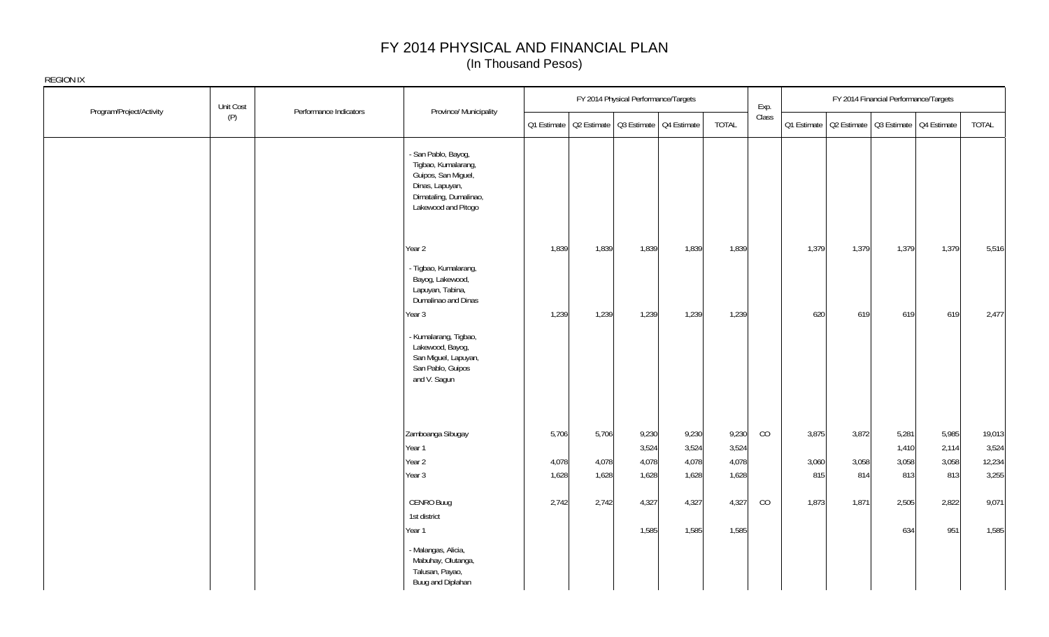| Program/Project/Activity | Unit Cost | Performance Indicators | Province/ Municipality                                                                                                                |                                                       |                         | FY 2014 Physical Performance/Targets |                                  |                                  | Exp.  |                       |                                                       | FY 2014 Financial Performance/Targets |                                |                                    |
|--------------------------|-----------|------------------------|---------------------------------------------------------------------------------------------------------------------------------------|-------------------------------------------------------|-------------------------|--------------------------------------|----------------------------------|----------------------------------|-------|-----------------------|-------------------------------------------------------|---------------------------------------|--------------------------------|------------------------------------|
|                          | (P)       |                        |                                                                                                                                       | Q1 Estimate   Q2 Estimate   Q3 Estimate   Q4 Estimate |                         |                                      |                                  | <b>TOTAL</b>                     | Class |                       | Q1 Estimate   Q2 Estimate   Q3 Estimate   Q4 Estimate |                                       |                                | TOTAL                              |
|                          |           |                        | - San Pablo, Bayog,<br>Tigbao, Kumalarang,<br>Guipos, San Miguel,<br>Dinas, Lapuyan,<br>Dimataling, Dumalinao,<br>Lakewood and Pitogo |                                                       |                         |                                      |                                  |                                  |       |                       |                                                       |                                       |                                |                                    |
|                          |           |                        | Year 2<br>- Tigbao, Kumalarang,<br>Bayog, Lakewood,<br>Lapuyan, Tabina,<br>Dumalinao and Dinas                                        | 1,839                                                 | 1,839                   | 1,839                                | 1,839                            | 1,839                            |       | 1,379                 | 1,379                                                 | 1,379                                 | 1,379                          | 5,516                              |
|                          |           |                        | Year 3<br>- Kumalarang, Tigbao,<br>Lakewood, Bayog,<br>San Miguel, Lapuyan,<br>San Pablo, Guipos<br>and V. Sagun                      | 1,239                                                 | 1,239                   | 1,239                                | 1,239                            | 1,239                            |       | 620                   | 619                                                   | 619                                   | 619                            | 2,477                              |
|                          |           |                        | Zamboanga Sibugay<br>Year 1<br>Year 2<br>Year 3                                                                                       | 5,706<br>4,078<br>1,628                               | 5,706<br>4,078<br>1,628 | 9,230<br>3,524<br>4,078<br>1,628     | 9,230<br>3,524<br>4,078<br>1,628 | 9,230<br>3,524<br>4,078<br>1,628 | CO    | 3,875<br>3,060<br>815 | 3,872<br>3,058<br>814                                 | 5,281<br>1,410<br>3,058<br>813        | 5,985<br>2,114<br>3,058<br>813 | 19,013<br>3,524<br>12,234<br>3,255 |
|                          |           |                        | CENRO Buug<br>1st district<br>Year 1                                                                                                  | 2,742                                                 | 2,742                   | 4,327<br>1,585                       | 4,327<br>1,585                   | 4,327<br>1,585                   | CO    | 1,873                 | 1,871                                                 | 2,505<br>634                          | 2,822<br>951                   | 9,071<br>1,585                     |
|                          |           |                        | - Malangas, Alicia,<br>Mabuhay, Olutanga,<br>Talusan, Payao,<br>Buug and Diplahan                                                     |                                                       |                         |                                      |                                  |                                  |       |                       |                                                       |                                       |                                |                                    |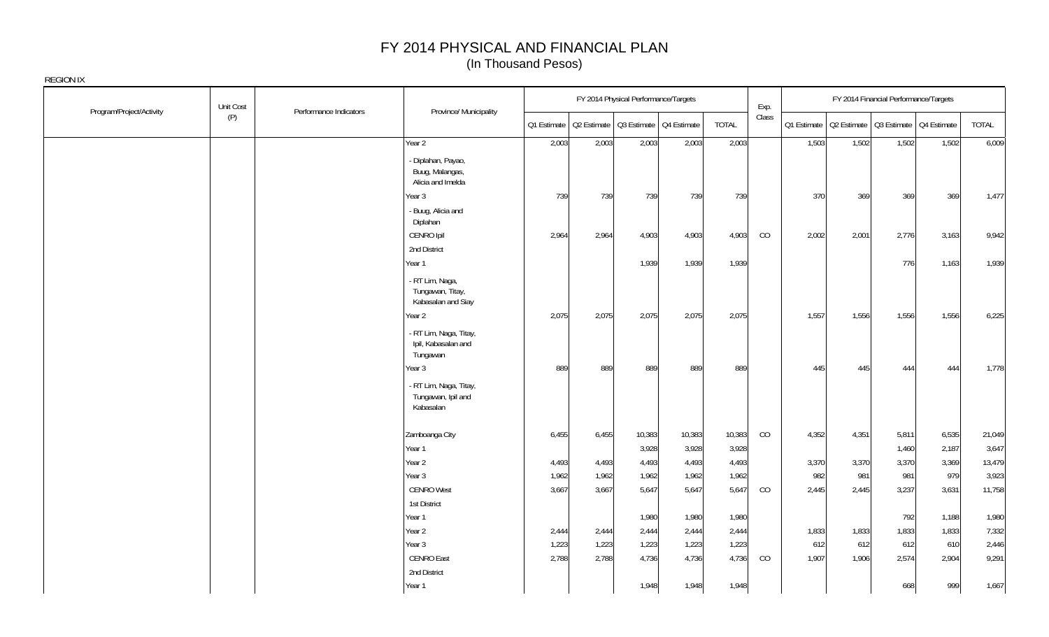|                          | Unit Cost | Performance Indicators | Province/ Municipality                                     |       |                                                       | FY 2014 Physical Performance/Targets |        |              | Exp.  |       |                                                       | FY 2014 Financial Performance/Targets |       |        |
|--------------------------|-----------|------------------------|------------------------------------------------------------|-------|-------------------------------------------------------|--------------------------------------|--------|--------------|-------|-------|-------------------------------------------------------|---------------------------------------|-------|--------|
| Program/Project/Activity | (P)       |                        |                                                            |       | Q1 Estimate   Q2 Estimate   Q3 Estimate   Q4 Estimate |                                      |        | <b>TOTAL</b> | Class |       | Q1 Estimate   Q2 Estimate   Q3 Estimate   Q4 Estimate |                                       |       | TOTAL  |
|                          |           |                        | Year 2                                                     | 2,003 | 2,003                                                 | 2,003                                | 2,003  | 2,003        |       | 1,503 | 1,502                                                 | 1,502                                 | 1,502 | 6,009  |
|                          |           |                        | - Diplahan, Payao,<br>Buug, Malangas,<br>Alicia and Imelda |       |                                                       |                                      |        |              |       |       |                                                       |                                       |       |        |
|                          |           |                        | Year <sub>3</sub>                                          | 739   | 739                                                   | 739                                  | 739    | 739          |       | 370   | 369                                                   | 369                                   | 369   | 1,477  |
|                          |           |                        | - Buug, Alicia and<br>Diplahan                             |       |                                                       |                                      |        |              |       |       |                                                       |                                       |       |        |
|                          |           |                        | CENRO Ipil                                                 | 2,964 | 2,964                                                 | 4,903                                | 4,903  | 4,903        | CO    | 2,002 | 2,001                                                 | 2,776                                 | 3,163 | 9,942  |
|                          |           |                        | 2nd District                                               |       |                                                       |                                      |        |              |       |       |                                                       |                                       |       |        |
|                          |           |                        | Year 1                                                     |       |                                                       | 1,939                                | 1,939  | 1,939        |       |       |                                                       | 776                                   | 1,163 | 1,939  |
|                          |           |                        | - RT Lim, Naga,<br>Tungawan, Titay,<br>Kabasalan and Siay  |       |                                                       |                                      |        |              |       |       |                                                       |                                       |       |        |
|                          |           |                        | Year 2                                                     | 2,075 | 2,075                                                 | 2,075                                | 2,075  | 2,075        |       | 1,557 | 1,556                                                 | 1,556                                 | 1,556 | 6,225  |
|                          |           |                        | - RT Lim, Naga, Titay,<br>Ipil, Kabasalan and<br>Tungawan  |       |                                                       |                                      |        |              |       |       |                                                       |                                       |       |        |
|                          |           |                        | Year 3                                                     | 889   | 889                                                   | 889                                  | 889    | 889          |       | 445   | 445                                                   | 444                                   | 444   | 1,778  |
|                          |           |                        | - RT Lim, Naga, Titay,<br>Tungawan, Ipil and<br>Kabasalan  |       |                                                       |                                      |        |              |       |       |                                                       |                                       |       |        |
|                          |           |                        | Zamboanga City                                             | 6,455 | 6,455                                                 | 10,383                               | 10,383 | 10,383       | CO    | 4,352 | 4,351                                                 | 5,811                                 | 6,535 | 21,049 |
|                          |           |                        | Year 1                                                     |       |                                                       | 3,928                                | 3,928  | 3,928        |       |       |                                                       | 1,460                                 | 2,187 | 3,647  |
|                          |           |                        | Year 2                                                     | 4,493 | 4,493                                                 | 4,493                                | 4,493  | 4,493        |       | 3,370 | 3,370                                                 | 3,370                                 | 3,369 | 13,479 |
|                          |           |                        | Year 3                                                     | 1,962 | 1,962                                                 | 1,962                                | 1,962  | 1,962        |       | 982   | 981                                                   | 981                                   | 979   | 3,923  |
|                          |           |                        | <b>CENRO West</b>                                          | 3,667 | 3,667                                                 | 5,647                                | 5,647  | 5,647        | CO    | 2,445 | 2,445                                                 | 3,237                                 | 3,631 | 11,758 |
|                          |           |                        | 1st District                                               |       |                                                       |                                      |        |              |       |       |                                                       |                                       |       |        |
|                          |           |                        | Year 1                                                     |       |                                                       | 1,980                                | 1,980  | 1,980        |       |       |                                                       | 792                                   | 1,188 | 1,980  |
|                          |           |                        | Year 2                                                     | 2,444 | 2,444                                                 | 2,444                                | 2,444  | 2,444        |       | 1,833 | 1,833                                                 | 1,833                                 | 1,833 | 7,332  |
|                          |           |                        | Year <sub>3</sub>                                          | 1,223 | 1,223                                                 | 1,223                                | 1,223  | 1,223        |       | 612   | 612                                                   | 612                                   | 610   | 2,446  |
|                          |           |                        | <b>CENRO East</b>                                          | 2,788 | 2,788                                                 | 4,736                                | 4,736  | 4,736        | CO    | 1,907 | 1,906                                                 | 2,574                                 | 2,904 | 9,291  |
|                          |           |                        | 2nd District                                               |       |                                                       |                                      |        |              |       |       |                                                       |                                       |       |        |
|                          |           |                        | Year 1                                                     |       |                                                       | 1,948                                | 1,948  | 1,948        |       |       |                                                       | 668                                   | 999   | 1,667  |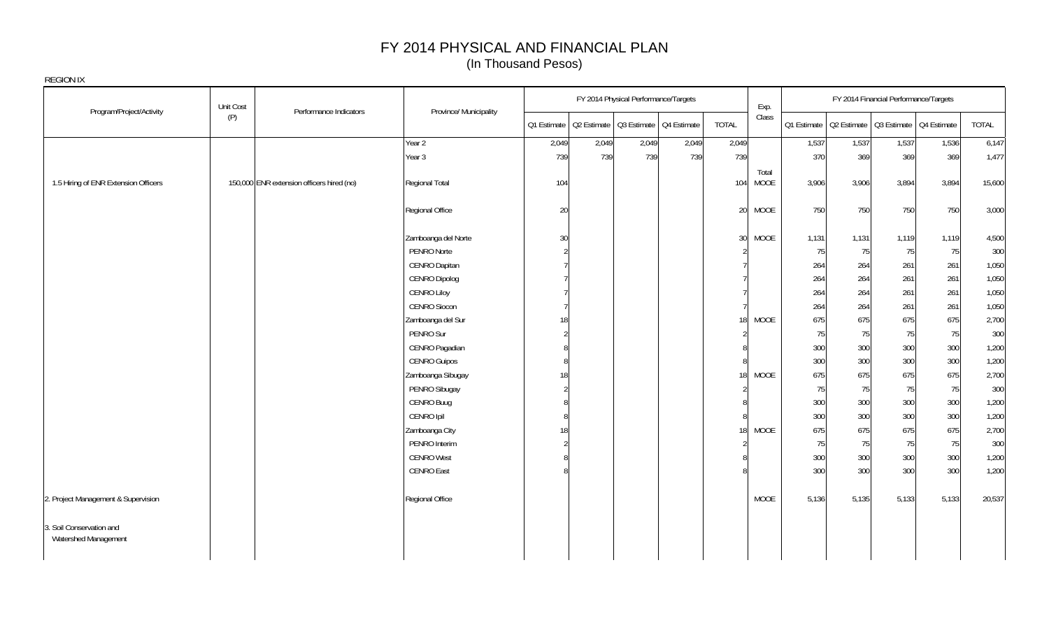|                                                  | Unit Cost |                                           |                        |       |       | FY 2014 Physical Performance/Targets                  |       |                 | Exp.                 |       |       | FY 2014 Financial Performance/Targets                 |       |        |
|--------------------------------------------------|-----------|-------------------------------------------|------------------------|-------|-------|-------------------------------------------------------|-------|-----------------|----------------------|-------|-------|-------------------------------------------------------|-------|--------|
| Program/Project/Activity                         | (P)       | Performance Indicators                    | Province/ Municipality |       |       | Q1 Estimate   Q2 Estimate   Q3 Estimate   Q4 Estimate |       | <b>TOTAL</b>    | Class                |       |       | Q1 Estimate   Q2 Estimate   Q3 Estimate   Q4 Estimate |       | TOTAL  |
|                                                  |           |                                           | Year 2                 | 2,049 | 2,049 | 2,049                                                 | 2,049 | 2,049           |                      | 1,537 | 1,537 | 1,537                                                 | 1,536 | 6,147  |
|                                                  |           |                                           | Year 3                 | 739   | 739   | 739                                                   | 739   | 739             |                      | 370   | 369   | 369                                                   | 369   | 1,477  |
| 1.5 Hiring of ENR Extension Officers             |           | 150,000 ENR extension officers hired (no) | Regional Total         | 104   |       |                                                       |       | 104             | Total<br><b>MOOE</b> | 3,906 | 3,906 | 3,894                                                 | 3,894 | 15,600 |
|                                                  |           |                                           | Regional Office        | 20    |       |                                                       |       | 20              | <b>MOOE</b>          | 750   | 750   | 750                                                   | 750   | 3,000  |
|                                                  |           |                                           | Zamboanga del Norte    | 30    |       |                                                       |       | 30              | <b>MOOE</b>          | 1,131 | 1,131 | 1,119                                                 | 1,119 | 4,500  |
|                                                  |           |                                           | PENRO Norte            |       |       |                                                       |       |                 |                      | 75    | 75    | 75                                                    | 75    | 300    |
|                                                  |           |                                           | CENRO Dapitan          |       |       |                                                       |       |                 |                      | 264   | 264   | 261                                                   | 261   | 1,050  |
|                                                  |           |                                           | CENRO Dipolog          |       |       |                                                       |       |                 |                      | 264   | 264   | 261                                                   | 261   | 1,050  |
|                                                  |           |                                           | <b>CENRO Liloy</b>     |       |       |                                                       |       |                 |                      | 264   | 264   | 261                                                   | 261   | 1,050  |
|                                                  |           |                                           | CENRO Siocon           |       |       |                                                       |       |                 |                      | 264   | 264   | 261                                                   | 261   | 1,050  |
|                                                  |           |                                           | Zamboanga del Sur      | 18    |       |                                                       |       | 18              | <b>MOOE</b>          | 675   | 675   | 675                                                   | 675   | 2,700  |
|                                                  |           |                                           | PENRO Sur              |       |       |                                                       |       |                 |                      | 75    | 75    | 75                                                    | 75    | 300    |
|                                                  |           |                                           | CENRO Pagadian         |       |       |                                                       |       |                 |                      | 300   | 300   | 300                                                   | 300   | 1,200  |
|                                                  |           |                                           | <b>CENRO Guipos</b>    |       |       |                                                       |       |                 |                      | 300   | 300   | 300                                                   | 300   | 1,200  |
|                                                  |           |                                           | Zamboanga Sibugay      | 18    |       |                                                       |       | 18 <sup>1</sup> | MOOE                 | 675   | 675   | 675                                                   | 675   | 2,700  |
|                                                  |           |                                           | PENRO Sibugay          |       |       |                                                       |       |                 |                      | 75    | 75    | 75                                                    | 75    | 300    |
|                                                  |           |                                           | CENRO Buug             |       |       |                                                       |       |                 |                      | 300   | 300   | 300                                                   | 300   | 1,200  |
|                                                  |           |                                           | CENRO Ipil             |       |       |                                                       |       |                 |                      | 300   | 300   | 300                                                   | 300   | 1,200  |
|                                                  |           |                                           | Zamboanga City         | 18    |       |                                                       |       | 18              | <b>MOOE</b>          | 675   | 675   | 675                                                   | 675   | 2,700  |
|                                                  |           |                                           | PENRO Interim          |       |       |                                                       |       |                 |                      | 75    | 75    | 75                                                    | 75    | 300    |
|                                                  |           |                                           | <b>CENRO West</b>      |       |       |                                                       |       |                 |                      | 300   | 300   | 300                                                   | 300   | 1,200  |
|                                                  |           |                                           | CENRO East             |       |       |                                                       |       |                 |                      | 300   | 300   | 300                                                   | 300   | 1,200  |
| 2. Project Management & Supervision              |           |                                           | Regional Office        |       |       |                                                       |       |                 | MOOE                 | 5,136 | 5,135 | 5,133                                                 | 5,133 | 20,537 |
| 3. Soil Conservation and<br>Watershed Management |           |                                           |                        |       |       |                                                       |       |                 |                      |       |       |                                                       |       |        |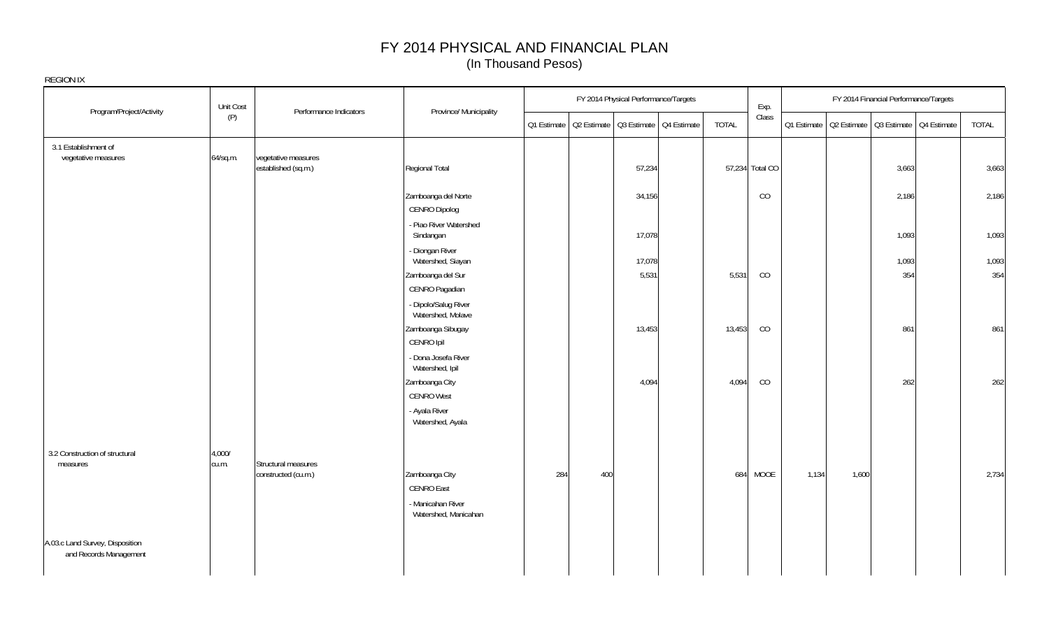| Program/Project/Activity                                  | Unit Cost       | Performance Indicators                     | Province/ Municipality                    |                                                       | FY 2014 Physical Performance/Targets |                 | Exp.     |             |       | FY 2014 Financial Performance/Targets   |              |
|-----------------------------------------------------------|-----------------|--------------------------------------------|-------------------------------------------|-------------------------------------------------------|--------------------------------------|-----------------|----------|-------------|-------|-----------------------------------------|--------------|
|                                                           | (P)             |                                            |                                           | Q1 Estimate   Q2 Estimate   Q3 Estimate   Q4 Estimate |                                      | TOTAL           | Class    | Q1 Estimate |       | Q2 Estimate   Q3 Estimate   Q4 Estimate | <b>TOTAL</b> |
| 3.1 Establishment of<br>vegetative measures               | 64/sq.m.        | vegetative measures<br>established (sq.m.) | Regional Total                            |                                                       | 57,234                               | 57,234 Total CO |          |             |       | 3,663                                   | 3,663        |
|                                                           |                 |                                            | Zamboanga del Norte<br>CENRO Dipolog      |                                                       | 34,156                               |                 | CO       |             |       | 2,186                                   | 2,186        |
|                                                           |                 |                                            | - Piao River Watershed<br>Sindangan       |                                                       | 17,078                               |                 |          |             |       | 1,093                                   | 1,093        |
|                                                           |                 |                                            | - Diongan River<br>Watershed, Siayan      |                                                       | 17,078                               |                 |          |             |       | 1,093                                   | 1,093        |
|                                                           |                 |                                            | Zamboanga del Sur<br>CENRO Pagadian       |                                                       | 5,531                                | 5,531           | CO       |             |       | 354                                     | 354          |
|                                                           |                 |                                            | - Dipolo/Salug River<br>Watershed, Molave |                                                       |                                      |                 |          |             |       |                                         |              |
|                                                           |                 |                                            | Zamboanga Sibugay<br>CENRO Ipil           |                                                       | 13,453                               | 13,453          | CO       |             |       | 861                                     | 861          |
|                                                           |                 |                                            | - Dona Josefa River<br>Watershed, Ipil    |                                                       |                                      |                 |          |             |       |                                         |              |
|                                                           |                 |                                            | Zamboanga City<br><b>CENRO West</b>       |                                                       | 4,094                                | 4,094           | CO       |             |       | 262                                     | 262          |
|                                                           |                 |                                            | - Ayala River<br>Watershed, Ayala         |                                                       |                                      |                 |          |             |       |                                         |              |
| 3.2 Construction of structural<br>measures                | 4,000/<br>cu.m. | Structural measures                        |                                           |                                                       |                                      |                 |          |             |       |                                         |              |
|                                                           |                 | constructed (cu.m.)                        | Zamboanga City<br>CENRO East              | 284<br>400                                            |                                      |                 | 684 MOOE | 1,134       | 1,600 |                                         | 2,734        |
|                                                           |                 |                                            | - Manicahan River<br>Watershed, Manicahan |                                                       |                                      |                 |          |             |       |                                         |              |
| A.03.c Land Survey, Disposition<br>and Records Management |                 |                                            |                                           |                                                       |                                      |                 |          |             |       |                                         |              |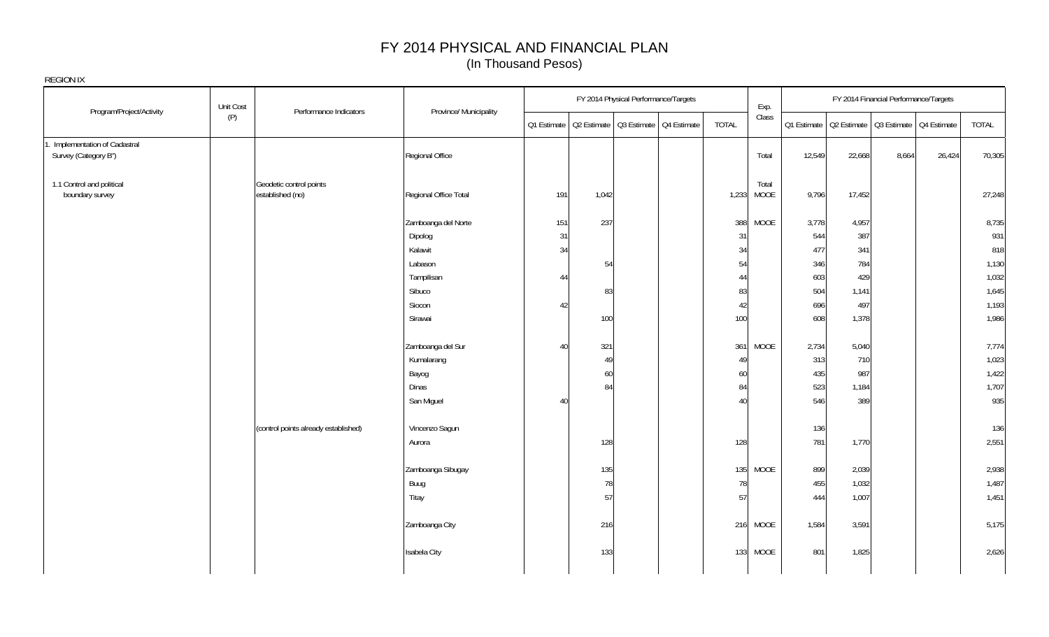| REGION IX                                           |           |                                             |                        |             |       |                                         |       |                      |             |        |                                         |        |        |
|-----------------------------------------------------|-----------|---------------------------------------------|------------------------|-------------|-------|-----------------------------------------|-------|----------------------|-------------|--------|-----------------------------------------|--------|--------|
| Program/Project/Activity                            | Unit Cost | Performance Indicators                      | Province/ Municipality |             |       | FY 2014 Physical Performance/Targets    |       | Exp.                 |             |        | FY 2014 Financial Performance/Targets   |        |        |
|                                                     | (P)       |                                             |                        | Q1 Estimate |       | Q2 Estimate   Q3 Estimate   Q4 Estimate | TOTAL | Class                | Q1 Estimate |        | Q2 Estimate   Q3 Estimate   Q4 Estimate |        | TOTAL  |
| Implementation of Cadastral<br>Survey (Category B") |           |                                             | Regional Office        |             |       |                                         |       | Total                | 12,549      | 22,668 | 8,664                                   | 26,424 | 70,305 |
| 1.1 Control and political<br>boundary survey        |           | Geodetic control points<br>established (no) | Regional Office Total  | 191         | 1,042 |                                         | 1,233 | Total<br><b>MOOE</b> | 9,796       | 17,452 |                                         |        | 27,248 |
|                                                     |           |                                             | Zamboanga del Norte    | 151         | 237   |                                         | 388   | <b>MOOE</b>          | 3,778       | 4,957  |                                         |        | 8,735  |
|                                                     |           |                                             | Dipolog                | 31          |       |                                         | 31    |                      | 544         | 387    |                                         |        | 931    |
|                                                     |           |                                             | Kalawit                | 34          |       |                                         | 34    |                      | 477         | 341    |                                         |        | 818    |
|                                                     |           |                                             | Labason                |             | 54    |                                         | 54    |                      | 346         | 784    |                                         |        | 1,130  |
|                                                     |           |                                             | Tampilisan             | 44          |       |                                         | 44    |                      | 603         | 429    |                                         |        | 1,032  |
|                                                     |           |                                             | Sibuco                 |             | 83    |                                         | 83    |                      | 504         | 1,141  |                                         |        | 1,645  |
|                                                     |           |                                             | Siocon                 | 42          |       |                                         | 42    |                      | 696         | 497    |                                         |        | 1,193  |
|                                                     |           |                                             | Sirawai                |             | 100   |                                         | 100   |                      | 608         | 1,378  |                                         |        | 1,986  |
|                                                     |           |                                             | Zamboanga del Sur      | 40          | 321   |                                         | 361   | <b>MOOE</b>          | 2,734       | 5,040  |                                         |        | 7,774  |
|                                                     |           |                                             | Kumalarang             |             | 49    |                                         | 49    |                      | 313         | 710    |                                         |        | 1,023  |
|                                                     |           |                                             | Bayog                  |             | 60    |                                         | 60    |                      | 435         | 987    |                                         |        | 1,422  |
|                                                     |           |                                             | Dinas                  |             | 84    |                                         | 84    |                      | 523         | 1,184  |                                         |        | 1,707  |
|                                                     |           |                                             | San Miguel             | 40          |       |                                         | 40    |                      | 546         | 389    |                                         |        | 935    |
|                                                     |           | (control points already established)        | Vincenzo Sagun         |             |       |                                         |       |                      | 136         |        |                                         |        | 136    |
|                                                     |           |                                             | Aurora                 |             | 128   |                                         | 128   |                      | 781         | 1,770  |                                         |        | 2,551  |
|                                                     |           |                                             | Zamboanga Sibugay      |             | 135   |                                         | 135   | <b>MOOE</b>          | 899         | 2,039  |                                         |        | 2,938  |
|                                                     |           |                                             | Buug                   |             | 78    |                                         | 78    |                      | 455         | 1,032  |                                         |        | 1,487  |
|                                                     |           |                                             | Titay                  |             | 57    |                                         | 57    |                      | 444         | 1,007  |                                         |        | 1,451  |
|                                                     |           |                                             | Zamboanga City         |             | 216   |                                         |       | 216 MOOE             | 1,584       | 3,591  |                                         |        | 5,175  |
|                                                     |           |                                             | Isabela City           |             | 133   |                                         | 133   | <b>MOOE</b>          | 801         | 1,825  |                                         |        | 2,626  |
|                                                     |           |                                             |                        |             |       |                                         |       |                      |             |        |                                         |        |        |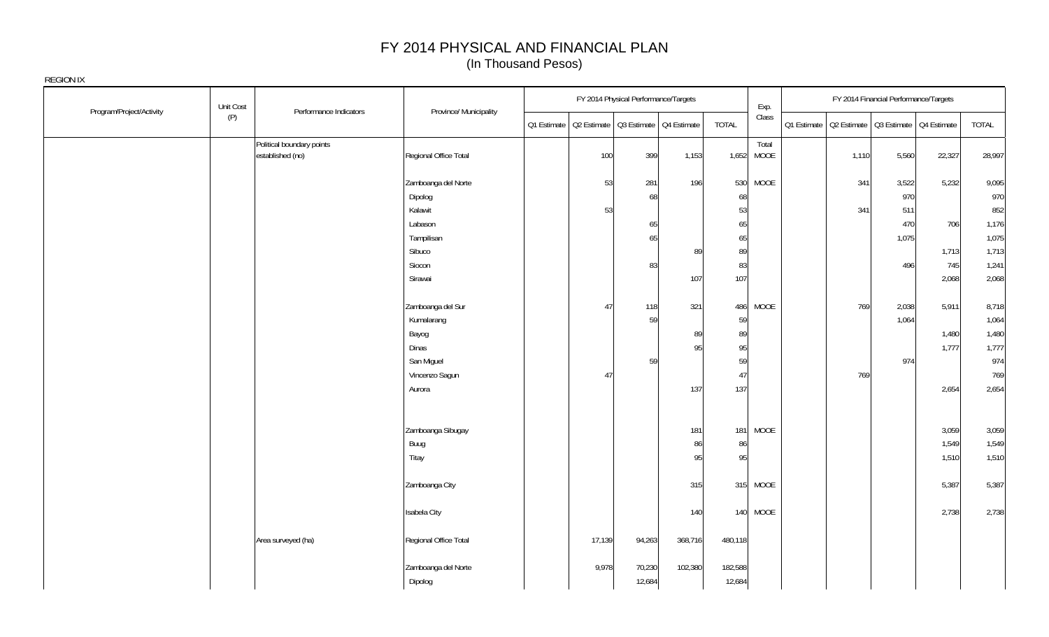| Unit Cost                       |                                               |                                |                                                       | FY 2014 Physical Performance/Targets |         |                   | Exp.          |                                                       | FY 2014 Financial Performance/Targets |        |        |
|---------------------------------|-----------------------------------------------|--------------------------------|-------------------------------------------------------|--------------------------------------|---------|-------------------|---------------|-------------------------------------------------------|---------------------------------------|--------|--------|
| Program/Project/Activity<br>(P) | Performance Indicators                        | Province/ Municipality         | Q1 Estimate   Q2 Estimate   Q3 Estimate   Q4 Estimate |                                      |         | <b>TOTAL</b>      | Class         | Q1 Estimate   Q2 Estimate   Q3 Estimate   Q4 Estimate |                                       |        | TOTAL  |
|                                 | Political boundary points<br>established (no) | Regional Office Total          | 100                                                   | 399                                  | 1,153   | 1,652             | Total<br>MOOE | 1,110                                                 | 5,560                                 | 22,327 | 28,997 |
|                                 |                                               | Zamboanga del Norte            | 53                                                    | 281                                  | 196     | 530               | MOOE          | 341                                                   | 3,522                                 | 5,232  | 9,095  |
|                                 |                                               | Dipolog                        |                                                       | 68                                   |         | 68                |               |                                                       | 970                                   |        | 970    |
|                                 |                                               | Kalawit                        | 53                                                    |                                      |         | 53                |               | 341                                                   | 511                                   |        | 852    |
|                                 |                                               | Labason                        |                                                       | 65                                   |         | 65                |               |                                                       | 470                                   | 706    | 1,176  |
|                                 |                                               | Tampilisan                     |                                                       | 65                                   |         | 65                |               |                                                       | 1,075                                 |        | 1,075  |
|                                 |                                               | Sibuco                         |                                                       |                                      | 89      | 89                |               |                                                       |                                       | 1,713  | 1,713  |
|                                 |                                               | Siocon                         |                                                       | 83                                   |         | 83                |               |                                                       | 496                                   | 745    | 1,241  |
|                                 |                                               | Sirawai                        |                                                       |                                      | 107     | 107               |               |                                                       |                                       | 2,068  | 2,068  |
|                                 |                                               | Zamboanga del Sur              | 47                                                    | 118                                  | 321     | 486               | <b>MOOE</b>   | 769                                                   | 2,038                                 | 5,911  | 8,718  |
|                                 |                                               | Kumalarang                     |                                                       | 59                                   |         | 59                |               |                                                       | 1,064                                 |        | 1,064  |
|                                 |                                               | Bayog                          |                                                       |                                      | 89      | 89                |               |                                                       |                                       | 1,480  | 1,480  |
|                                 |                                               | Dinas                          |                                                       |                                      | 95      | 95                |               |                                                       |                                       | 1,777  | 1,777  |
|                                 |                                               | San Miguel                     |                                                       | 59                                   |         | 59                |               |                                                       | 974                                   |        | 974    |
|                                 |                                               | Vincenzo Sagun                 | 47                                                    |                                      |         | 47                |               | 769                                                   |                                       |        | 769    |
|                                 |                                               | Aurora                         |                                                       |                                      | 137     | 137               |               |                                                       |                                       | 2,654  | 2,654  |
|                                 |                                               |                                |                                                       |                                      |         |                   |               |                                                       |                                       |        |        |
|                                 |                                               | Zamboanga Sibugay              |                                                       |                                      | 181     | 181               | MOOE          |                                                       |                                       | 3,059  | 3,059  |
|                                 |                                               | Buug                           |                                                       |                                      | 86      | 86                |               |                                                       |                                       | 1,549  | 1,549  |
|                                 |                                               | Titay                          |                                                       |                                      | 95      | 95                |               |                                                       |                                       | 1,510  | 1,510  |
|                                 |                                               | Zamboanga City                 |                                                       |                                      | 315     |                   | 315 MOOE      |                                                       |                                       | 5,387  | 5,387  |
|                                 |                                               | Isabela City                   |                                                       |                                      | 140     |                   | 140 MOOE      |                                                       |                                       | 2,738  | 2,738  |
|                                 | Area surveyed (ha)                            | Regional Office Total          | 17,139                                                | 94,263                               | 368,716 | 480,118           |               |                                                       |                                       |        |        |
|                                 |                                               | Zamboanga del Norte<br>Dipolog | 9,978                                                 | 70,230<br>12,684                     | 102,380 | 182,588<br>12,684 |               |                                                       |                                       |        |        |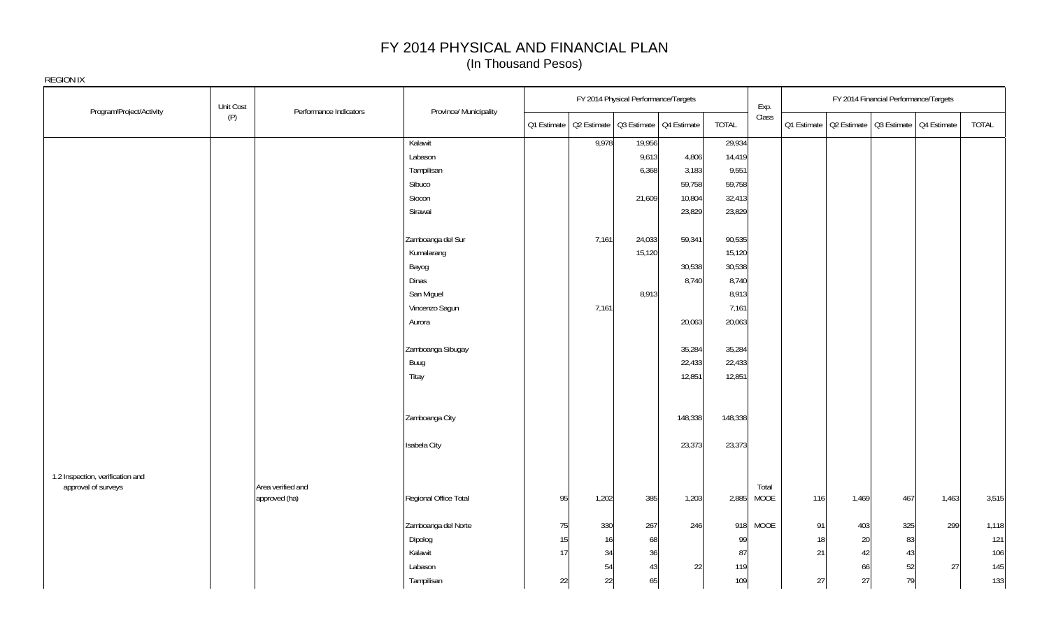|                     |                                  | Unit Cost |                                    |                        |    | FY 2014 Physical Performance/Targets |        |                                                       |              | Exp.          |     |       | FY 2014 Financial Performance/Targets                 |       |       |
|---------------------|----------------------------------|-----------|------------------------------------|------------------------|----|--------------------------------------|--------|-------------------------------------------------------|--------------|---------------|-----|-------|-------------------------------------------------------|-------|-------|
|                     | Program/Project/Activity         | (P)       | Performance Indicators             | Province/ Municipality |    |                                      |        | Q1 Estimate   Q2 Estimate   Q3 Estimate   Q4 Estimate | <b>TOTAL</b> | Class         |     |       | 01 Estimate   02 Estimate   03 Estimate   04 Estimate |       | TOTAL |
|                     |                                  |           |                                    | Kalawit                |    | 9,978                                | 19,956 |                                                       | 29,934       |               |     |       |                                                       |       |       |
|                     |                                  |           |                                    | Labason                |    |                                      | 9,613  | 4,806                                                 | 14,419       |               |     |       |                                                       |       |       |
|                     |                                  |           |                                    | Tampilisan             |    |                                      | 6,368  | 3,183                                                 | 9,551        |               |     |       |                                                       |       |       |
|                     |                                  |           |                                    | Sibuco                 |    |                                      |        | 59,758                                                | 59,758       |               |     |       |                                                       |       |       |
|                     |                                  |           |                                    | Siocon                 |    |                                      | 21,609 | 10,804                                                | 32,413       |               |     |       |                                                       |       |       |
|                     |                                  |           |                                    | Sirawai                |    |                                      |        | 23,829                                                | 23,829       |               |     |       |                                                       |       |       |
|                     |                                  |           |                                    | Zamboanga del Sur      |    | 7,161                                | 24,033 | 59,341                                                | 90,535       |               |     |       |                                                       |       |       |
|                     |                                  |           |                                    | Kumalarang             |    |                                      | 15,120 |                                                       | 15,120       |               |     |       |                                                       |       |       |
|                     |                                  |           |                                    | Bayog                  |    |                                      |        | 30,538                                                | 30,538       |               |     |       |                                                       |       |       |
|                     |                                  |           |                                    | Dinas                  |    |                                      |        | 8,740                                                 | 8,740        |               |     |       |                                                       |       |       |
|                     |                                  |           |                                    | San Miguel             |    |                                      | 8,913  |                                                       | 8,913        |               |     |       |                                                       |       |       |
|                     |                                  |           |                                    | Vincenzo Sagun         |    | 7,161                                |        |                                                       | 7,161        |               |     |       |                                                       |       |       |
|                     |                                  |           |                                    | Aurora                 |    |                                      |        | 20,063                                                | 20,063       |               |     |       |                                                       |       |       |
|                     |                                  |           |                                    | Zamboanga Sibugay      |    |                                      |        | 35,284                                                | 35,284       |               |     |       |                                                       |       |       |
|                     |                                  |           |                                    | Buug                   |    |                                      |        | 22,433                                                | 22,433       |               |     |       |                                                       |       |       |
|                     |                                  |           |                                    | Titay                  |    |                                      |        | 12,851                                                | 12,851       |               |     |       |                                                       |       |       |
|                     |                                  |           |                                    |                        |    |                                      |        |                                                       |              |               |     |       |                                                       |       |       |
|                     |                                  |           |                                    | Zamboanga City         |    |                                      |        | 148,338                                               | 148,338      |               |     |       |                                                       |       |       |
|                     |                                  |           |                                    | Isabela City           |    |                                      |        | 23,373                                                | 23,373       |               |     |       |                                                       |       |       |
|                     | 1.2 Inspection, verification and |           |                                    |                        |    |                                      |        |                                                       |              |               |     |       |                                                       |       |       |
| approval of surveys |                                  |           | Area verified and<br>approved (ha) | Regional Office Total  | 95 | 1,202                                | 385    | 1,203                                                 | 2,885        | Total<br>MOOE | 116 | 1,469 | 467                                                   | 1,463 | 3,515 |
|                     |                                  |           |                                    | Zamboanga del Norte    | 75 | 330                                  | 267    | 246                                                   | 918          | MOOE          | 91  | 403   | 325                                                   | 299   | 1,118 |
|                     |                                  |           |                                    | Dipolog                | 15 | 16                                   | 68     |                                                       | 99           |               | 18  | 20    | 83                                                    |       | 121   |
|                     |                                  |           |                                    | Kalawit                | 17 | 34                                   | 36     |                                                       | 87           |               | 21  | 42    | 43                                                    |       | 106   |
|                     |                                  |           |                                    | Labason                |    | 54                                   | 43     | 22                                                    | 119          |               |     | 66    | 52                                                    | 27    | 145   |
|                     |                                  |           |                                    | Tampilisan             | 22 | 22                                   | 65     |                                                       | 109          |               | 27  | 27    | 79                                                    |       | 133   |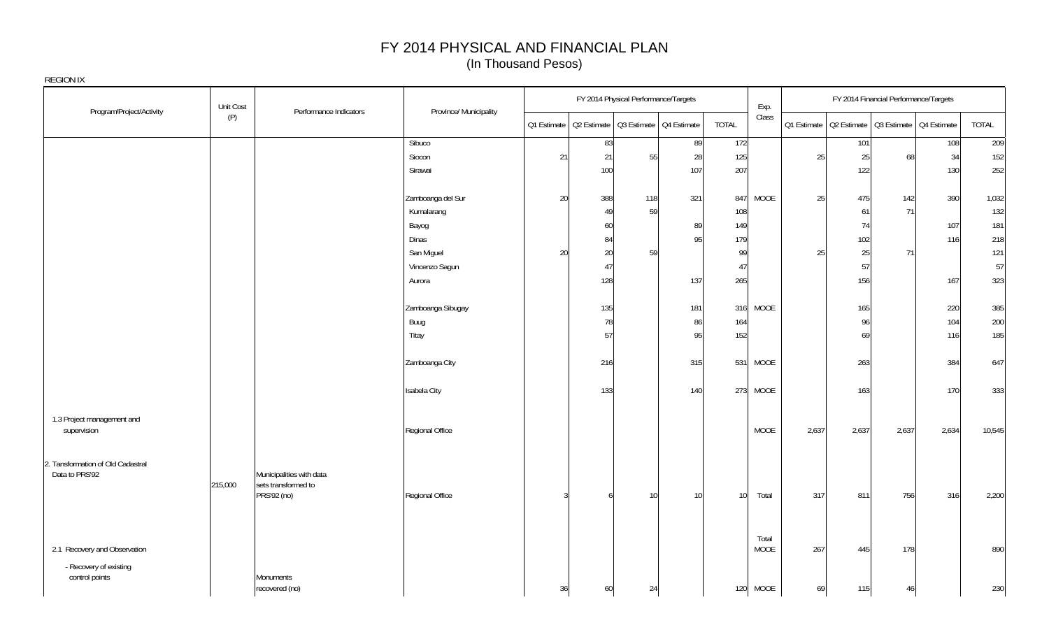| REGION IX                                           |           |                                                                |                        |    |        |                                      |                                                       |                 |               |       |                                                       |                                       |       |        |
|-----------------------------------------------------|-----------|----------------------------------------------------------------|------------------------|----|--------|--------------------------------------|-------------------------------------------------------|-----------------|---------------|-------|-------------------------------------------------------|---------------------------------------|-------|--------|
| Program/Project/Activity                            | Unit Cost | Performance Indicators                                         | Province/ Municipality |    |        | FY 2014 Physical Performance/Targets |                                                       |                 | Exp.          |       |                                                       | FY 2014 Financial Performance/Targets |       |        |
|                                                     | (P)       |                                                                |                        |    |        |                                      | Q1 Estimate   Q2 Estimate   Q3 Estimate   Q4 Estimate | TOTAL           | Class         |       | 01 Estimate   02 Estimate   03 Estimate   04 Estimate |                                       |       | TOTAL  |
|                                                     |           |                                                                | Sibuco                 |    | 83     |                                      | 89                                                    | 172             |               |       | 101                                                   |                                       | 108   | 209    |
|                                                     |           |                                                                | Siocon                 | 21 | 21     | 55                                   | 28                                                    | 125             |               | 25    | 25                                                    | 68                                    | 34    | 152    |
|                                                     |           |                                                                | Sirawai                |    | 100    |                                      | 107                                                   | 207             |               |       | 122                                                   |                                       | 130   | 252    |
|                                                     |           |                                                                | Zamboanga del Sur      | 20 | 388    | 118                                  | 321                                                   | 847             | MOOE          | 25    | 475                                                   | 142                                   | 390   | 1,032  |
|                                                     |           |                                                                | Kumalarang             |    | 49     | 59                                   |                                                       | 108             |               |       | 61                                                    | 71                                    |       | 132    |
|                                                     |           |                                                                | Bayog                  |    | 60     |                                      | 89                                                    | 149             |               |       | 74                                                    |                                       | 107   | 181    |
|                                                     |           |                                                                | Dinas                  |    | 84     |                                      | 95                                                    | 179             |               |       | 102                                                   |                                       | 116   | 218    |
|                                                     |           |                                                                | San Miguel             | 20 | $20\,$ | 59                                   |                                                       | 99              |               | 25    | 25                                                    | 71                                    |       | 121    |
|                                                     |           |                                                                | Vincenzo Sagun         |    | 47     |                                      |                                                       | 47              |               |       | 57                                                    |                                       |       | 57     |
|                                                     |           |                                                                | Aurora                 |    | 128    |                                      | 137                                                   | 265             |               |       | 156                                                   |                                       | 167   | 323    |
|                                                     |           |                                                                | Zamboanga Sibugay      |    | 135    |                                      | 181                                                   |                 | 316 MOOE      |       | 165                                                   |                                       | 220   | 385    |
|                                                     |           |                                                                | Buug                   |    | 78     |                                      | 86                                                    | 164             |               |       | 96                                                    |                                       | 104   | 200    |
|                                                     |           |                                                                | Titay                  |    | 57     |                                      | 95                                                    | 152             |               |       | 69                                                    |                                       | 116   | 185    |
|                                                     |           |                                                                | Zamboanga City         |    | 216    |                                      | 315                                                   | 531             | MOOE          |       | 263                                                   |                                       | 384   | 647    |
|                                                     |           |                                                                | Isabela City           |    | 133    |                                      | 140                                                   |                 | 273 MOOE      |       | 163                                                   |                                       | 170   | 333    |
| 1.3 Project management and<br>supervision           |           |                                                                | Regional Office        |    |        |                                      |                                                       |                 | MOOE          | 2,637 | 2,637                                                 | 2,637                                 | 2,634 | 10,545 |
| 2. Tansformation of Old Cadastral<br>Data to PRS'92 | 215,000   | Municipalities with data<br>sets transformed to<br>PRS'92 (no) | Regional Office        | 3  | 6      | 10                                   | 10                                                    | 10 <sup>1</sup> | Total         | 317   | 811                                                   | 756                                   | 316   | 2,200  |
| 2.1 Recovery and Observation                        |           |                                                                |                        |    |        |                                      |                                                       |                 | Total<br>MOOE | 267   | 445                                                   | 178                                   |       | 890    |
| - Recovery of existing<br>control points            |           | Monuments<br>recovered (no)                                    |                        | 36 | 60     | 24                                   |                                                       |                 | 120 MOOE      | 69    | 115                                                   | 46                                    |       | 230    |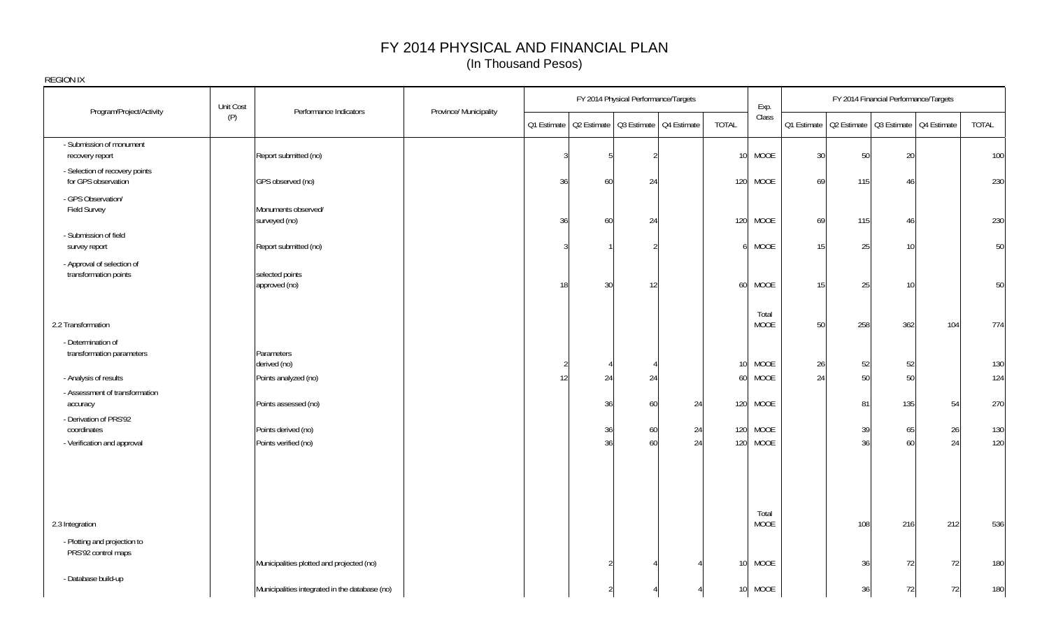|                                                                      | Unit Cost                                      |                        |               |                                                       | FY 2014 Physical Performance/Targets |          |                 | Exp.                    |    |          | FY 2014 Financial Performance/Targets                 |          |            |
|----------------------------------------------------------------------|------------------------------------------------|------------------------|---------------|-------------------------------------------------------|--------------------------------------|----------|-----------------|-------------------------|----|----------|-------------------------------------------------------|----------|------------|
| Program/Project/Activity                                             | Performance Indicators<br>(P)                  | Province/ Municipality |               | Q1 Estimate   Q2 Estimate   Q3 Estimate   Q4 Estimate |                                      |          | <b>TOTAL</b>    | Class                   |    |          | Q1 Estimate   Q2 Estimate   Q3 Estimate   Q4 Estimate |          | TOTAL      |
| - Submission of monument<br>recovery report                          | Report submitted (no)                          |                        |               |                                                       |                                      |          | 10 <sup>°</sup> | <b>MOOE</b>             | 30 | 50       | 20                                                    |          | 100        |
| - Selection of recovery points<br>for GPS observation                | GPS observed (no)                              |                        | 36            | 60                                                    | 24                                   |          |                 | 120 MOOE                | 69 | 115      | 46                                                    |          | 230        |
| - GPS Observation/<br>Field Survey                                   | Monuments observed/<br>surveyed (no)           |                        | 36            | 60                                                    | 24                                   |          |                 | 120 MOOE                | 69 | 115      | 46                                                    |          | 230        |
| - Submission of field<br>survey report                               | Report submitted (no)                          |                        | $\mathcal{S}$ |                                                       |                                      |          | 6               | <b>MOOE</b>             | 15 | 25       | 10                                                    |          | 50         |
| - Approval of selection of<br>transformation points                  | selected points<br>approved (no)               |                        | 18            | 30                                                    | 12                                   |          | 60              | <b>MOOE</b>             | 15 | 25       | 10                                                    |          | 50         |
| 2.2 Transformation                                                   |                                                |                        |               |                                                       |                                      |          |                 | Total<br><b>MOOE</b>    | 50 | 258      | 362                                                   | 104      | 774        |
| - Determination of<br>transformation parameters                      | Parameters<br>derived (no)                     |                        | 2             |                                                       |                                      |          | 10 <sup>1</sup> | MOOE                    | 26 | 52       | 52                                                    |          | 130        |
| - Analysis of results<br>- Assessment of transformation              | Points analyzed (no)                           |                        | 12            | 24                                                    | 24                                   |          | 60              | MOOE                    | 24 | 50       | 50                                                    |          | 124        |
| accuracy                                                             | Points assessed (no)                           |                        |               | 36                                                    | 60                                   | 24       |                 | 120 MOOE                |    | 81       | 135                                                   | 54       | 270        |
| - Derivation of PRS'92<br>coordinates<br>- Verification and approval | Points derived (no)<br>Points verified (no)    |                        |               | 36<br>36                                              | 60<br>60                             | 24<br>24 | 120             | 120 MOOE<br><b>MOOE</b> |    | 39<br>36 | 65<br>60                                              | 26<br>24 | 130<br>120 |
|                                                                      |                                                |                        |               |                                                       |                                      |          |                 |                         |    |          |                                                       |          |            |
|                                                                      |                                                |                        |               |                                                       |                                      |          |                 |                         |    |          |                                                       |          |            |
| 2.3 Integration                                                      |                                                |                        |               |                                                       |                                      |          |                 | Total<br><b>MOOE</b>    |    | 108      | 216                                                   | 212      | 536        |
| - Plotting and projection to<br>PRS'92 control maps                  | Municipalities plotted and projected (no)      |                        |               |                                                       |                                      |          | 10 <sup>1</sup> | <b>MOOE</b>             |    | 36       | 72                                                    | 72       | 180        |
| - Database build-up                                                  | Municipalities integrated in the database (no) |                        |               |                                                       |                                      |          |                 | 10 MOOE                 |    | 36       | 72                                                    | 72       | 180        |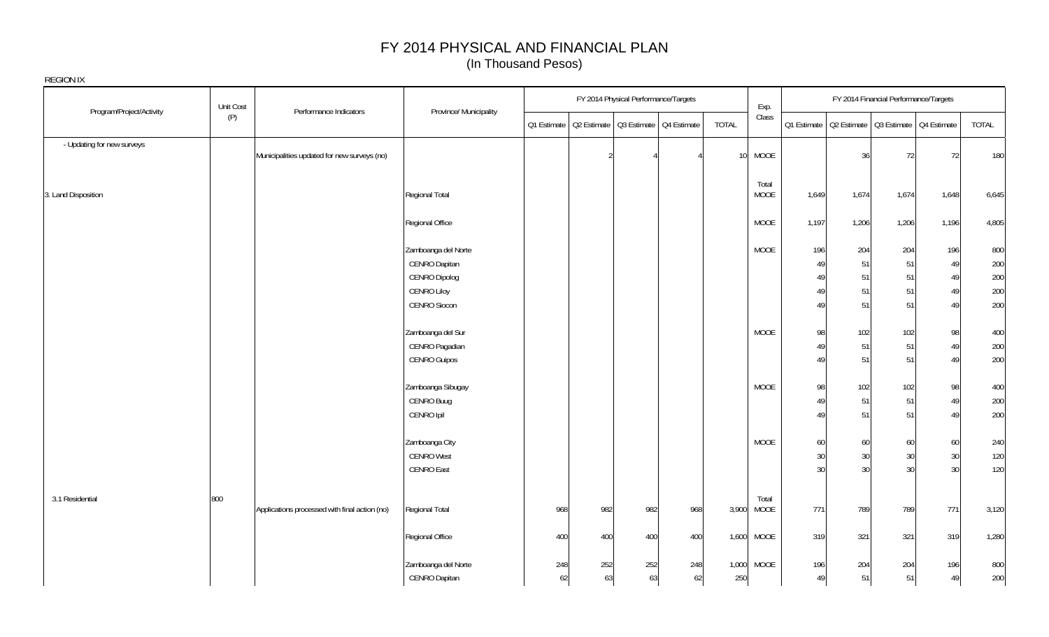| <b>REGION IX</b>           |           |                                               |                                      |     |                |                                                       |     |                 |                      |                 |           |                                                       |           |            |
|----------------------------|-----------|-----------------------------------------------|--------------------------------------|-----|----------------|-------------------------------------------------------|-----|-----------------|----------------------|-----------------|-----------|-------------------------------------------------------|-----------|------------|
|                            | Unit Cost |                                               |                                      |     |                | FY 2014 Physical Performance/Targets                  |     |                 | Exp.                 |                 |           | FY 2014 Financial Performance/Targets                 |           |            |
| Program/Project/Activity   | (P)       | Performance Indicators                        | Province/ Municipality               |     |                | Q1 Estimate   Q2 Estimate   Q3 Estimate   Q4 Estimate |     | TOTAL           | Class                |                 |           | Q1 Estimate   Q2 Estimate   Q3 Estimate   Q4 Estimate |           | TOTAL      |
| - Updating for new surveys |           | Municipalities updated for new surveys (no)   |                                      |     | $\mathfrak{D}$ |                                                       |     | 10 <sup>1</sup> | <b>MOOE</b>          |                 | 36        | 72                                                    | 72        | 180        |
| 3. Land Disposition        |           |                                               | Regional Total                       |     |                |                                                       |     |                 | Total<br><b>MOOE</b> | 1,649           | 1,674     | 1,674                                                 | 1,648     | 6,645      |
|                            |           |                                               | Regional Office                      |     |                |                                                       |     |                 | <b>MOOE</b>          | 1,197           | 1,206     | 1,206                                                 | 1,196     | 4,805      |
|                            |           |                                               | Zamboanga del Norte<br>CENRO Dapitan |     |                |                                                       |     |                 | MOOE                 | 196<br>49       | 204<br>51 | 204<br>51                                             | 196<br>49 | 800<br>200 |
|                            |           |                                               | CENRO Dipolog                        |     |                |                                                       |     |                 |                      | 49              | 51        | 51                                                    | 49        | 200        |
|                            |           |                                               | <b>CENRO Liloy</b>                   |     |                |                                                       |     |                 |                      | 49              | 51        | 51                                                    | 49        | 200        |
|                            |           |                                               | <b>CENRO Siocon</b>                  |     |                |                                                       |     |                 |                      | 49              | 51        | 51                                                    | 49        | 200        |
|                            |           |                                               | Zamboanga del Sur                    |     |                |                                                       |     |                 | <b>MOOE</b>          | 98              | 102       | 102                                                   | 98        | 400        |
|                            |           |                                               | CENRO Pagadian                       |     |                |                                                       |     |                 |                      | 49              | 51        | 51                                                    | 49        | 200        |
|                            |           |                                               | <b>CENRO Guipos</b>                  |     |                |                                                       |     |                 |                      | 49              | 51        | 51                                                    | 49        | 200        |
|                            |           |                                               | Zamboanga Sibugay                    |     |                |                                                       |     |                 | <b>MOOE</b>          | 98              | 102       | 102                                                   | 98        | 400        |
|                            |           |                                               | CENRO Buug                           |     |                |                                                       |     |                 |                      | 49              | 51        | 51                                                    | 49        | 200        |
|                            |           |                                               | CENRO Ipil                           |     |                |                                                       |     |                 |                      | 49              | 51        | 51                                                    | 49        | 200        |
|                            |           |                                               | Zamboanga City                       |     |                |                                                       |     |                 | <b>MOOE</b>          | 60              | 60        | 60                                                    | 60        | 240        |
|                            |           |                                               | <b>CENRO West</b>                    |     |                |                                                       |     |                 |                      | 30              | 30        | 30                                                    | 30        | 120        |
|                            |           |                                               | CENRO East                           |     |                |                                                       |     |                 |                      | 30 <sup>°</sup> | 30        | 30                                                    | 30        | 120        |
| 3.1 Residential            | 800       |                                               |                                      |     |                |                                                       |     |                 | Total                |                 |           |                                                       |           |            |
|                            |           | Applications processed with final action (no) | Regional Total                       | 968 | 982            | 982                                                   | 968 | 3,900           | <b>MOOE</b>          | 771             | 789       | 789                                                   | 771       | 3,120      |
|                            |           |                                               | Regional Office                      | 400 | 400            | 400                                                   | 400 | 1,600           | MOOE                 | 319             | 321       | 321                                                   | 319       | 1,280      |
|                            |           |                                               | Zamboanga del Norte                  | 248 | 252            | 252                                                   | 248 | 1,000           | <b>MOOE</b>          | 196             | 204       | 204                                                   | 196       | 800        |
|                            |           |                                               | CENRO Dapitan                        | 62  | 63             | 63                                                    | 62  | 250             |                      | 49              | 51        | 51                                                    | 49        | 200        |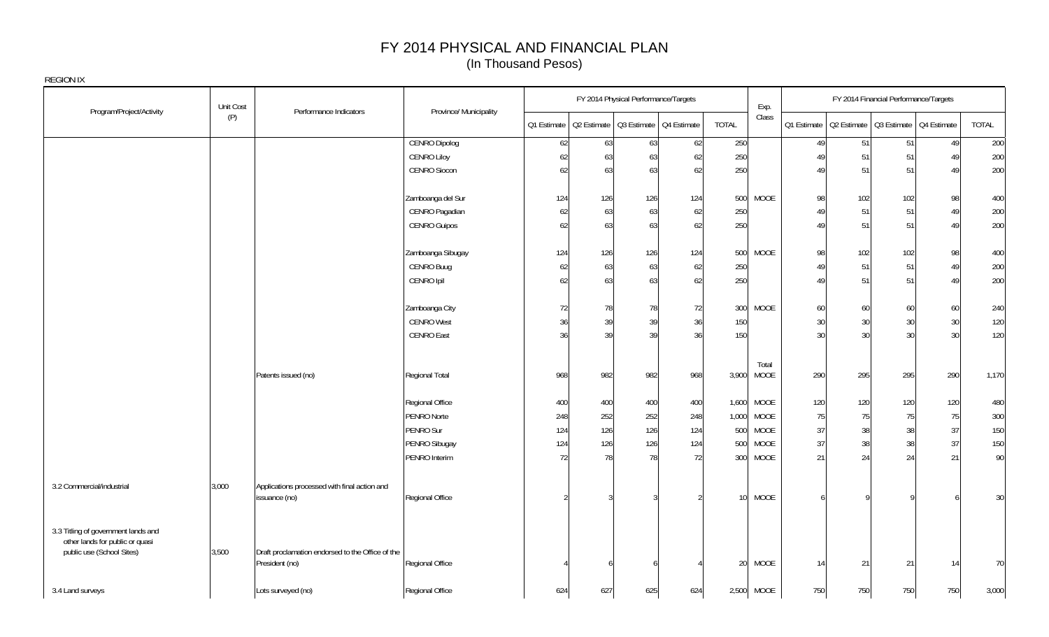|                                                                                                     | Unit Cost |                                                                    |                        |     |                                                       | FY 2014 Physical Performance/Targets |     |                 | Exp.          |        |                                                       | FY 2014 Financial Performance/Targets |     |       |
|-----------------------------------------------------------------------------------------------------|-----------|--------------------------------------------------------------------|------------------------|-----|-------------------------------------------------------|--------------------------------------|-----|-----------------|---------------|--------|-------------------------------------------------------|---------------------------------------|-----|-------|
| Program/Project/Activity                                                                            | (P)       | Performance Indicators                                             | Province/ Municipality |     | Q1 Estimate   Q2 Estimate   Q3 Estimate   Q4 Estimate |                                      |     | <b>TOTAL</b>    | Class         |        | Q1 Estimate   Q2 Estimate   Q3 Estimate   Q4 Estimate |                                       |     | TOTAL |
|                                                                                                     |           |                                                                    | <b>CENRO Dipolog</b>   | 62  | 63                                                    | 63                                   | 62  | 250             |               | 49     | 51                                                    | 51                                    | 49  | 200   |
|                                                                                                     |           |                                                                    | <b>CENRO Liloy</b>     | 62  | 63                                                    | 63                                   | 62  | 250             |               | 49     | 51                                                    | 51                                    | 49  | 200   |
|                                                                                                     |           |                                                                    | <b>CENRO Siocon</b>    | 62  | 63                                                    | 63                                   | 62  | 250             |               | 49     | 51                                                    | 51                                    | 49  | 200   |
|                                                                                                     |           |                                                                    | Zamboanga del Sur      | 124 | 126                                                   | 126                                  | 124 | 500             | MOOE          | 98     | 102                                                   | 102                                   | 98  | 400   |
|                                                                                                     |           |                                                                    | CENRO Pagadian         | 62  | 63                                                    | 63                                   | 62  | 250             |               | 49     | 51                                                    | 51                                    | 49  | 200   |
|                                                                                                     |           |                                                                    | <b>CENRO Guipos</b>    | 62  | 63                                                    | 63                                   | 62  | 250             |               | 49     | 51                                                    | 51                                    | 49  | 200   |
|                                                                                                     |           |                                                                    | Zamboanga Sibugay      | 124 | 126                                                   | 126                                  | 124 | 500             | <b>MOOE</b>   | 98     | 102                                                   | 102                                   | 98  | 400   |
|                                                                                                     |           |                                                                    | CENRO Buug             | 62  | 63                                                    | 63                                   | 62  | 250             |               | 49     | 51                                                    | 51                                    | 49  | 200   |
|                                                                                                     |           |                                                                    | CENRO Ipil             | 62  | 63                                                    | 63                                   | 62  | 250             |               | 49     | 51                                                    | 51                                    | 49  | 200   |
|                                                                                                     |           |                                                                    | Zamboanga City         | 72  | 78                                                    | 78                                   | 72  | 300             | <b>MOOE</b>   | 60     | 60                                                    | 60                                    | 60  | 240   |
|                                                                                                     |           |                                                                    | <b>CENRO West</b>      | 36  | 39                                                    | 39                                   | 36  | 150             |               | 30     | 30                                                    | 30                                    | 30  | 120   |
|                                                                                                     |           |                                                                    | <b>CENRO East</b>      | 36  | 39                                                    | 39                                   | 36  | 150             |               | 30     | 30                                                    | 30                                    | 30  | 120   |
|                                                                                                     |           | Patents issued (no)                                                | Regional Total         | 968 | 982                                                   | 982                                  | 968 | 3,900           | Total<br>MOOE | 290    | 295                                                   | 295                                   | 290 | 1,170 |
|                                                                                                     |           |                                                                    | Regional Office        | 400 | 400                                                   | 400                                  | 400 | 1,600           | MOOE          | 120    | 120                                                   | 120                                   | 120 | 480   |
|                                                                                                     |           |                                                                    | PENRO Norte            | 248 | 252                                                   | 252                                  | 248 | 1,000           | MOOE          | 75     | 75                                                    | 75                                    | 75  | 300   |
|                                                                                                     |           |                                                                    | PENRO Sur              | 124 | 126                                                   | 126                                  | 124 | 500             | MOOE          | $37\,$ | 38                                                    | 38                                    | 37  | 150   |
|                                                                                                     |           |                                                                    | PENRO Sibugay          | 124 | 126                                                   | 126                                  | 124 | 500             | MOOE          | 37     | 38                                                    | 38                                    | 37  | 150   |
|                                                                                                     |           |                                                                    | PENRO Interim          | 72  | 78                                                    | 78                                   | 72  | 300             | MOOE          | 21     | 24                                                    | 24                                    | 21  | 90    |
| 3.2 Commercial/industrial                                                                           | 3,000     | Applications processed with final action and<br>issuance (no)      | Regional Office        |     |                                                       | $\overline{3}$                       |     | 10 <sup>1</sup> | <b>MOOE</b>   |        |                                                       |                                       |     | 30    |
| 3.3 Titling of government lands and<br>other lands for public or quasi<br>public use (School Sites) | 3,500     | Draft proclamation endorsed to the Office of the<br>President (no) | Regional Office        |     |                                                       |                                      |     |                 | 20 MOOE       | 14     | 21                                                    | 21                                    | 14  | 70    |
| 3.4 Land surveys                                                                                    |           | Lots surveyed (no)                                                 | Regional Office        | 624 | 627                                                   | 625                                  | 624 |                 | 2,500 MOOE    | 750    | 750                                                   | 750                                   | 750 | 3,000 |
|                                                                                                     |           |                                                                    |                        |     |                                                       |                                      |     |                 |               |        |                                                       |                                       |     |       |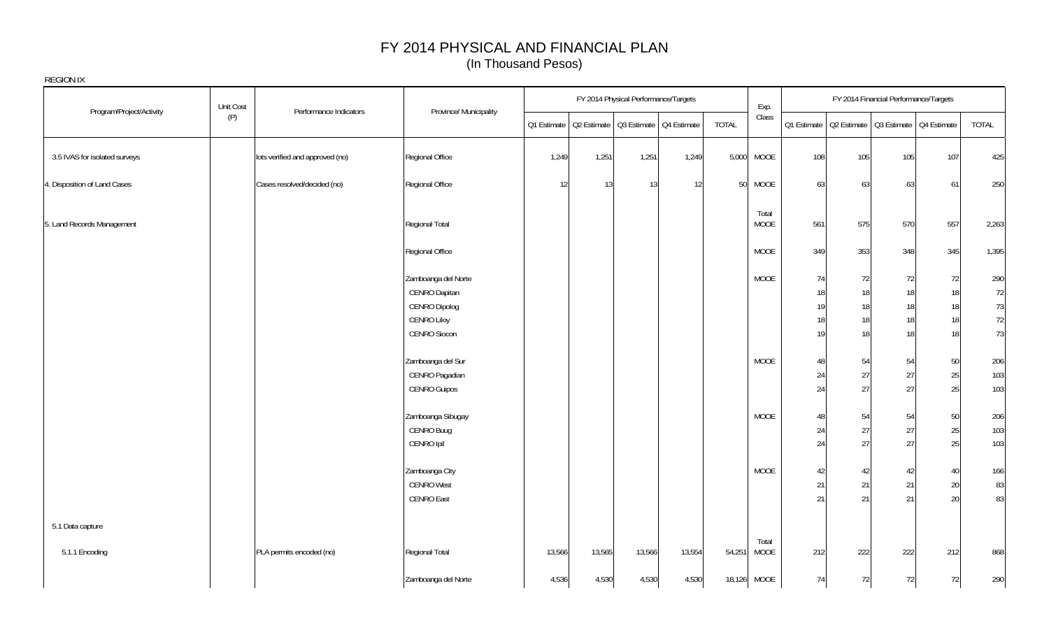| <b>REGION IX</b>              |           |                                 |                                                                                      |             |                                         |                                      |        |                 |                      |                            |                                                       |                                         |                            |                                 |
|-------------------------------|-----------|---------------------------------|--------------------------------------------------------------------------------------|-------------|-----------------------------------------|--------------------------------------|--------|-----------------|----------------------|----------------------------|-------------------------------------------------------|-----------------------------------------|----------------------------|---------------------------------|
| Program/Project/Activity      | Unit Cost | Performance Indicators          | Province/ Municipality                                                               |             |                                         | FY 2014 Physical Performance/Targets |        |                 | Exp.                 |                            |                                                       | FY 2014 Financial Performance/Targets   |                            |                                 |
|                               | (P)       |                                 |                                                                                      | Q1 Estimate | Q2 Estimate   Q3 Estimate   Q4 Estimate |                                      |        | <b>TOTAL</b>    | Class                |                            | Q1 Estimate   Q2 Estimate   Q3 Estimate   Q4 Estimate |                                         |                            | TOTAL                           |
| 3.5 IVAS for isolated surveys |           | lots verified and approved (no) | Regional Office                                                                      | 1,249       | 1,251                                   | 1,251                                | 1,249  | 5,000           | MOOE                 | 108                        | 105                                                   | 105                                     | 107                        | 425                             |
| 4. Disposition of Land Cases  |           | Cases resolved/decided (no)     | Regional Office                                                                      | 12          | 13                                      | 13                                   | 12     | 50 <sup>°</sup> | MOOE                 | 63                         | 63                                                    | 63                                      | 61                         | 250                             |
| 5. Land Records Management    |           |                                 | Regional Total                                                                       |             |                                         |                                      |        |                 | Total<br><b>MOOE</b> | 561                        | 575                                                   | 570                                     | 557                        | 2,263                           |
|                               |           |                                 | Regional Office                                                                      |             |                                         |                                      |        |                 | MOOE                 | 349                        | 353                                                   | 348                                     | 345                        | 1,395                           |
|                               |           |                                 | Zamboanga del Norte<br>CENRO Dapitan<br>CENRO Dipolog<br>CENRO Liloy<br>CENRO Siocon |             |                                         |                                      |        |                 | MOOE                 | 74<br>18<br>19<br>18<br>19 | 72<br>18<br>18<br>18<br>18                            | 72<br>18<br>18 <sup>1</sup><br>18<br>18 | 72<br>18<br>18<br>18<br>18 | 290<br>72<br>73<br>$72\,$<br>73 |
|                               |           |                                 | Zamboanga del Sur<br>CENRO Pagadian<br>CENRO Guipos                                  |             |                                         |                                      |        |                 | MOOE                 | 48<br>24<br>24             | 54<br>27<br>27                                        | 54<br>27<br>27                          | $50\,$<br>25<br>25         | 206<br>103<br>103               |
|                               |           |                                 | Zamboanga Sibugay<br>CENRO Buug<br>CENRO Ipil                                        |             |                                         |                                      |        |                 | MOOE                 | 48<br>24<br>24             | 54<br>27<br>27                                        | 54<br>27<br>27                          | $50\,$<br>25<br>25         | 206<br>103<br>103               |
|                               |           |                                 | Zamboanga City<br><b>CENRO West</b><br><b>CENRO East</b>                             |             |                                         |                                      |        |                 | MOOE                 | 42<br>21<br>21             | 42<br>21<br>21                                        | 42<br>21<br>21                          | 40<br>20<br>20             | 166<br>83<br>83                 |
| 5.1 Data capture              |           |                                 |                                                                                      |             |                                         |                                      |        |                 |                      |                            |                                                       |                                         |                            |                                 |
| 5.1.1 Encoding                |           | PLA permits encoded (no)        | Regional Total                                                                       | 13,566      | 13,565                                  | 13,566                               | 13,554 | 54,251          | Total<br>MOOE        | 212                        | 222                                                   | 222                                     | 212                        | 868                             |
|                               |           |                                 | Zamboanga del Norte                                                                  | 4,536       | 4,530                                   | 4,530                                | 4,530  |                 | 18,126 MOOE          | 74                         | 72                                                    | 72                                      | 72                         | 290                             |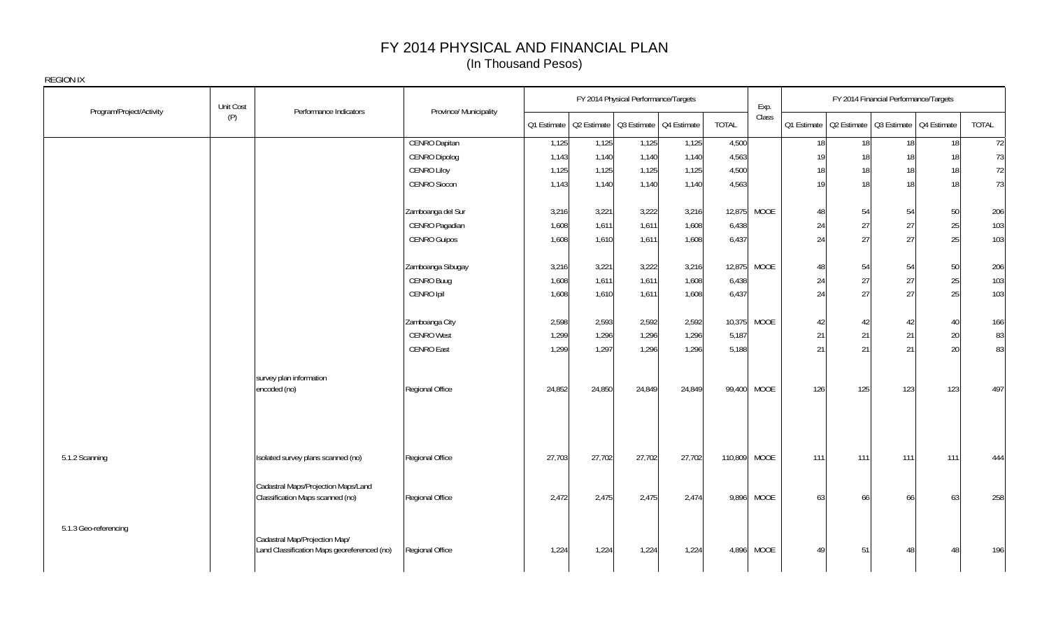| Unit Cost<br>Program/Project/Activity | Performance Indicators                                                       | Province/ Municipality |        |        | FY 2014 Physical Performance/Targets                  |        |              | Exp.        |     |     | FY 2014 Financial Performance/Targets |                                                       |              |
|---------------------------------------|------------------------------------------------------------------------------|------------------------|--------|--------|-------------------------------------------------------|--------|--------------|-------------|-----|-----|---------------------------------------|-------------------------------------------------------|--------------|
| (P)                                   |                                                                              |                        |        |        | Q1 Estimate   Q2 Estimate   Q3 Estimate   Q4 Estimate |        | <b>TOTAL</b> | Class       |     |     |                                       | Q1 Estimate   Q2 Estimate   Q3 Estimate   Q4 Estimate | <b>TOTAL</b> |
|                                       |                                                                              | <b>CENRO Dapitan</b>   | 1,125  | 1,125  | 1,125                                                 | 1,125  | 4,500        |             | 18  | 18  | 18                                    | 18                                                    | 72           |
|                                       |                                                                              | <b>CENRO Dipolog</b>   | 1,143  | 1,140  | 1,140                                                 | 1,140  | 4,563        |             | 19  | 18  | 18                                    | 18                                                    | 73           |
|                                       |                                                                              | <b>CENRO Liloy</b>     | 1,125  | 1,125  | 1,125                                                 | 1,125  | 4,500        |             | 18  | 18  | 18                                    | 18                                                    | 72           |
|                                       |                                                                              | <b>CENRO Siocon</b>    | 1,143  | 1,140  | 1,140                                                 | 1,140  | 4,563        |             | 19  | 18  | 18                                    | 18                                                    | 73           |
|                                       |                                                                              | Zamboanga del Sur      | 3,216  | 3,221  | 3,222                                                 | 3,216  |              | 12,875 MOOE | 48  | 54  | 54                                    | 50                                                    | 206          |
|                                       |                                                                              | CENRO Pagadian         | 1,608  | 1,611  | 1,611                                                 | 1,608  | 6,438        |             | 24  | 27  | 27                                    | 25                                                    | 103          |
|                                       |                                                                              | <b>CENRO Guipos</b>    | 1,608  | 1,610  | 1,611                                                 | 1,608  | 6,437        |             | 24  | 27  | 27                                    | 25                                                    | 103          |
|                                       |                                                                              | Zamboanga Sibugay      | 3,216  | 3,221  | 3,222                                                 | 3,216  | 12,875       | <b>MOOE</b> | 48  | 54  | 54                                    | 50                                                    | 206          |
|                                       |                                                                              | CENRO Buug             | 1,608  | 1,611  | 1,611                                                 | 1,608  | 6,438        |             | 24  | 27  | 27                                    | 25                                                    | 103          |
|                                       |                                                                              | CENRO Ipil             | 1,608  | 1,610  | 1,611                                                 | 1,608  | 6,437        |             | 24  | 27  | 27                                    | 25                                                    | 103          |
|                                       |                                                                              | Zamboanga City         | 2,598  | 2,593  | 2,592                                                 | 2,592  | 10,375       | <b>MOOE</b> | 42  | 42  | 42                                    | 40                                                    | 166          |
|                                       |                                                                              | <b>CENRO West</b>      | 1,299  | 1,296  | 1,296                                                 | 1,296  | 5,187        |             | 21  | 21  | 21                                    | 20                                                    | 83           |
|                                       |                                                                              | <b>CENRO East</b>      | 1,299  | 1,297  | 1,296                                                 | 1,296  | 5,188        |             | 21  | 21  | 21                                    | 20                                                    | 83           |
|                                       | survey plan information                                                      |                        |        |        |                                                       |        |              |             |     |     |                                       |                                                       |              |
|                                       | encoded (no)                                                                 | Regional Office        | 24,852 | 24,850 | 24,849                                                | 24,849 |              | 99,400 MOOE | 126 | 125 | 123                                   | 123                                                   | 497          |
|                                       |                                                                              |                        |        |        |                                                       |        |              |             |     |     |                                       |                                                       |              |
| 5.1.2 Scanning                        | Isolated survey plans scanned (no)                                           | Regional Office        | 27,703 | 27,702 | 27,702                                                | 27,702 | 110,809      | <b>MOOE</b> | 111 | 111 | 111                                   | 111                                                   | 444          |
|                                       | Cadastral Maps/Projection Maps/Land<br>Classification Maps scanned (no)      | Regional Office        | 2,472  | 2,475  | 2,475                                                 | 2,474  |              | 9,896 MOOE  | 63  | 66  | 66                                    | 63                                                    | 258          |
| 5.1.3 Geo-referencing                 | Cadastral Map/Projection Map/<br>Land Classification Maps georeferenced (no) | Regional Office        | 1,224  | 1,224  | 1,224                                                 | 1,224  |              | 4,896 MOOE  | 49  | 51  | 48                                    | 48                                                    | 196          |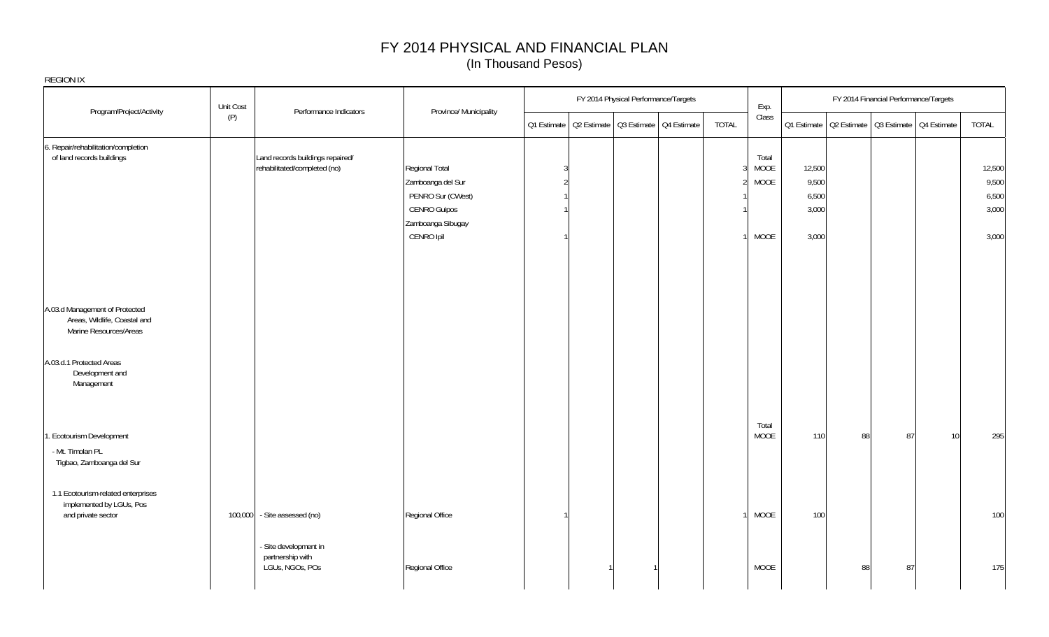| <b>REGION IX</b>                                                                         |                                                                  |                                                                                                                    |             |                                         |                     |                               |                                            |    |                                                       |                 |                                            |
|------------------------------------------------------------------------------------------|------------------------------------------------------------------|--------------------------------------------------------------------------------------------------------------------|-------------|-----------------------------------------|---------------------|-------------------------------|--------------------------------------------|----|-------------------------------------------------------|-----------------|--------------------------------------------|
| Program/Project/Activity                                                                 | Unit Cost<br>Performance Indicators                              | Province/ Municipality                                                                                             |             | FY 2014 Physical Performance/Targets    |                     | Exp.                          |                                            |    | FY 2014 Financial Performance/Targets                 |                 |                                            |
|                                                                                          | (P)                                                              |                                                                                                                    | Q1 Estimate | Q2 Estimate   Q3 Estimate   Q4 Estimate | <b>TOTAL</b>        | Class                         |                                            |    | Q1 Estimate   Q2 Estimate   Q3 Estimate   Q4 Estimate |                 | TOTAL                                      |
| 6. Repair/rehabilitation/completion<br>of land records buildings                         | Land records buildings repaired/<br>rehabilitated/completed (no) | Regional Total<br>Zamboanga del Sur<br>PENRO Sur (CWest)<br><b>CENRO Guipos</b><br>Zamboanga Sibugay<br>CENRO Ipil |             |                                         | 3<br>$\mathfrak{D}$ | Total<br>MOOE<br>MOOE<br>MOOE | 12,500<br>9,500<br>6,500<br>3,000<br>3,000 |    |                                                       |                 | 12,500<br>9,500<br>6,500<br>3,000<br>3,000 |
| A.03.d Management of Protected<br>Areas, Wildlife, Coastal and<br>Marine Resources/Areas |                                                                  |                                                                                                                    |             |                                         |                     |                               |                                            |    |                                                       |                 |                                            |
| A.03.d.1 Protected Areas<br>Development and<br>Management                                |                                                                  |                                                                                                                    |             |                                         |                     |                               |                                            |    |                                                       |                 |                                            |
| . Ecotourism Development<br>- Mt. Timolan PL<br>Tigbao, Zamboanga del Sur                |                                                                  |                                                                                                                    |             |                                         |                     | Total<br>MOOE                 | 110                                        | 88 | 87                                                    | 10 <sup>1</sup> | 295                                        |
| 1.1 Ecotourism-related enterprises<br>implemented by LGUs, Pos<br>and private sector     | - Site assessed (no)<br>100,000                                  | Regional Office                                                                                                    |             |                                         |                     | MOOE                          | 100                                        |    |                                                       |                 | 100                                        |
|                                                                                          | - Site development in<br>partnership with<br>LGUs, NGOs, POs     | Regional Office                                                                                                    |             |                                         |                     | MOOE                          |                                            | 88 | 87                                                    |                 | 175                                        |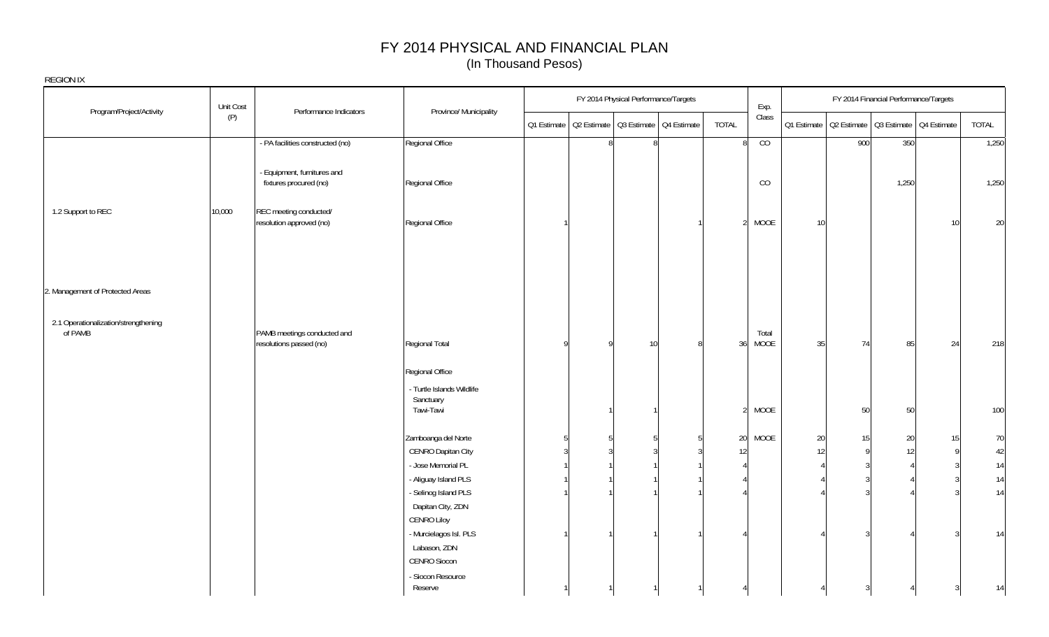| Program/Project/Activity                        | Unit Cost | Performance Indicators                                 | Province/ Municipality                       |   | FY 2014 Physical Performance/Targets                  |                 | Exp.          |                 |     | FY 2014 Financial Performance/Targets                 |                 |        |
|-------------------------------------------------|-----------|--------------------------------------------------------|----------------------------------------------|---|-------------------------------------------------------|-----------------|---------------|-----------------|-----|-------------------------------------------------------|-----------------|--------|
|                                                 | (P)       |                                                        |                                              |   | Q1 Estimate   Q2 Estimate   Q3 Estimate   Q4 Estimate | TOTAL           | Class         |                 |     | Q1 Estimate   Q2 Estimate   Q3 Estimate   Q4 Estimate |                 | TOTAL  |
|                                                 |           | - PA facilities constructed (no)                       | Regional Office                              |   | 8<br>8                                                | 8               | CO            |                 | 900 | 350                                                   |                 | 1,250  |
|                                                 |           | - Equipment, furnitures and<br>fixtures procured (no)  | Regional Office                              |   |                                                       |                 | CO            |                 |     | 1,250                                                 |                 | 1,250  |
| 1.2 Support to REC                              | 10,000    | REC meeting conducted/<br>resolution approved (no)     | Regional Office                              |   |                                                       | 2 <sup>1</sup>  | MOOE          | 10 <sup>1</sup> |     |                                                       | 10 <sup>1</sup> | 20     |
| 2. Management of Protected Areas                |           |                                                        |                                              |   |                                                       |                 |               |                 |     |                                                       |                 |        |
|                                                 |           |                                                        |                                              |   |                                                       |                 |               |                 |     |                                                       |                 |        |
| 2.1 Operationalization/strengthening<br>of PAMB |           | PAMB meetings conducted and<br>resolutions passed (no) | Regional Total                               | 9 | 10 <sup>1</sup>                                       | 36              | Total<br>MOOE | 35              | 74  | 85                                                    | 24              | 218    |
|                                                 |           |                                                        | Regional Office<br>- Turtle Islands Wildlife |   |                                                       |                 |               |                 |     |                                                       |                 |        |
|                                                 |           |                                                        | Sanctuary<br>Tawi-Tawi                       |   |                                                       | 21              | MOOE          |                 | 50  | 50                                                    |                 | 100    |
|                                                 |           |                                                        | Zamboanga del Norte                          |   |                                                       | 20 <sup>1</sup> | MOOE          | 20              | 15  | 20                                                    | 15              | 70     |
|                                                 |           |                                                        | CENRO Dapitan City                           |   |                                                       | 12              |               | 12              |     |                                                       | $\Omega$        | $42\,$ |
|                                                 |           |                                                        | - Jose Memorial PL                           |   |                                                       |                 |               |                 |     |                                                       |                 | $14$   |
|                                                 |           |                                                        | - Aliguay Island PLS                         |   |                                                       |                 |               |                 |     |                                                       |                 | $14$   |
|                                                 |           |                                                        | - Selinog Island PLS                         |   |                                                       |                 |               |                 |     |                                                       |                 | $14$   |
|                                                 |           |                                                        | Dapitan City, ZDN                            |   |                                                       |                 |               |                 |     |                                                       |                 |        |
|                                                 |           |                                                        | CENRO Liloy                                  |   |                                                       |                 |               |                 |     |                                                       |                 |        |
|                                                 |           |                                                        | - Murcielagos Isl. PLS                       |   |                                                       |                 |               |                 |     |                                                       |                 | 14     |
|                                                 |           |                                                        | Labason, ZDN                                 |   |                                                       |                 |               |                 |     |                                                       |                 |        |
|                                                 |           |                                                        | CENRO Siocon                                 |   |                                                       |                 |               |                 |     |                                                       |                 |        |
|                                                 |           |                                                        | - Siocon Resource<br>Reserve                 |   |                                                       |                 |               |                 |     |                                                       |                 | 14     |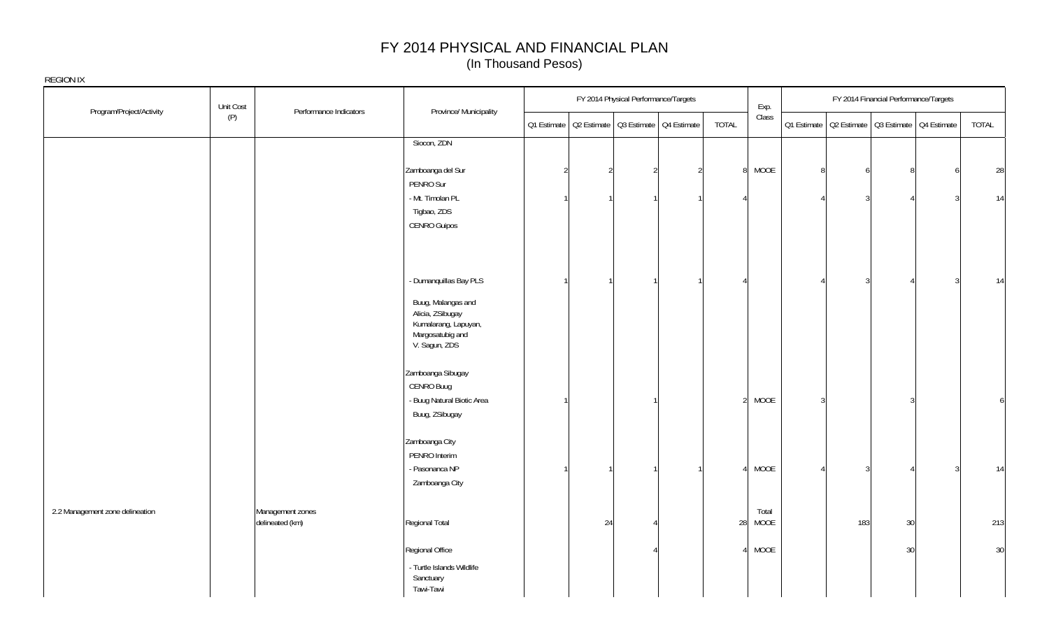|                                 | Unit Cost                           |                        |                                                                                                                               |             |    | FY 2014 Physical Performance/Targets |                                         |                |               |                |                                                       | FY 2014 Financial Performance/Targets |       |
|---------------------------------|-------------------------------------|------------------------|-------------------------------------------------------------------------------------------------------------------------------|-------------|----|--------------------------------------|-----------------------------------------|----------------|---------------|----------------|-------------------------------------------------------|---------------------------------------|-------|
| Program/Project/Activity        | (P)                                 | Performance Indicators | Province/ Municipality                                                                                                        | Q1 Estimate |    |                                      | Q2 Estimate   Q3 Estimate   Q4 Estimate | TOTAL          | Exp.<br>Class |                | Q1 Estimate   Q2 Estimate   Q3 Estimate   Q4 Estimate |                                       | TOTAL |
|                                 |                                     |                        | Siocon, ZDN                                                                                                                   |             |    |                                      |                                         |                |               |                |                                                       |                                       |       |
|                                 |                                     |                        | Zamboanga del Sur<br>PENRO Sur                                                                                                |             |    | $\overline{2}$                       |                                         | 8 <sup>1</sup> | MOOE          | 8              |                                                       | $\mathsf{R}$                          | 28    |
|                                 |                                     |                        | - Mt. Timolan PL<br>Tigbao, ZDS<br>CENRO Guipos                                                                               |             |    |                                      |                                         |                |               |                |                                                       |                                       | 14    |
|                                 |                                     |                        | - Dumanquillas Bay PLS<br>Buug, Malangas and<br>Alicia, ZSibugay<br>Kumalarang, Lapuyan,<br>Margosatubig and<br>V. Sagun, ZDS |             |    |                                      |                                         |                |               |                |                                                       |                                       | 14    |
|                                 |                                     |                        | Zamboanga Sibugay<br>CENRO Buug<br>- Buug Natural Biotic Area<br>Buug, ZSibugay                                               |             |    |                                      |                                         | $\overline{2}$ | MOOE          | $\overline{3}$ |                                                       | 3                                     | 6     |
|                                 |                                     |                        | Zamboanga City<br>PENRO Interim<br>- Pasonanca NP<br>Zamboanga City                                                           |             |    |                                      |                                         |                | MOOE          |                |                                                       |                                       | 14    |
| 2.2 Management zone delineation | Management zones<br>delineated (km) |                        | Regional Total                                                                                                                |             | 24 | Δ                                    |                                         | 28             | Total<br>MOOE |                | 183                                                   | 30                                    | 213   |
|                                 |                                     |                        | Regional Office<br>- Turtle Islands Wildlife<br>Sanctuary<br>Tawi-Tawi                                                        |             |    |                                      |                                         |                | MOOE          |                |                                                       | 30                                    | 30    |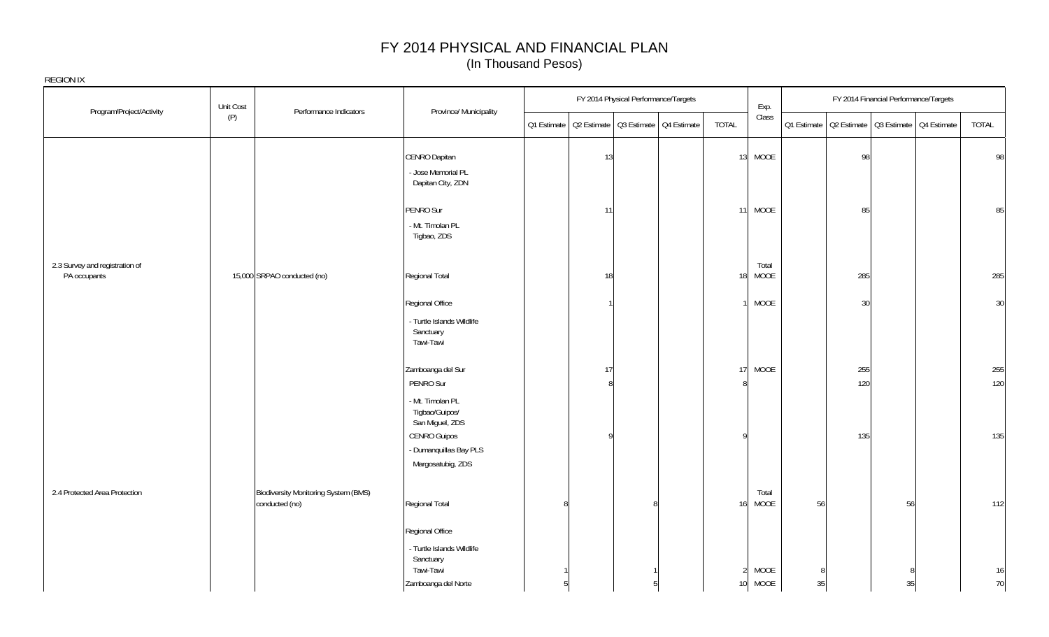|                                                | Unit Cost                                              |                                                                        |              | FY 2014 Physical Performance/Targets |   |                | Exp.                 |    |     | FY 2014 Financial Performance/Targets                 |       |
|------------------------------------------------|--------------------------------------------------------|------------------------------------------------------------------------|--------------|--------------------------------------|---|----------------|----------------------|----|-----|-------------------------------------------------------|-------|
| Program/Project/Activity                       | Performance Indicators<br>(P)                          | Province/ Municipality                                                 | Q1 Estimate  | Q2 Estimate Q3 Estimate Q4 Estimate  |   | TOTAL          | Class                |    |     | Q1 Estimate   Q2 Estimate   Q3 Estimate   Q4 Estimate | TOTAL |
|                                                |                                                        | CENRO Dapitan<br>- Jose Memorial PL<br>Dapitan City, ZDN               |              | 13                                   |   |                | 13 MOOE              |    | 98  |                                                       | 98    |
|                                                |                                                        | PENRO Sur<br>- Mt. Timolan PL<br>Tigbao, ZDS                           |              | 11                                   |   |                | 11 MOOE              |    | 85  |                                                       | 85    |
| 2.3 Survey and registration of<br>PA occupants | 15,000 SRPAO conducted (no)                            | Regional Total                                                         |              | 18                                   |   | 18             | Total<br><b>MOOE</b> |    | 285 |                                                       | 285   |
|                                                |                                                        | Regional Office<br>- Turtle Islands Wildlife<br>Sanctuary<br>Tawi-Tawi |              |                                      |   |                | MOOE                 |    | 30  |                                                       | 30    |
|                                                |                                                        | Zamboanga del Sur                                                      |              | 17                                   |   | 17             | MOOE                 |    | 255 |                                                       | 255   |
|                                                |                                                        | PENRO Sur<br>- Mt. Timolan PL<br>Tigbao/Guipos/<br>San Miguel, ZDS     |              | $\mathsf{Q}$                         |   |                |                      |    | 120 |                                                       | 120   |
|                                                |                                                        | <b>CENRO Guipos</b><br>- Dumanquillas Bay PLS<br>Margosatubig, ZDS     |              |                                      |   | o              |                      |    | 135 |                                                       | 135   |
| 2.4 Protected Area Protection                  | Biodiversity Monitoring System (BMS)<br>conducted (no) | Regional Total                                                         | $\mathsf{R}$ |                                      | 8 | 16             | Total<br>MOOE        | 56 |     | 56                                                    | 112   |
|                                                |                                                        | Regional Office<br>- Turtle Islands Wildlife<br>Sanctuary              |              |                                      |   |                |                      |    |     |                                                       |       |
|                                                |                                                        | Tawi-Tawi                                                              |              |                                      |   | $\mathfrak{D}$ | MOOE                 | 8  |     |                                                       | 16    |
|                                                |                                                        | Zamboanga del Norte                                                    |              |                                      |   | 10             | MOOE                 | 35 |     | 35                                                    | 70    |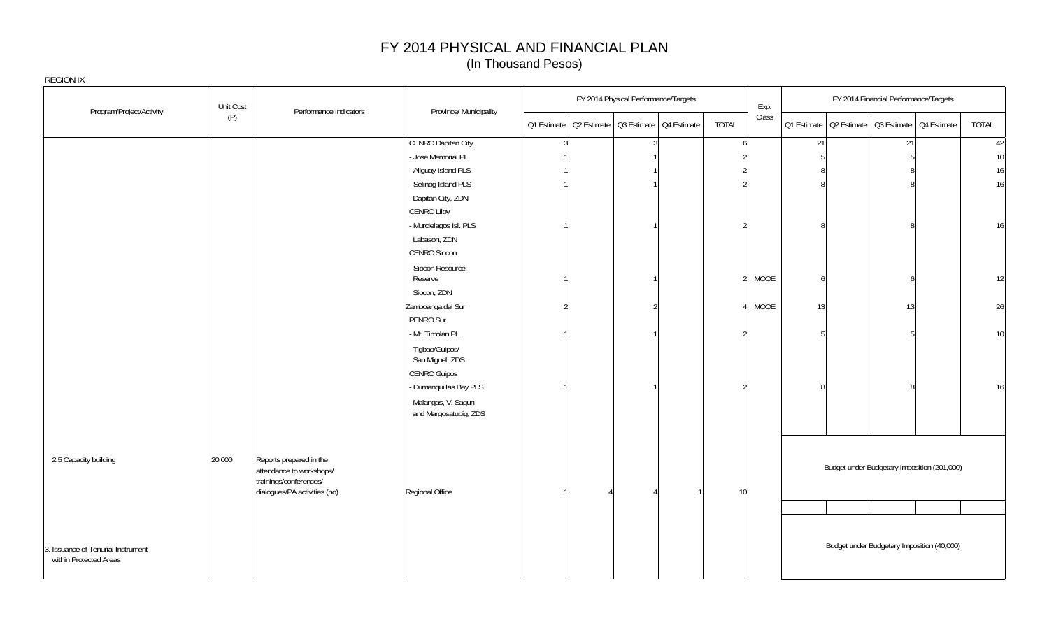|                                                              | Unit Cost | Performance Indicators                                                        | Province/ Municipality                      |  | FY 2014 Physical Performance/Targets                  |               | Exp.  |    | FY 2014 Financial Performance/Targets                 |       |
|--------------------------------------------------------------|-----------|-------------------------------------------------------------------------------|---------------------------------------------|--|-------------------------------------------------------|---------------|-------|----|-------------------------------------------------------|-------|
| Program/Project/Activity                                     | (P)       |                                                                               |                                             |  | Q1 Estimate   Q2 Estimate   Q3 Estimate   Q4 Estimate | TOTAL         | Class |    | 01 Estimate   02 Estimate   03 Estimate   04 Estimate | TOTAL |
|                                                              |           |                                                                               | <b>CENRO Dapitan City</b>                   |  |                                                       | 6             |       | 21 | 21                                                    | 42    |
|                                                              |           |                                                                               | - Jose Memorial PL                          |  |                                                       |               |       |    |                                                       | 10    |
|                                                              |           |                                                                               | - Aliguay Island PLS                        |  |                                                       |               |       |    |                                                       | 16    |
|                                                              |           |                                                                               | - Selinog Island PLS                        |  |                                                       |               |       |    | $\mathsf{R}$                                          | 16    |
|                                                              |           |                                                                               | Dapitan City, ZDN                           |  |                                                       |               |       |    |                                                       |       |
|                                                              |           |                                                                               | <b>CENRO Liloy</b>                          |  |                                                       |               |       |    |                                                       |       |
|                                                              |           |                                                                               | - Murcielagos Isl. PLS                      |  |                                                       |               |       |    | 8                                                     | 16    |
|                                                              |           |                                                                               | Labason, ZDN                                |  |                                                       |               |       |    |                                                       |       |
|                                                              |           |                                                                               | CENRO Siocon                                |  |                                                       |               |       |    |                                                       |       |
|                                                              |           |                                                                               | - Siocon Resource<br>Reserve                |  |                                                       | $\mathcal{P}$ | MOOE  |    | 6                                                     | 12    |
|                                                              |           |                                                                               | Siocon, ZDN                                 |  |                                                       |               |       |    |                                                       |       |
|                                                              |           |                                                                               | Zamboanga del Sur                           |  | $\mathfrak{D}$                                        | Δ             | MOOE  | 13 | 13                                                    | 26    |
|                                                              |           |                                                                               | PENRO Sur                                   |  |                                                       |               |       |    |                                                       |       |
|                                                              |           |                                                                               | - Mt. Timolan PL                            |  |                                                       |               |       |    |                                                       | 10    |
|                                                              |           |                                                                               | Tigbao/Guipos/<br>San Miguel, ZDS           |  |                                                       |               |       |    |                                                       |       |
|                                                              |           |                                                                               |                                             |  |                                                       |               |       |    |                                                       |       |
|                                                              |           |                                                                               | <b>CENRO Guipos</b>                         |  |                                                       |               |       |    |                                                       |       |
|                                                              |           |                                                                               | - Dumanquillas Bay PLS                      |  |                                                       |               |       |    |                                                       | 16    |
|                                                              |           |                                                                               | Malangas, V. Sagun<br>and Margosatubig, ZDS |  |                                                       |               |       |    |                                                       |       |
|                                                              |           |                                                                               |                                             |  |                                                       |               |       |    |                                                       |       |
| 2.5 Capacity building                                        | 20,000    | Reports prepared in the<br>attendance to workshops/<br>trainings/conferences/ |                                             |  |                                                       |               |       |    | Budget under Budgetary Imposition (201,000)           |       |
|                                                              |           | dialogues/PA activities (no)                                                  | Regional Office                             |  |                                                       | 10            |       |    |                                                       |       |
|                                                              |           |                                                                               |                                             |  |                                                       |               |       |    |                                                       |       |
| 3. Issuance of Tenurial Instrument<br>within Protected Areas |           |                                                                               |                                             |  |                                                       |               |       |    | Budget under Budgetary Imposition (40,000)            |       |
|                                                              |           |                                                                               |                                             |  |                                                       |               |       |    |                                                       |       |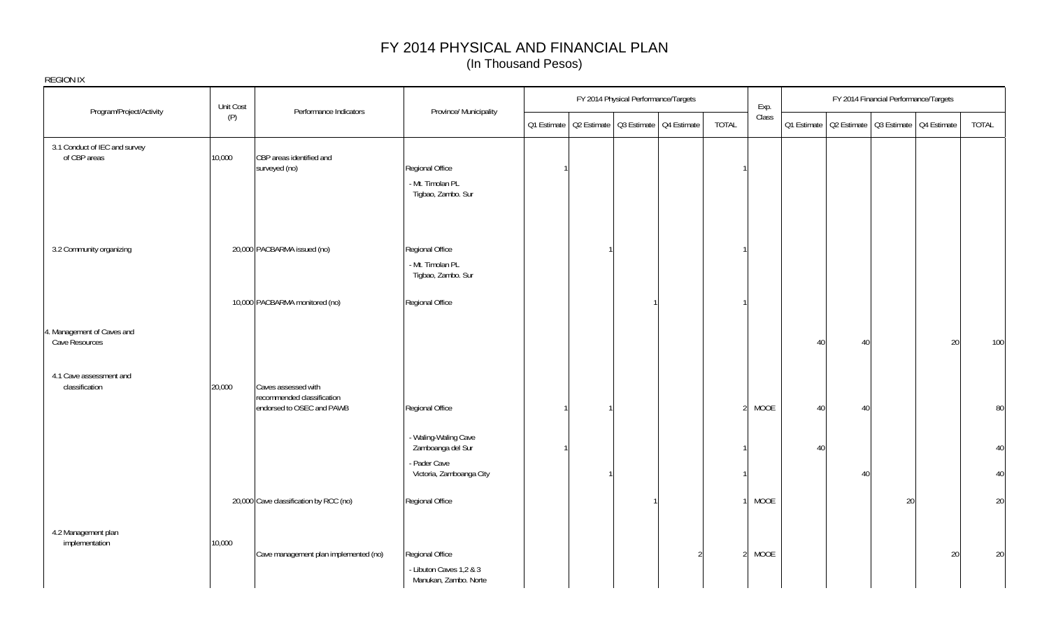| <b>REGION IX</b>                              |           |                                                                                |                                                                     |             |                                         |                |       |             |    |                                       |                                         |       |
|-----------------------------------------------|-----------|--------------------------------------------------------------------------------|---------------------------------------------------------------------|-------------|-----------------------------------------|----------------|-------|-------------|----|---------------------------------------|-----------------------------------------|-------|
|                                               | Unit Cost |                                                                                |                                                                     |             | FY 2014 Physical Performance/Targets    |                | Exp.  |             |    | FY 2014 Financial Performance/Targets |                                         |       |
| Program/Project/Activity                      | (P)       | Performance Indicators                                                         | Province/ Municipality                                              | Q1 Estimate | Q2 Estimate   Q3 Estimate   Q4 Estimate | <b>TOTAL</b>   | Class | Q1 Estimate |    |                                       | Q2 Estimate   Q3 Estimate   Q4 Estimate | TOTAL |
| 3.1 Conduct of IEC and survey<br>of CBP areas | 10,000    | CBP areas identified and<br>surveyed (no)                                      | Regional Office<br>- Mt. Timolan PL<br>Tigbao, Zambo. Sur           |             |                                         |                |       |             |    |                                       |                                         |       |
| 3.2 Community organizing                      |           | 20,000 PACBARMA issued (no)                                                    | Regional Office<br>- Mt. Timolan PL<br>Tigbao, Zambo. Sur           |             |                                         |                |       |             |    |                                       |                                         |       |
|                                               |           | 10,000 PACBARMA monitored (no)                                                 | Regional Office                                                     |             |                                         |                |       |             |    |                                       |                                         |       |
| 4. Management of Caves and<br>Cave Resources  |           |                                                                                |                                                                     |             |                                         |                |       | 40          | 40 |                                       | 20                                      | 100   |
| 4.1 Cave assessment and<br>classification     | 20,000    | Caves assessed with<br>recommended classification<br>endorsed to OSEC and PAWB | Regional Office                                                     |             |                                         |                | MOOE  | 40          | 40 |                                       |                                         | 80    |
|                                               |           |                                                                                | - Waling-Waling Cave<br>Zamboanga del Sur                           |             |                                         |                |       | 40          |    |                                       |                                         | 40    |
|                                               |           |                                                                                | - Pader Cave<br>Victoria, Zamboanga City                            |             |                                         |                |       |             | 40 |                                       |                                         | 40    |
|                                               |           | 20,000 Cave classification by RCC (no)                                         | Regional Office                                                     |             |                                         |                | MOOE  |             |    | 20                                    |                                         | 20    |
| 4.2 Management plan<br>implementation         | 10,000    | Cave management plan implemented (no)                                          | Regional Office<br>- Libuton Caves 1,2 & 3<br>Manukan, Zambo. Norte |             |                                         | $\mathfrak{D}$ | MOOE  |             |    |                                       | 20                                      | 20    |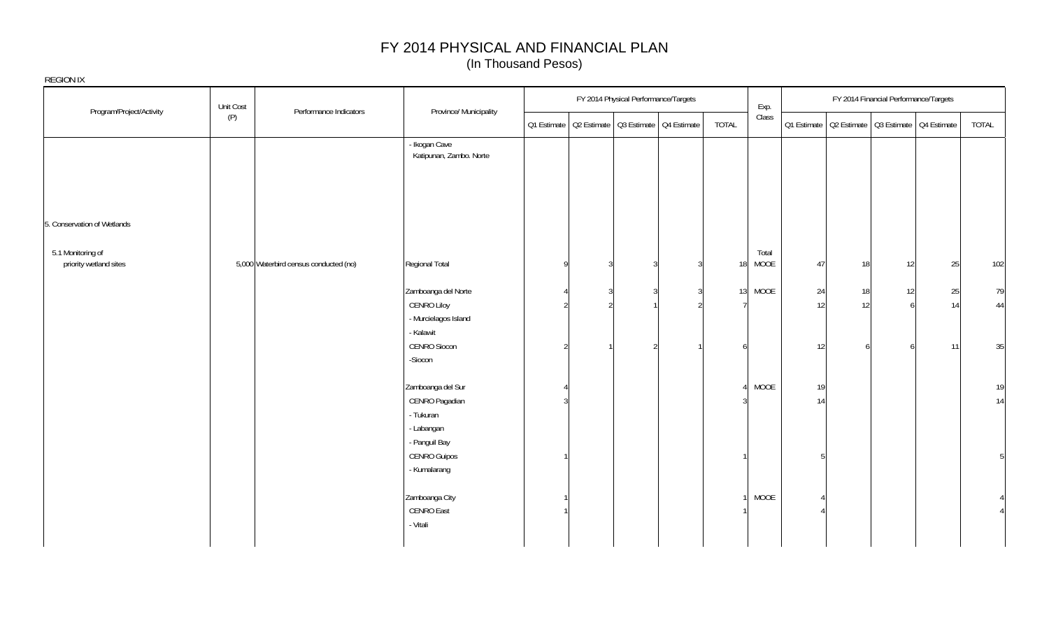|                                             | Unit Cost                             |                                                                |  | FY 2014 Physical Performance/Targets                  |              | Exp.          |          |                                                       | FY 2014 Financial Performance/Targets |          |              |
|---------------------------------------------|---------------------------------------|----------------------------------------------------------------|--|-------------------------------------------------------|--------------|---------------|----------|-------------------------------------------------------|---------------------------------------|----------|--------------|
| Program/Project/Activity                    | Performance Indicators<br>(P)         | Province/ Municipality                                         |  | Q1 Estimate   Q2 Estimate   Q3 Estimate   Q4 Estimate | <b>TOTAL</b> | Class         |          | Q1 Estimate   Q2 Estimate   Q3 Estimate   Q4 Estimate |                                       |          | <b>TOTAL</b> |
|                                             |                                       | - Ikogan Cave<br>Katipunan, Zambo. Norte                       |  |                                                       |              |               |          |                                                       |                                       |          |              |
|                                             |                                       |                                                                |  |                                                       |              |               |          |                                                       |                                       |          |              |
| 5. Conservation of Wetlands                 |                                       |                                                                |  |                                                       |              |               |          |                                                       |                                       |          |              |
| 5.1 Monitoring of<br>priority wetland sites | 5,000 Waterbird census conducted (no) | Regional Total                                                 |  | 3                                                     | 18           | Total<br>MOOE | 47       | 18                                                    | 12                                    | 25       | 102          |
|                                             |                                       | Zamboanga del Norte<br>CENRO Liloy<br>- Murcielagos Island     |  |                                                       | 13           | MOOE          | 24<br>12 | 18<br>12                                              | 12<br>6                               | 25<br>14 | 79<br>44     |
|                                             |                                       | - Kalawit<br>CENRO Siocon<br>-Siocon                           |  |                                                       |              |               | 12       |                                                       |                                       | 11       | 35           |
|                                             |                                       | Zamboanga del Sur<br>CENRO Pagadian<br>- Tukuran<br>- Labangan |  |                                                       |              | MOOE          | 19<br>14 |                                                       |                                       |          | 19<br>14     |
|                                             |                                       | - Panguil Bay<br>CENRO Guipos<br>- Kumalarang                  |  |                                                       |              |               | 厉        |                                                       |                                       |          | 5            |
|                                             |                                       | Zamboanga City<br>CENRO East<br>- Vitali                       |  |                                                       |              | MOOE          |          |                                                       |                                       |          |              |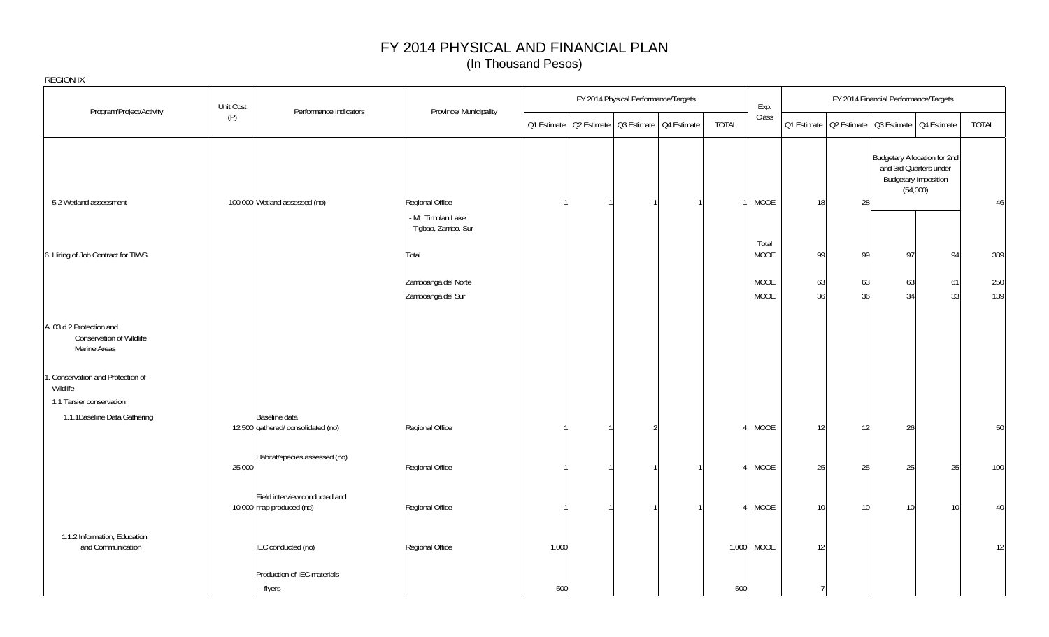| <b>REGION IX</b>                                                     |           |                                                           |                                          |             |                                         |              |               |          |                                                       |          |                                                                                                   |              |
|----------------------------------------------------------------------|-----------|-----------------------------------------------------------|------------------------------------------|-------------|-----------------------------------------|--------------|---------------|----------|-------------------------------------------------------|----------|---------------------------------------------------------------------------------------------------|--------------|
|                                                                      | Unit Cost |                                                           |                                          |             | FY 2014 Physical Performance/Targets    |              | Exp.          |          |                                                       |          | FY 2014 Financial Performance/Targets                                                             |              |
| Program/Project/Activity                                             | (P)       | Performance Indicators                                    | Province/ Municipality                   | Q1 Estimate | Q2 Estimate   Q3 Estimate   Q4 Estimate | <b>TOTAL</b> | Class         |          | Q1 Estimate   Q2 Estimate   Q3 Estimate   Q4 Estimate |          |                                                                                                   | <b>TOTAL</b> |
|                                                                      |           |                                                           |                                          |             |                                         |              |               |          |                                                       |          | Budgetary Allocation for 2nd<br>and 3rd Quarters under<br><b>Budgetary Imposition</b><br>(54,000) |              |
| 5.2 Wetland assessment                                               |           | 100,000 Wetland assessed (no)                             | Regional Office                          |             |                                         |              | MOOE          | 18       | 28                                                    |          |                                                                                                   | 46           |
|                                                                      |           |                                                           | - Mt. Timolan Lake<br>Tigbao, Zambo. Sur |             |                                         |              |               |          |                                                       |          |                                                                                                   |              |
| 6. Hiring of Job Contract for TIWS                                   |           |                                                           | Total                                    |             |                                         |              | Total<br>MOOE | 99       | 99                                                    | 97       | 94                                                                                                | 389          |
|                                                                      |           |                                                           | Zamboanga del Norte<br>Zamboanga del Sur |             |                                         |              | MOOE<br>MOOE  | 63<br>36 | 63<br>36                                              | 63<br>34 | 61<br>33                                                                                          | 250<br>139   |
| A. 03.d.2 Protection and<br>Conservation of Wildlife<br>Marine Areas |           |                                                           |                                          |             |                                         |              |               |          |                                                       |          |                                                                                                   |              |
| . Conservation and Protection of<br>Wildlife                         |           |                                                           |                                          |             |                                         |              |               |          |                                                       |          |                                                                                                   |              |
| 1.1 Tarsier conservation                                             |           |                                                           |                                          |             |                                         |              |               |          |                                                       |          |                                                                                                   |              |
| 1.1.1 Baseline Data Gathering                                        |           | Baseline data<br>12,500 gathered/ consolidated (no)       | Regional Office                          |             |                                         | $\Lambda$    | MOOE          | 12       | 12                                                    | 26       |                                                                                                   | 50           |
|                                                                      | 25,000    | Habitat/species assessed (no)                             | Regional Office                          |             |                                         |              | MOOE          | 25       | 25                                                    | 25       | 25                                                                                                | 100          |
|                                                                      |           | Field interview conducted and<br>10,000 map produced (no) | Regional Office                          |             |                                         |              | MOOE          | 10       | 10                                                    | 10       | 10                                                                                                | 40           |
| 1.1.2 Information, Education<br>and Communication                    |           | IEC conducted (no)                                        | Regional Office                          | 1,000       |                                         | 1,000        | MOOE          | 12       |                                                       |          |                                                                                                   | 12           |
|                                                                      |           | Production of IEC materials<br>-flyers                    |                                          | 500         |                                         | 500          |               |          |                                                       |          |                                                                                                   |              |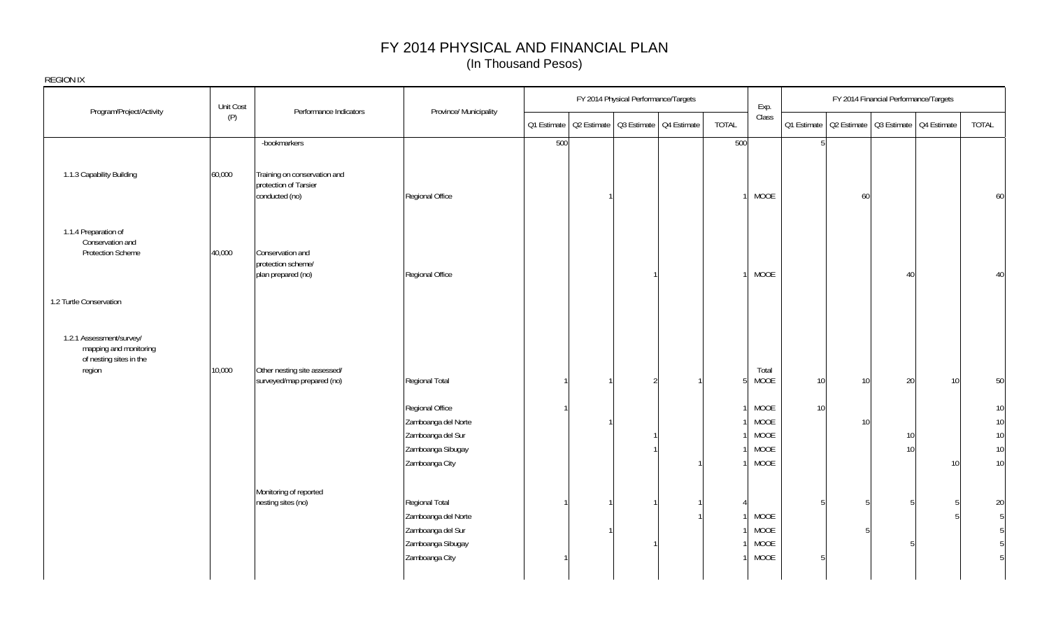|                                                                                         | Unit Cost | Performance Indicators                                                  | Province/ Municipality                                                                            |     | FY 2014 Physical Performance/Targets                  |              | Exp.                         |                 |                 | FY 2014 Financial Performance/Targets                 |                         |
|-----------------------------------------------------------------------------------------|-----------|-------------------------------------------------------------------------|---------------------------------------------------------------------------------------------------|-----|-------------------------------------------------------|--------------|------------------------------|-----------------|-----------------|-------------------------------------------------------|-------------------------|
| Program/Project/Activity                                                                | (P)       |                                                                         |                                                                                                   |     | Q1 Estimate   Q2 Estimate   Q3 Estimate   Q4 Estimate | <b>TOTAL</b> | Class                        |                 |                 | 01 Estimate   02 Estimate   03 Estimate   04 Estimate | TOTAL                   |
|                                                                                         |           | -bookmarkers                                                            |                                                                                                   | 500 |                                                       | 500          |                              | 5               |                 |                                                       |                         |
| 1.1.3 Capability Building                                                               | 60,000    | Training on conservation and<br>protection of Tarsier<br>conducted (no) | Regional Office                                                                                   |     |                                                       |              | MOOE                         |                 | 60              |                                                       | 60                      |
| 1.1.4 Preparation of<br>Conservation and<br><b>Protection Scheme</b>                    | 40,000    | Conservation and<br>protection scheme/<br>plan prepared (no)            | Regional Office                                                                                   |     |                                                       |              | MOOE                         |                 |                 | 40                                                    | 40                      |
| 1.2 Turtle Conservation                                                                 |           |                                                                         |                                                                                                   |     |                                                       |              |                              |                 |                 |                                                       |                         |
| 1.2.1 Assessment/survey/<br>mapping and monitoring<br>of nesting sites in the<br>region | 10,000    | Other nesting site assessed/<br>surveyed/map prepared (no)              | Regional Total                                                                                    |     | $\overline{2}$                                        | 5            | Total<br>MOOE                | 10              | 10              | 20                                                    | 50<br>10                |
|                                                                                         |           |                                                                         | Regional Office                                                                                   |     |                                                       |              | MOOE                         | 10 <sup>1</sup> |                 |                                                       | 10                      |
|                                                                                         |           |                                                                         | Zamboanga del Norte<br>Zamboanga del Sur                                                          |     |                                                       |              | MOOE<br>MOOE                 |                 | 10 <sup>1</sup> | 10                                                    | 10<br>10                |
|                                                                                         |           |                                                                         | Zamboanga Sibugay                                                                                 |     |                                                       |              | MOOE                         |                 |                 | 10 <sup>1</sup>                                       | 10                      |
|                                                                                         |           |                                                                         | Zamboanga City                                                                                    |     |                                                       |              | MOOE                         |                 |                 |                                                       | 10<br>10                |
|                                                                                         |           | Monitoring of reported<br>nesting sites (no)                            | Regional Total<br>Zamboanga del Norte<br>Zamboanga del Sur<br>Zamboanga Sibugay<br>Zamboanga City |     |                                                       |              | MOOE<br>MOOE<br>MOOE<br>MOOE | 5               |                 |                                                       | 20<br>5<br>5<br>-5<br>5 |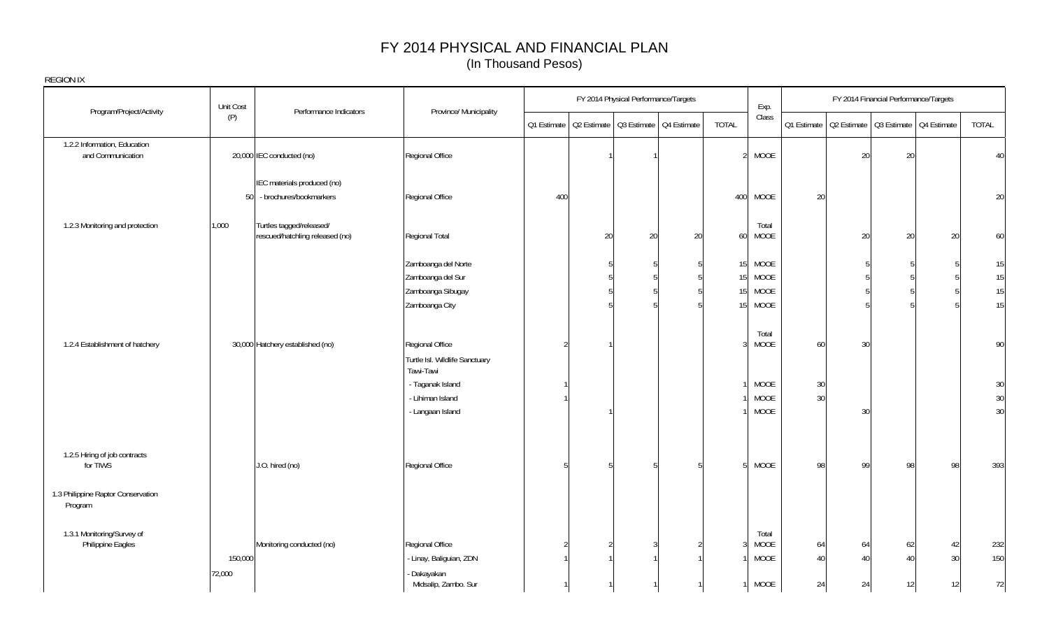| REGION IX                                         |           |                                                             |                                                                                     |               |                                         |                                      |    |                                                       |                                     |          |                                                       |                                       |                 |                    |
|---------------------------------------------------|-----------|-------------------------------------------------------------|-------------------------------------------------------------------------------------|---------------|-----------------------------------------|--------------------------------------|----|-------------------------------------------------------|-------------------------------------|----------|-------------------------------------------------------|---------------------------------------|-----------------|--------------------|
| Program/Project/Activity                          | Unit Cost | Performance Indicators                                      | Province/ Municipality                                                              |               |                                         | FY 2014 Physical Performance/Targets |    |                                                       | Exp.                                |          |                                                       | FY 2014 Financial Performance/Targets |                 |                    |
|                                                   | (P)       |                                                             |                                                                                     | Q1 Estimate   | Q2 Estimate   Q3 Estimate   Q4 Estimate |                                      |    | TOTAL                                                 | Class                               |          | 01 Estimate   02 Estimate   03 Estimate   04 Estimate |                                       |                 | TOTAL              |
| 1.2.2 Information, Education<br>and Communication |           | 20,000 IEC conducted (no)                                   | Regional Office                                                                     |               |                                         |                                      |    |                                                       | <b>MOOE</b>                         |          | 20                                                    | 20                                    |                 | 40                 |
|                                                   | 50        | IEC materials produced (no)<br>- brochures/bookmarkers      | Regional Office                                                                     | 400           |                                         |                                      |    | 400                                                   | <b>MOOE</b>                         | 20       |                                                       |                                       |                 | 20                 |
| 1.2.3 Monitoring and protection                   | 1,000     | Turtles tagged/released/<br>rescued/hatchling released (no) | Regional Total                                                                      |               | 20                                      | 20                                   | 20 | 60                                                    | Total<br><b>MOOE</b>                |          | 20                                                    | 20                                    | 20              | 60                 |
|                                                   |           |                                                             | Zamboanga del Norte<br>Zamboanga del Sur<br>Zamboanga Sibugay                       |               |                                         |                                      |    | 15 <sup>1</sup><br>15 <sup>1</sup><br>15 <sup>1</sup> | <b>MOOE</b><br>MOOE<br>MOOE         |          |                                                       |                                       |                 | 15<br>$15\,$<br>15 |
| 1.2.4 Establishment of hatchery                   |           | 30,000 Hatchery established (no)                            | Zamboanga City<br>Regional Office                                                   | $\mathcal{D}$ |                                         |                                      |    | 15 <sub>l</sub>                                       | <b>MOOE</b><br>Total<br>MOOE        | 60       | 30                                                    |                                       |                 | 15<br>90           |
|                                                   |           |                                                             | Turtle Isl. Wildlife Sanctuary<br>Tawi-Tawi<br>- Taganak Island<br>- Lihiman Island |               |                                         |                                      |    |                                                       | <b>MOOE</b><br>MOOE                 | 30<br>30 |                                                       |                                       |                 | 30<br>30           |
| 1.2.5 Hiring of job contracts                     |           |                                                             | - Langaan Island                                                                    |               |                                         |                                      |    |                                                       | MOOE                                |          | 30                                                    |                                       |                 | 30                 |
| for TIWS                                          |           | J.O. hired (no)                                             | Regional Office                                                                     | 5             |                                         |                                      |    |                                                       | <b>MOOE</b>                         | 98       | 99                                                    | 98                                    | 98              | 393                |
| 1.3 Philippine Raptor Conservation<br>Program     |           |                                                             |                                                                                     |               |                                         |                                      |    |                                                       |                                     |          |                                                       |                                       |                 |                    |
| 1.3.1 Monitoring/Survey of<br>Philippine Eagles   | 150,000   | Monitoring conducted (no)                                   | Regional Office<br>- Linay, Baliguian, ZDN                                          |               |                                         | 3                                    |    |                                                       | Total<br><b>MOOE</b><br><b>MOOE</b> | 64<br>40 | 64<br>40                                              | 62<br>$\overline{4}$                  | 42<br>30        | 232<br>150         |
|                                                   | 72,000    |                                                             | - Dakayakan<br>Midsalip, Zambo. Sur                                                 |               |                                         |                                      |    |                                                       | MOOE                                | 24       | 24                                                    | 12                                    | 12 <sup>1</sup> | 72                 |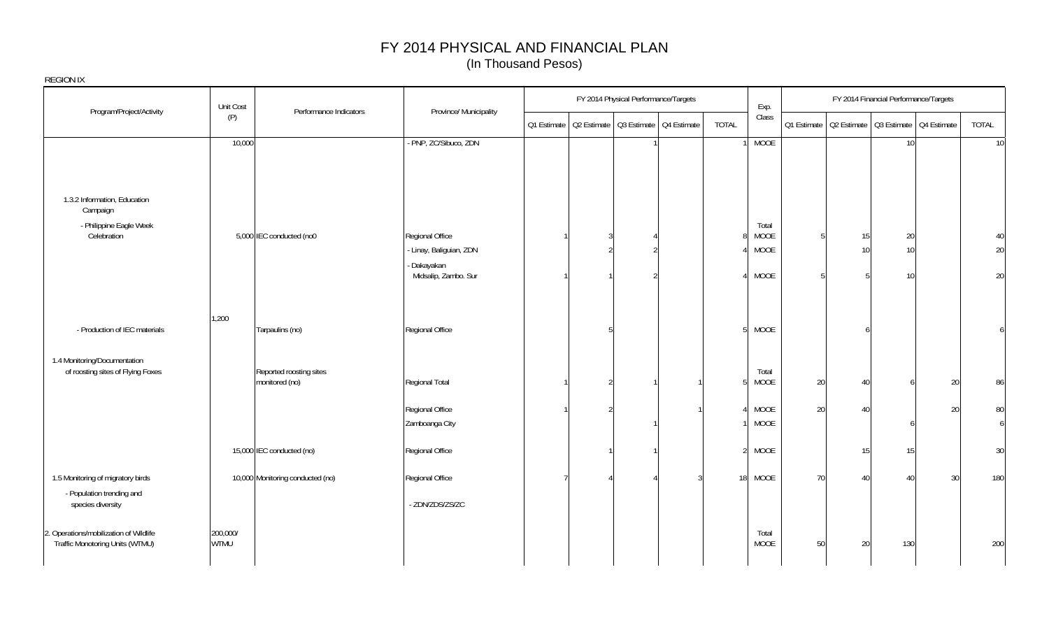|                                                                                    | Unit Cost               |                                           |                                                                                   |             | FY 2014 Physical Performance/Targets    |                                  |                | Exp.                          |         |          | FY 2014 Financial Performance/Targets                 |                |
|------------------------------------------------------------------------------------|-------------------------|-------------------------------------------|-----------------------------------------------------------------------------------|-------------|-----------------------------------------|----------------------------------|----------------|-------------------------------|---------|----------|-------------------------------------------------------|----------------|
| Program/Project/Activity                                                           | (P)                     | Performance Indicators                    | Province/ Municipality                                                            | Q1 Estimate | Q2 Estimate   Q3 Estimate   Q4 Estimate |                                  | TOTAL          | Class                         |         |          | Q1 Estimate   Q2 Estimate   Q3 Estimate   Q4 Estimate | TOTAL          |
|                                                                                    | 10,000                  |                                           | - PNP, ZC/Sibuco, ZDN                                                             |             |                                         |                                  |                | <b>MOOE</b>                   |         |          | 10 <sup>1</sup>                                       | 10             |
| 1.3.2 Information, Education<br>Campaign<br>- Philippine Eagle Week<br>Celebration |                         | 5,000 IEC conducted (no0                  | Regional Office<br>- Linay, Baliguian, ZDN<br>- Dakayakan<br>Midsalip, Zambo. Sur |             |                                         | $\mathfrak{D}$<br>$\mathfrak{D}$ | Ջ              | Total<br>MOOE<br>MOOE<br>MOOE | 5<br>г, | 15<br>10 | 20<br>10<br>10 <sup>1</sup>                           | 40<br>20<br>20 |
| - Production of IEC materials                                                      | 1,200                   | Tarpaulins (no)                           | Regional Office                                                                   |             |                                         |                                  |                | MOOE<br>5 <sup>1</sup>        |         |          |                                                       | 6              |
| 1.4 Monitoring/Documentation<br>of roosting sites of Flying Foxes                  |                         | Reported roosting sites<br>monitored (no) | Regional Total                                                                    |             |                                         |                                  | 5              | Total<br>MOOE                 | $20\,$  | 40       |                                                       | 20<br>86       |
|                                                                                    |                         |                                           | Regional Office<br>Zamboanga City                                                 |             |                                         |                                  |                | MOOE<br>MOOE                  | $20\,$  | 40       |                                                       | 20<br>80<br>6  |
|                                                                                    |                         | 15,000 IEC conducted (no)                 | Regional Office                                                                   |             |                                         |                                  | $\overline{2}$ | MOOE                          |         | 15       | 15                                                    | 30             |
| 1.5 Monitoring of migratory birds<br>- Population trending and                     |                         | 10,000 Monitoring conducted (no)          | Regional Office                                                                   |             |                                         |                                  |                | 18 MOOE                       | 70      | 40       | 40                                                    | 30<br>180      |
| species diversity                                                                  |                         |                                           | - ZDN/ZDS/ZS/ZC                                                                   |             |                                         |                                  |                |                               |         |          |                                                       |                |
| 2. Operations/mobilization of Wildlife<br>Traffic Monotoring Units (WTMU)          | 200,000/<br><b>WTMU</b> |                                           |                                                                                   |             |                                         |                                  |                | Total<br>MOOE                 | $50\,$  | 20       | 130                                                   | 200            |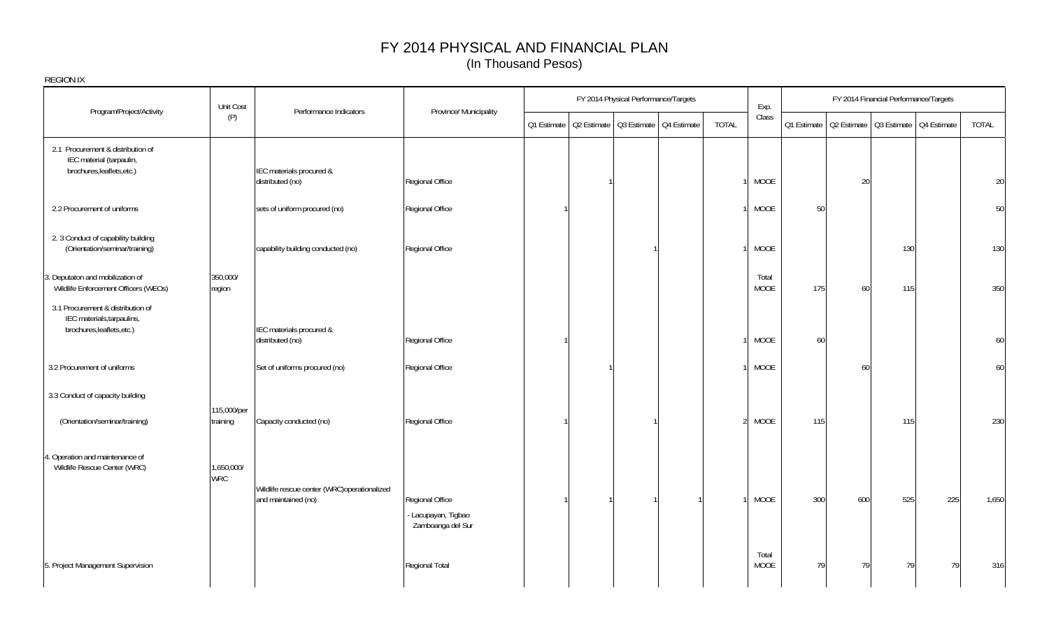| <b>REGION IX</b>                                                |             |                                                                    |                        |             | FY 2014 Physical Performance/Targets    |              |             |             |     | FY 2014 Financial Performance/Targets   |     |       |
|-----------------------------------------------------------------|-------------|--------------------------------------------------------------------|------------------------|-------------|-----------------------------------------|--------------|-------------|-------------|-----|-----------------------------------------|-----|-------|
| Program/Project/Activity                                        | Unit Cost   | Performance Indicators                                             | Province/ Municipality |             |                                         |              | Exp.        |             |     |                                         |     |       |
|                                                                 | (P)         |                                                                    |                        | Q1 Estimate | Q2 Estimate   Q3 Estimate   Q4 Estimate | <b>TOTAL</b> | Class       | Q1 Estimate |     | Q2 Estimate   Q3 Estimate   Q4 Estimate |     | TOTAL |
| 2.1 Procurement & distribution of                               |             |                                                                    |                        |             |                                         |              |             |             |     |                                         |     |       |
| IEC material (tarpaulin,<br>brochures, leaflets, etc.)          |             | IEC materials procured &                                           |                        |             |                                         |              |             |             |     |                                         |     |       |
|                                                                 |             | distributed (no)                                                   | Regional Office        |             |                                         |              | MOOE        |             | 20  |                                         |     | 20    |
|                                                                 |             |                                                                    |                        |             |                                         |              |             |             |     |                                         |     |       |
| 2.2 Procurement of uniforms                                     |             | sets of uniform procured (no)                                      | Regional Office        |             |                                         |              | MOOE        | 50          |     |                                         |     | 50    |
| 2. 3 Conduct of capability building                             |             |                                                                    |                        |             |                                         |              |             |             |     |                                         |     |       |
| (Orientation/seminar/training)                                  |             | capability building conducted (no)                                 | Regional Office        |             |                                         |              | MOOE        |             |     | 130                                     |     | 130   |
| 3. Deputaton and mobilization of                                | 350,000/    |                                                                    |                        |             |                                         |              | Total       |             |     |                                         |     |       |
| Wildlife Enforcement Officers (WEOs)                            | region      |                                                                    |                        |             |                                         |              | MOOE        | 175         | 60  | 115                                     |     | 350   |
| 3.1 Procurement & distribution of                               |             |                                                                    |                        |             |                                         |              |             |             |     |                                         |     |       |
| IEC materials, tarpaulins,<br>brochures, leaflets, etc.)        |             | IEC materials procured &                                           |                        |             |                                         |              |             |             |     |                                         |     |       |
|                                                                 |             | distributed (no)                                                   | Regional Office        |             |                                         |              | MOOE        | 60          |     |                                         |     | 60    |
| 3.2 Procurement of uniforms                                     |             | Set of uniforms procured (no)                                      | Regional Office        |             |                                         |              | <b>MOOE</b> |             | 60  |                                         |     | 60    |
| 3.3 Conduct of capacity building                                |             |                                                                    |                        |             |                                         |              |             |             |     |                                         |     |       |
|                                                                 | 115,000/per |                                                                    |                        |             |                                         |              |             |             |     |                                         |     |       |
| (Orientation/seminar/training)                                  | training    | Capacity conducted (no)                                            | Regional Office        |             |                                         |              | 2 MOOE      | 115         |     | 115                                     |     | 230   |
|                                                                 |             |                                                                    |                        |             |                                         |              |             |             |     |                                         |     |       |
| 4. Operation and maintenance of<br>Wildlife Rescue Center (WRC) | 1,650,000/  |                                                                    |                        |             |                                         |              |             |             |     |                                         |     |       |
|                                                                 | <b>WRC</b>  |                                                                    |                        |             |                                         |              |             |             |     |                                         |     |       |
|                                                                 |             | Wildlife rescue center (WRC)operationalized<br>and maintained (no) | Regional Office        |             |                                         |              | <b>MOOE</b> | 300         | 600 | 525                                     | 225 | 1,650 |
|                                                                 |             |                                                                    | - Lacupayan, Tigbao    |             |                                         |              |             |             |     |                                         |     |       |
|                                                                 |             |                                                                    | Zamboanga del Sur      |             |                                         |              |             |             |     |                                         |     |       |
|                                                                 |             |                                                                    |                        |             |                                         |              | Total       |             |     |                                         |     |       |
| 5. Project Management Supervision                               |             |                                                                    | Regional Total         |             |                                         |              | <b>MOOE</b> | 79          | 79  | 79                                      | 79  | 316   |
|                                                                 |             |                                                                    |                        |             |                                         |              |             |             |     |                                         |     |       |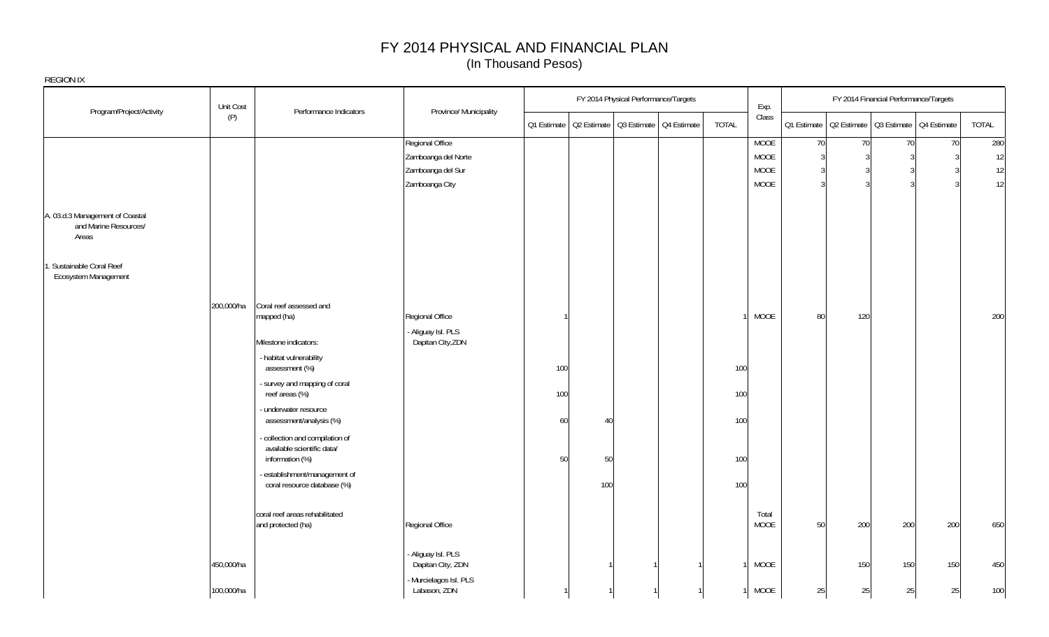| REGION IX                                                         |            |                                                                                |                                       |                                                       |     |                                      |       |               |                |     |                                       |                                                       |        |
|-------------------------------------------------------------------|------------|--------------------------------------------------------------------------------|---------------------------------------|-------------------------------------------------------|-----|--------------------------------------|-------|---------------|----------------|-----|---------------------------------------|-------------------------------------------------------|--------|
|                                                                   | Unit Cost  |                                                                                |                                       |                                                       |     | FY 2014 Physical Performance/Targets |       | Exp.          |                |     | FY 2014 Financial Performance/Targets |                                                       |        |
| Program/Project/Activity                                          | (P)        | Performance Indicators                                                         | Province/ Municipality                | 01 Estimate   02 Estimate   03 Estimate   04 Estimate |     |                                      | TOTAL | Class         |                |     |                                       | Q1 Estimate   Q2 Estimate   Q3 Estimate   Q4 Estimate | TOTAL  |
|                                                                   |            |                                                                                | Regional Office                       |                                                       |     |                                      |       | <b>MOOE</b>   | 70             | 70  | 70                                    | 70                                                    | 280    |
|                                                                   |            |                                                                                | Zamboanga del Norte                   |                                                       |     |                                      |       | MOOE          | $\overline{3}$ | 3   |                                       | ্ব                                                    | 12     |
|                                                                   |            |                                                                                | Zamboanga del Sur                     |                                                       |     |                                      |       | <b>MOOE</b>   | ্ব             |     |                                       |                                                       | $12\,$ |
|                                                                   |            |                                                                                | Zamboanga City                        |                                                       |     |                                      |       | MOOE          |                |     |                                       |                                                       | 12     |
| A. 03.d.3 Management of Coastal<br>and Marine Resources/<br>Areas |            |                                                                                |                                       |                                                       |     |                                      |       |               |                |     |                                       |                                                       |        |
| . Sustainable Coral Reef<br>Ecosystem Management                  |            |                                                                                |                                       |                                                       |     |                                      |       |               |                |     |                                       |                                                       |        |
|                                                                   | 200,000/ha | Coral reef assessed and<br>mapped (ha)                                         | Regional Office                       |                                                       |     |                                      |       | <b>MOOE</b>   | 80             | 120 |                                       |                                                       | 200    |
|                                                                   |            |                                                                                | Aliguay Isl. PLS                      |                                                       |     |                                      |       |               |                |     |                                       |                                                       |        |
|                                                                   |            | Milestone indicators:                                                          | Dapitan City, ZDN                     |                                                       |     |                                      |       |               |                |     |                                       |                                                       |        |
|                                                                   |            | - habitat vulnerability<br>assessment (%)                                      |                                       | 100                                                   |     |                                      | 100   |               |                |     |                                       |                                                       |        |
|                                                                   |            | - survey and mapping of coral<br>reef areas (%)                                |                                       | 100                                                   |     |                                      | 100   |               |                |     |                                       |                                                       |        |
|                                                                   |            | underwater resource<br>assessment/analysis (%)                                 |                                       | 60                                                    | 40  |                                      | 100   |               |                |     |                                       |                                                       |        |
|                                                                   |            | collection and compilation of<br>available scientific data/<br>information (%) |                                       | 50                                                    | 50  |                                      | 100   |               |                |     |                                       |                                                       |        |
|                                                                   |            | establishment/management of<br>coral resource database (%)                     |                                       |                                                       | 100 |                                      | 100   |               |                |     |                                       |                                                       |        |
|                                                                   |            | coral reef areas rehabilitated<br>and protected (ha)                           | Regional Office                       |                                                       |     |                                      |       | Total<br>MOOE | 50             | 200 | 200                                   | 200                                                   | 650    |
|                                                                   | 450,000/ha |                                                                                | Aliguay Isl. PLS<br>Dapitan City, ZDN |                                                       |     |                                      |       | MOOE          |                | 150 | 150                                   | 150                                                   | 450    |
|                                                                   | 100,000/ha |                                                                                | Murcielagos Isl. PLS<br>Labason, ZDN  |                                                       |     |                                      |       | MOOE          | 25             | 25  | 25                                    | 25                                                    | 100    |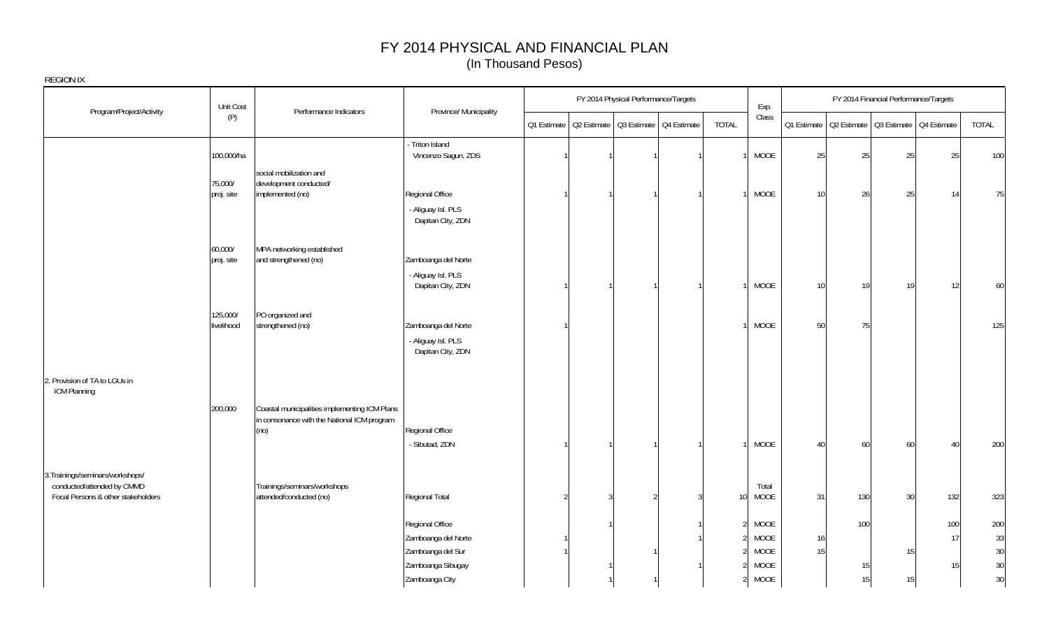|                                                                                                      | Unit Cost              | Performance Indicators                                                                               | Province/ Municipality                    | FY 2014 Physical Performance/Targets<br>Q1 Estimate   Q2 Estimate   Q3 Estimate   Q4 Estimate |  |                | Exp. |                 |               | FY 2014 Financial Performance/Targets |     |                                                       |           |           |
|------------------------------------------------------------------------------------------------------|------------------------|------------------------------------------------------------------------------------------------------|-------------------------------------------|-----------------------------------------------------------------------------------------------|--|----------------|------|-----------------|---------------|---------------------------------------|-----|-------------------------------------------------------|-----------|-----------|
| Program/Project/Activity                                                                             | (P)                    |                                                                                                      |                                           |                                                                                               |  |                |      | <b>TOTAL</b>    | Class         |                                       |     | 01 Estimate   02 Estimate   03 Estimate   04 Estimate |           | TOTAL     |
|                                                                                                      | 100,000/ha             |                                                                                                      | - Triton Island<br>Vincenzo Sagun, ZDS    |                                                                                               |  |                |      |                 | MOOE          | 25                                    | 25  | 25                                                    | 25        | 100       |
|                                                                                                      | 75,000/<br>proj. site  | social mobilization and<br>development conducted/<br>implemented (no)                                | Regional Office<br>- Aliguay Isl. PLS     |                                                                                               |  |                |      |                 | MOOE          | 10                                    | 26  | 25                                                    | 14        | 75        |
|                                                                                                      |                        |                                                                                                      | Dapitan City, ZDN                         |                                                                                               |  |                |      |                 |               |                                       |     |                                                       |           |           |
|                                                                                                      | 60,000/<br>proj. site  | MPA networking established<br>and strengthened (no)                                                  | Zamboanga del Norte<br>- Aliguay Isl. PLS |                                                                                               |  |                |      |                 |               |                                       |     |                                                       |           |           |
|                                                                                                      |                        |                                                                                                      | Dapitan City, ZDN                         |                                                                                               |  |                |      |                 | MOOE          | 10 <sup>1</sup>                       | 19  | 19 <sup>1</sup>                                       | 12        | 60        |
|                                                                                                      | 125,000/<br>livelihood | PO organized and<br>strengthened (no)                                                                | Zamboanga del Norte<br>- Aliguay Isl. PLS |                                                                                               |  |                |      |                 | <b>MOOE</b>   | 50                                    | 75  |                                                       |           | 125       |
| 2. Provision of TA to LGUs in<br>ICM Planning                                                        |                        |                                                                                                      | Dapitan City, ZDN                         |                                                                                               |  |                |      |                 |               |                                       |     |                                                       |           |           |
|                                                                                                      | 200,000                | Coastal municipalities implementing ICM Plans<br>in consonance with the National ICM program<br>(no) | Regional Office                           |                                                                                               |  |                |      |                 |               |                                       |     |                                                       |           |           |
|                                                                                                      |                        |                                                                                                      | - Sibutad, ZDN                            |                                                                                               |  |                |      |                 | MOOE          | 40                                    | 60  | 60                                                    | 40        | 200       |
| 3. Trainings/seminars/workshops/<br>conducted/attended by CMMD<br>Focal Persons & other stakeholders |                        | Trainings/seminars/workshops<br>attended/conducted (no)                                              | Regional Total                            | $\mathfrak{D}$                                                                                |  | $\mathfrak{D}$ |      | 10 <sup>1</sup> | Total<br>MOOE | 31                                    | 130 | 30                                                    | 132       | 323       |
|                                                                                                      |                        |                                                                                                      | Regional Office<br>Zamboanga del Norte    |                                                                                               |  |                |      | $\overline{2}$  | MOOE<br>MOOE  | 16                                    | 100 |                                                       | 100<br>17 | 200<br>33 |
|                                                                                                      |                        |                                                                                                      | Zamboanga del Sur<br>Zamboanga Sibugay    |                                                                                               |  |                |      |                 | MOOE<br>MOOE  | 15                                    | 15  | 15                                                    | 15        | 30<br>30  |
|                                                                                                      |                        |                                                                                                      | Zamboanga City                            |                                                                                               |  |                |      | 21              | MOOE          |                                       | 15  | 15                                                    |           | 30        |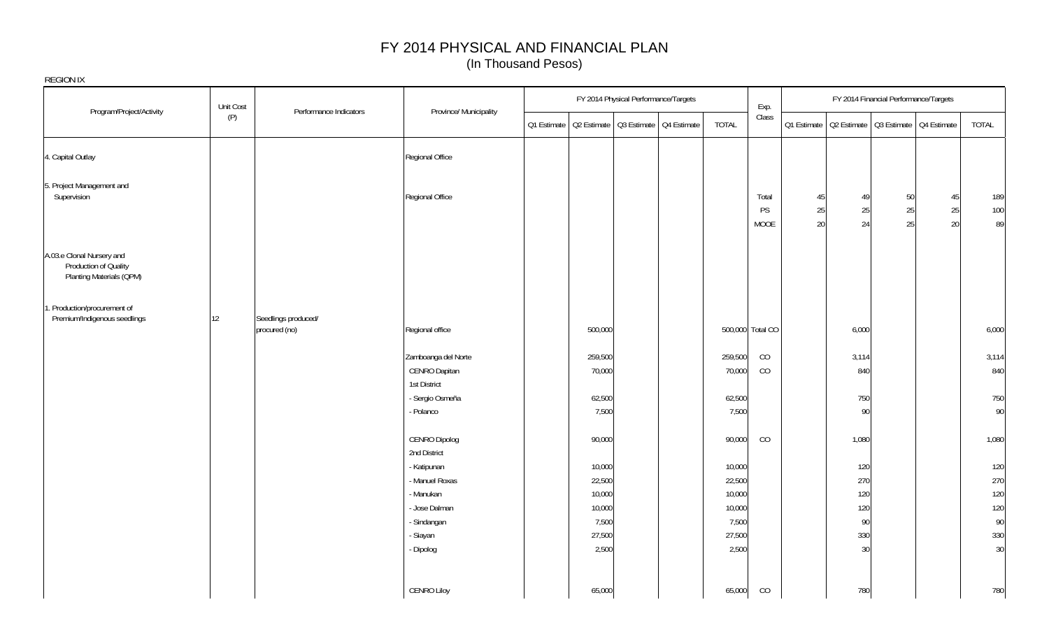|                                                                                | Unit Cost |                                      |                               |         | FY 2014 Physical Performance/Targets                  |              | Exp.             |             |                                         | FY 2014 Financial Performance/Targets |          |           |
|--------------------------------------------------------------------------------|-----------|--------------------------------------|-------------------------------|---------|-------------------------------------------------------|--------------|------------------|-------------|-----------------------------------------|---------------------------------------|----------|-----------|
| Program/Project/Activity                                                       | (P)       | Performance Indicators               | Province/ Municipality        |         | Q1 Estimate   Q2 Estimate   Q3 Estimate   Q4 Estimate | <b>TOTAL</b> | Class            | Q1 Estimate | Q2 Estimate   Q3 Estimate   Q4 Estimate |                                       |          | TOTAL     |
| 4. Capital Outlay                                                              |           |                                      | Regional Office               |         |                                                       |              |                  |             |                                         |                                       |          |           |
| 5. Project Management and<br>Supervision                                       |           |                                      | Regional Office               |         |                                                       |              | Total            | 45          | 49                                      | 50                                    | 45       | 189       |
|                                                                                |           |                                      |                               |         |                                                       |              | PS<br>MOOE       | 25<br>20    | 25<br>24                                | 25<br>25                              | 25<br>20 | 100<br>89 |
| A.03.e Clonal Nursery and<br>Production of Quality<br>Planting Materials (QPM) |           |                                      |                               |         |                                                       |              |                  |             |                                         |                                       |          |           |
| 1. Production/procurement of<br>Premium/Indigenous seedlings                   | 12        | Seedlings produced/<br>procured (no) | Regional office               | 500,000 |                                                       |              | 500,000 Total CO |             | 6,000                                   |                                       |          | 6,000     |
|                                                                                |           |                                      | Zamboanga del Norte           | 259,500 |                                                       | 259,500      | CO               |             | 3,114                                   |                                       |          | 3,114     |
|                                                                                |           |                                      | CENRO Dapitan<br>1st District | 70,000  |                                                       | 70,000       | CO               |             | 840                                     |                                       |          | 840       |
|                                                                                |           |                                      | - Sergio Osmeña               | 62,500  |                                                       | 62,500       |                  |             | 750                                     |                                       |          | 750       |
|                                                                                |           |                                      | - Polanco                     | 7,500   |                                                       | 7,500        |                  |             | 90                                      |                                       |          | 90        |
|                                                                                |           |                                      | CENRO Dipolog<br>2nd District | 90,000  |                                                       | 90,000       | CO               |             | 1,080                                   |                                       |          | 1,080     |
|                                                                                |           |                                      | - Katipunan                   | 10,000  |                                                       | 10,000       |                  |             | 120                                     |                                       |          | 120       |
|                                                                                |           |                                      | - Manuel Roxas                | 22,500  |                                                       | 22,500       |                  |             | 270                                     |                                       |          | 270       |
|                                                                                |           |                                      | - Manukan                     | 10,000  |                                                       | 10,000       |                  |             | 120                                     |                                       |          | 120       |
|                                                                                |           |                                      | - Jose Dalman                 | 10,000  |                                                       | 10,000       |                  |             | 120                                     |                                       |          | 120       |
|                                                                                |           |                                      | - Sindangan                   | 7,500   |                                                       | 7,500        |                  |             | 90                                      |                                       |          | 90        |
|                                                                                |           |                                      | - Siayan                      | 27,500  |                                                       | 27,500       |                  |             | 330                                     |                                       |          | 330       |
|                                                                                |           |                                      | - Dipolog                     | 2,500   |                                                       | 2,500        |                  |             | 30                                      |                                       |          | 30        |
|                                                                                |           |                                      | <b>CENRO Liloy</b>            | 65,000  |                                                       | 65,000       | CO               |             | 780                                     |                                       |          | 780       |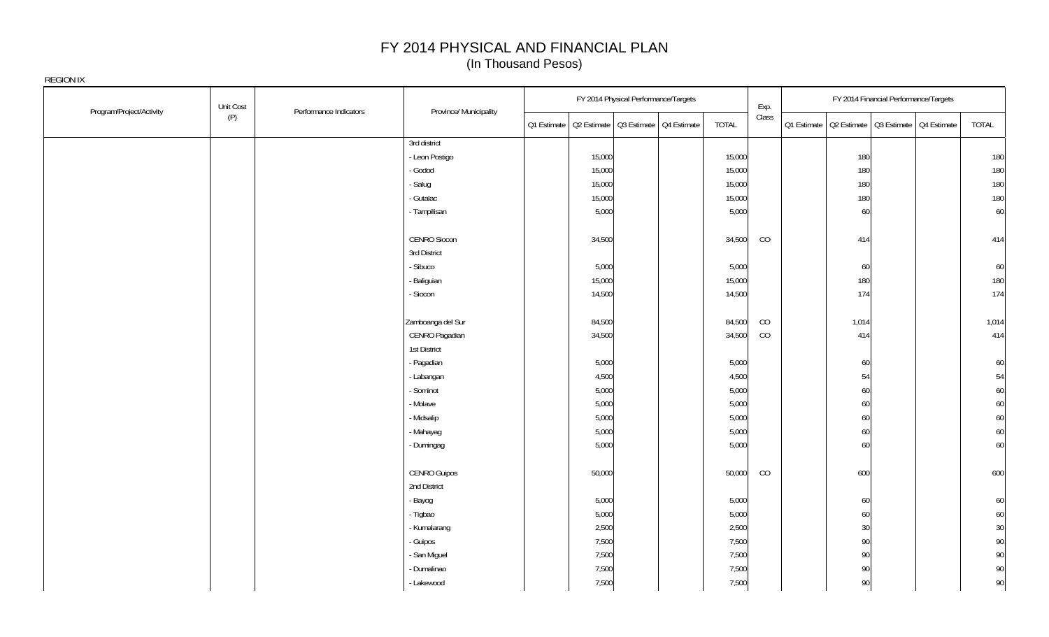|                          | Unit Cost | Performance Indicators | Province/ Municipality |                                                        | FY 2014 Physical Performance/Targets |              | Exp.  | FY 2014 Financial Performance/Targets                 |       |
|--------------------------|-----------|------------------------|------------------------|--------------------------------------------------------|--------------------------------------|--------------|-------|-------------------------------------------------------|-------|
| Program/Project/Activity | (P)       |                        |                        | Q2 Estimate   Q3 Estimate   Q4 Estimate<br>Q1 Estimate |                                      | <b>TOTAL</b> | Class | 01 Estimate   02 Estimate   03 Estimate   04 Estimate | TOTAL |
|                          |           |                        | 3rd district           |                                                        |                                      |              |       |                                                       |       |
|                          |           |                        | - Leon Postigo         | 15,000                                                 |                                      | 15,000       |       | 180                                                   | 180   |
|                          |           |                        | - Godod                | 15,000                                                 |                                      | 15,000       |       | 180                                                   | 180   |
|                          |           |                        | - Salug                | 15,000                                                 |                                      | 15,000       |       | 180                                                   | 180   |
|                          |           |                        | - Gutalac              | 15,000                                                 |                                      | 15,000       |       | 180                                                   | 180   |
|                          |           |                        | - Tampilisan           | 5,000                                                  |                                      | 5,000        |       | 60                                                    | 60    |
|                          |           |                        | CENRO Siocon           | 34,500                                                 |                                      | 34,500       | CO    | 414                                                   | 414   |
|                          |           |                        | 3rd District           |                                                        |                                      |              |       |                                                       |       |
|                          |           |                        | - Sibuco               | 5,000                                                  |                                      | 5,000        |       | 60                                                    | 60    |
|                          |           |                        | - Baliguian            | 15,000                                                 |                                      | 15,000       |       | 180                                                   | 180   |
|                          |           |                        | - Siocon               | 14,500                                                 |                                      | 14,500       |       | 174                                                   | 174   |
|                          |           |                        | Zamboanga del Sur      | 84,500                                                 |                                      | 84,500       | CO    | 1,014                                                 | 1,014 |
|                          |           |                        | CENRO Pagadian         | 34,500                                                 |                                      | 34,500       | CO    | 414                                                   | 414   |
|                          |           |                        | 1st District           |                                                        |                                      |              |       |                                                       |       |
|                          |           |                        | - Pagadian             | 5,000                                                  |                                      | 5,000        |       | 60                                                    | 60    |
|                          |           |                        | - Labangan             | 4,500                                                  |                                      | 4,500        |       | 54                                                    | 54    |
|                          |           |                        | - Sominot              | 5,000                                                  |                                      | 5,000        |       | 60                                                    | 60    |
|                          |           |                        | - Molave               | 5,000                                                  |                                      | 5,000        |       | 60                                                    | 60    |
|                          |           |                        | - Midsalip             | 5,000                                                  |                                      | 5,000        |       | 60                                                    | 60    |
|                          |           |                        | - Mahayag              | 5,000                                                  |                                      | 5,000        |       | 60                                                    | 60    |
|                          |           |                        | - Dumingag             | 5,000                                                  |                                      | 5,000        |       | 60                                                    | 60    |
|                          |           |                        | <b>CENRO Guipos</b>    | 50,000                                                 |                                      | 50,000       | CO    | 600                                                   | 600   |
|                          |           |                        | 2nd District           |                                                        |                                      |              |       |                                                       |       |
|                          |           |                        | - Bayog                | 5,000                                                  |                                      | 5,000        |       | 60                                                    | 60    |
|                          |           |                        | - Tigbao               | 5,000                                                  |                                      | 5,000        |       | 60                                                    | 60    |
|                          |           |                        | - Kumalarang           | 2,500                                                  |                                      | 2,500        |       | 30                                                    | 30    |
|                          |           |                        | - Guipos               | 7,500                                                  |                                      | 7,500        |       | 90                                                    | 90    |
|                          |           |                        | - San Miguel           | 7,500                                                  |                                      | 7,500        |       | 90                                                    | 90    |
|                          |           |                        | - Dumalinao            | 7,500                                                  |                                      | 7,500        |       | 90                                                    | 90    |
|                          |           |                        | - Lakewood             | 7,500                                                  |                                      | 7,500        |       | 90                                                    | 90    |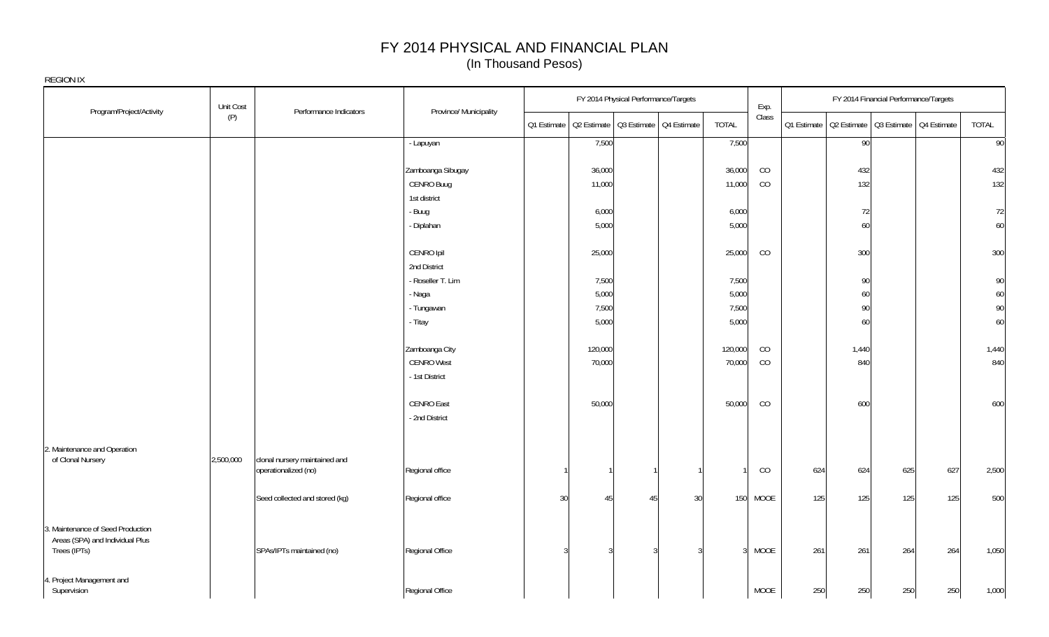|                                                                                      | Unit Cost |                                                       |                        |    |         | FY 2014 Physical Performance/Targets                  |                | Exp.  |     |       | FY 2014 Financial Performance/Targets                 |     |       |
|--------------------------------------------------------------------------------------|-----------|-------------------------------------------------------|------------------------|----|---------|-------------------------------------------------------|----------------|-------|-----|-------|-------------------------------------------------------|-----|-------|
| Program/Project/Activity                                                             | (P)       | Performance Indicators                                | Province/ Municipality |    |         | Q1 Estimate   Q2 Estimate   Q3 Estimate   Q4 Estimate | <b>TOTAL</b>   | Class |     |       | Q1 Estimate   Q2 Estimate   Q3 Estimate   Q4 Estimate |     | TOTAL |
|                                                                                      |           |                                                       | - Lapuyan              |    | 7,500   |                                                       | 7,500          |       |     | 90    |                                                       |     | 90    |
|                                                                                      |           |                                                       | Zamboanga Sibugay      |    | 36,000  |                                                       | 36,000         | CO    |     | 432   |                                                       |     | 432   |
|                                                                                      |           |                                                       | CENRO Buug             |    | 11,000  |                                                       | 11,000         | CO    |     | 132   |                                                       |     | 132   |
|                                                                                      |           |                                                       | 1st district           |    |         |                                                       |                |       |     |       |                                                       |     |       |
|                                                                                      |           |                                                       | - Buug                 |    | 6,000   |                                                       | 6,000          |       |     | 72    |                                                       |     | 72    |
|                                                                                      |           |                                                       | - Diplahan             |    | 5,000   |                                                       | 5,000          |       |     | 60    |                                                       |     | 60    |
|                                                                                      |           |                                                       | CENRO Ipil             |    | 25,000  |                                                       | 25,000         | CO    |     | 300   |                                                       |     | 300   |
|                                                                                      |           |                                                       | 2nd District           |    |         |                                                       |                |       |     |       |                                                       |     |       |
|                                                                                      |           |                                                       | - Roseller T. Lim      |    | 7,500   |                                                       | 7,500          |       |     | 90    |                                                       |     | 90    |
|                                                                                      |           |                                                       | - Naga                 |    | 5,000   |                                                       | 5,000          |       |     | 60    |                                                       |     | 60    |
|                                                                                      |           |                                                       | - Tungawan             |    | 7,500   |                                                       | 7,500          |       |     | 90    |                                                       |     | 90    |
|                                                                                      |           |                                                       | - Titay                |    | 5,000   |                                                       | 5,000          |       |     | 60    |                                                       |     | 60    |
|                                                                                      |           |                                                       | Zamboanga City         |    | 120,000 |                                                       | 120,000        | CO    |     | 1,440 |                                                       |     | 1,440 |
|                                                                                      |           |                                                       | <b>CENRO West</b>      |    | 70,000  |                                                       | 70,000         | CO    |     | 840   |                                                       |     | 840   |
|                                                                                      |           |                                                       | - 1st District         |    |         |                                                       |                |       |     |       |                                                       |     |       |
|                                                                                      |           |                                                       | CENRO East             |    | 50,000  |                                                       | 50,000         | CO    |     | 600   |                                                       |     | 600   |
|                                                                                      |           |                                                       | - 2nd District         |    |         |                                                       |                |       |     |       |                                                       |     |       |
| 2. Maintenance and Operation                                                         |           |                                                       |                        |    |         |                                                       |                |       |     |       |                                                       |     |       |
| of Clonal Nursery                                                                    | 2,500,000 | clonal nursery maintained and<br>operationalized (no) | Regional office        |    |         |                                                       |                | CO    | 624 | 624   | 625                                                   | 627 | 2,500 |
|                                                                                      |           | Seed collected and stored (kg)                        | Regional office        | 30 | 45      | 45<br>30                                              | 150            | MOOE  | 125 | 125   | 125                                                   | 125 | 500   |
| 3. Maintenance of Seed Production<br>Areas (SPA) and Individual Plus<br>Trees (IPTs) |           | SPAs/IPTs maintained (no)                             | Regional Office        |    |         | 3                                                     | $\overline{3}$ | MOOE  | 261 | 261   | 264                                                   | 264 | 1,050 |
| 4. Project Management and<br>Supervision                                             |           |                                                       | Regional Office        |    |         |                                                       |                | MOOE  | 250 | 250   | 250                                                   | 250 | 1,000 |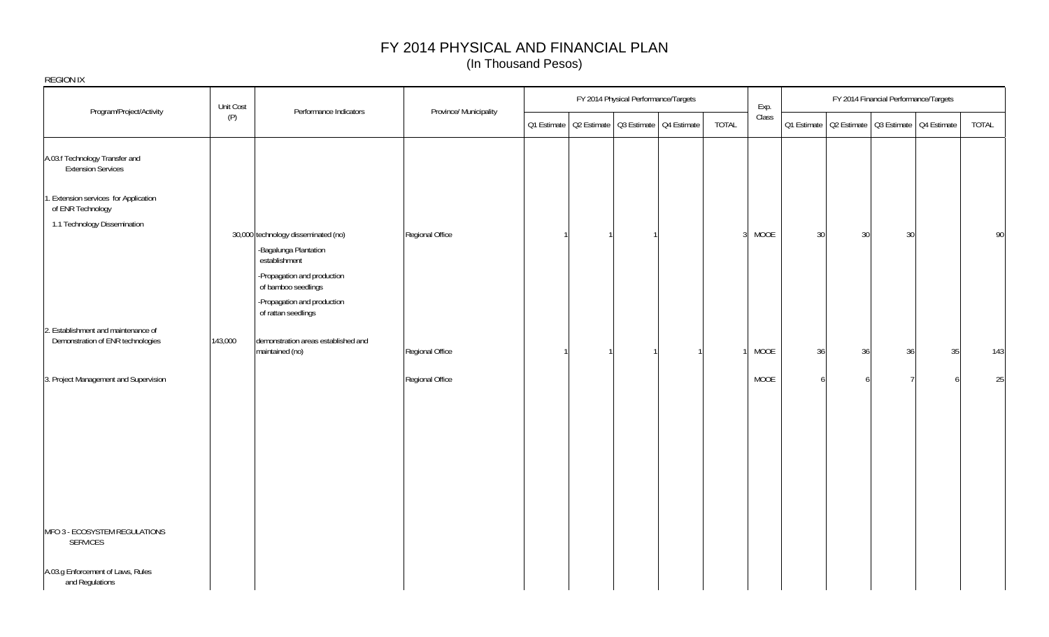| <b>REGION IX</b>                                            |           |                                                                               |                        |             |                                         |       |       |                |    |                                                       |    |       |
|-------------------------------------------------------------|-----------|-------------------------------------------------------------------------------|------------------------|-------------|-----------------------------------------|-------|-------|----------------|----|-------------------------------------------------------|----|-------|
| Program/Project/Activity                                    | Unit Cost | Performance Indicators                                                        | Province/ Municipality |             | FY 2014 Physical Performance/Targets    |       | Exp.  |                |    | FY 2014 Financial Performance/Targets                 |    |       |
|                                                             | (P)       |                                                                               |                        | Q1 Estimate | Q2 Estimate   Q3 Estimate   Q4 Estimate | TOTAL | Class |                |    | Q1 Estimate   Q2 Estimate   Q3 Estimate   Q4 Estimate |    | TOTAL |
| A.03.f Technology Transfer and<br><b>Extension Services</b> |           |                                                                               |                        |             |                                         |       |       |                |    |                                                       |    |       |
| 1. Extension services for Application<br>of ENR Technology  |           |                                                                               |                        |             |                                         |       |       |                |    |                                                       |    |       |
| 1.1 Technology Dissemination                                |           |                                                                               |                        |             |                                         |       |       |                |    |                                                       |    |       |
|                                                             |           | 30,000 technology disseminated (no)<br>-Bagalunga Plantation<br>establishment | Regional Office        |             |                                         | 3     | MOOE  | 30             | 30 | 30                                                    |    | 90    |
|                                                             |           | -Propagation and production<br>of bamboo seedlings                            |                        |             |                                         |       |       |                |    |                                                       |    |       |
|                                                             |           | -Propagation and production<br>of rattan seedlings                            |                        |             |                                         |       |       |                |    |                                                       |    |       |
| 2. Establishment and maintenance of                         |           |                                                                               |                        |             |                                         |       |       |                |    |                                                       |    |       |
| Demonstration of ENR technologies                           | 143,000   | demonstration areas established and<br>maintained (no)                        | Regional Office        |             |                                         |       | MOOE  | 36             | 36 | 36                                                    | 35 | 143   |
| 3. Project Management and Supervision                       |           |                                                                               | Regional Office        |             |                                         |       | MOOE  | $\overline{a}$ |    |                                                       |    | 25    |
|                                                             |           |                                                                               |                        |             |                                         |       |       |                |    |                                                       |    |       |
|                                                             |           |                                                                               |                        |             |                                         |       |       |                |    |                                                       |    |       |
|                                                             |           |                                                                               |                        |             |                                         |       |       |                |    |                                                       |    |       |
|                                                             |           |                                                                               |                        |             |                                         |       |       |                |    |                                                       |    |       |
| MFO 3 - ECOSYSTEM REGULATIONS<br>SERVICES                   |           |                                                                               |                        |             |                                         |       |       |                |    |                                                       |    |       |
| A.03.g Enforcement of Laws, Rules<br>and Regulations        |           |                                                                               |                        |             |                                         |       |       |                |    |                                                       |    |       |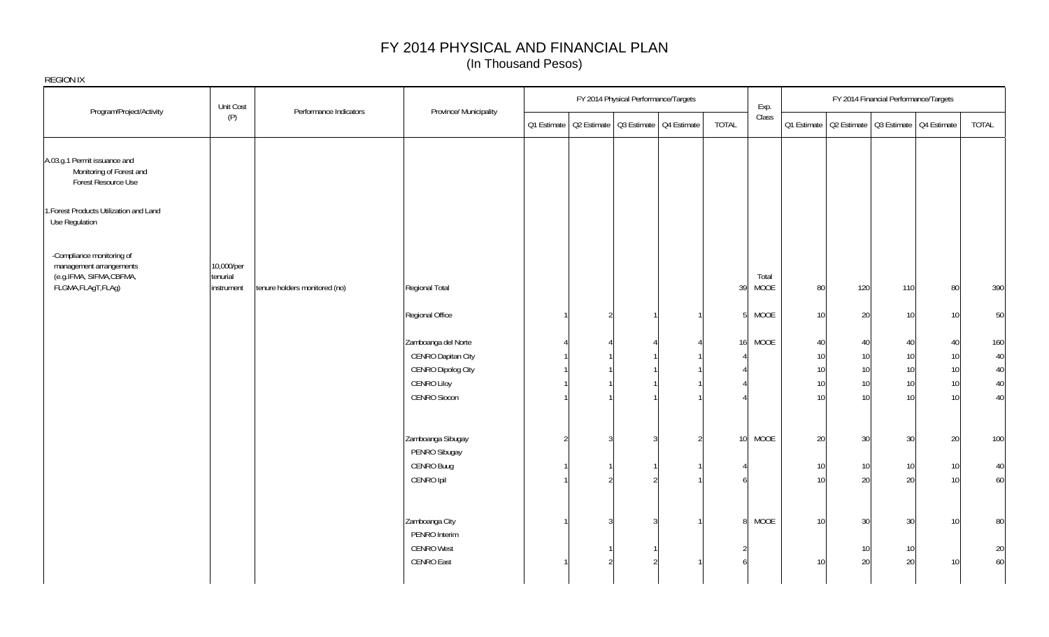| REGION IX                                                                        |                        |                               |                        |                                                       |   |                                      |                 |       |    |                                                       |                                       |                 |       |
|----------------------------------------------------------------------------------|------------------------|-------------------------------|------------------------|-------------------------------------------------------|---|--------------------------------------|-----------------|-------|----|-------------------------------------------------------|---------------------------------------|-----------------|-------|
|                                                                                  | Unit Cost              | Performance Indicators        | Province/ Municipality |                                                       |   | FY 2014 Physical Performance/Targets |                 | Exp.  |    |                                                       | FY 2014 Financial Performance/Targets |                 |       |
| Program/Project/Activity                                                         | (P)                    |                               |                        | Q1 Estimate   Q2 Estimate   Q3 Estimate   Q4 Estimate |   |                                      | <b>TOTAL</b>    | Class |    | Q1 Estimate   Q2 Estimate   Q3 Estimate   Q4 Estimate |                                       |                 | TOTAL |
| A.03.g.1 Permit issuance and<br>Monitoring of Forest and<br>Forest Resource Use  |                        |                               |                        |                                                       |   |                                      |                 |       |    |                                                       |                                       |                 |       |
| 1. Forest Products Utilization and Land<br>Use Regulation                        |                        |                               |                        |                                                       |   |                                      |                 |       |    |                                                       |                                       |                 |       |
| -Compliance monitoring of<br>management arrangements<br>(e.g.IFMA, SIFMA, CBFMA, | 10,000/per<br>tenurial |                               |                        |                                                       |   |                                      |                 | Total |    |                                                       |                                       |                 |       |
| FLGMA, FLAgT, FLAg)                                                              | instrument             | tenure holders monitored (no) | Regional Total         |                                                       |   |                                      | 39              | MOOE  | 80 | 120                                                   | 110                                   | 80              | 390   |
|                                                                                  |                        |                               | Regional Office        |                                                       | 2 |                                      | 5 <sup>1</sup>  | MOOE  | 10 | 20                                                    | 10                                    | 10              | 50    |
|                                                                                  |                        |                               | Zamboanga del Norte    |                                                       |   |                                      | 16              | MOOE  | 40 | 40                                                    | 40                                    | 40              | 160   |
|                                                                                  |                        |                               | CENRO Dapitan City     |                                                       |   |                                      |                 |       | 10 | 10                                                    | 10 <sup>1</sup>                       | 10 <sup>1</sup> | 40    |
|                                                                                  |                        |                               | CENRO Dipolog City     |                                                       |   |                                      |                 |       | 10 | 10                                                    | 10 <sup>1</sup>                       | 10 <sup>1</sup> | 40    |
|                                                                                  |                        |                               | <b>CENRO Liloy</b>     |                                                       |   |                                      |                 |       | 10 | 10                                                    | 10 <sup>1</sup>                       | 10 <sup>1</sup> | 40    |
|                                                                                  |                        |                               | CENRO Siocon           |                                                       |   |                                      |                 |       | 10 | 10 <sup>1</sup>                                       | 10 <sup>1</sup>                       | 10 <sup>1</sup> | 40    |
|                                                                                  |                        |                               | Zamboanga Sibugay      | $\mathcal{D}$                                         | ર | $\mathcal{S}$                        | 10 <sup>1</sup> | MOOE  | 20 | 30                                                    | 30                                    | 20              | 100   |
|                                                                                  |                        |                               | PENRO Sibugay          |                                                       |   |                                      |                 |       |    |                                                       |                                       |                 |       |
|                                                                                  |                        |                               | CENRO Buug             |                                                       |   |                                      |                 |       | 10 | 10                                                    | 10                                    | 10              | 40    |
|                                                                                  |                        |                               | CENRO Ipil             |                                                       |   |                                      |                 |       | 10 | 20                                                    | 20                                    | 10              | 60    |
|                                                                                  |                        |                               |                        |                                                       |   |                                      |                 |       |    |                                                       |                                       |                 |       |
|                                                                                  |                        |                               | Zamboanga City         |                                                       |   | 3                                    | 8 <sup>1</sup>  | MOOE  | 10 | 30                                                    | 30                                    | 10              | 80    |
|                                                                                  |                        |                               | PENRO Interim          |                                                       |   |                                      |                 |       |    |                                                       |                                       |                 |       |
|                                                                                  |                        |                               | <b>CENRO West</b>      |                                                       |   |                                      |                 |       |    | 10                                                    | 10                                    |                 | 20    |
|                                                                                  |                        |                               | CENRO East             |                                                       |   |                                      |                 |       | 10 | 20                                                    | 20                                    | 10              | 60    |
|                                                                                  |                        |                               |                        |                                                       |   |                                      |                 |       |    |                                                       |                                       |                 |       |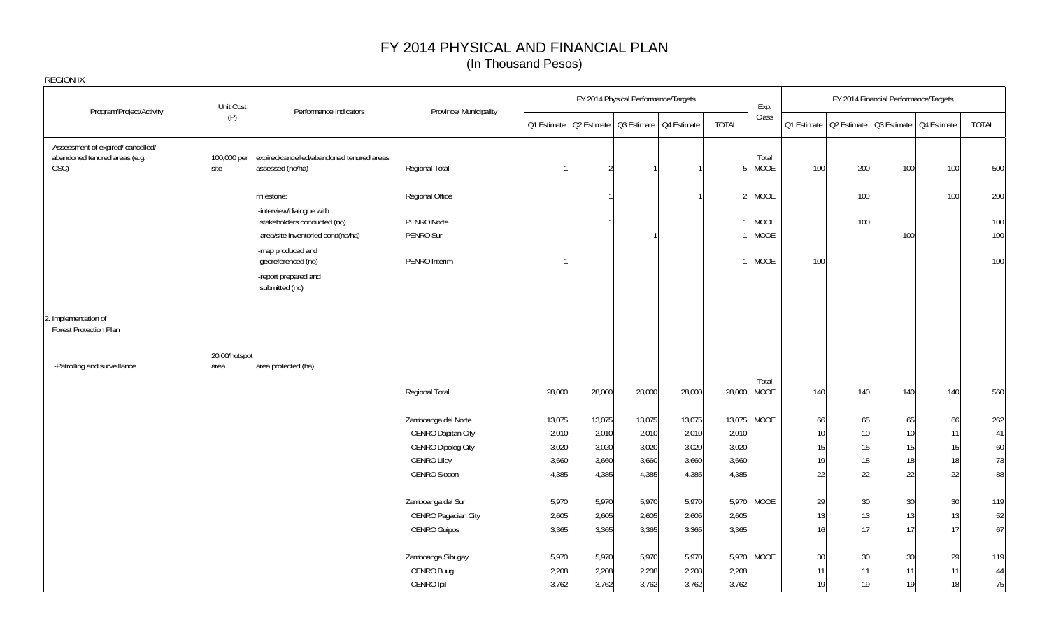|                                                                    | Unit Cost             |                                                                   |                                 |             | FY 2014 Physical Performance/Targets |        |        |                | Exp.                       |             |     | FY 2014 Financial Performance/Targets   |     |            |
|--------------------------------------------------------------------|-----------------------|-------------------------------------------------------------------|---------------------------------|-------------|--------------------------------------|--------|--------|----------------|----------------------------|-------------|-----|-----------------------------------------|-----|------------|
| Program/Project/Activity                                           | (P)                   | Performance Indicators                                            | Province/ Municipality          | Q1 Estimate | Q2 Estimate Q3 Estimate Q4 Estimate  |        |        | <b>TOTAL</b>   | Class                      | Q1 Estimate |     | Q2 Estimate   Q3 Estimate   Q4 Estimate |     | TOTAL      |
| -Assessment of expired/cancelled/<br>abandoned tenured areas (e.g. | 100,000 per           | expired/cancelled/abandoned tenured areas                         |                                 |             |                                      |        |        |                | Total                      |             |     |                                         |     |            |
| CSC)                                                               | site                  | assessed (no/ha)                                                  | Regional Total                  |             | $\mathfrak{D}$                       |        |        | 5              | <b>MOOE</b>                | 100         | 200 | 100                                     | 100 | 500        |
|                                                                    |                       | milestone:                                                        | Regional Office                 |             |                                      |        |        | $\overline{2}$ | <b>MOOE</b>                |             | 100 |                                         | 100 | 200        |
|                                                                    |                       | -interview/dialogue with                                          |                                 |             |                                      |        |        |                |                            |             |     |                                         |     |            |
|                                                                    |                       | stakeholders conducted (no)<br>-area/site inventoried cond(no/ha) | <b>PENRO Norte</b><br>PENRO Sur |             |                                      |        |        |                | <b>MOOE</b><br><b>MOOE</b> |             | 100 | 100                                     |     | 100<br>100 |
|                                                                    |                       | -map produced and                                                 |                                 |             |                                      |        |        |                |                            |             |     |                                         |     |            |
|                                                                    |                       | georeferenced (no)                                                | PENRO Interim                   |             |                                      |        |        |                | MOOE                       | 100         |     |                                         |     | 100        |
|                                                                    |                       | -report prepared and<br>submitted (no)                            |                                 |             |                                      |        |        |                |                            |             |     |                                         |     |            |
| 2. Implementation of<br><b>Forest Protection Plan</b>              |                       |                                                                   |                                 |             |                                      |        |        |                |                            |             |     |                                         |     |            |
|                                                                    |                       |                                                                   |                                 |             |                                      |        |        |                |                            |             |     |                                         |     |            |
| -Patrolling and surveillance                                       | 20.00/hotspot<br>area | area protected (ha)                                               |                                 |             |                                      |        |        |                |                            |             |     |                                         |     |            |
|                                                                    |                       |                                                                   |                                 |             |                                      |        |        |                | Total                      |             |     |                                         |     |            |
|                                                                    |                       |                                                                   | Regional Total                  | 28,000      | 28,000                               | 28,000 | 28,000 | 28,000         | MOOE                       | 140         | 140 | 140                                     | 140 | 560        |
|                                                                    |                       |                                                                   | Zamboanga del Norte             | 13,075      | 13,075                               | 13,075 | 13,075 |                | 13,075 MOOE                | 66          | 65  | 65                                      | 66  | 262        |
|                                                                    |                       |                                                                   | <b>CENRO Dapitan City</b>       | 2,010       | 2,010                                | 2,010  | 2,010  | 2,010          |                            | 10          | 10  | 10                                      | 11  | 41         |
|                                                                    |                       |                                                                   | <b>CENRO Dipolog City</b>       | 3,020       | 3,020                                | 3,020  | 3,020  | 3,020          |                            | 15          | 15  | 15                                      | 15  | 60         |
|                                                                    |                       |                                                                   | <b>CENRO Liloy</b>              | 3,660       | 3,660                                | 3,660  | 3,660  | 3,660          |                            | 19          | 18  | 18                                      | 18  | 73         |
|                                                                    |                       |                                                                   | <b>CENRO Siocon</b>             | 4,385       | 4,385                                | 4,385  | 4,385  | 4,385          |                            | 22          | 22  | 22                                      | 22  | 88         |
|                                                                    |                       |                                                                   | Zamboanga del Sur               | 5,970       | 5,970                                | 5,970  | 5,970  |                | 5,970 MOOE                 | 29          | 30  | 30                                      | 30  | 119        |
|                                                                    |                       |                                                                   | CENRO Pagadian City             | 2,605       | 2,605                                | 2,605  | 2,605  | 2,605          |                            | 13          | 13  | 13                                      | 13  | 52         |
|                                                                    |                       |                                                                   | <b>CENRO Guipos</b>             | 3,365       | 3,365                                | 3,365  | 3,365  | 3,365          |                            | 16          | 17  | 17                                      | 17  | 67         |
|                                                                    |                       |                                                                   | Zamboanga Sibugay               | 5,970       | 5,970                                | 5,970  | 5,970  |                | 5,970 MOOE                 | 30          | 30  | 30                                      | 29  | 119        |
|                                                                    |                       |                                                                   | CENRO Buug                      | 2,208       | 2,208                                | 2,208  | 2,208  | 2,208          |                            | 11          | 11  | 11                                      | 11  | 44         |
|                                                                    |                       |                                                                   | CENRO Ipil                      | 3,762       | 3,762                                | 3,762  | 3,762  | 3,762          |                            | 19          | 19  | 19                                      | 18  | $75\,$     |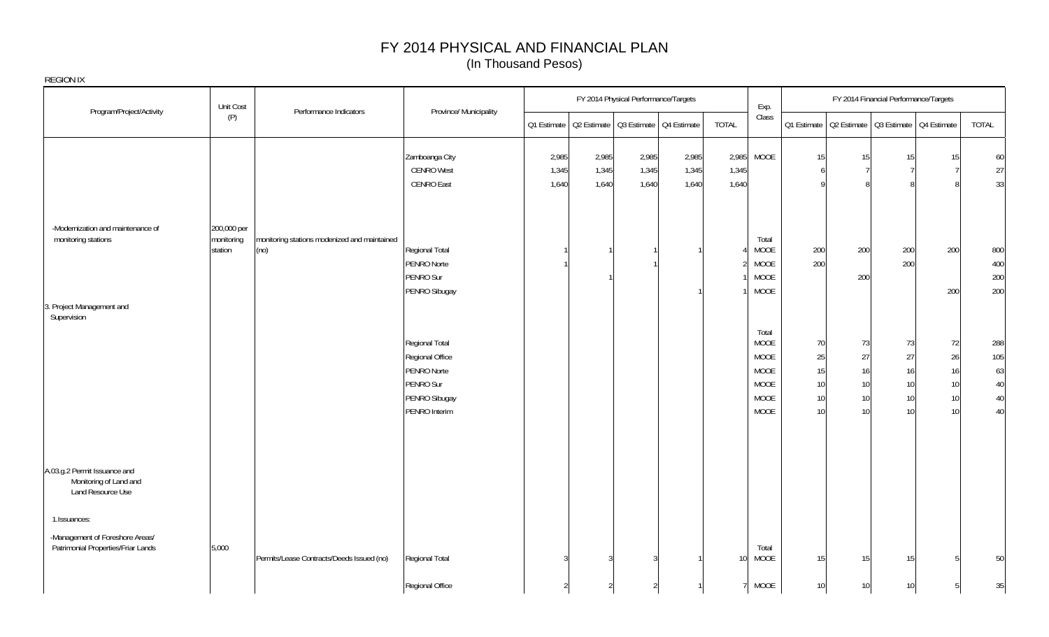|                                                                             | Unit Cost                 |                                              |                                |             |       | FY 2014 Physical Performance/Targets    |       |                 | Exp.          |             |          | FY 2014 Financial Performance/Targets   |          |              |
|-----------------------------------------------------------------------------|---------------------------|----------------------------------------------|--------------------------------|-------------|-------|-----------------------------------------|-------|-----------------|---------------|-------------|----------|-----------------------------------------|----------|--------------|
| Program/Project/Activity                                                    | (P)                       | Performance Indicators                       | Province/ Municipality         | Q1 Estimate |       | Q2 Estimate   Q3 Estimate   Q4 Estimate |       | <b>TOTAL</b>    | Class         | Q1 Estimate |          | Q2 Estimate   Q3 Estimate   Q4 Estimate |          | TOTAL        |
|                                                                             |                           |                                              | Zamboanga City                 | 2,985       | 2,985 | 2,985                                   | 2,985 | 2,985           | <b>MOOE</b>   | 15          | 15       | 15                                      | 15       | 60           |
|                                                                             |                           |                                              | <b>CENRO West</b>              | 1,345       | 1,345 | 1,345                                   | 1,345 | 1,345           |               | -6          |          |                                         |          | 27           |
|                                                                             |                           |                                              | <b>CENRO East</b>              | 1,640       | 1,640 | 1,640                                   | 1,640 | 1,640           |               |             |          |                                         |          | 33           |
| -Modernization and maintenance of<br>monitoring stations                    | 200,000 per<br>monitoring | monitoring stations modenized and maintained |                                |             |       |                                         |       |                 | Total         |             |          |                                         |          |              |
|                                                                             | station                   | (no)                                         | Regional Total                 |             |       |                                         |       |                 | MOOE          | 200         | 200      | 200                                     | 200      | 800          |
|                                                                             |                           |                                              | PENRO Norte                    |             |       |                                         |       |                 | MOOE          | 200         |          | 200                                     |          | 400          |
|                                                                             |                           |                                              | PENRO Sur                      |             |       |                                         |       |                 | <b>MOOE</b>   |             | 200      |                                         |          | 200          |
| 3. Project Management and<br>Supervision                                    |                           |                                              | PENRO Sibugay                  |             |       |                                         |       |                 | MOOE          |             |          |                                         | 200      | 200          |
|                                                                             |                           |                                              |                                |             |       |                                         |       |                 | Total         |             |          |                                         |          |              |
|                                                                             |                           |                                              | Regional Total                 |             |       |                                         |       |                 | MOOE          | 70          | 73       | 73                                      | 72       | 288          |
|                                                                             |                           |                                              | Regional Office                |             |       |                                         |       |                 | MOOE          | 25          | 27       | 27                                      | 26       | 105          |
|                                                                             |                           |                                              | PENRO Norte                    |             |       |                                         |       |                 | <b>MOOE</b>   | 15          | 16       | 16                                      | 16       | 63           |
|                                                                             |                           |                                              | PENRO Sur                      |             |       |                                         |       |                 | <b>MOOE</b>   | 10          | 10       | 10                                      | 10       | $40\,$       |
|                                                                             |                           |                                              | PENRO Sibugay<br>PENRO Interim |             |       |                                         |       |                 | MOOE<br>MOOE  | 10<br>10    | 10<br>10 | 10 <sup>°</sup><br>10 <sup>1</sup>      | 10<br>10 | $40\,$<br>40 |
|                                                                             |                           |                                              |                                |             |       |                                         |       |                 |               |             |          |                                         |          |              |
| A.03.g.2 Permit Issuance and<br>Monitoring of Land and<br>Land Resource Use |                           |                                              |                                |             |       |                                         |       |                 |               |             |          |                                         |          |              |
| 1.Issuances:                                                                |                           |                                              |                                |             |       |                                         |       |                 |               |             |          |                                         |          |              |
| -Management of Foreshore Areas/<br>Patrimonial Properties/Friar Lands       | 5,000                     | Permits/Lease Contracts/Deeds Issued (no)    | Regional Total                 |             |       |                                         |       | 10 <sup>1</sup> | Total<br>MOOE | 15          | 15       | 15                                      |          | 50           |
|                                                                             |                           |                                              | Regional Office                |             |       | $\mathfrak{D}$                          |       |                 | MOOE          | 10          | 10       | 10 <sup>°</sup>                         |          | 35           |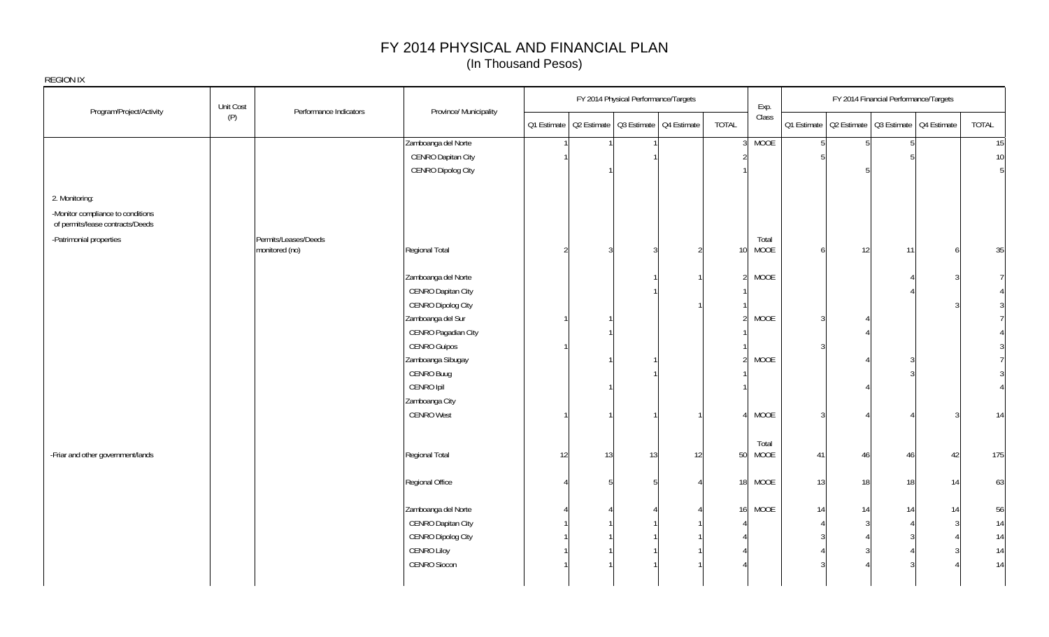| REGION IX                                                             |           |                        |                        |                |    |                                                       |    |                         |          |                                                       |       |
|-----------------------------------------------------------------------|-----------|------------------------|------------------------|----------------|----|-------------------------------------------------------|----|-------------------------|----------|-------------------------------------------------------|-------|
| Program/Project/Activity                                              | Unit Cost | Performance Indicators | Province/ Municipality |                |    | FY 2014 Physical Performance/Targets                  |    | Exp.                    |          | FY 2014 Financial Performance/Targets                 |       |
|                                                                       | (P)       |                        |                        |                |    | 01 Estimate   02 Estimate   03 Estimate   04 Estimate |    | Class<br>TOTAL          |          | 01 Estimate   02 Estimate   03 Estimate   04 Estimate | TOTAL |
|                                                                       |           |                        | Zamboanga del Norte    |                |    |                                                       |    | <b>MOOE</b>             |          |                                                       | 15    |
|                                                                       |           |                        | CENRO Dapitan City     |                |    |                                                       |    |                         |          |                                                       | 10    |
|                                                                       |           |                        | CENRO Dipolog City     |                |    |                                                       |    |                         |          |                                                       |       |
| 2. Monitoring:                                                        |           |                        |                        |                |    |                                                       |    |                         |          |                                                       |       |
| -Monitor compliance to conditions<br>of permits/lease contracts/Deeds |           |                        |                        |                |    |                                                       |    |                         |          |                                                       |       |
| -Patrimonial properties                                               |           | Permits/Leases/Deeds   |                        |                |    |                                                       |    | Total                   |          |                                                       |       |
|                                                                       |           | monitored (no)         | Regional Total         | $\mathfrak{D}$ | 3  |                                                       |    | MOOE                    | $6 \mid$ | 12<br>11                                              | 35    |
|                                                                       |           |                        | Zamboanga del Norte    |                |    |                                                       |    | MOOE                    |          |                                                       |       |
|                                                                       |           |                        | CENRO Dapitan City     |                |    |                                                       |    |                         |          |                                                       |       |
|                                                                       |           |                        | CENRO Dipolog City     |                |    |                                                       |    |                         |          |                                                       |       |
|                                                                       |           |                        | Zamboanga del Sur      |                |    |                                                       |    | MOOE                    |          |                                                       |       |
|                                                                       |           |                        | CENRO Pagadian City    |                |    |                                                       |    |                         |          |                                                       |       |
|                                                                       |           |                        | <b>CENRO Guipos</b>    |                |    |                                                       |    |                         |          |                                                       |       |
|                                                                       |           |                        | Zamboanga Sibugay      |                |    |                                                       |    | MOOE                    |          |                                                       |       |
|                                                                       |           |                        | CENRO Buug             |                |    |                                                       |    |                         |          |                                                       |       |
|                                                                       |           |                        | CENRO Ipil             |                |    |                                                       |    |                         |          |                                                       |       |
|                                                                       |           |                        | Zamboanga City         |                |    |                                                       |    |                         |          |                                                       |       |
|                                                                       |           |                        | <b>CENRO West</b>      |                |    |                                                       |    | MOOE                    | 3        |                                                       | 14    |
|                                                                       |           |                        |                        |                |    |                                                       |    |                         |          |                                                       |       |
|                                                                       |           |                        |                        |                |    |                                                       |    | Total                   |          |                                                       |       |
| -Friar and other government/lands                                     |           |                        | Regional Total         | 12             | 13 | 13                                                    | 12 | MOOE<br>50              | 41       | 46<br>42<br>$\Delta t$                                | 175   |
|                                                                       |           |                        | Regional Office        |                |    |                                                       |    | MOOE<br>18 <sup>1</sup> | 13       | 18<br>18<br>14                                        | 63    |
|                                                                       |           |                        | Zamboanga del Norte    |                |    |                                                       |    | MOOE<br>16              | 14       | 14<br>14                                              | 56    |
|                                                                       |           |                        | CENRO Dapitan City     |                |    |                                                       |    |                         |          |                                                       | 14    |
|                                                                       |           |                        | CENRO Dipolog City     |                |    |                                                       |    |                         |          |                                                       | 14    |
|                                                                       |           |                        | CENRO Liloy            |                |    |                                                       |    |                         |          |                                                       | $14$  |
|                                                                       |           |                        | <b>CENRO Siocon</b>    |                |    |                                                       |    |                         |          |                                                       | 14    |
|                                                                       |           |                        |                        |                |    |                                                       |    |                         |          |                                                       |       |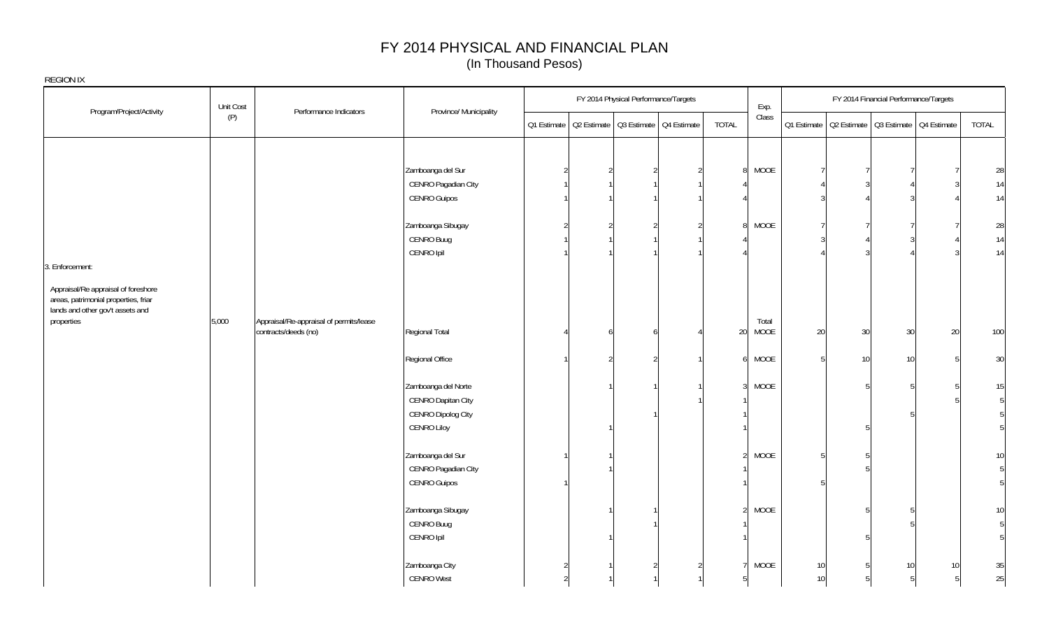|                                                                                                                 | Unit Cost |                                         |                        |  | FY 2014 Physical Performance/Targets                  | Exp.                             |                 |    | FY 2014 Financial Performance/Targets                 |    |       |
|-----------------------------------------------------------------------------------------------------------------|-----------|-----------------------------------------|------------------------|--|-------------------------------------------------------|----------------------------------|-----------------|----|-------------------------------------------------------|----|-------|
| Program/Project/Activity                                                                                        | (P)       | Performance Indicators                  | Province/ Municipality |  | Q1 Estimate   Q2 Estimate   Q3 Estimate   Q4 Estimate | Class<br>TOTAL                   |                 |    | 01 Estimate   02 Estimate   03 Estimate   04 Estimate |    | TOTAL |
|                                                                                                                 |           |                                         |                        |  |                                                       |                                  |                 |    |                                                       |    |       |
|                                                                                                                 |           |                                         | Zamboanga del Sur      |  |                                                       | MOOE                             |                 |    |                                                       |    | 28    |
|                                                                                                                 |           |                                         | CENRO Pagadian City    |  |                                                       |                                  |                 |    |                                                       |    | 14    |
|                                                                                                                 |           |                                         | <b>CENRO Guipos</b>    |  |                                                       |                                  |                 |    |                                                       |    | 14    |
|                                                                                                                 |           |                                         | Zamboanga Sibugay      |  |                                                       | MOOE<br>8                        |                 |    |                                                       |    | 28    |
|                                                                                                                 |           |                                         | CENRO Buug             |  |                                                       |                                  |                 |    |                                                       |    | 14    |
|                                                                                                                 |           |                                         | CENRO Ipil             |  |                                                       |                                  |                 |    |                                                       |    | 14    |
| 3. Enforcement:                                                                                                 |           |                                         |                        |  |                                                       |                                  |                 |    |                                                       |    |       |
| Appraisal/Re appraisal of foreshore<br>areas, patrimonial properties, friar<br>lands and other gov't assets and |           |                                         |                        |  |                                                       |                                  |                 |    |                                                       |    |       |
| properties                                                                                                      | 5,000     | Appraisal/Re-appraisal of permits/lease |                        |  |                                                       | Total                            |                 |    |                                                       |    |       |
|                                                                                                                 |           | contracts/deeds (no)                    | Regional Total         |  |                                                       | MOOE<br>20                       | 20              | 30 | 30                                                    | 20 | 100   |
|                                                                                                                 |           |                                         | Regional Office        |  | $\mathcal{D}$                                         | MOOE                             | $5\overline{)}$ | 10 | 10 <sub>1</sub>                                       |    | 30    |
|                                                                                                                 |           |                                         | Zamboanga del Norte    |  |                                                       | MOOE<br>3 <sup>l</sup>           |                 |    |                                                       |    | 15    |
|                                                                                                                 |           |                                         | CENRO Dapitan City     |  |                                                       |                                  |                 |    |                                                       |    | 5     |
|                                                                                                                 |           |                                         | CENRO Dipolog City     |  |                                                       |                                  |                 |    |                                                       |    | 5     |
|                                                                                                                 |           |                                         | <b>CENRO Liloy</b>     |  |                                                       |                                  |                 |    |                                                       |    | 5     |
|                                                                                                                 |           |                                         | Zamboanga del Sur      |  |                                                       | <b>MOOE</b><br>$\overline{2}$    |                 |    |                                                       |    | 10    |
|                                                                                                                 |           |                                         | CENRO Pagadian City    |  |                                                       |                                  |                 |    |                                                       |    | 5     |
|                                                                                                                 |           |                                         | <b>CENRO Guipos</b>    |  |                                                       |                                  |                 |    |                                                       |    | 5     |
|                                                                                                                 |           |                                         | Zamboanga Sibugay      |  |                                                       | MOOE<br>$\overline{\mathcal{L}}$ |                 |    |                                                       |    | 10    |
|                                                                                                                 |           |                                         | CENRO Buug             |  |                                                       |                                  |                 |    |                                                       |    | 5     |
|                                                                                                                 |           |                                         | CENRO Ipil             |  |                                                       |                                  |                 |    |                                                       |    | 5     |
|                                                                                                                 |           |                                         | Zamboanga City         |  |                                                       | MOOE                             | 10              |    | 10 <sup>1</sup>                                       | 10 | 35    |
|                                                                                                                 |           |                                         | <b>CENRO West</b>      |  |                                                       |                                  | 10              |    |                                                       | 5  | 25    |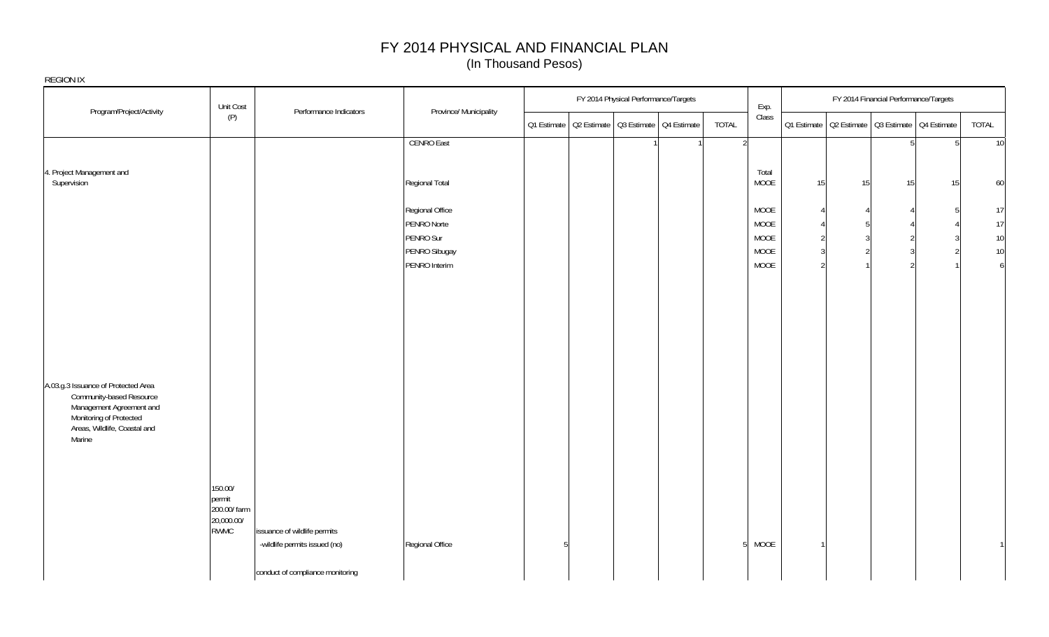|                                                                                                                                                                  | Unit Cost                                               | Performance Indicators                                        | Province/ Municipality         |   | FY 2014 Physical Performance/Targets                  |  |                | Exp.          |                     | FY 2014 Financial Performance/Targets                 |            |                |                        |
|------------------------------------------------------------------------------------------------------------------------------------------------------------------|---------------------------------------------------------|---------------------------------------------------------------|--------------------------------|---|-------------------------------------------------------|--|----------------|---------------|---------------------|-------------------------------------------------------|------------|----------------|------------------------|
| Program/Project/Activity                                                                                                                                         | (P)                                                     |                                                               |                                |   | Q1 Estimate   Q2 Estimate   Q3 Estimate   Q4 Estimate |  | TOTAL          | Class         |                     | Q1 Estimate   Q2 Estimate   Q3 Estimate   Q4 Estimate |            |                | TOTAL                  |
|                                                                                                                                                                  |                                                         |                                                               | <b>CENRO East</b>              |   |                                                       |  | $\overline{2}$ |               |                     |                                                       | $\sqrt{2}$ | 5 <sup>1</sup> | 10                     |
| 4. Project Management and<br>Supervision                                                                                                                         |                                                         |                                                               | Regional Total                 |   |                                                       |  |                | Total<br>MOOE | 15                  | 15                                                    | 15         | 15             | 60                     |
|                                                                                                                                                                  |                                                         |                                                               | Regional Office                |   |                                                       |  |                | MOOE          | $\overline{4}$      |                                                       |            |                | 17                     |
|                                                                                                                                                                  |                                                         |                                                               | PENRO Norte                    |   |                                                       |  |                | MOOE          |                     |                                                       |            |                | 17                     |
|                                                                                                                                                                  |                                                         |                                                               | PENRO Sur                      |   |                                                       |  |                | MOOE          | $\overline{2}$      |                                                       |            |                | 10                     |
|                                                                                                                                                                  |                                                         |                                                               | PENRO Sibugay<br>PENRO Interim |   |                                                       |  |                | MOOE<br>MOOE  | 3<br>$\mathfrak{D}$ |                                                       |            |                | 10<br>$\boldsymbol{6}$ |
|                                                                                                                                                                  |                                                         |                                                               |                                |   |                                                       |  |                |               |                     |                                                       |            |                |                        |
|                                                                                                                                                                  |                                                         |                                                               |                                |   |                                                       |  |                |               |                     |                                                       |            |                |                        |
|                                                                                                                                                                  |                                                         |                                                               |                                |   |                                                       |  |                |               |                     |                                                       |            |                |                        |
|                                                                                                                                                                  |                                                         |                                                               |                                |   |                                                       |  |                |               |                     |                                                       |            |                |                        |
|                                                                                                                                                                  |                                                         |                                                               |                                |   |                                                       |  |                |               |                     |                                                       |            |                |                        |
|                                                                                                                                                                  |                                                         |                                                               |                                |   |                                                       |  |                |               |                     |                                                       |            |                |                        |
| A.03.g.3 Issuance of Protected Area<br>Community-based Resource<br>Management Agreement and<br>Monitoring of Protected<br>Areas, Wildlife, Coastal and<br>Marine |                                                         |                                                               |                                |   |                                                       |  |                |               |                     |                                                       |            |                |                        |
|                                                                                                                                                                  |                                                         |                                                               |                                |   |                                                       |  |                |               |                     |                                                       |            |                |                        |
|                                                                                                                                                                  | 150.00/<br>permit<br>200.00/ farm<br>20,000.00/<br>RWMC | issuance of wildlife permits<br>-wildlife permits issued (no) | Regional Office                | 5 |                                                       |  | -5             | MOOE          | $\mathbf{1}$        |                                                       |            |                | $\mathbf{1}$           |
|                                                                                                                                                                  |                                                         | conduct of compliance monitoring                              |                                |   |                                                       |  |                |               |                     |                                                       |            |                |                        |